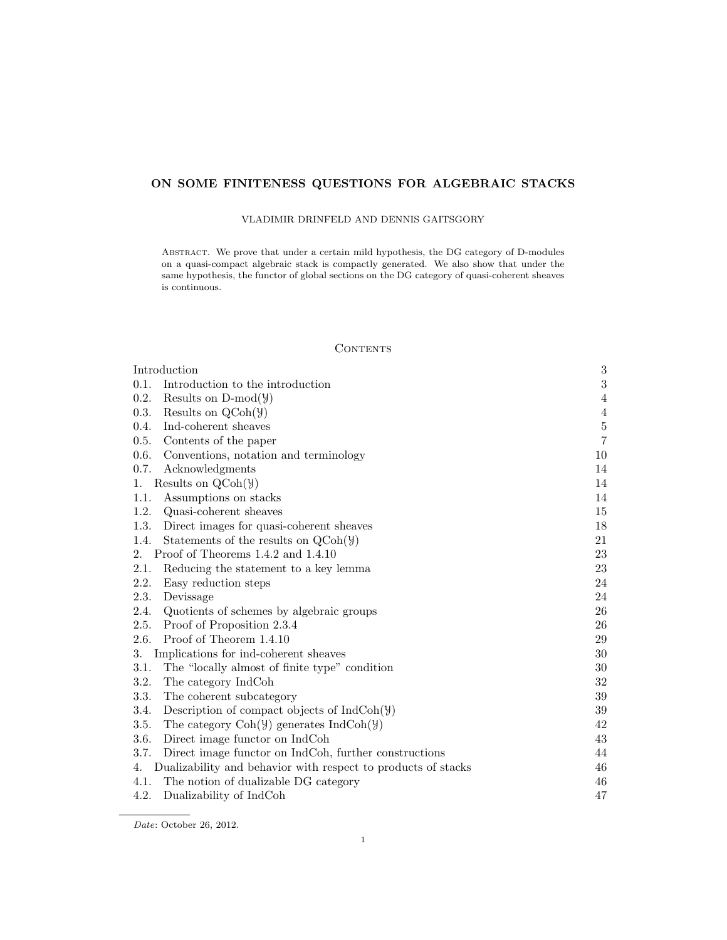# ON SOME FINITENESS QUESTIONS FOR ALGEBRAIC STACKS

## VLADIMIR DRINFELD AND DENNIS GAITSGORY

Abstract. We prove that under a certain mild hypothesis, the DG category of D-modules on a quasi-compact algebraic stack is compactly generated. We also show that under the same hypothesis, the functor of global sections on the DG category of quasi-coherent sheaves is continuous.

## **CONTENTS**

| Introduction                                                                          | $\boldsymbol{3}$ |
|---------------------------------------------------------------------------------------|------------------|
| 0.1.<br>Introduction to the introduction                                              | 3                |
| 0.2.<br>Results on $D\text{-mod}(\mathcal{Y})$                                        | 4                |
| Results on $QCoh(\mathcal{Y})$<br>0.3.                                                | $\overline{4}$   |
| 0.4.<br>Ind-coherent sheaves                                                          | $\bf 5$          |
| Contents of the paper<br>0.5.                                                         | $\,7$            |
| 0.6.<br>Conventions, notation and terminology                                         | 10               |
| 0.7.<br>Acknowledgments                                                               | 14               |
| Results on $QCoh(\mathcal{Y})$<br>1.                                                  | 14               |
| Assumptions on stacks<br>1.1.                                                         | 14               |
| 1.2.<br>Quasi-coherent sheaves                                                        | 15               |
| 1.3.<br>Direct images for quasi-coherent sheaves                                      | 18               |
| Statements of the results on $QCoh(\mathcal{Y})$<br>1.4.                              | 21               |
| Proof of Theorems 1.4.2 and 1.4.10<br>2.                                              | $23\,$           |
| 2.1.<br>Reducing the statement to a key lemma                                         | 23               |
| 2.2.<br>Easy reduction steps                                                          | 24               |
| 2.3.<br>Devissage                                                                     | 24               |
| 2.4.<br>Quotients of schemes by algebraic groups                                      | 26               |
| 2.5.<br>Proof of Proposition 2.3.4                                                    | 26               |
| Proof of Theorem 1.4.10<br>2.6.                                                       | 29               |
| 3.<br>Implications for ind-coherent sheaves                                           | $30\,$           |
| 3.1.<br>The "locally almost of finite type" condition                                 | 30               |
| 3.2.<br>The category IndCoh                                                           | 32               |
| 3.3.<br>The coherent subcategory                                                      | $39\,$           |
| Description of compact objects of $IndCoh(\mathcal{Y})$<br>3.4.                       | 39               |
| 3.5.<br>The category $\text{Coh}(\mathcal{Y})$ generates $\text{IndCoh}(\mathcal{Y})$ | 42               |
| Direct image functor on IndCoh<br>3.6.                                                | 43               |
| 3.7.<br>Direct image functor on IndCoh, further constructions                         | 44               |
| Dualizability and behavior with respect to products of stacks<br>4.                   | 46               |
| The notion of dualizable DG category<br>4.1.                                          | 46               |
| 4.2.<br>Dualizability of IndCoh                                                       | 47               |

Date: October 26, 2012.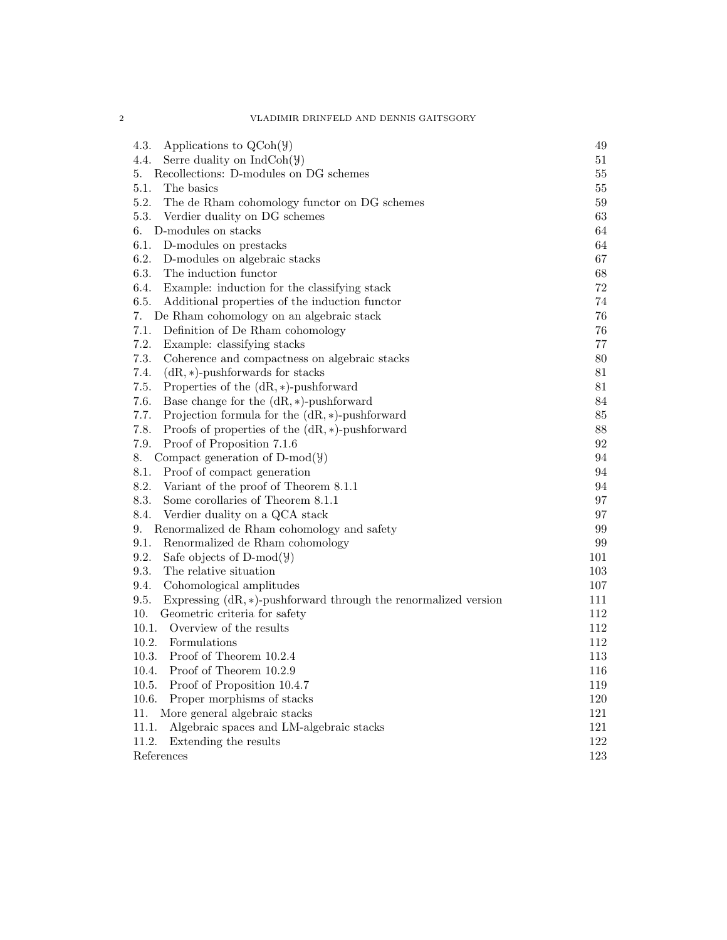| 4.3.<br>Applications to $QCoh(\mathcal{Y})$                                | 49  |
|----------------------------------------------------------------------------|-----|
| 4.4.<br>Serre duality on $IndCoh(\mathcal{Y})$                             | 51  |
| Recollections: D-modules on DG schemes<br>5.                               | 55  |
| 5.1.<br>The basics                                                         | 55  |
| 5.2.<br>The de Rham cohomology functor on DG schemes                       | 59  |
| 5.3.<br>Verdier duality on DG schemes                                      | 63  |
| D-modules on stacks<br>6.                                                  | 64  |
| 6.1.<br>D-modules on prestacks                                             | 64  |
| 6.2.<br>D-modules on algebraic stacks                                      | 67  |
| The induction functor<br>6.3.                                              | 68  |
| 6.4.<br>Example: induction for the classifying stack                       | 72  |
| 6.5.<br>Additional properties of the induction functor                     | 74  |
| De Rham cohomology on an algebraic stack<br>7.                             | 76  |
| Definition of De Rham cohomology<br>7.1.                                   | 76  |
| 7.2.<br>Example: classifying stacks                                        | 77  |
| 7.3.<br>Coherence and compactness on algebraic stacks                      | 80  |
| 7.4.<br>$(dR, *)$ -pushforwards for stacks                                 | 81  |
| Properties of the $(dR, *)$ -pushforward<br>7.5.                           | 81  |
| 7.6.<br>Base change for the $(dR, *)$ -pushforward                         | 84  |
| 7.7.<br>Projection formula for the $(dR, *)$ -pushforward                  | 85  |
| 7.8.<br>Proofs of properties of the $(dR, *)$ -pushforward                 | 88  |
| 7.9.<br>Proof of Proposition 7.1.6                                         | 92  |
| Compact generation of $D-mod(\mathcal{Y})$<br>8.                           | 94  |
| 8.1.<br>Proof of compact generation                                        | 94  |
| 8.2.<br>Variant of the proof of Theorem 8.1.1                              | 94  |
| Some corollaries of Theorem 8.1.1<br>8.3.                                  | 97  |
| Verdier duality on a QCA stack<br>8.4.                                     | 97  |
| Renormalized de Rham cohomology and safety<br>9.                           | 99  |
| 9.1.<br>Renormalized de Rham cohomology                                    | 99  |
| 9.2.<br>Safe objects of D-mod( $\mathcal{Y}$ )                             | 101 |
| The relative situation<br>9.3.                                             | 103 |
| 9.4.<br>Cohomological amplitudes                                           | 107 |
| 9.5.<br>Expressing $(dR, *)$ -pushforward through the renormalized version | 111 |
| 10.<br>Geometric criteria for safety                                       | 112 |
| Overview of the results<br>10.1.                                           | 112 |
| 10.2.<br>Formulations                                                      | 112 |
| Proof of Theorem 10.2.4<br>10.3.                                           | 113 |
| Proof of Theorem 10.2.9<br>10.4.                                           | 116 |
| 10.5.<br>Proof of Proposition 10.4.7                                       | 119 |
| 10.6.<br>Proper morphisms of stacks                                        | 120 |
| More general algebraic stacks<br>11.                                       | 121 |
| 11.1.<br>Algebraic spaces and LM-algebraic stacks                          | 121 |
| 11.2.<br>Extending the results                                             | 122 |
| References                                                                 | 123 |

2 VLADIMIR DRINFELD AND DENNIS GAITSGORY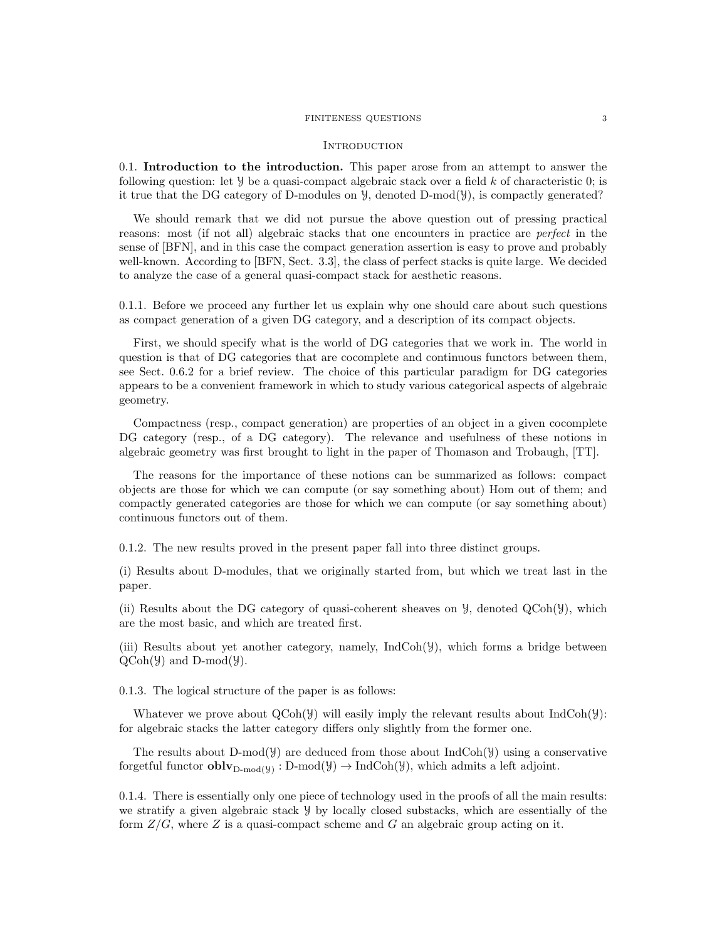### FINITENESS QUESTIONS 3

### **INTRODUCTION**

0.1. Introduction to the introduction. This paper arose from an attempt to answer the following question: let  $\mathcal Y$  be a quasi-compact algebraic stack over a field k of characteristic 0; is it true that the DG category of D-modules on Y, denoted D-mod(Y), is compactly generated?

We should remark that we did not pursue the above question out of pressing practical reasons: most (if not all) algebraic stacks that one encounters in practice are perfect in the sense of [BFN], and in this case the compact generation assertion is easy to prove and probably well-known. According to [BFN, Sect. 3.3], the class of perfect stacks is quite large. We decided to analyze the case of a general quasi-compact stack for aesthetic reasons.

0.1.1. Before we proceed any further let us explain why one should care about such questions as compact generation of a given DG category, and a description of its compact objects.

First, we should specify what is the world of DG categories that we work in. The world in question is that of DG categories that are cocomplete and continuous functors between them, see Sect. 0.6.2 for a brief review. The choice of this particular paradigm for DG categories appears to be a convenient framework in which to study various categorical aspects of algebraic geometry.

Compactness (resp., compact generation) are properties of an object in a given cocomplete DG category (resp., of a DG category). The relevance and usefulness of these notions in algebraic geometry was first brought to light in the paper of Thomason and Trobaugh, [TT].

The reasons for the importance of these notions can be summarized as follows: compact objects are those for which we can compute (or say something about) Hom out of them; and compactly generated categories are those for which we can compute (or say something about) continuous functors out of them.

0.1.2. The new results proved in the present paper fall into three distinct groups.

(i) Results about D-modules, that we originally started from, but which we treat last in the paper.

(ii) Results about the DG category of quasi-coherent sheaves on  $\mathcal{Y}$ , denoted QCoh( $\mathcal{Y}$ ), which are the most basic, and which are treated first.

(iii) Results about yet another category, namely, IndCoh(Y), which forms a bridge between  $QCoh(\mathcal{Y})$  and  $D-mod(\mathcal{Y})$ .

0.1.3. The logical structure of the paper is as follows:

Whatever we prove about  $QCoh(\mathcal{Y})$  will easily imply the relevant results about  $IndCoh(\mathcal{Y})$ : for algebraic stacks the latter category differs only slightly from the former one.

The results about D-mod( $\mathcal{Y}$ ) are deduced from those about IndCoh( $\mathcal{Y}$ ) using a conservative forgetful functor  $\textbf{oblv}_{D\text{-mod}(y)} : D\text{-mod}(\mathcal{Y}) \to \text{IndCoh}(\mathcal{Y})$ , which admits a left adjoint.

0.1.4. There is essentially only one piece of technology used in the proofs of all the main results: we stratify a given algebraic stack Y by locally closed substacks, which are essentially of the form  $Z/G$ , where Z is a quasi-compact scheme and G an algebraic group acting on it.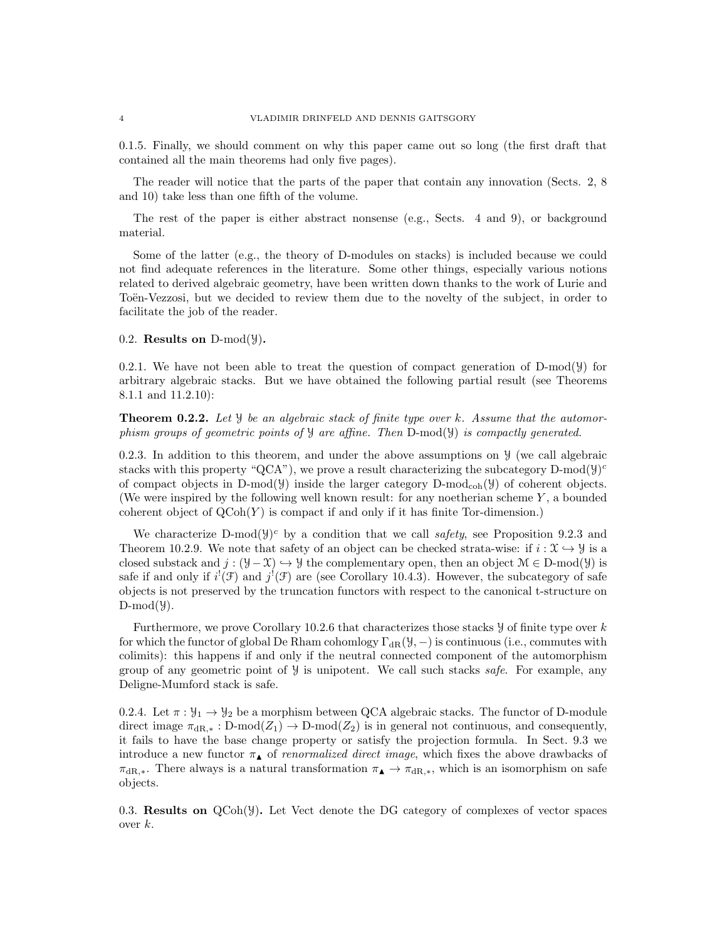0.1.5. Finally, we should comment on why this paper came out so long (the first draft that contained all the main theorems had only five pages).

The reader will notice that the parts of the paper that contain any innovation (Sects. 2, 8 and 10) take less than one fifth of the volume.

The rest of the paper is either abstract nonsense (e.g., Sects. 4 and 9), or background material.

Some of the latter (e.g., the theory of D-modules on stacks) is included because we could not find adequate references in the literature. Some other things, especially various notions related to derived algebraic geometry, have been written down thanks to the work of Lurie and Toën-Vezzosi, but we decided to review them due to the novelty of the subject, in order to facilitate the job of the reader.

## 0.2. Results on  $D-mod(y)$ .

0.2.1. We have not been able to treat the question of compact generation of  $D\text{-mod}(\mathcal{Y})$  for arbitrary algebraic stacks. But we have obtained the following partial result (see Theorems 8.1.1 and 11.2.10):

**Theorem 0.2.2.** Let  $\mathcal{Y}$  be an algebraic stack of finite type over k. Assume that the automorphism groups of geometric points of  $\mathcal{Y}$  are affine. Then D-mod( $\mathcal{Y}$ ) is compactly generated.

0.2.3. In addition to this theorem, and under the above assumptions on  $\mathcal{Y}$  (we call algebraic stacks with this property "QCA"), we prove a result characterizing the subcategory D-mod( $y$ )<sup>c</sup> of compact objects in D-mod( $\mathcal{Y}$ ) inside the larger category D-mod<sub>coh</sub>( $\mathcal{Y}$ ) of coherent objects. (We were inspired by the following well known result: for any noetherian scheme  $Y$ , a bounded coherent object of  $QCoh(Y)$  is compact if and only if it has finite Tor-dimension.)

We characterize D-mod( $y$ )<sup>c</sup> by a condition that we call *safety*, see Proposition 9.2.3 and Theorem 10.2.9. We note that safety of an object can be checked strata-wise: if  $i : \mathfrak{X} \hookrightarrow \mathcal{Y}$  is a closed substack and  $j : (Y - X) \rightarrow Y$  the complementary open, then an object  $\mathcal{M} \in D\text{-mod}(\mathcal{Y})$  is safe if and only if  $i^{!}(\mathcal{F})$  and  $j^{!}(\mathcal{F})$  are (see Corollary 10.4.3). However, the subcategory of safe objects is not preserved by the truncation functors with respect to the canonical t-structure on  $D-mod(4)$ .

Furthermore, we prove Corollary 10.2.6 that characterizes those stacks  $\mathcal Y$  of finite type over k for which the functor of global De Rham cohomlogy  $\Gamma_{\text{dR}}(\mathcal{Y},-)$  is continuous (i.e., commutes with colimits): this happens if and only if the neutral connected component of the automorphism group of any geometric point of  $\mathcal{Y}$  is unipotent. We call such stacks safe. For example, any Deligne-Mumford stack is safe.

0.2.4. Let  $\pi : \mathcal{Y}_1 \to \mathcal{Y}_2$  be a morphism between QCA algebraic stacks. The functor of D-module direct image  $\pi_{\text{dR},*}:$  D-mod $(Z_1) \to$  D-mod $(Z_2)$  is in general not continuous, and consequently, it fails to have the base change property or satisfy the projection formula. In Sect. 9.3 we introduce a new functor  $\pi_{\blacktriangle}$  of *renormalized direct image*, which fixes the above drawbacks of  $\pi_{\text{dR},*}$ . There always is a natural transformation  $\pi_{\blacktriangle} \rightarrow \pi_{\text{dR},*}$ , which is an isomorphism on safe objects.

0.3. Results on  $QCoh(\mathcal{Y})$ . Let Vect denote the DG category of complexes of vector spaces over  $k$ .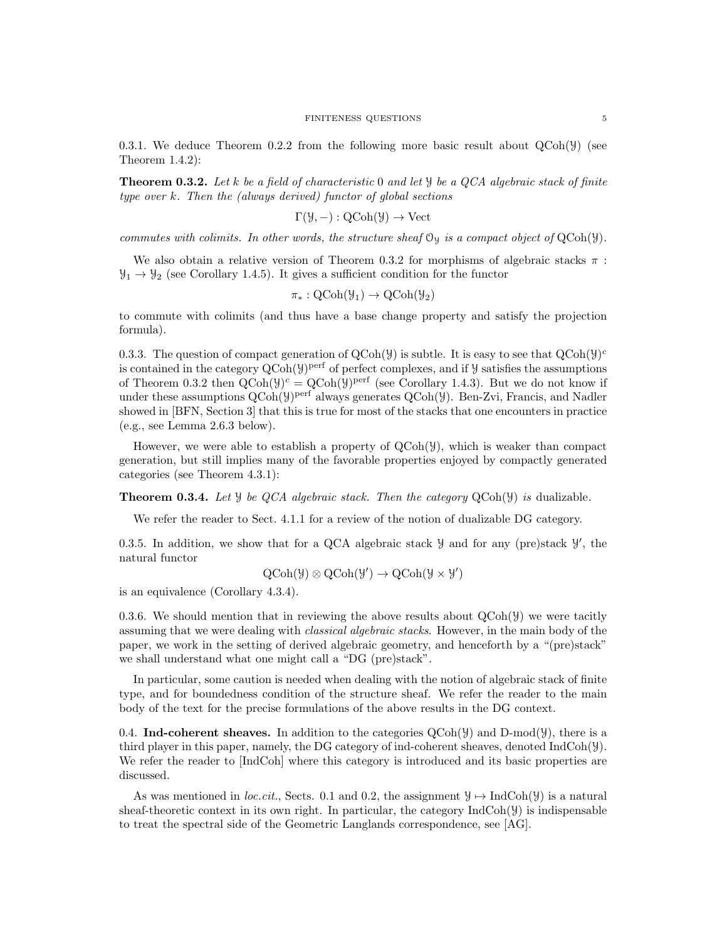0.3.1. We deduce Theorem 0.2.2 from the following more basic result about  $QCoh(\mathcal{Y})$  (see Theorem 1.4.2):

**Theorem 0.3.2.** Let k be a field of characteristic 0 and let  $\mathcal{Y}$  be a QCA algebraic stack of finite type over k. Then the (always derived) functor of global sections

$$
\Gamma(\mathcal{Y}, -): \mathrm{QCoh}(\mathcal{Y}) \to \mathrm{Vect}
$$

commutes with colimits. In other words, the structure sheaf  $\mathcal{O}_y$  is a compact object of  $QCoh(\mathcal{Y})$ .

We also obtain a relative version of Theorem 0.3.2 for morphisms of algebraic stacks  $\pi$ :  $\mathcal{Y}_1 \rightarrow \mathcal{Y}_2$  (see Corollary 1.4.5). It gives a sufficient condition for the functor

$$
\pi_*: \mathrm{QCoh}(\mathcal{Y}_1) \to \mathrm{QCoh}(\mathcal{Y}_2)
$$

to commute with colimits (and thus have a base change property and satisfy the projection formula).

0.3.3. The question of compact generation of  $QCoh(\mathcal{Y})$  is subtle. It is easy to see that  $QCoh(\mathcal{Y})^c$ is contained in the category  $\text{QCoh}(\mathcal{Y})^{\text{perf}}$  of perfect complexes, and if  $\mathcal Y$  satisfies the assumptions of Theorem 0.3.2 then  $QCoh(\mathcal{Y})^c = QCoh(\mathcal{Y})^{perf}$  (see Corollary 1.4.3). But we do not know if under these assumptions  $Q\text{Coh}(\mathcal{Y})^{\text{perf}}$  always generates  $Q\text{Coh}(\mathcal{Y})$ . Ben-Zvi, Francis, and Nadler showed in [BFN, Section 3] that this is true for most of the stacks that one encounters in practice (e.g., see Lemma 2.6.3 below).

However, we were able to establish a property of  $QCoh(\mathcal{Y})$ , which is weaker than compact generation, but still implies many of the favorable properties enjoyed by compactly generated categories (see Theorem 4.3.1):

**Theorem 0.3.4.** Let *Y* be *QCA* algebraic stack. Then the category  $QCoh(Y)$  is dualizable.

We refer the reader to Sect. 4.1.1 for a review of the notion of dualizable DG category.

0.3.5. In addition, we show that for a QCA algebraic stack  $\mathcal Y$  and for any (pre)stack  $\mathcal Y'$ , the natural functor

$$
\mathrm{QCoh}(\mathcal{Y}) \otimes \mathrm{QCoh}(\mathcal{Y}') \to \mathrm{QCoh}(\mathcal{Y} \times \mathcal{Y}')
$$

is an equivalence (Corollary 4.3.4).

0.3.6. We should mention that in reviewing the above results about  $QCoh(Y)$  we were tacitly assuming that we were dealing with *classical algebraic stacks*. However, in the main body of the paper, we work in the setting of derived algebraic geometry, and henceforth by a "(pre)stack" we shall understand what one might call a "DG (pre)stack".

In particular, some caution is needed when dealing with the notion of algebraic stack of finite type, and for boundedness condition of the structure sheaf. We refer the reader to the main body of the text for the precise formulations of the above results in the DG context.

0.4. Ind-coherent sheaves. In addition to the categories  $\mathcal{Q}(\text{Coh}(\mathcal{Y}))$  and  $\mathcal{D}\text{-mod}(\mathcal{Y})$ , there is a third player in this paper, namely, the DG category of ind-coherent sheaves, denoted IndCoh(Y). We refer the reader to [IndCoh] where this category is introduced and its basic properties are discussed.

As was mentioned in loc.cit., Sects. 0.1 and 0.2, the assignment  $\mathcal{Y} \mapsto \text{IndCoh}(\mathcal{Y})$  is a natural sheaf-theoretic context in its own right. In particular, the category  $IndCoh(\mathcal{Y})$  is indispensable to treat the spectral side of the Geometric Langlands correspondence, see [AG].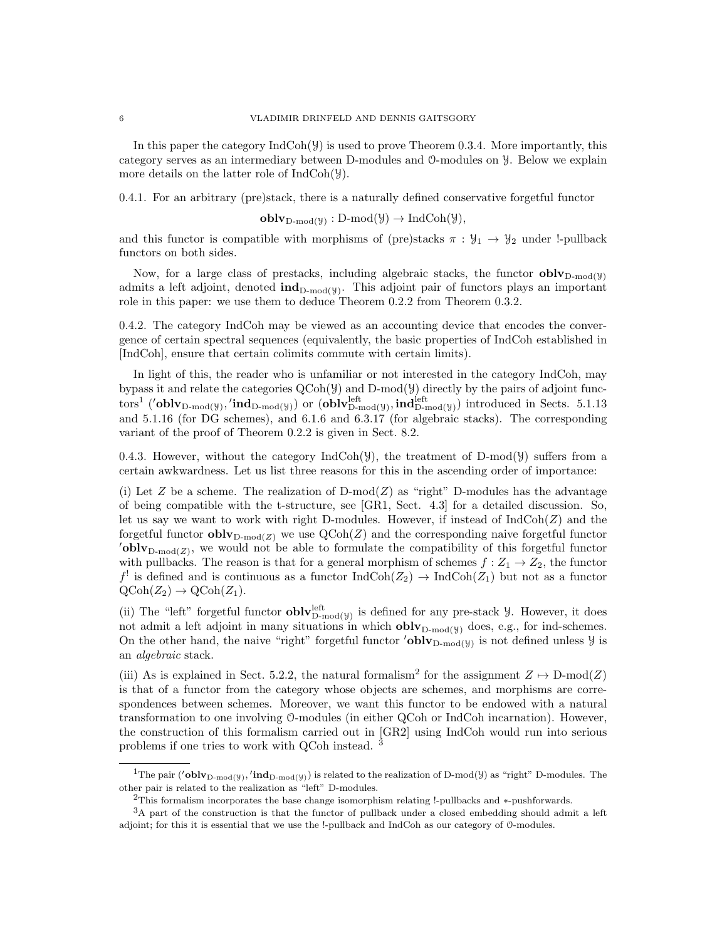In this paper the category  $IndCoh(\mathcal{Y})$  is used to prove Theorem 0.3.4. More importantly, this category serves as an intermediary between D-modules and O-modules on Y. Below we explain more details on the latter role of IndCoh(Y).

0.4.1. For an arbitrary (pre)stack, there is a naturally defined conservative forgetful functor

 $\textbf{oblv}_{D\text{-mod}(\mathcal{Y})}: D\text{-mod}(\mathcal{Y}) \to \text{IndCoh}(\mathcal{Y}),$ 

and this functor is compatible with morphisms of (pre)stacks  $\pi : \mathcal{Y}_1 \to \mathcal{Y}_2$  under !-pullback functors on both sides.

Now, for a large class of prestacks, including algebraic stacks, the functor  $oblv_{D\text{-mod}(y)}$ admits a left adjoint, denoted  $\text{ind}_{D\text{-mod}(y)}$ . This adjoint pair of functors plays an important role in this paper: we use them to deduce Theorem 0.2.2 from Theorem 0.3.2.

0.4.2. The category IndCoh may be viewed as an accounting device that encodes the convergence of certain spectral sequences (equivalently, the basic properties of IndCoh established in [IndCoh], ensure that certain colimits commute with certain limits).

In light of this, the reader who is unfamiliar or not interested in the category IndCoh, may bypass it and relate the categories  $QCoh(\mathcal{Y})$  and D-mod $(\mathcal{Y})$  directly by the pairs of adjoint functors<sup>1</sup> ('**oblv**<sub>D-mod(</sub>y<sub>)</sub>, '**ind**<sub>D-mod(y<sub>)</sub>) or (**oblv**<sub>D-mod(y<sub>)</sub></sub>, **ind**<sub>D-mod(y<sub>)</sub>) introduced in Sects. 5.1.13</sub></sub> and 5.1.16 (for DG schemes), and 6.1.6 and 6.3.17 (for algebraic stacks). The corresponding variant of the proof of Theorem 0.2.2 is given in Sect. 8.2.

0.4.3. However, without the category  $IndCoh(\mathcal{Y})$ , the treatment of D-mod( $\mathcal{Y}$ ) suffers from a certain awkwardness. Let us list three reasons for this in the ascending order of importance:

(i) Let Z be a scheme. The realization of  $D\text{-mod}(Z)$  as "right" D-modules has the advantage of being compatible with the t-structure, see [GR1, Sect. 4.3] for a detailed discussion. So, let us say we want to work with right D-modules. However, if instead of  $\text{IndCoh}(Z)$  and the forgetful functor  $oblv_{D\text{-mod}(Z)}$  we use  $QCoh(Z)$  and the corresponding naive forgetful functor  $\text{oblv}_{D\text{-mod}(Z)}$ , we would not be able to formulate the compatibility of this forgetful functor with pullbacks. The reason is that for a general morphism of schemes  $f: Z_1 \to Z_2$ , the functor  $f'$  is defined and is continuous as a functor  $\text{IndCoh}(Z_2) \to \text{IndCoh}(Z_1)$  but not as a functor  $\mathrm{QCoh}(Z_2) \to \mathrm{QCoh}(Z_1).$ 

(ii) The "left" forgetful functor  $\textbf{oblv}_{D\text{-mod}(y)}^{\text{left}}$  is defined for any pre-stack  $\mathcal Y$ . However, it does not admit a left adjoint in many situations in which  $oblv_{D\text{-mod}(y)}$  does, e.g., for ind-schemes. On the other hand, the naive "right" forgetful functor 'oblv<sub>D-mod(y)</sub> is not defined unless  $\mathcal{Y}$  is an algebraic stack.

(iii) As is explained in Sect. 5.2.2, the natural formalism<sup>2</sup> for the assignment  $Z \mapsto D\text{-mod}(Z)$ is that of a functor from the category whose objects are schemes, and morphisms are correspondences between schemes. Moreover, we want this functor to be endowed with a natural transformation to one involving O-modules (in either QCoh or IndCoh incarnation). However, the construction of this formalism carried out in [GR2] using IndCoh would run into serious problems if one tries to work with QCoh instead. <sup>3</sup>

<sup>&</sup>lt;sup>1</sup>The pair ('oblv<sub>D-mod(Y)</sub>,'ind<sub>D-mod(Y)</sub>) is related to the realization of D-mod(Y) as "right" D-modules. The other pair is related to the realization as "left" D-modules.

<sup>2</sup>This formalism incorporates the base change isomorphism relating !-pullbacks and ∗-pushforwards.

<sup>3</sup>A part of the construction is that the functor of pullback under a closed embedding should admit a left adjoint; for this it is essential that we use the !-pullback and IndCoh as our category of O-modules.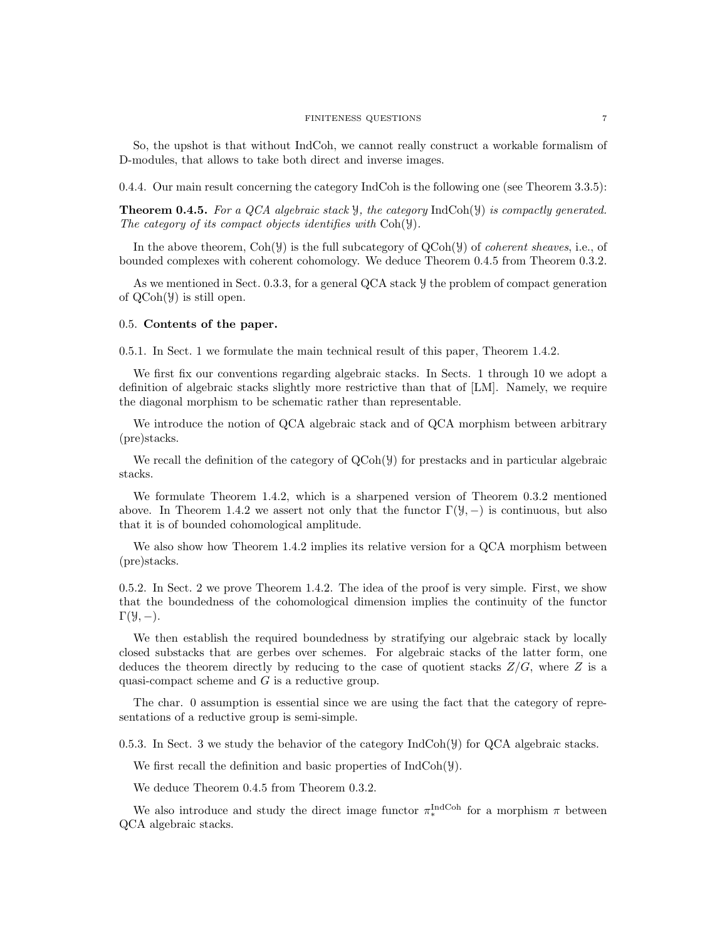### FINITENESS QUESTIONS 7

So, the upshot is that without IndCoh, we cannot really construct a workable formalism of D-modules, that allows to take both direct and inverse images.

0.4.4. Our main result concerning the category IndCoh is the following one (see Theorem 3.3.5):

**Theorem 0.4.5.** For a QCA algebraic stack  $\mathcal{Y}$ , the category IndCoh( $\mathcal{Y}$ ) is compactly generated. The category of its compact objects identifies with Coh(y).

In the above theorem,  $\text{Coh}(\mathcal{Y})$  is the full subcategory of  $\text{QCoh}(\mathcal{Y})$  of *coherent sheaves*, i.e., of bounded complexes with coherent cohomology. We deduce Theorem 0.4.5 from Theorem 0.3.2.

As we mentioned in Sect. 0.3.3, for a general QCA stack Y the problem of compact generation of QCoh(Y) is still open.

### 0.5. Contents of the paper.

0.5.1. In Sect. 1 we formulate the main technical result of this paper, Theorem 1.4.2.

We first fix our conventions regarding algebraic stacks. In Sects. 1 through 10 we adopt a definition of algebraic stacks slightly more restrictive than that of [LM]. Namely, we require the diagonal morphism to be schematic rather than representable.

We introduce the notion of QCA algebraic stack and of QCA morphism between arbitrary (pre)stacks.

We recall the definition of the category of  $QCoh(\mathcal{Y})$  for prestacks and in particular algebraic stacks.

We formulate Theorem 1.4.2, which is a sharpened version of Theorem 0.3.2 mentioned above. In Theorem 1.4.2 we assert not only that the functor  $\Gamma(\mathcal{Y}, -)$  is continuous, but also that it is of bounded cohomological amplitude.

We also show how Theorem 1.4.2 implies its relative version for a QCA morphism between (pre)stacks.

0.5.2. In Sect. 2 we prove Theorem 1.4.2. The idea of the proof is very simple. First, we show that the boundedness of the cohomological dimension implies the continuity of the functor  $\Gamma(\mathcal{Y},-)$ .

We then establish the required boundedness by stratifying our algebraic stack by locally closed substacks that are gerbes over schemes. For algebraic stacks of the latter form, one deduces the theorem directly by reducing to the case of quotient stacks  $Z/G$ , where Z is a quasi-compact scheme and G is a reductive group.

The char. 0 assumption is essential since we are using the fact that the category of representations of a reductive group is semi-simple.

0.5.3. In Sect. 3 we study the behavior of the category  $IndCoh(\mathcal{Y})$  for  $QCA$  algebraic stacks.

We first recall the definition and basic properties of  $IndCoh(\mathcal{Y})$ .

We deduce Theorem 0.4.5 from Theorem 0.3.2.

We also introduce and study the direct image functor  $\pi_*^{\text{IndCoh}}$  for a morphism  $\pi$  between QCA algebraic stacks.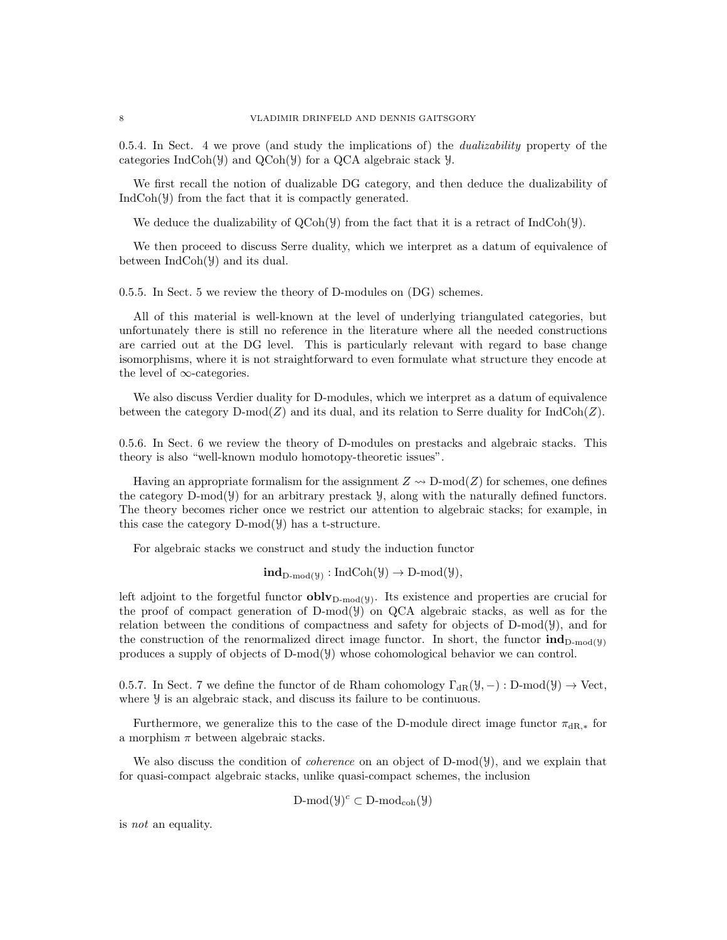0.5.4. In Sect. 4 we prove (and study the implications of) the *dualizability* property of the categories IndCoh( $\mathcal{Y}$ ) and QCoh( $\mathcal{Y}$ ) for a QCA algebraic stack  $\mathcal{Y}$ .

We first recall the notion of dualizable DG category, and then deduce the dualizability of IndCoh(Y) from the fact that it is compactly generated.

We deduce the dualizability of  $QCoh(\mathcal{Y})$  from the fact that it is a retract of IndCoh( $\mathcal{Y}$ ).

We then proceed to discuss Serre duality, which we interpret as a datum of equivalence of between IndCoh(Y) and its dual.

0.5.5. In Sect. 5 we review the theory of D-modules on (DG) schemes.

All of this material is well-known at the level of underlying triangulated categories, but unfortunately there is still no reference in the literature where all the needed constructions are carried out at the DG level. This is particularly relevant with regard to base change isomorphisms, where it is not straightforward to even formulate what structure they encode at the level of  $\infty$ -categories.

We also discuss Verdier duality for D-modules, which we interpret as a datum of equivalence between the category  $D\text{-mod}(Z)$  and its dual, and its relation to Serre duality for  $\text{IndCoh}(Z)$ .

0.5.6. In Sect. 6 we review the theory of D-modules on prestacks and algebraic stacks. This theory is also "well-known modulo homotopy-theoretic issues".

Having an appropriate formalism for the assignment  $Z \sim D\text{-mod}(Z)$  for schemes, one defines the category D-mod(Y) for an arbitrary prestack Y, along with the naturally defined functors. The theory becomes richer once we restrict our attention to algebraic stacks; for example, in this case the category  $D\text{-mod}(\mathcal{Y})$  has a t-structure.

For algebraic stacks we construct and study the induction functor

$$
\mathbf{ind}_{D\text{-mod}(\mathcal{Y})} : \mathrm{IndCoh}(\mathcal{Y}) \to D\text{-mod}(\mathcal{Y}),
$$

left adjoint to the forgetful functor  $oblv_{D\text{-mod}(y)}$ . Its existence and properties are crucial for the proof of compact generation of D-mod(Y) on QCA algebraic stacks, as well as for the relation between the conditions of compactness and safety for objects of D-mod(Y), and for the construction of the renormalized direct image functor. In short, the functor  $\text{ind}_{D\text{-mod}(y)}$ produces a supply of objects of D-mod(Y) whose cohomological behavior we can control.

0.5.7. In Sect. 7 we define the functor of de Rham cohomology  $\Gamma_{\text{dR}}(\mathcal{Y},-) : D\text{-mod}(\mathcal{Y}) \to \text{Vect}$ , where  $\mathcal{Y}$  is an algebraic stack, and discuss its failure to be continuous.

Furthermore, we generalize this to the case of the D-module direct image functor  $\pi_{\text{dR},*}$  for a morphism  $\pi$  between algebraic stacks.

We also discuss the condition of *coherence* on an object of  $D\text{-mod}(\mathcal{Y})$ , and we explain that for quasi-compact algebraic stacks, unlike quasi-compact schemes, the inclusion

$$
D\text{-mod}(\mathcal{Y})^c \subset D\text{-mod}_{coh}(\mathcal{Y})
$$

is not an equality.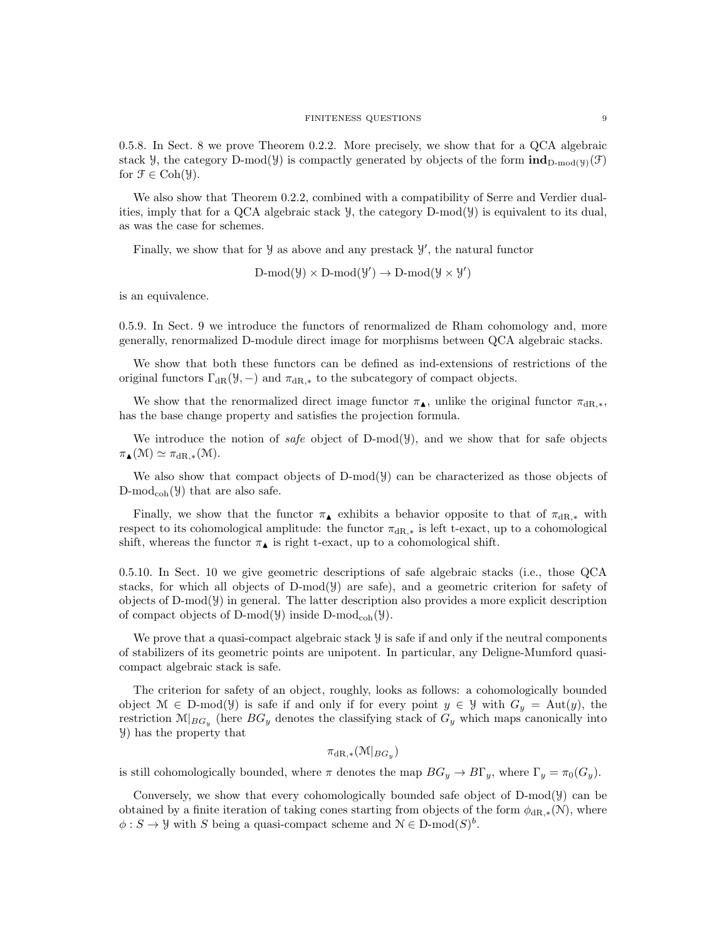0.5.8. In Sect. 8 we prove Theorem 0.2.2. More precisely, we show that for a QCA algebraic stack Y, the category D-mod(Y) is compactly generated by objects of the form  $\text{ind}_{D\text{-mod}}(y)(\mathcal{F})$ for  $\mathfrak{F} \in \mathrm{Coh}(\mathcal{Y})$ .

We also show that Theorem 0.2.2, combined with a compatibility of Serre and Verdier dualities, imply that for a QCA algebraic stack  $\mathcal{Y}$ , the category D-mod( $\mathcal{Y}$ ) is equivalent to its dual, as was the case for schemes.

Finally, we show that for  $\mathcal Y$  as above and any prestack  $\mathcal Y'$ , the natural functor

$$
D\text{-mod}(\mathcal{Y}) \times D\text{-mod}(\mathcal{Y}') \to D\text{-mod}(\mathcal{Y} \times \mathcal{Y}')
$$

is an equivalence.

0.5.9. In Sect. 9 we introduce the functors of renormalized de Rham cohomology and, more generally, renormalized D-module direct image for morphisms between QCA algebraic stacks.

We show that both these functors can be defined as ind-extensions of restrictions of the original functors  $\Gamma_{\text{dR}}(\mathcal{Y},-)$  and  $\pi_{\text{dR},*}$  to the subcategory of compact objects.

We show that the renormalized direct image functor  $\pi_{\blacktriangle}$ , unlike the original functor  $\pi_{\text{dR},\ast}$ , has the base change property and satisfies the projection formula.

We introduce the notion of safe object of D-mod( $\mathcal{Y}$ ), and we show that for safe objects  $\pi_{\blacktriangle}(M) \simeq \pi_{\text{dR},*}(M).$ 

We also show that compact objects of  $D\text{-mod}(\mathcal{Y})$  can be characterized as those objects of  $D\text{-mod}_{coh}(\mathcal{Y})$  that are also safe.

Finally, we show that the functor  $\pi_{\blacktriangle}$  exhibits a behavior opposite to that of  $\pi_{dR,*}$  with respect to its cohomological amplitude: the functor  $\pi_{\text{dR},*}$  is left t-exact, up to a cohomological shift, whereas the functor  $\pi_{\blacktriangle}$  is right t-exact, up to a cohomological shift.

0.5.10. In Sect. 10 we give geometric descriptions of safe algebraic stacks (i.e., those QCA stacks, for which all objects of  $D\text{-mod}(\mathcal{Y})$  are safe), and a geometric criterion for safety of objects of  $D-mod(y)$  in general. The latter description also provides a more explicit description of compact objects of D-mod( $\mathcal{Y}$ ) inside D-mod<sub>coh</sub>( $\mathcal{Y}$ ).

We prove that a quasi-compact algebraic stack  $\mathcal Y$  is safe if and only if the neutral components of stabilizers of its geometric points are unipotent. In particular, any Deligne-Mumford quasicompact algebraic stack is safe.

The criterion for safety of an object, roughly, looks as follows: a cohomologically bounded object  $\mathcal{M} \in \mathcal{D}$ -mod( $\mathcal{Y}$ ) is safe if and only if for every point  $y \in \mathcal{Y}$  with  $G_y = \text{Aut}(y)$ , the restriction  $\mathcal{M}|_{BG_y}$  (here  $BG_y$  denotes the classifying stack of  $G_y$  which maps canonically into Y) has the property that

 $\pi_{\mathrm{dR},*}(\mathfrak{M}|_{BG_y})$ 

is still cohomologically bounded, where  $\pi$  denotes the map  $BG_y \to B\Gamma_y$ , where  $\Gamma_y = \pi_0(G_y)$ .

Conversely, we show that every cohomologically bounded safe object of  $D-mod(y)$  can be obtained by a finite iteration of taking cones starting from objects of the form  $\phi_{\text{dR},*}(\mathcal{N})$ , where  $\phi: S \to \mathcal{Y}$  with S being a quasi-compact scheme and  $\mathcal{N} \in \mathcal{D}\text{-mod}(S)^b$ .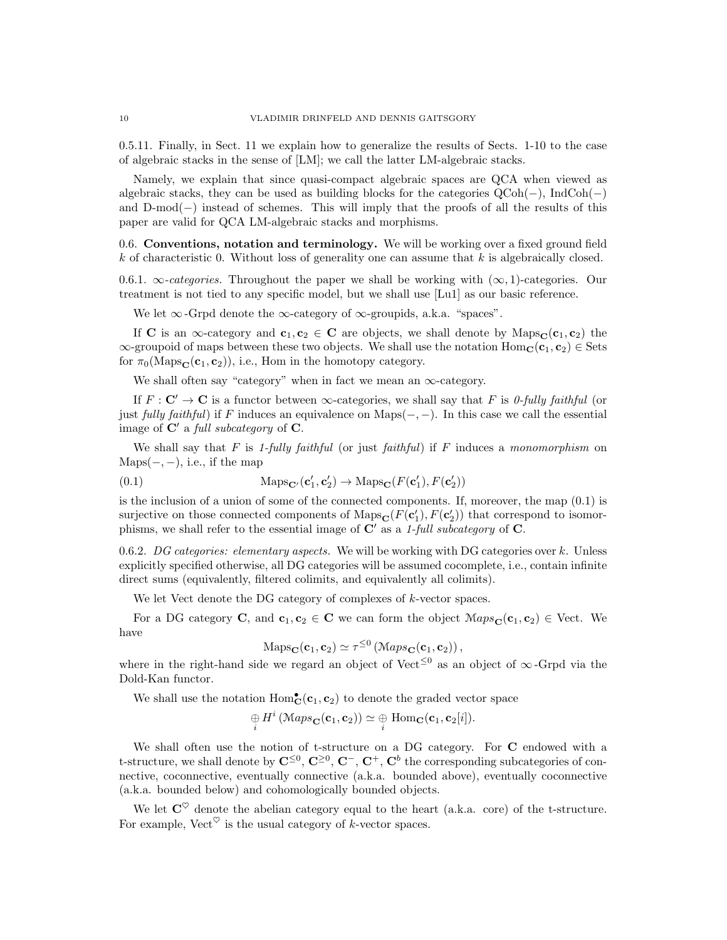0.5.11. Finally, in Sect. 11 we explain how to generalize the results of Sects. 1-10 to the case of algebraic stacks in the sense of [LM]; we call the latter LM-algebraic stacks.

Namely, we explain that since quasi-compact algebraic spaces are QCA when viewed as algebraic stacks, they can be used as building blocks for the categories  $QCoh(-)$ , IndCoh(−) and D-mod(−) instead of schemes. This will imply that the proofs of all the results of this paper are valid for QCA LM-algebraic stacks and morphisms.

0.6. Conventions, notation and terminology. We will be working over a fixed ground field  $k$  of characteristic 0. Without loss of generality one can assume that  $k$  is algebraically closed.

0.6.1.  $\infty$ -categories. Throughout the paper we shall be working with  $(\infty, 1)$ -categories. Our treatment is not tied to any specific model, but we shall use [Lu1] as our basic reference.

We let  $\infty$ -Grpd denote the  $\infty$ -category of  $\infty$ -groupids, a.k.a. "spaces".

If C is an  $\infty$ -category and  $c_1, c_2 \in C$  are objects, we shall denote by  $\text{Maps}_{\mathbf{C}}(c_1, c_2)$  the  $\infty$ -groupoid of maps between these two objects. We shall use the notation  $Hom_C(c_1, c_2) \in Sets$ for  $\pi_0(\text{Maps}_{\mathbf{C}}(\mathbf{c}_1, \mathbf{c}_2))$ , i.e., Hom in the homotopy category.

We shall often say "category" when in fact we mean an  $\infty$ -category.

If  $F: \mathbf{C}' \to \mathbf{C}$  is a functor between  $\infty$ -categories, we shall say that F is 0-fully faithful (or just fully faithful) if F induces an equivalence on Maps( $-$ ,  $-$ ). In this case we call the essential image of  $\mathbf{C}'$  a full subcategory of  $\mathbf{C}$ .

We shall say that F is 1-fully faithful (or just faithful) if F induces a monomorphism on  $Maps(-, -), i.e., if the map$ 

(0.1) 
$$
\text{Maps}_{\mathbf{C}'}(\mathbf{c}'_1, \mathbf{c}'_2) \to \text{Maps}_{\mathbf{C}}(F(\mathbf{c}'_1), F(\mathbf{c}'_2))
$$

is the inclusion of a union of some of the connected components. If, moreover, the map (0.1) is surjective on those connected components of  $\text{Maps}_{\mathbf{C}}(F(\mathbf{c}'_1), F(\mathbf{c}'_2))$  that correspond to isomorphisms, we shall refer to the essential image of  $\mathbb{C}'$  as a 1-full subcategory of  $\mathbb{C}$ .

0.6.2. DG categories: elementary aspects. We will be working with DG categories over k. Unless explicitly specified otherwise, all DG categories will be assumed cocomplete, i.e., contain infinite direct sums (equivalently, filtered colimits, and equivalently all colimits).

We let Vect denote the DG category of complexes of k-vector spaces.

For a DG category C, and  $c_1, c_2 \in C$  we can form the object  $\mathcal{M}aps_{\mathbf{C}}(c_1, c_2) \in \text{Vect}$ . We have

$$
Maps_{\mathbf{C}}(\mathbf{c}_1, \mathbf{c}_2) \simeq \tau^{\leq 0} \left( Maps_{\mathbf{C}}(\mathbf{c}_1, \mathbf{c}_2) \right),
$$

where in the right-hand side we regard an object of Vect<sup>≤0</sup> as an object of  $\infty$ -Grpd via the Dold-Kan functor.

We shall use the notation  $Hom_C^{\bullet}(\mathbf{c}_1, \mathbf{c}_2)$  to denote the graded vector space

$$
\underset{i}{\oplus} H^i\left(\mathcal{M}aps_{\mathbf{C}}(\mathbf{c}_1, \mathbf{c}_2)\right) \simeq \underset{i}{\oplus} \text{Hom}_{\mathbf{C}}(\mathbf{c}_1, \mathbf{c}_2[i]).
$$

We shall often use the notion of t-structure on a DG category. For C endowed with a t-structure, we shall denote by  $\mathbf{C}^{\leq 0}$ ,  $\mathbf{C}^{\geq 0}$ ,  $\mathbf{C}^-$ ,  $\mathbf{C}^+$ ,  $\mathbf{C}^b$  the corresponding subcategories of connective, coconnective, eventually connective (a.k.a. bounded above), eventually coconnective (a.k.a. bounded below) and cohomologically bounded objects.

We let  $C^{\heartsuit}$  denote the abelian category equal to the heart (a.k.a. core) of the t-structure. For example, Vect<sup> $\heartsuit$ </sup> is the usual category of k-vector spaces.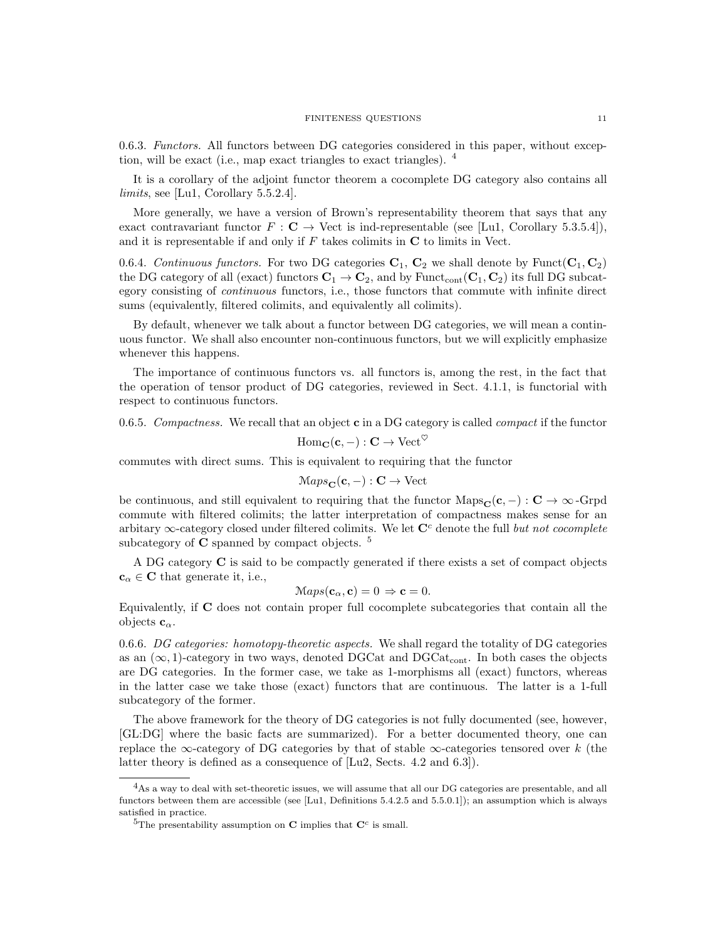0.6.3. Functors. All functors between DG categories considered in this paper, without exception, will be exact (i.e., map exact triangles to exact triangles).  $4$ 

It is a corollary of the adjoint functor theorem a cocomplete DG category also contains all limits, see [Lu1, Corollary 5.5.2.4].

More generally, we have a version of Brown's representability theorem that says that any exact contravariant functor  $F : \mathbf{C} \to \text{Vect}$  is ind-representable (see [Lu1, Corollary 5.3.5.4]), and it is representable if and only if  $F$  takes colimits in  $C$  to limits in Vect.

0.6.4. Continuous functors. For two DG categories  $C_1$ ,  $C_2$  we shall denote by Funct $(C_1, C_2)$ the DG category of all (exact) functors  $\mathbf{C}_1 \to \mathbf{C}_2$ , and by Funct<sub>cont</sub> ( $\mathbf{C}_1, \mathbf{C}_2$ ) its full DG subcategory consisting of continuous functors, i.e., those functors that commute with infinite direct sums (equivalently, filtered colimits, and equivalently all colimits).

By default, whenever we talk about a functor between DG categories, we will mean a continuous functor. We shall also encounter non-continuous functors, but we will explicitly emphasize whenever this happens.

The importance of continuous functors vs. all functors is, among the rest, in the fact that the operation of tensor product of DG categories, reviewed in Sect. 4.1.1, is functorial with respect to continuous functors.

0.6.5. Compactness. We recall that an object  $\mathbf c$  in a DG category is called *compact* if the functor

$$
\operatorname{Hom}_{\mathbf{C}}(\mathbf{c},-): \mathbf{C} \to \operatorname{Vect}^{\heartsuit}
$$

commutes with direct sums. This is equivalent to requiring that the functor

$$
Maps_{\mathbf{C}}(\mathbf{c}, -): \mathbf{C} \to \text{Vect}
$$

be continuous, and still equivalent to requiring that the functor  $\text{Maps}_{\mathbf{C}}(\mathbf{c}, -): \mathbf{C} \to \infty$ -Grpd commute with filtered colimits; the latter interpretation of compactness makes sense for an arbitary  $\infty$ -category closed under filtered colimits. We let  $\mathbb{C}^c$  denote the full but not cocomplete subcategory of  $C$  spanned by compact objects.  $5$ 

A DG category C is said to be compactly generated if there exists a set of compact objects  $\mathbf{c}_{\alpha} \in \mathbf{C}$  that generate it, i.e.,

$$
Maps(\mathbf{c}_{\alpha}, \mathbf{c}) = 0 \Rightarrow \mathbf{c} = 0.
$$

Equivalently, if C does not contain proper full cocomplete subcategories that contain all the objects  $c_{\alpha}$ .

0.6.6. DG categories: homotopy-theoretic aspects. We shall regard the totality of DG categories as an  $(\infty, 1)$ -category in two ways, denoted DGCat and DGCat<sub>cont</sub>. In both cases the objects are DG categories. In the former case, we take as 1-morphisms all (exact) functors, whereas in the latter case we take those (exact) functors that are continuous. The latter is a 1-full subcategory of the former.

The above framework for the theory of DG categories is not fully documented (see, however, [GL:DG] where the basic facts are summarized). For a better documented theory, one can replace the ∞-category of DG categories by that of stable  $\infty$ -categories tensored over k (the latter theory is defined as a consequence of [Lu2, Sects. 4.2 and 6.3]).

<sup>&</sup>lt;sup>4</sup>As a way to deal with set-theoretic issues, we will assume that all our DG categories are presentable, and all functors between them are accessible (see [Lu1, Definitions 5.4.2.5 and 5.5.0.1]); an assumption which is always satisfied in practice.

<sup>&</sup>lt;sup>5</sup>The presentability assumption on **C** implies that  $\mathbb{C}^c$  is small.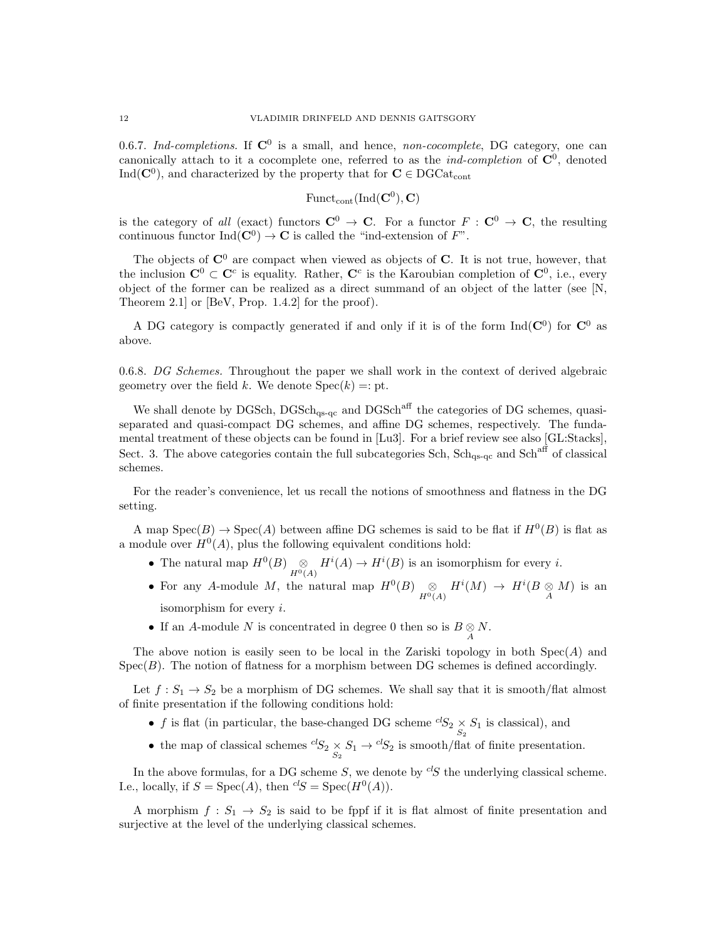0.6.7. Ind-completions. If  $\mathbb{C}^0$  is a small, and hence, non-cocomplete, DG category, one can canonically attach to it a cocomplete one, referred to as the *ind-completion* of  $\mathbb{C}^0$ , denoted  $\text{Ind}(\mathbf{C}^0)$ , and characterized by the property that for  $\mathbf{C} \in \text{DGCat}_{\text{cont}}$ 

 $\mathrm{Funct}_{\mathrm{cont}}(\mathrm{Ind}(\mathbf{C}^{0}), \mathbf{C})$ 

is the category of all (exact) functors  $C^0 \to C$ . For a functor  $F : C^0 \to C$ , the resulting continuous functor  $\text{Ind}(\mathbf{C}^0) \to \mathbf{C}$  is called the "ind-extension of  $F$ ".

The objects of  $\mathbb{C}^0$  are compact when viewed as objects of C. It is not true, however, that the inclusion  $\mathbf{C}^0 \subset \mathbf{C}^c$  is equality. Rather,  $\mathbf{C}^c$  is the Karoubian completion of  $\mathbf{C}^0$ , i.e., every object of the former can be realized as a direct summand of an object of the latter (see [N, Theorem 2.1] or [BeV, Prop. 1.4.2] for the proof).

A DG category is compactly generated if and only if it is of the form  $\text{Ind}(\mathbf{C}^0)$  for  $\mathbf{C}^0$  as above.

0.6.8. DG Schemes. Throughout the paper we shall work in the context of derived algebraic geometry over the field k. We denote  $Spec(k) =: pt$ .

We shall denote by DGSch,  $DGSch<sub>qs-qc</sub>$  and  $DGSch<sup>aff</sup>$  the categories of DG schemes, quasiseparated and quasi-compact DG schemes, and affine DG schemes, respectively. The fundamental treatment of these objects can be found in [Lu3]. For a brief review see also [GL:Stacks], Sect. 3. The above categories contain the full subcategories Sch, Sch<sub>qs-qc</sub> and Sch<sup>aff</sup> of classical schemes.

For the reader's convenience, let us recall the notions of smoothness and flatness in the DG setting.

A map  $Spec(B) \to Spec(A)$  between affine DG schemes is said to be flat if  $H^0(B)$  is flat as a module over  $H^0(A)$ , plus the following equivalent conditions hold:

- The natural map  $H^0(B) \underset{H^0(A)}{\otimes} H^i(A) \to H^i(B)$  is an isomorphism for every *i*.
- For any A-module M, the natural map  $H^0(B) \underset{H^0(A)}{\otimes} H^i(M) \to H^i(B \underset{A}{\otimes} M)$  is an isomorphism for every  $i$ .
- If an A-module N is concentrated in degree 0 then so is  $B \underset{A}{\otimes} N$ .

The above notion is easily seen to be local in the Zariski topology in both  $Spec(A)$  and  $Spec(B)$ . The notion of flatness for a morphism between DG schemes is defined accordingly.

Let  $f: S_1 \to S_2$  be a morphism of DG schemes. We shall say that it is smooth/flat almost of finite presentation if the following conditions hold:

- f is flat (in particular, the base-changed DG scheme  ${}^{cl}S_2 \underset{S_2}{\times} S_1$  is classical), and
- the map of classical schemes  ${}^{cl}S_2 \underset{S_2}{\times} S_1 \rightarrow {}^{cl}S_2$  is smooth/flat of finite presentation.

In the above formulas, for a DG scheme S, we denote by  ${}^{cl}S$  the underlying classical scheme. I.e., locally, if  $S = \text{Spec}(A)$ , then  ${}^{cl}S = \text{Spec}(H^0(A))$ .

A morphism  $f: S_1 \to S_2$  is said to be fppf if it is flat almost of finite presentation and surjective at the level of the underlying classical schemes.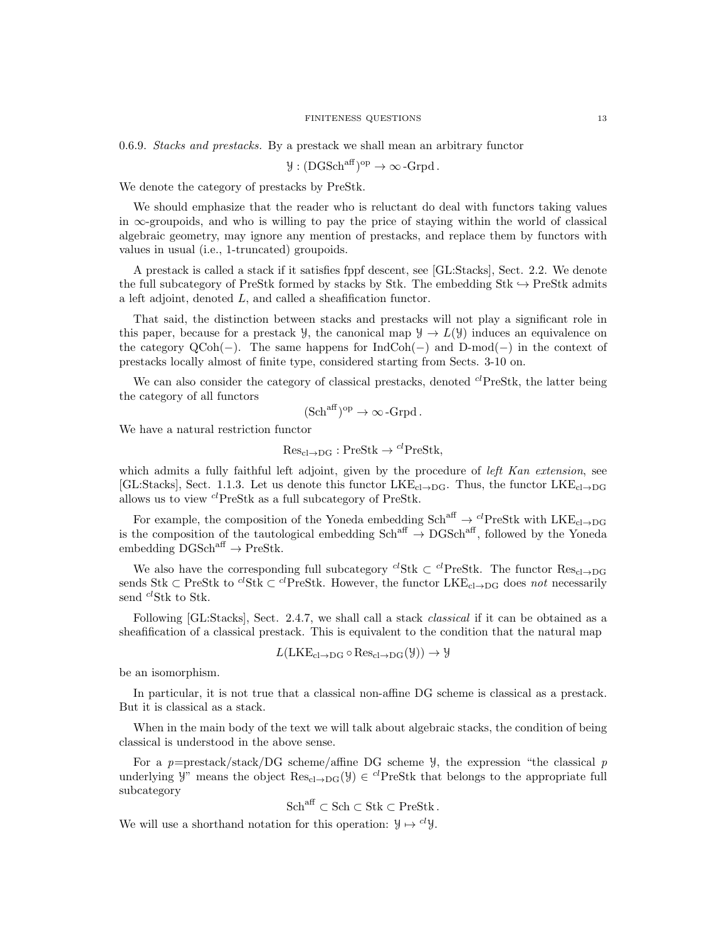0.6.9. Stacks and prestacks. By a prestack we shall mean an arbitrary functor

$$
y:({\rm DGSch}^{\rm aff})^{\rm op}\to\infty\operatorname{-Grpd}.
$$

We denote the category of prestacks by PreStk.

We should emphasize that the reader who is reluctant do deal with functors taking values in  $\infty$ -groupoids, and who is willing to pay the price of staying within the world of classical algebraic geometry, may ignore any mention of prestacks, and replace them by functors with values in usual (i.e., 1-truncated) groupoids.

A prestack is called a stack if it satisfies fppf descent, see [GL:Stacks], Sect. 2.2. We denote the full subcategory of PreStk formed by stacks by Stk. The embedding Stk  $\rightarrow$  PreStk admits a left adjoint, denoted L, and called a sheafification functor.

That said, the distinction between stacks and prestacks will not play a significant role in this paper, because for a prestack  $\mathcal{Y}$ , the canonical map  $\mathcal{Y} \to L(\mathcal{Y})$  induces an equivalence on the category QCoh(−). The same happens for IndCoh(−) and D-mod(−) in the context of prestacks locally almost of finite type, considered starting from Sects. 3-10 on.

We can also consider the category of classical prestacks, denoted  $^{cl}$ PreStk, the latter being the category of all functors

$$
(\mathrm{Sch}^{\mathrm{aff}})^{\mathrm{op}} \to \infty\,\text{-}\mathrm{Grpd}\,.
$$

We have a natural restriction functor

 $Res_{cl \rightarrow DG} : PreStk \rightarrow {}^{cl}PreStk,$ 

which admits a fully faithful left adjoint, given by the procedure of *left Kan extension*, see [GL:Stacks], Sect. 1.1.3. Let us denote this functor  $LKE_{cl\rightarrow DG}$ . Thus, the functor  $LKE_{cl\rightarrow DG}$ allows us to view  $^{cl}$ PreStk as a full subcategory of PreStk.

For example, the composition of the Yoneda embedding  $Sch^{aff} \to {}^{cl}PreStk$  with  $LKE_{cl \to DG}$ is the composition of the tautological embedding  $Sch<sup>aff</sup> \to DGSch<sup>aff</sup>$ , followed by the Yoneda  $embending DGSch<sup>aff</sup> \rightarrow PreStk.$ 

We also have the corresponding full subcategory <sup>cl</sup>Stk ⊂ <sup>cl</sup>PreStk. The functor Res<sub>cl→DG</sub> sends Stk ⊂ PreStk to <sup>cl</sup>Stk ⊂ <sup>cl</sup>PreStk. However, the functor LKE<sub>cl→DG</sub> does not necessarily send  $^{cl}$ Stk to Stk.

Following [GL:Stacks], Sect. 2.4.7, we shall call a stack *classical* if it can be obtained as a sheafification of a classical prestack. This is equivalent to the condition that the natural map

$$
L(\text{LKE}_{\text{cl}\rightarrow\text{DG}}\circ\text{Res}_{\text{cl}\rightarrow\text{DG}}(\mathcal{Y}))\rightarrow\mathcal{Y}
$$

be an isomorphism.

In particular, it is not true that a classical non-affine DG scheme is classical as a prestack. But it is classical as a stack.

When in the main body of the text we will talk about algebraic stacks, the condition of being classical is understood in the above sense.

For a p=prestack/stack/DG scheme/affine DG scheme  $\mathcal{Y}$ , the expression "the classical p underlying  $\mathcal{Y}$ " means the object  $\text{Res}_{cl \to DG}(\mathcal{Y}) \in {}^{cl}\text{PreStk}$  that belongs to the appropriate full subcategory

$$
\mathbf{Sch}^{\mathrm{aff}} \subset \mathbf{Sch} \subset \mathbf{Stk} \subset \mathbf{PreStk}.
$$

We will use a shorthand notation for this operation:  $\mathcal{Y} \mapsto {}^{cl}\mathcal{Y}$ .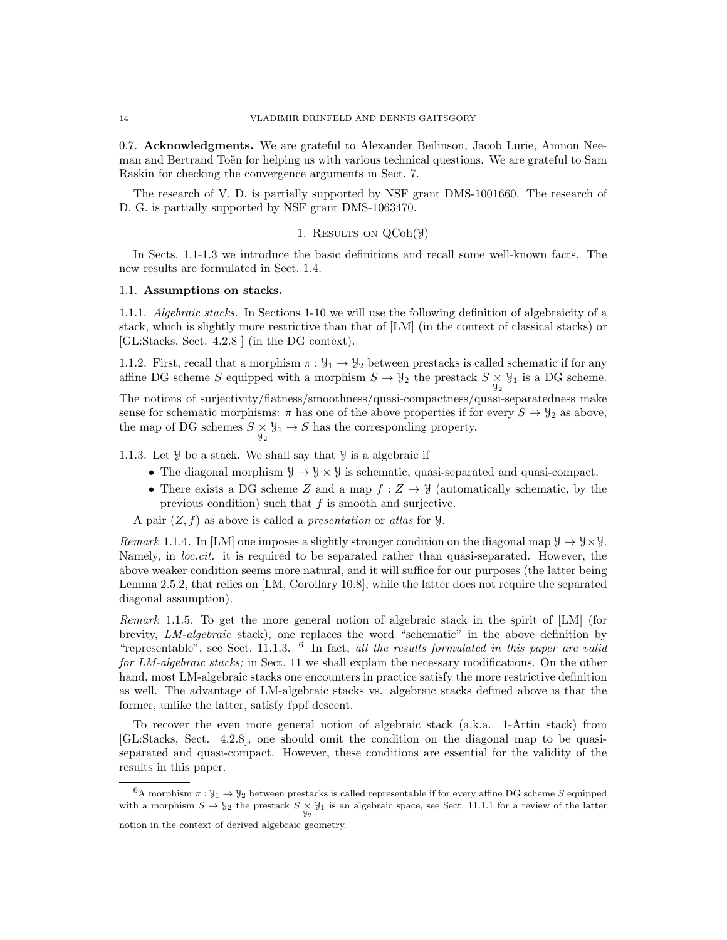0.7. Acknowledgments. We are grateful to Alexander Beilinson, Jacob Lurie, Amnon Neeman and Bertrand Toën for helping us with various technical questions. We are grateful to Sam Raskin for checking the convergence arguments in Sect. 7.

The research of V. D. is partially supported by NSF grant DMS-1001660. The research of D. G. is partially supported by NSF grant DMS-1063470.

## 1. RESULTS ON  $QCoh(\mathcal{Y})$

In Sects. 1.1-1.3 we introduce the basic definitions and recall some well-known facts. The new results are formulated in Sect. 1.4.

#### 1.1. Assumptions on stacks.

1.1.1. Algebraic stacks. In Sections 1-10 we will use the following definition of algebraicity of a stack, which is slightly more restrictive than that of [LM] (in the context of classical stacks) or [GL:Stacks, Sect. 4.2.8 ] (in the DG context).

1.1.2. First, recall that a morphism  $\pi : \mathcal{Y}_1 \to \mathcal{Y}_2$  between prestacks is called schematic if for any affine DG scheme S equipped with a morphism  $S \to \mathcal{Y}_2$  the prestack  $S \times \mathcal{Y}_1$  is a DG scheme.

The notions of surjectivity/flatness/smoothness/quasi-compactness/quasi-separatedness make sense for schematic morphisms:  $\pi$  has one of the above properties if for every  $S \to \mathcal{Y}_2$  as above, the map of DG schemes  $S \times \mathcal{Y}_1 \rightarrow S$  has the corresponding property.

1.1.3. Let Y be a stack. We shall say that Y is a algebraic if

- The diagonal morphism  $\mathcal{Y} \to \mathcal{Y} \times \mathcal{Y}$  is schematic, quasi-separated and quasi-compact.
- There exists a DG scheme Z and a map  $f: Z \to Y$  (automatically schematic, by the previous condition) such that  $f$  is smooth and surjective.

A pair  $(Z, f)$  as above is called a *presentation* or *atlas* for  $Y$ .

Remark 1.1.4. In [LM] one imposes a slightly stronger condition on the diagonal map  $\mathcal{Y} \to \mathcal{Y} \times \mathcal{Y}$ . Namely, in *loc.cit.* it is required to be separated rather than quasi-separated. However, the above weaker condition seems more natural, and it will suffice for our purposes (the latter being Lemma 2.5.2, that relies on [LM, Corollary 10.8], while the latter does not require the separated diagonal assumption).

Remark 1.1.5. To get the more general notion of algebraic stack in the spirit of [LM] (for brevity, LM-algebraic stack), one replaces the word "schematic" in the above definition by "representable", see Sect. 11.1.3.  $\delta$  In fact, all the results formulated in this paper are valid for LM-algebraic stacks; in Sect. 11 we shall explain the necessary modifications. On the other hand, most LM-algebraic stacks one encounters in practice satisfy the more restrictive definition as well. The advantage of LM-algebraic stacks vs. algebraic stacks defined above is that the former, unlike the latter, satisfy fppf descent.

To recover the even more general notion of algebraic stack (a.k.a. 1-Artin stack) from [GL:Stacks, Sect. 4.2.8], one should omit the condition on the diagonal map to be quasiseparated and quasi-compact. However, these conditions are essential for the validity of the results in this paper.

<sup>&</sup>lt;sup>6</sup>A morphism  $\pi : \mathcal{Y}_1 \to \mathcal{Y}_2$  between prestacks is called representable if for every affine DG scheme S equipped with a morphism  $S \to \mathcal{Y}_2$  the prestack  $S \times \mathcal{Y}_1$  is an algebraic space, see Sect. 11.1.1 for a review of the latter notion in the context of derived algebraic geometry.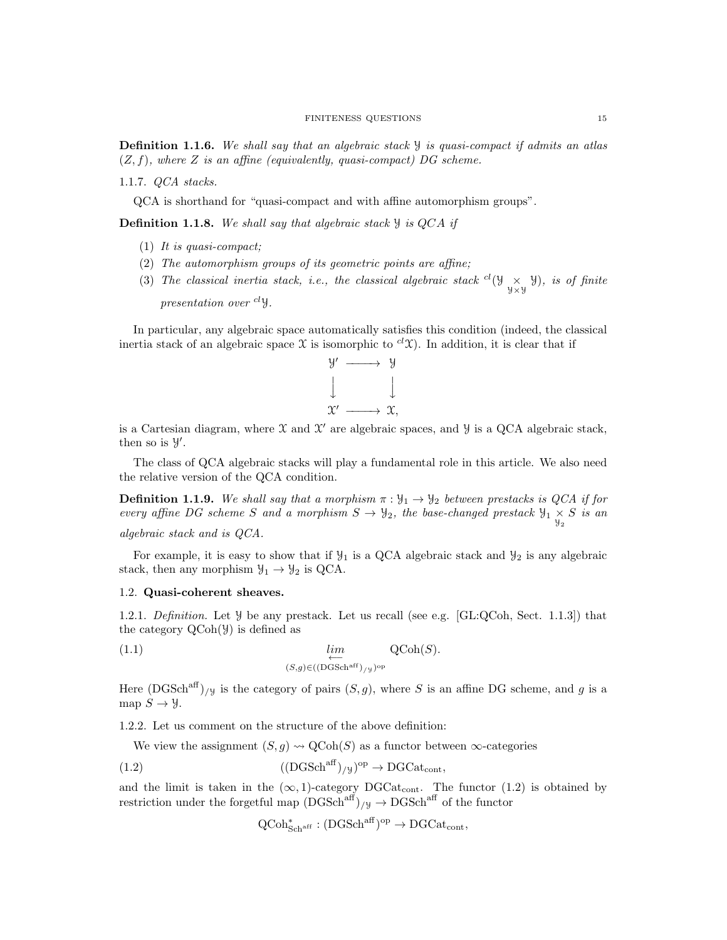1.1.7. QCA stacks.

QCA is shorthand for "quasi-compact and with affine automorphism groups".

**Definition 1.1.8.** We shall say that algebraic stack  $\mathcal{Y}$  is QCA if

- (1) It is quasi-compact;
- (2) The automorphism groups of its geometric points are affine;
- (3) The classical inertia stack, i.e., the classical algebraic stack  ${}^{cl}(\mathcal{Y}_{\mathcal{Y}\times\mathcal{Y}}\mathcal{Y})$ , is of finite presentation over  $^{cl}$  y.

In particular, any algebraic space automatically satisfies this condition (indeed, the classical inertia stack of an algebraic space X is isomorphic to  ${}^{cl}\mathcal{X}$ ). In addition, it is clear that if



is a Cartesian diagram, where  $\mathfrak X$  and  $\mathfrak X'$  are algebraic spaces, and  $\mathcal Y$  is a QCA algebraic stack, then so is  $\mathcal{Y}'$ .

The class of QCA algebraic stacks will play a fundamental role in this article. We also need the relative version of the QCA condition.

**Definition 1.1.9.** We shall say that a morphism  $\pi : \mathcal{Y}_1 \to \mathcal{Y}_2$  between prestacks is QCA if for every affine DG scheme S and a morphism  $S \to \mathcal{Y}_2$ , the base-changed prestack  $\mathcal{Y}_1 \times S$  is an

algebraic stack and is QCA.

For example, it is easy to show that if  $\mathcal{Y}_1$  is a QCA algebraic stack and  $\mathcal{Y}_2$  is any algebraic stack, then any morphism  $\mathcal{Y}_1 \rightarrow \mathcal{Y}_2$  is QCA.

## 1.2. Quasi-coherent sheaves.

1.2.1. Definition. Let  $\mathcal Y$  be any prestack. Let us recall (see e.g. [GL:QCoh, Sect. 1.1.3]) that the category QCoh(Y) is defined as

(1.1) 
$$
\lim_{\substack{\longleftarrow \\ (S,g) \in ((\text{DGSch}^{\text{aff}})_{/\mathcal{Y}})^{\text{op}}} Q\text{Coh}(S).
$$

Here  $(DGSch<sup>aff</sup>)_{/y}$  is the category of pairs  $(S, g)$ , where S is an affine DG scheme, and g is a map  $S \to \mathcal{Y}$ .

1.2.2. Let us comment on the structure of the above definition:

We view the assignment  $(S, g) \rightsquigarrow \text{QCoh}(S)$  as a functor between  $\infty$ -categories

(1.2) 
$$
((\text{DGSch}^{\text{aff}})_{/\mathcal{Y}})^{\text{op}} \to \text{DGCat}_{\text{cont}},
$$

and the limit is taken in the  $(\infty, 1)$ -category DGCat<sub>cont</sub>. The functor (1.2) is obtained by restriction under the forgetful map  $(DGSch^{aff})_{/y} \rightarrow DGSch^{aff}$  of the functor

 $\mathrm{QCoh}^*_{\mathrm{Sch}^{\mathrm{aff}}}: (\mathrm{DGSch}^{\mathrm{aff}})^{\mathrm{op}} \to \mathrm{DGCat}_{\mathrm{cont}},$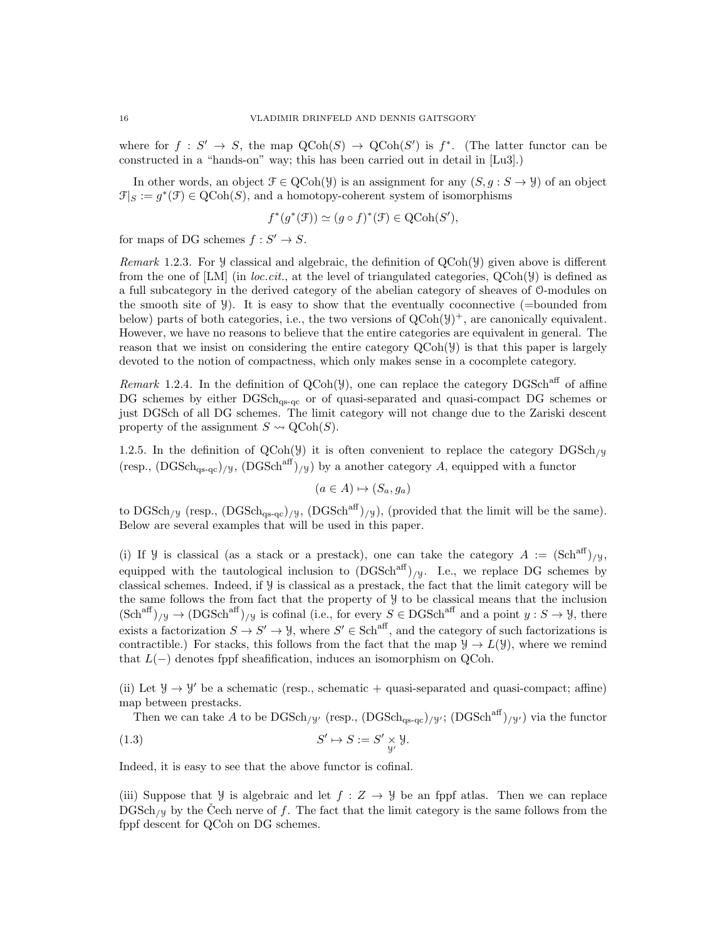where for  $f: S' \to S$ , the map  $\mathrm{QCoh}(S) \to \mathrm{QCoh}(S')$  is  $f^*$ . (The latter functor can be constructed in a "hands-on" way; this has been carried out in detail in [Lu3].)

In other words, an object  $\mathcal{F} \in \text{QCoh}(\mathcal{Y})$  is an assignment for any  $(S, q : S \to \mathcal{Y})$  of an object  $\mathcal{F}|_S := g^*(\mathcal{F}) \in \mathrm{QCoh}(S)$ , and a homotopy-coherent system of isomorphisms

$$
f^*(g^*(\mathcal{F})) \simeq (g \circ f)^*(\mathcal{F}) \in \text{QCoh}(S'),
$$

for maps of DG schemes  $f: S' \to S$ .

*Remark* 1.2.3. For  $\mathcal{Y}$  classical and algebraic, the definition of  $QCoh(\mathcal{Y})$  given above is different from the one of [LM] (in *loc.cit.*, at the level of triangulated categories,  $QCoh(\mathcal{Y})$  is defined as a full subcategory in the derived category of the abelian category of sheaves of O-modules on the smooth site of  $\mathcal{Y}$ ). It is easy to show that the eventually coconnective (=bounded from below) parts of both categories, i.e., the two versions of  $QCoh(\mathcal{Y})^+$ , are canonically equivalent. However, we have no reasons to believe that the entire categories are equivalent in general. The reason that we insist on considering the entire category  $QCoh(\mathcal{Y})$  is that this paper is largely devoted to the notion of compactness, which only makes sense in a cocomplete category.

Remark 1.2.4. In the definition of  $QCoh(\mathcal{Y})$ , one can replace the category DGSch<sup>aff</sup> of affine DG schemes by either  $DGSch<sub>qs-qc</sub>$  or of quasi-separated and quasi-compact DG schemes or just DGSch of all DG schemes. The limit category will not change due to the Zariski descent property of the assignment  $S \rightsquigarrow \text{QCoh}(S)$ .

1.2.5. In the definition of  $QCoh(\mathcal{Y})$  it is often convenient to replace the category  $DGSch_{\mathcal{Y}}$ (resp.,  $(DGSch<sub>qs-qc</sub>)_{/y}$ ,  $(DGSch<sup>aff</sup>)_{/y}$ ) by a another category A, equipped with a functor

$$
(a \in A) \mapsto (S_a, g_a)
$$

to DGSch<sub>/Y</sub> (resp.,  $(DGSch<sub>qs-qc</sub>)_{/Y}$ ,  $(DGSch<sup>aff</sup>)_{/Y}$ ), (provided that the limit will be the same). Below are several examples that will be used in this paper.

(i) If  $\mathcal Y$  is classical (as a stack or a prestack), one can take the category  $A := (\text{Sch}^{\text{aff}})_{/\mathcal Y},$ equipped with the tautological inclusion to  $(DGSch<sup>aff</sup>)_{/y}$ . I.e., we replace DG schemes by classical schemes. Indeed, if Y is classical as a prestack, the fact that the limit category will be the same follows the from fact that the property of Y to be classical means that the inclusion  $(\text{Sch}^{\text{aff}})_{/\mathcal{Y}} \to (\text{DGSch}^{\text{aff}})_{/\mathcal{Y}}$  is cofinal (i.e., for every  $S \in \text{DGSch}^{\text{aff}}$  and a point  $y : S \to \mathcal{Y}$ , there exists a factorization  $S \to S' \to \mathcal{Y}$ , where  $S' \in Sch^{aff}$ , and the category of such factorizations is contractible.) For stacks, this follows from the fact that the map  $\mathcal{Y} \to L(\mathcal{Y})$ , where we remind that  $L(-)$  denotes fppf sheafification, induces an isomorphism on QCoh.

(ii) Let  $\mathcal{Y} \to \mathcal{Y}'$  be a schematic (resp., schematic + quasi-separated and quasi-compact; affine) map between prestacks.

Then we can take A to be  $\text{DGSch}_{/y}$  (resp.,  $(\text{DGSch}_{\text{as-ac}})/y$ ;  $(\text{DGSch}^{\text{aff}})_{/y}$ ) via the functor

(1.3) 
$$
S' \mapsto S := S' \underset{\mathcal{Y}'}{\times} \mathcal{Y}.
$$

Indeed, it is easy to see that the above functor is cofinal.

(iii) Suppose that  $\mathcal{Y}$  is algebraic and let  $f : Z \to \mathcal{Y}$  be an fppf atlas. Then we can replace DGSch<sub>/Y</sub> by the Čech nerve of f. The fact that the limit category is the same follows from the fppf descent for QCoh on DG schemes.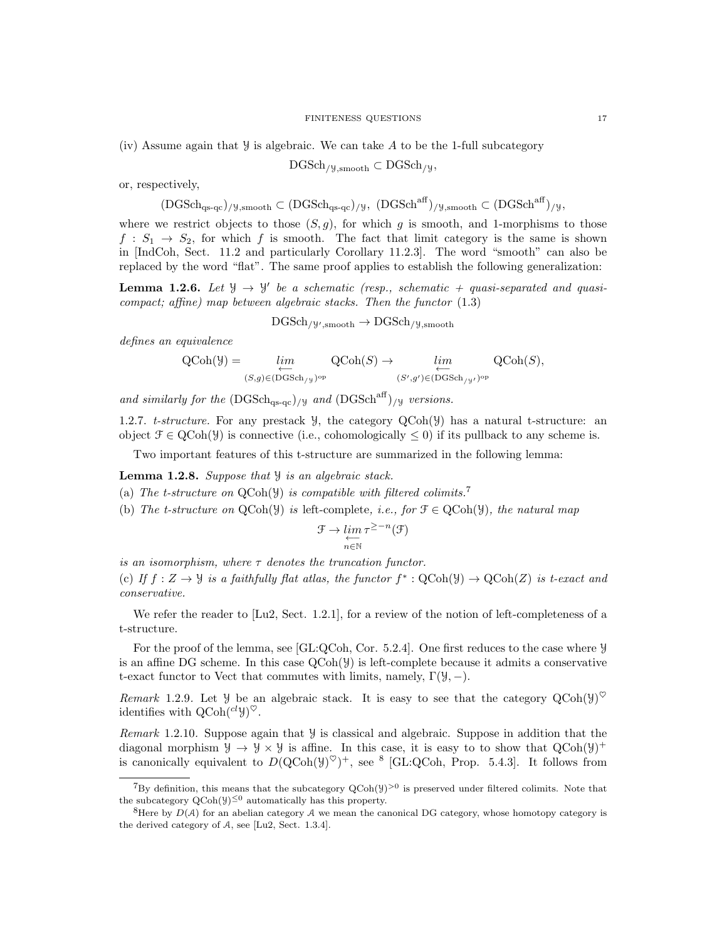#### FINITENESS QUESTIONS 17

(iv) Assume again that  $\mathcal Y$  is algebraic. We can take A to be the 1-full subcategory

$$
DGSch_{/y, \text{smooth}} \subset DGSch_{/y},
$$

or, respectively,

$$
(\mathrm{DGSch}_{qs\text{-}qc})_{/y,\mathrm{smooth}}\subset (\mathrm{DGSch}_{qs\text{-}qc})_{/y},\ (\mathrm{DGSch}^{\mathrm{aff}})_{/y,\mathrm{smooth}}\subset (\mathrm{DGSch}^{\mathrm{aff}})_{/y},
$$

where we restrict objects to those  $(S, g)$ , for which g is smooth, and 1-morphisms to those  $f: S_1 \rightarrow S_2$ , for which f is smooth. The fact that limit category is the same is shown in [IndCoh, Sect. 11.2 and particularly Corollary 11.2.3]. The word "smooth" can also be replaced by the word "flat". The same proof applies to establish the following generalization:

**Lemma 1.2.6.** Let  $\mathcal{Y} \to \mathcal{Y}'$  be a schematic (resp., schematic + quasi-separated and quasicompact; affine) map between algebraic stacks. Then the functor  $(1.3)$ 

 $\mathrm{DGSch}_{/\mathcal{Y}',\mathrm{smooth}}\to \mathrm{DGSch}_{/\mathcal{Y},\mathrm{smooth}}$ 

defines an equivalence

$$
\mathrm{QCoh}(\mathcal{Y}) = \varprojlim_{(S,g)\in (\mathrm{DGSch}_{/\mathcal{Y}})^{\mathrm{op}}} \mathrm{QCoh}(S) \to \varprojlim_{(S',g')\in (\mathrm{DGSch}_{/\mathcal{Y}'})^{\mathrm{op}}} \mathrm{QCoh}(S),
$$

and similarly for the  $(DGSch_{\text{as-qc}})/y$  and  $(DGSch^{\text{aff}})/y$  versions.

1.2.7. t-structure. For any prestack  $\mathcal{Y}$ , the category  $QCoh(\mathcal{Y})$  has a natural t-structure: an object  $\mathcal{F} \in \text{QCoh}(\mathcal{Y})$  is connective (i.e., cohomologically  $\leq 0$ ) if its pullback to any scheme is.

Two important features of this t-structure are summarized in the following lemma:

**Lemma 1.2.8.** Suppose that  $\mathcal{Y}$  is an algebraic stack.

(a) The t-structure on  $QCoh(\mathcal{Y})$  is compatible with filtered colimits.<sup>7</sup>

(b) The t-structure on  $QCoh(\mathcal{Y})$  is left-complete, i.e., for  $\mathcal{F} \in QCoh(\mathcal{Y})$ , the natural map

$$
\mathcal{F} \to \varprojlim_{n \in \mathbb{N}} \tau^{\geq -n}(\mathcal{F})
$$

is an isomorphism, where  $\tau$  denotes the truncation functor.

(c) If  $f: Z \to \mathcal{Y}$  is a faithfully flat atlas, the functor  $f^* : \text{QCoh}(\mathcal{Y}) \to \text{QCoh}(Z)$  is t-exact and conservative.

We refer the reader to [Lu2, Sect. 1.2.1], for a review of the notion of left-completeness of a t-structure.

For the proof of the lemma, see [GL:QCoh, Cor. 5.2.4]. One first reduces to the case where Y is an affine DG scheme. In this case  $QCoh(\mathcal{Y})$  is left-complete because it admits a conservative t-exact functor to Vect that commutes with limits, namely,  $\Gamma(\mathcal{Y}, -)$ .

Remark 1.2.9. Let  $\mathcal Y$  be an algebraic stack. It is easy to see that the category  $QCoh(\mathcal Y)^{\heartsuit}$ identifies with  $Q\text{Coh}(^{cl} \mathcal{Y})^{\heartsuit}$ .

Remark 1.2.10. Suppose again that Y is classical and algebraic. Suppose in addition that the diagonal morphism  $\mathcal{Y} \to \mathcal{Y} \times \mathcal{Y}$  is affine. In this case, it is easy to to show that  $QCoh(\mathcal{Y})^+$ is canonically equivalent to  $D(QCoh(y)^{\heartsuit})^+$ , see <sup>8</sup> [GL:QCoh, Prop. 5.4.3]. It follows from

<sup>&</sup>lt;sup>7</sup>By definition, this means that the subcategory  $QCoh(y)^{>0}$  is preserved under filtered colimits. Note that the subcategory  $QCoh(\mathcal{Y})^{\leq 0}$  automatically has this property.

<sup>&</sup>lt;sup>8</sup>Here by  $D(A)$  for an abelian category A we mean the canonical DG category, whose homotopy category is the derived category of A, see [Lu2, Sect. 1.3.4].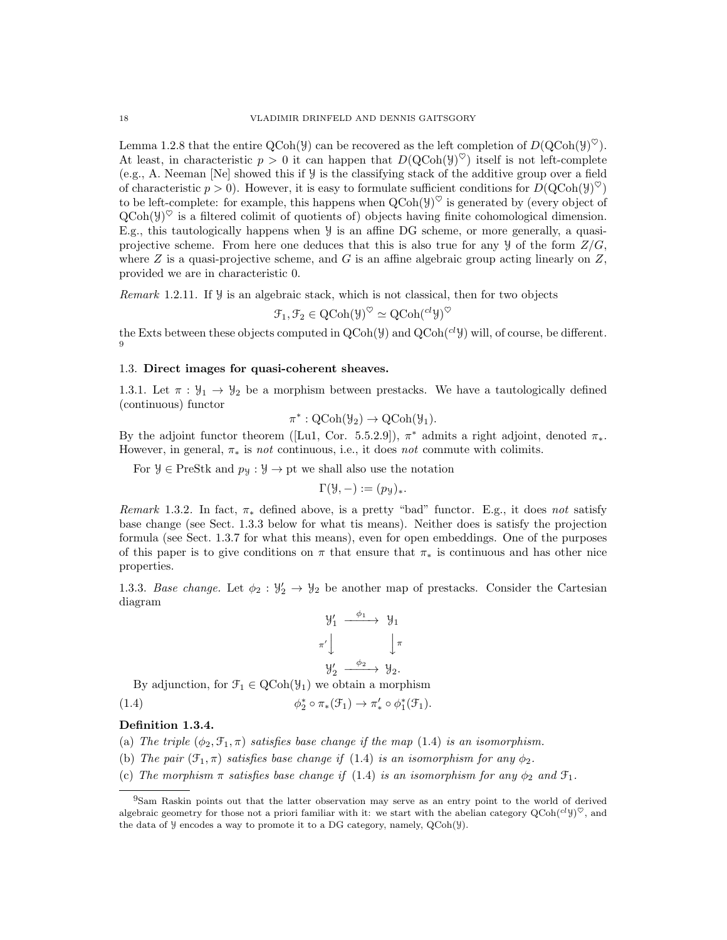Lemma 1.2.8 that the entire QCoh( $\mathcal{Y}$ ) can be recovered as the left completion of  $D(\text{QCoh}(\mathcal{Y})^{\heartsuit})$ . At least, in characteristic  $p > 0$  it can happen that  $D(QCoh(y)^{\heartsuit})$  itself is not left-complete (e.g., A. Neeman [Ne] showed this if  $\mathcal Y$  is the classifying stack of the additive group over a field of characteristic  $p > 0$ ). However, it is easy to formulate sufficient conditions for  $D(\text{QCoh}(\mathcal{Y})^{\heartsuit})$ to be left-complete: for example, this happens when  $Q\text{Coh}(\mathcal{Y})^{\heartsuit}$  is generated by (every object of  $\text{QCoh}(\mathcal{Y})^{\heartsuit}$  is a filtered colimit of quotients of) objects having finite cohomological dimension. E.g., this tautologically happens when Y is an affine DG scheme, or more generally, a quasiprojective scheme. From here one deduces that this is also true for any  $\mathcal{Y}$  of the form  $\mathbb{Z}/G$ , where  $Z$  is a quasi-projective scheme, and  $G$  is an affine algebraic group acting linearly on  $Z$ , provided we are in characteristic 0.

Remark 1.2.11. If Y is an algebraic stack, which is not classical, then for two objects

$$
\mathcal{F}_1, \mathcal{F}_2 \in \mathrm{QCoh}(\mathcal{Y})^{\heartsuit} \simeq \mathrm{QCoh}(\mathcal{C}^l \mathcal{Y})^{\heartsuit}
$$

the Exts between these objects computed in  $QCoh(\mathcal{Y})$  and  $QCoh(c^l\mathcal{Y})$  will, of course, be different. 9

### 1.3. Direct images for quasi-coherent sheaves.

1.3.1. Let  $\pi : \mathcal{Y}_1 \to \mathcal{Y}_2$  be a morphism between prestacks. We have a tautologically defined (continuous) functor

$$
\pi^*: \mathrm{QCoh}(\mathcal{Y}_2) \to \mathrm{QCoh}(\mathcal{Y}_1).
$$

By the adjoint functor theorem ([Lu1, Cor. 5.5.2.9]),  $\pi^*$  admits a right adjoint, denoted  $\pi_*$ . However, in general,  $\pi_*$  is not continuous, i.e., it does not commute with colimits.

For  $\mathcal{Y} \in \text{PreStk}$  and  $p_{\mathcal{Y}} : \mathcal{Y} \to \text{pt}$  we shall also use the notation

$$
\Gamma(\mathcal{Y}, -) := (p_{\mathcal{Y}})_*.
$$

Remark 1.3.2. In fact,  $\pi_*$  defined above, is a pretty "bad" functor. E.g., it does not satisfy base change (see Sect. 1.3.3 below for what tis means). Neither does is satisfy the projection formula (see Sect. 1.3.7 for what this means), even for open embeddings. One of the purposes of this paper is to give conditions on  $\pi$  that ensure that  $\pi_*$  is continuous and has other nice properties.

1.3.3. Base change. Let  $\phi_2 : \mathcal{Y}_2' \to \mathcal{Y}_2$  be another map of prestacks. Consider the Cartesian diagram

$$
\begin{array}{ccc}\n\mathcal{Y}'_1 & \xrightarrow{\phi_1} & \mathcal{Y}_1 \\
\pi' & & \downarrow \pi \\
\mathcal{Y}'_2 & \xrightarrow{\phi_2} & \mathcal{Y}_2.\n\end{array}
$$

By adjunction, for  $\mathcal{F}_1 \in \text{QCoh}(\mathcal{Y}_1)$  we obtain a morphism

$$
\phi_2^* \circ \pi_*(\mathcal{F}_1) \to \pi'_* \circ \phi_1^*(\mathcal{F}_1).
$$

## Definition 1.3.4.

 $(1.4)$ 

- (a) The triple  $(\phi_2, \mathcal{F}_1, \pi)$  satisfies base change if the map (1.4) is an isomorphism.
- (b) The pair  $(\mathcal{F}_1, \pi)$  satisfies base change if (1.4) is an isomorphism for any  $\phi_2$ .
- (c) The morphism  $\pi$  satisfies base change if (1.4) is an isomorphism for any  $\phi_2$  and  $\mathfrak{F}_1$ .

<sup>9</sup>Sam Raskin points out that the latter observation may serve as an entry point to the world of derived algebraic geometry for those not a priori familiar with it: we start with the abelian category  $QCoh({}^{cl}y)^\heartsuit$ , and the data of Y encodes a way to promote it to a DG category, namely, QCoh(Y).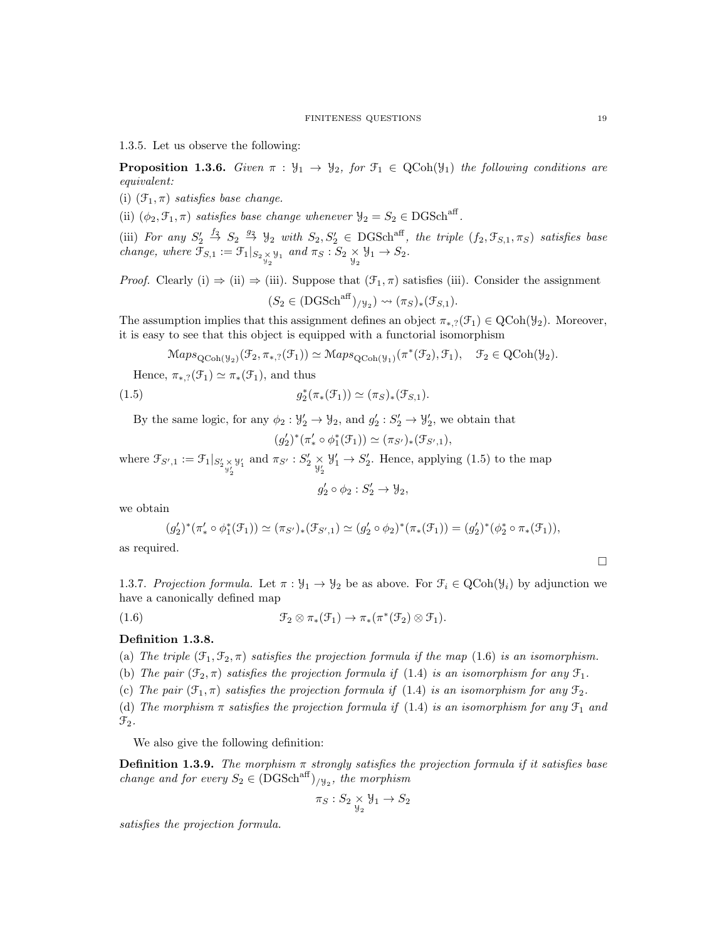1.3.5. Let us observe the following:

**Proposition 1.3.6.** Given  $\pi : \mathcal{Y}_1 \to \mathcal{Y}_2$ , for  $\mathcal{F}_1 \in \text{QCoh}(\mathcal{Y}_1)$  the following conditions are equivalent:

(i)  $(\mathfrak{F}_1, \pi)$  satisfies base change.

(ii)  $(\phi_2, \mathcal{F}_1, \pi)$  satisfies base change whenever  $\mathcal{Y}_2 = S_2 \in \text{DGSch}^{\text{aff}}$ .

(iii) For any  $S'_2 \stackrel{f_2}{\rightarrow} S_2 \stackrel{g_2}{\rightarrow} \mathcal{Y}_2$  with  $S_2, S'_2 \in DGSch^{aff}$ , the triple  $(f_2, \mathcal{F}_{S,1}, \pi_S)$  satisfies base change, where  $\mathfrak{F}_{S,1} := \mathfrak{F}_1|_{S_2 \underset{\mathcal{Y}_2}{\times} \mathcal{Y}_1}$  and  $\pi_S : S_2 \underset{\mathcal{Y}_2}{\times} \mathcal{Y}_1 \to S_2$ .

*Proof.* Clearly (i)  $\Rightarrow$  (ii)  $\Rightarrow$  (iii). Suppose that  $(\mathcal{F}_1, \pi)$  satisfies (iii). Consider the assignment  $(S_2 \in (DGSch^{aff})_{/\forall_2}) \rightsquigarrow (\pi_S)_*(\mathcal{F}_{S,1}).$ 

The assumption implies that this assignment defines an object  $\pi_{*,?}(\mathcal{F}_1) \in \text{QCoh}(\mathcal{Y}_2)$ . Moreover, it is easy to see that this object is equipped with a functorial isomorphism

 $\operatorname{Maps}_{\text{QCoh}(\mathcal{Y}_2)}(\mathcal{F}_2, \pi_{*,?}(\mathcal{F}_1)) \simeq \operatorname{Maps}_{\text{QCoh}(\mathcal{Y}_1)}(\pi^*(\mathcal{F}_2), \mathcal{F}_1), \quad \mathcal{F}_2 \in \operatorname{QCoh}(\mathcal{Y}_2).$ 

Hence,  $\pi_{*,?}(\mathcal{F}_1) \simeq \pi_*(\mathcal{F}_1)$ , and thus

(1.5) 
$$
g_2^*(\pi_*(\mathcal{F}_1)) \simeq (\pi_S)_*(\mathcal{F}_{S,1}).
$$

By the same logic, for any  $\phi_2 : \mathcal{Y}_2' \to \mathcal{Y}_2$ , and  $g_2' : S_2' \to \mathcal{Y}_2'$ , we obtain that

$$
(g_2')^*(\pi'_* \circ \phi_1^*(\mathcal{F}_1)) \simeq (\pi_{S'})_*(\mathcal{F}_{S',1}),
$$

where  $\mathfrak{F}_{S',1} := \mathfrak{F}_1|_{S'_{2} \underset{\mathfrak{Y}'_2}{\times}}$  $y'_1$  and  $\pi_{S'}$  :  $S'_2$   $\times$ <br> $y'_2$  $\mathcal{Y}'_1 \to S'_2$ . Hence, applying (1.5) to the map

$$
g_2' \circ \phi_2 : S_2' \to \mathcal{Y}_2,
$$

we obtain

$$
(g_2')^*(\pi'_* \circ \phi_1^*(\mathcal{F}_1)) \simeq (\pi_{S'})_*(\mathcal{F}_{S',1}) \simeq (g_2' \circ \phi_2)^*(\pi_*(\mathcal{F}_1)) = (g_2')^*(\phi_2^* \circ \pi_*(\mathcal{F}_1)),
$$

as required.

1.3.7. Projection formula. Let  $\pi : \mathcal{Y}_1 \to \mathcal{Y}_2$  be as above. For  $\mathcal{F}_i \in \text{QCoh}(\mathcal{Y}_i)$  by adjunction we have a canonically defined map

(1.6) 
$$
\mathcal{F}_2 \otimes \pi_*(\mathcal{F}_1) \to \pi_*(\pi^*(\mathcal{F}_2) \otimes \mathcal{F}_1).
$$

## Definition 1.3.8.

(a) The triple  $(\mathfrak{F}_1, \mathfrak{F}_2, \pi)$  satisfies the projection formula if the map (1.6) is an isomorphism.

(b) The pair  $(\mathfrak{F}_2, \pi)$  satisfies the projection formula if (1.4) is an isomorphism for any  $\mathfrak{F}_1$ .

(c) The pair  $(\mathcal{F}_1, \pi)$  satisfies the projection formula if (1.4) is an isomorphism for any  $\mathcal{F}_2$ .

(d) The morphism  $\pi$  satisfies the projection formula if (1.4) is an isomorphism for any  $\mathcal{F}_1$  and  $\mathfrak{F}_2$ .

We also give the following definition:

**Definition 1.3.9.** The morphism  $\pi$  strongly satisfies the projection formula if it satisfies base change and for every  $S_2 \in (DGSch^{aff})_{/\forall_2}$ , the morphism

$$
\pi_S : S_2 \underset{\mathcal{Y}_2}{\times} \mathcal{Y}_1 \to S_2
$$

satisfies the projection formula.

 $\Box$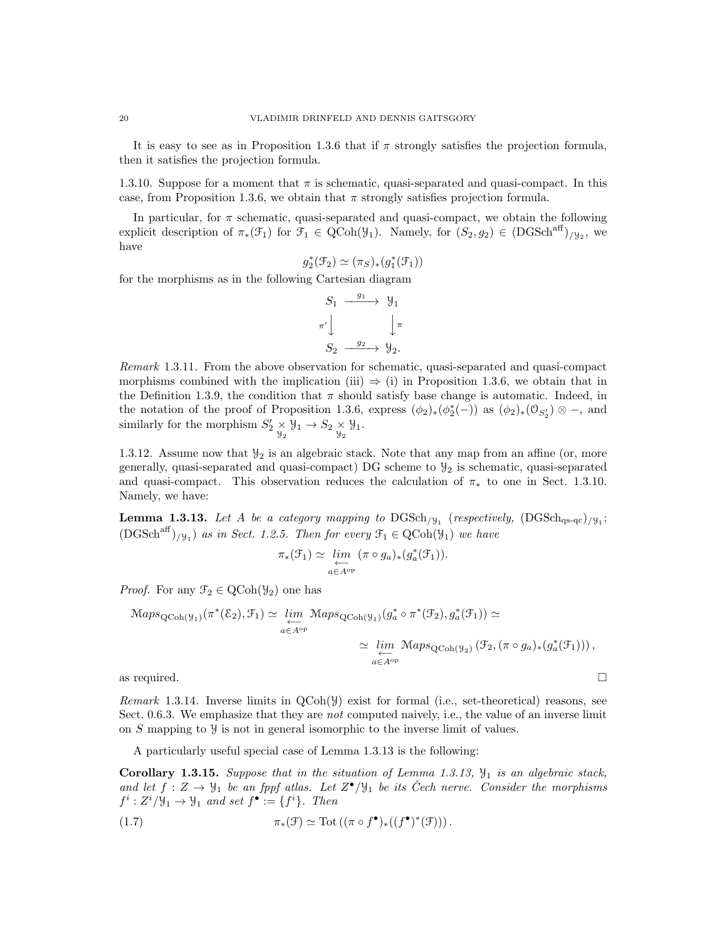It is easy to see as in Proposition 1.3.6 that if  $\pi$  strongly satisfies the projection formula, then it satisfies the projection formula.

1.3.10. Suppose for a moment that  $\pi$  is schematic, quasi-separated and quasi-compact. In this case, from Proposition 1.3.6, we obtain that  $\pi$  strongly satisfies projection formula.

In particular, for  $\pi$  schematic, quasi-separated and quasi-compact, we obtain the following explicit description of  $\pi_*(\mathcal{F}_1)$  for  $\mathcal{F}_1 \in \text{QCoh}(\mathcal{Y}_1)$ . Namely, for  $(S_2, g_2) \in (\text{DGSch}^{\text{aff}})_{/\mathcal{Y}_2}$ , we have

$$
g_2^*(\mathcal{F}_2) \simeq (\pi_S)_*(g_1^*(\mathcal{F}_1))
$$

for the morphisms as in the following Cartesian diagram

$$
S_1 \xrightarrow{g_1} \mathcal{Y}_1
$$
  
\n
$$
\pi' \downarrow \qquad \qquad \downarrow \pi
$$
  
\n
$$
S_2 \xrightarrow{g_2} \mathcal{Y}_2.
$$

Remark 1.3.11. From the above observation for schematic, quasi-separated and quasi-compact morphisms combined with the implication (iii)  $\Rightarrow$  (i) in Proposition 1.3.6, we obtain that in the Definition 1.3.9, the condition that  $\pi$  should satisfy base change is automatic. Indeed, in the notation of the proof of Proposition 1.3.6, express  $(\phi_2)_*(\phi_2^*(-))$  as  $(\phi_2)_*(\mathfrak{O}_{S_2'})\otimes -$ , and similarly for the morphism  $S'_2 \underset{\mathcal{Y}_2}{\times} \mathcal{Y}_1 \to S_2 \underset{\mathcal{Y}_2}{\times} \mathcal{Y}_1.$ 

1.3.12. Assume now that  $\mathcal{Y}_2$  is an algebraic stack. Note that any map from an affine (or, more generally, quasi-separated and quasi-compact) DG scheme to  $\mathcal{Y}_2$  is schematic, quasi-separated and quasi-compact. This observation reduces the calculation of  $\pi_*$  to one in Sect. 1.3.10. Namely, we have:

**Lemma 1.3.13.** Let A be a category mapping to  $\text{DGSch}_{/y_1}$  (respectively,  $(\text{DGSch}_{qs\text{-}qc})_{/y_1};$  $(DGSch<sup>aff</sup>)_{/\mathcal{Y}_1}$  as in Sect. 1.2.5. Then for every  $\mathcal{F}_1 \in \text{QCoh}(\mathcal{Y}_1)$  we have

$$
\pi_*(\mathcal{F}_1) \simeq \varprojlim_{a \in A^{\mathrm{op}}} (\pi \circ g_a)_*(g_a^*(\mathcal{F}_1)).
$$

*Proof.* For any  $\mathcal{F}_2 \in \text{QCoh}(\mathcal{Y}_2)$  one has

$$
\begin{aligned}\n\text{Maps}_{\text{QCoh}(\mathcal{Y}_1)}(\pi^*(\mathcal{E}_2), \mathcal{F}_1) &\simeq \varprojlim_{a \in A^{\text{op}}} \text{Maps}_{\text{QCoh}(\mathcal{Y}_1)}(g_a^* \circ \pi^*(\mathcal{F}_2), g_a^*(\mathcal{F}_1)) &\simeq \\
&\simeq \varprojlim_{a \in A^{\text{op}}} \text{Maps}_{\text{QCoh}(\mathcal{Y}_2)}(\mathcal{F}_2, (\pi \circ g_a)_*(g_a^*(\mathcal{F}_1))), \\
\text{as required.} \qquad \qquad \square\n\end{aligned}
$$

*Remark* 1.3.14. Inverse limits in  $QCoh(\mathcal{Y})$  exist for formal (i.e., set-theoretical) reasons, see Sect. 0.6.3. We emphasize that they are *not* computed naively, i.e., the value of an inverse limit on  $S$  mapping to  $\mathcal{Y}$  is not in general isomorphic to the inverse limit of values.

A particularly useful special case of Lemma 1.3.13 is the following:

**Corollary 1.3.15.** Suppose that in the situation of Lemma 1.3.13,  $\mathcal{Y}_1$  is an algebraic stack, and let  $f: Z \to \mathcal{Y}_1$  be an fppf atlas. Let  $Z^{\bullet}/\mathcal{Y}_1$  be its Čech nerve. Consider the morphisms  $f^i: Z^i/\mathcal{Y}_1 \to \mathcal{Y}_1$  and set  $f^{\bullet} := \{f^i\}.$  Then

(1.7) 
$$
\pi_*(\mathfrak{F}) \simeq \mathrm{Tot}\left((\pi \circ f^{\bullet})_*((f^{\bullet})^*(\mathfrak{F}))\right).
$$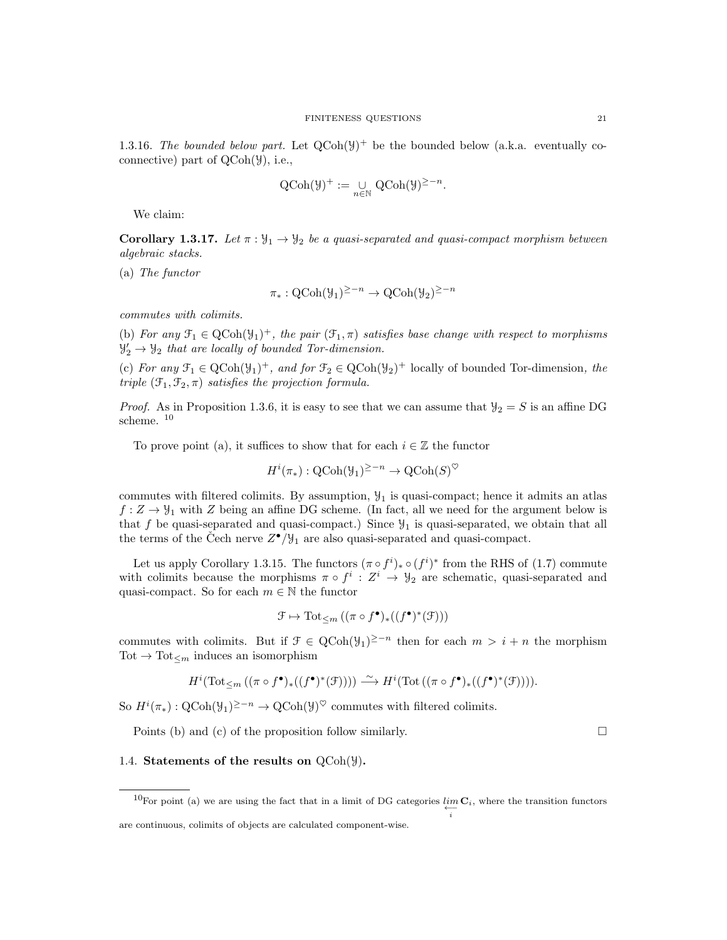1.3.16. The bounded below part. Let  $Q\text{Coh}(\mathcal{Y})^+$  be the bounded below (a.k.a. eventually coconnective) part of QCoh(Y), i.e.,

$$
\mathrm{QCoh}(\mathcal{Y})^+ := \bigcup_{n \in \mathbb{N}} \mathrm{QCoh}(\mathcal{Y})^{\geq -n}.
$$

We claim:

Corollary 1.3.17. Let  $\pi : \mathcal{Y}_1 \to \mathcal{Y}_2$  be a quasi-separated and quasi-compact morphism between algebraic stacks.

(a) The functor

$$
\pi_*: \mathrm{QCoh}(\mathcal{Y}_1)^{\geq -n} \to \mathrm{QCoh}(\mathcal{Y}_2)^{\geq -n}
$$

commutes with colimits.

(b) For any  $\mathfrak{F}_1 \in \text{QCoh}(\mathcal{Y}_1)^+$ , the pair  $(\mathfrak{F}_1, \pi)$  satisfies base change with respect to morphisms  $\mathcal{Y}'_2 \rightarrow \mathcal{Y}_2$  that are locally of bounded Tor-dimension.

(c) For any  $\mathcal{F}_1 \in \text{QCoh}(\mathcal{Y}_1)^+$ , and for  $\mathcal{F}_2 \in \text{QCoh}(\mathcal{Y}_2)^+$  locally of bounded Tor-dimension, the triple  $(\mathfrak{F}_1, \mathfrak{F}_2, \pi)$  satisfies the projection formula.

*Proof.* As in Proposition 1.3.6, it is easy to see that we can assume that  $y_2 = S$  is an affine DG scheme. <sup>10</sup>

To prove point (a), it suffices to show that for each  $i \in \mathbb{Z}$  the functor

$$
H^i(\pi_*) : \text{QCoh}(\mathcal{Y}_1)^{\geq -n} \to \text{QCoh}(S)^\heartsuit
$$

commutes with filtered colimits. By assumption,  $\mathcal{Y}_1$  is quasi-compact; hence it admits an atlas  $f: Z \to \mathcal{Y}_1$  with Z being an affine DG scheme. (In fact, all we need for the argument below is that f be quasi-separated and quasi-compact.) Since  $\mathcal{Y}_1$  is quasi-separated, we obtain that all the terms of the Čech nerve  $Z^{\bullet}/\mathcal{Y}_1$  are also quasi-separated and quasi-compact.

Let us apply Corollary 1.3.15. The functors  $(\pi \circ f^i)_* \circ (f^i)^*$  from the RHS of (1.7) commute with colimits because the morphisms  $\pi \circ f^i : Z^i \to \mathcal{Y}_2$  are schematic, quasi-separated and quasi-compact. So for each  $m \in \mathbb{N}$  the functor

$$
\mathcal{F} \mapsto \mathrm{Tot}_{\leq m} \left( (\pi \circ f^{\bullet})_{*} ((f^{\bullet})^{*}(\mathcal{F})) \right)
$$

commutes with colimits. But if  $\mathcal{F} \in \text{QCoh}(\mathcal{Y}_1)^{\geq -n}$  then for each  $m > i + n$  the morphism Tot  $\rightarrow$  Tot<sub> $\lt m$ </sub> induces an isomorphism

$$
H^i(\text{Tot}_{\leq m}\left((\pi\circ f^{\bullet})_{*}((f^{\bullet})^{*}(\mathcal{F}))\right)) \xrightarrow{\sim} H^i(\text{Tot}\left((\pi\circ f^{\bullet})_{*}((f^{\bullet})^{*}(\mathcal{F}))\right)).
$$

So  $H^i(\pi_*) : \mathrm{QCoh}(\mathcal{Y}_1)^{\geq -n} \to \mathrm{QCoh}(\mathcal{Y})^{\heartsuit}$  commutes with filtered colimits.

Points (b) and (c) of the proposition follow similarly.  $\Box$ 

### 1.4. Statements of the results on  $QCoh(\mathcal{Y})$ .

<sup>&</sup>lt;sup>10</sup>For point (a) we are using the fact that in a limit of DG categories  $\lim_{\longleftarrow} \mathbf{C}_i$ , where the transition functors i

are continuous, colimits of objects are calculated component-wise.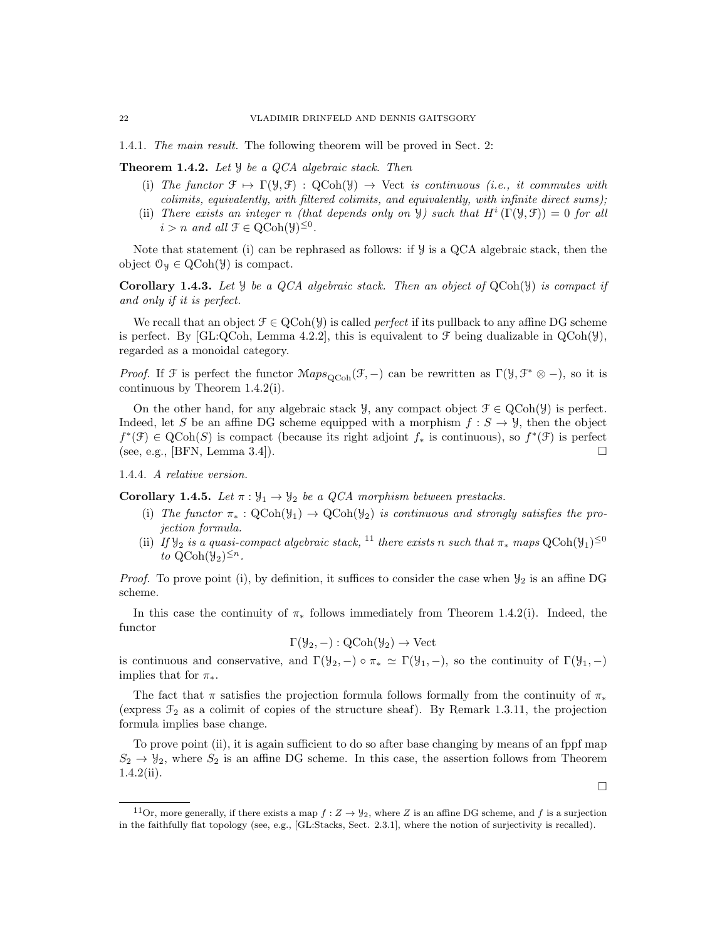1.4.1. The main result. The following theorem will be proved in Sect. 2:

**Theorem 1.4.2.** Let  $\mathcal{Y}$  be a QCA algebraic stack. Then

- (i) The functor  $\mathcal{F} \mapsto \Gamma(\mathcal{Y}, \mathcal{F}) : \text{QCoh}(\mathcal{Y}) \to \text{Vect}$  is continuous (i.e., it commutes with colimits, equivalently, with filtered colimits, and equivalently, with infinite direct sums);
- (ii) There exists an integer n (that depends only on  $\mathcal{Y}$ ) such that  $H^i(\Gamma(\mathcal{Y},\mathcal{F}))=0$  for all  $i > n$  and all  $\mathcal{F} \in \mathrm{QCoh}(\mathcal{Y})^{\leq 0}$ .

Note that statement (i) can be rephrased as follows: if  $\mathcal{Y}$  is a QCA algebraic stack, then the object  $\mathcal{O}_y \in \text{QCoh}(\mathcal{Y})$  is compact.

Corollary 1.4.3. Let  $\mathcal Y$  be a QCA algebraic stack. Then an object of QCoh( $\mathcal Y$ ) is compact if and only if it is perfect.

We recall that an object  $\mathcal{F} \in \text{QCoh}(\mathcal{Y})$  is called *perfect* if its pullback to any affine DG scheme is perfect. By [GL:QCoh, Lemma 4.2.2], this is equivalent to  $\mathcal F$  being dualizable in QCoh( $\mathcal Y$ ), regarded as a monoidal category.

*Proof.* If  $\mathcal F$  is perfect the functor  $\mathcal Map_{QCoh}(\mathcal F, -)$  can be rewritten as  $\Gamma(\mathcal Y, \mathcal F^* \otimes -)$ , so it is continuous by Theorem 1.4.2(i).

On the other hand, for any algebraic stack  $\mathcal{Y}$ , any compact object  $\mathcal{F} \in \text{QCoh}(\mathcal{Y})$  is perfect. Indeed, let S be an affine DG scheme equipped with a morphism  $f : S \to Y$ , then the object  $f^*(\mathfrak{F}) \in \text{QCoh}(S)$  is compact (because its right adjoint  $f_*$  is continuous), so  $f^*(\mathfrak{F})$  is perfect (see, e.g., [BFN, Lemma 3.4]).

1.4.4. A relative version.

**Corollary 1.4.5.** Let  $\pi : \mathcal{Y}_1 \to \mathcal{Y}_2$  be a QCA morphism between prestacks.

- (i) The functor  $\pi_* : \text{QCoh}(\mathcal{Y}_1) \to \text{QCoh}(\mathcal{Y}_2)$  is continuous and strongly satisfies the projection formula.
- (ii) If  $\mathcal{Y}_2$  is a quasi-compact algebraic stack, <sup>11</sup> there exists n such that  $\pi_*$  maps  $\text{QCoh}(\mathcal{Y}_1)^{\leq 0}$ to  $QCoh(\mathcal{Y}_2)^{\leq n}$ .

*Proof.* To prove point (i), by definition, it suffices to consider the case when  $\mathcal{Y}_2$  is an affine DG scheme.

In this case the continuity of  $\pi_*$  follows immediately from Theorem 1.4.2(i). Indeed, the functor

$$
\Gamma(\mathcal{Y}_2, -) : \mathrm{QCoh}(\mathcal{Y}_2) \to \mathrm{Vect}
$$

is continuous and conservative, and  $\Gamma(\mathcal{Y}_2, -) \circ \pi_* \simeq \Gamma(\mathcal{Y}_1, -)$ , so the continuity of  $\Gamma(\mathcal{Y}_1, -)$ implies that for  $\pi_*$ .

The fact that  $\pi$  satisfies the projection formula follows formally from the continuity of  $\pi_*$ (express  $\mathcal{F}_2$  as a colimit of copies of the structure sheaf). By Remark 1.3.11, the projection formula implies base change.

To prove point (ii), it is again sufficient to do so after base changing by means of an fppf map  $S_2 \rightarrow \mathcal{Y}_2$ , where  $S_2$  is an affine DG scheme. In this case, the assertion follows from Theorem 1.4.2(ii).

 $\Box$ 

<sup>&</sup>lt;sup>11</sup>Or, more generally, if there exists a map  $f : Z \to \mathcal{Y}_2$ , where Z is an affine DG scheme, and f is a surjection in the faithfully flat topology (see, e.g., [GL:Stacks, Sect. 2.3.1], where the notion of surjectivity is recalled).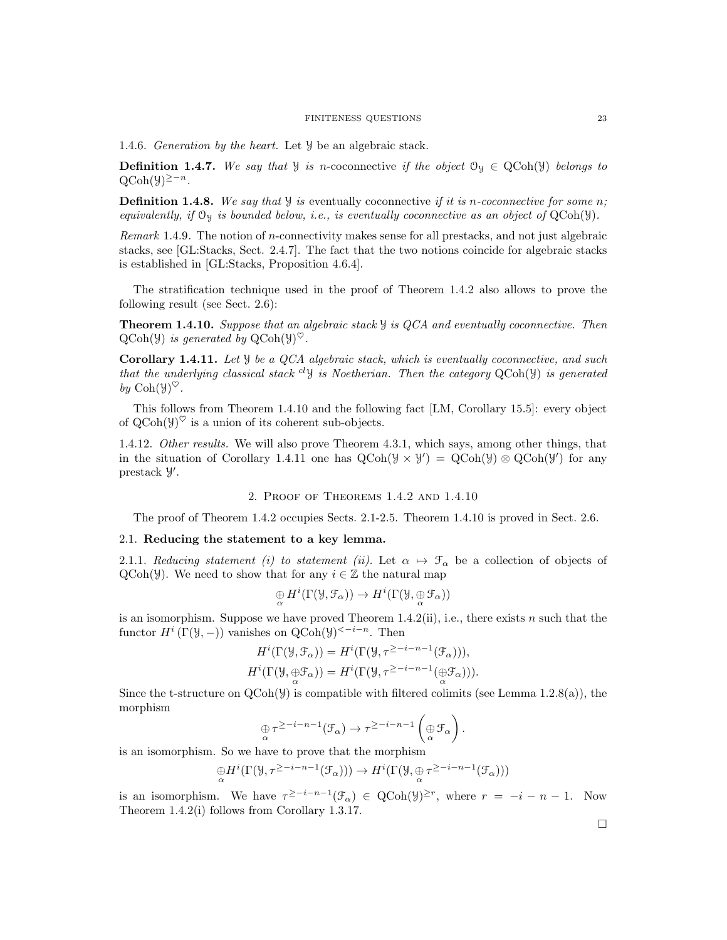#### FINITENESS QUESTIONS 23

1.4.6. Generation by the heart. Let Y be an algebraic stack.

**Definition 1.4.7.** We say that  $\mathcal{Y}$  is n-coconnective if the object  $\mathcal{O}_\mathcal{Y} \in \text{QCoh}(\mathcal{Y})$  belongs to  $QCoh(\mathcal{Y})^{\geq -n}$ .

**Definition 1.4.8.** We say that  $\mathcal{Y}$  is eventually coconnective if it is n-coconnective for some n; equivalently, if  $\mathcal{O}_y$  is bounded below, i.e., is eventually coconnective as an object of  $QCoh(\mathcal{Y})$ .

Remark 1.4.9. The notion of n-connectivity makes sense for all prestacks, and not just algebraic stacks, see [GL:Stacks, Sect. 2.4.7]. The fact that the two notions coincide for algebraic stacks is established in [GL:Stacks, Proposition 4.6.4].

The stratification technique used in the proof of Theorem 1.4.2 also allows to prove the following result (see Sect. 2.6):

**Theorem 1.4.10.** Suppose that an algebraic stack  $\mathcal{Y}$  is QCA and eventually coconnective. Then  $\mathrm{QCoh}(\mathcal{Y})$  is generated by  $\mathrm{QCoh}(\mathcal{Y})^{\heartsuit}$ .

Corollary 1.4.11. Let  $\mathcal Y$  be a QCA algebraic stack, which is eventually coconnective, and such that the underlying classical stack <sup>cl</sup>y is Noetherian. Then the category  $QCoh(y)$  is generated by  $\mathrm{Coh}(\mathcal{Y})^{\heartsuit}.$ 

This follows from Theorem 1.4.10 and the following fact [LM, Corollary 15.5]: every object of  $QCoh(\mathcal{Y})^{\heartsuit}$  is a union of its coherent sub-objects.

1.4.12. Other results. We will also prove Theorem 4.3.1, which says, among other things, that in the situation of Corollary 1.4.11 one has  $Q\text{Coh}(\mathcal{Y} \times \mathcal{Y}') = Q\text{Coh}(\mathcal{Y}) \otimes Q\text{Coh}(\mathcal{Y}')$  for any prestack  $\mathcal{Y}'$ .

2. Proof of Theorems 1.4.2 and 1.4.10

The proof of Theorem 1.4.2 occupies Sects. 2.1-2.5. Theorem 1.4.10 is proved in Sect. 2.6.

#### 2.1. Reducing the statement to a key lemma.

2.1.1. Reducing statement (i) to statement (ii). Let  $\alpha \mapsto \mathcal{F}_{\alpha}$  be a collection of objects of QCoh(Y). We need to show that for any  $i \in \mathbb{Z}$  the natural map

$$
\underset{\alpha}{\oplus} H^i(\Gamma(\mathcal{Y}, \mathcal{F}_\alpha)) \to H^i(\Gamma(\mathcal{Y}, \underset{\alpha}{\oplus} \mathcal{F}_\alpha))
$$

is an isomorphism. Suppose we have proved Theorem  $1.4.2(ii)$ , i.e., there exists n such that the functor  $H^i(\Gamma(\mathcal{Y}, -))$  vanishes on  $\operatorname{QCoh}(\mathcal{Y})^{\leq -i-n}$ . Then

$$
H^{i}(\Gamma(\mathcal{Y}, \mathcal{F}_{\alpha})) = H^{i}(\Gamma(\mathcal{Y}, \tau^{\geq -i-n-1}(\mathcal{F}_{\alpha}))),
$$
  

$$
H^{i}(\Gamma(\mathcal{Y}, \bigoplus_{\alpha} \mathcal{F}_{\alpha})) = H^{i}(\Gamma(\mathcal{Y}, \tau^{\geq -i-n-1}(\bigoplus_{\alpha} \mathcal{F}_{\alpha}))).
$$

Since the t-structure on  $QCoh(\mathcal{Y})$  is compatible with filtered colimits (see Lemma 1.2.8(a)), the morphism

$$
\underset{\alpha}{\oplus} \tau^{\geq -i-n-1}(\mathcal{F}_{\alpha}) \to \tau^{\geq -i-n-1}\left(\underset{\alpha}{\oplus} \mathcal{F}_{\alpha}\right).
$$

is an isomorphism. So we have to prove that the morphism

$$
\underset{\alpha}{\oplus}H^i(\Gamma(\mathcal{Y},\tau^{\geq -i-n-1}(\mathcal{F}_\alpha)))\rightarrow H^i(\Gamma(\mathcal{Y},\underset{\alpha}{\oplus}\tau^{\geq -i-n-1}(\mathcal{F}_\alpha)))
$$

is an isomorphism. We have  $\tau^{\geq -i-n-1}(\mathcal{F}_\alpha) \in \text{QCoh}(\mathcal{Y})^{\geq r}$ , where  $r = -i - n - 1$ . Now Theorem 1.4.2(i) follows from Corollary 1.3.17.

 $\Box$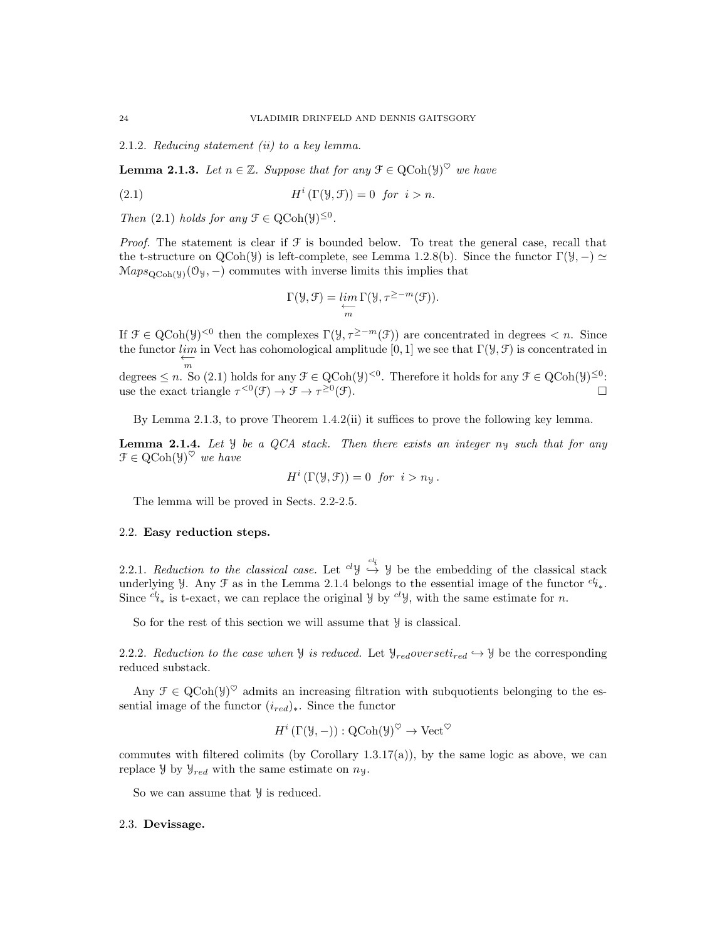2.1.2. Reducing statement (ii) to a key lemma.

**Lemma 2.1.3.** Let  $n \in \mathbb{Z}$ . Suppose that for any  $\mathcal{F} \in \text{QCoh}(\mathcal{Y})^{\heartsuit}$  we have

(2.1) 
$$
H^{i}(\Gamma(\mathcal{Y}, \mathcal{F})) = 0 \text{ for } i > n.
$$

Then (2.1) holds for any  $\mathcal{F} \in \text{QCoh}(\mathcal{Y})^{\leq 0}$ .

*Proof.* The statement is clear if  $\mathcal F$  is bounded below. To treat the general case, recall that the t-structure on QCoh(Y) is left-complete, see Lemma 1.2.8(b). Since the functor  $\Gamma(\mathcal{Y}, -) \simeq$  $\operatorname{Maps}_{\operatorname{QCoh}(\mathcal{Y})}(\mathcal{O}_{\mathcal{Y}},-)$  commutes with inverse limits this implies that

$$
\Gamma(\mathcal{Y},\mathcal{F})=\varprojlim_m \Gamma(\mathcal{Y},\tau^{\geq -m}(\mathcal{F})).
$$

If  $\mathcal{F} \in \mathrm{QCoh}(\mathcal{Y})^{\leq 0}$  then the complexes  $\Gamma(\mathcal{Y}, \tau^{\geq -m}(\mathcal{F}))$  are concentrated in degrees  $\lt n$ . Since the functor  $\lim_{\longleftarrow}$  in Vect has cohomological amplitude [0, 1] we see that  $\Gamma(\mathcal{Y}, \mathcal{F})$  is concentrated in degrees  $\leq n$ . So (2.1) holds for any  $\mathcal{F} \in \mathrm{QCoh}(\mathcal{Y})^{\leq 0}$ . Therefore it holds for any  $\mathcal{F} \in \mathrm{QCoh}(\mathcal{Y})^{\leq 0}$ . use the exact triangle  $\tau^{<0}(\mathcal{F}) \to \mathcal{F} \to \tau^{\geq 0}$  $(\mathfrak{F})$ .

By Lemma 2.1.3, to prove Theorem 1.4.2(ii) it suffices to prove the following key lemma.

**Lemma 2.1.4.** Let  $\mathcal{Y}$  be a QCA stack. Then there exists an integer  $n_{\mathcal{Y}}$  such that for any  $\mathcal{F} \in \mathrm{QCoh}(\mathcal{Y})^{\heartsuit}$  we have

$$
H^i(\Gamma(\mathcal{Y}, \mathcal{F})) = 0 \text{ for } i > n_{\mathcal{Y}}
$$

The lemma will be proved in Sects. 2.2-2.5.

## 2.2. Easy reduction steps.

2.2.1. Reduction to the classical case. Let  ${}^{cl}\mathcal{Y} \stackrel{cl_i}{\hookrightarrow} \mathcal{Y}$  be the embedding of the classical stack underlying y. Any  $\mathcal F$  as in the Lemma 2.1.4 belongs to the essential image of the functor  $cl_{i_*}$ . Since  $c_i^i^*$  is t-exact, we can replace the original Y by  $c_i^i$ , with the same estimate for n.

So for the rest of this section we will assume that  $\mathcal Y$  is classical.

2.2.2. Reduction to the case when  $\mathcal Y$  is reduced. Let  $\mathcal Y_{red}$  overseti<sub>red</sub>  $\hookrightarrow \mathcal Y$  be the corresponding reduced substack.

Any  $\mathcal{F} \in \mathrm{QCoh}(\mathcal{Y})^{\heartsuit}$  admits an increasing filtration with subquotients belonging to the essential image of the functor  $(i_{red})_*$ . Since the functor

$$
H^i(\Gamma(\mathcal{Y}, -)) : \text{QCoh}(\mathcal{Y})^{\heartsuit} \to \text{Vect}^{\heartsuit}
$$

commutes with filtered colimits (by Corollary 1.3.17(a)), by the same logic as above, we can replace  $\mathcal{Y}$  by  $\mathcal{Y}_{red}$  with the same estimate on  $n_{\mathcal{Y}}$ .

So we can assume that  $\mathcal Y$  is reduced.

## 2.3. Devissage.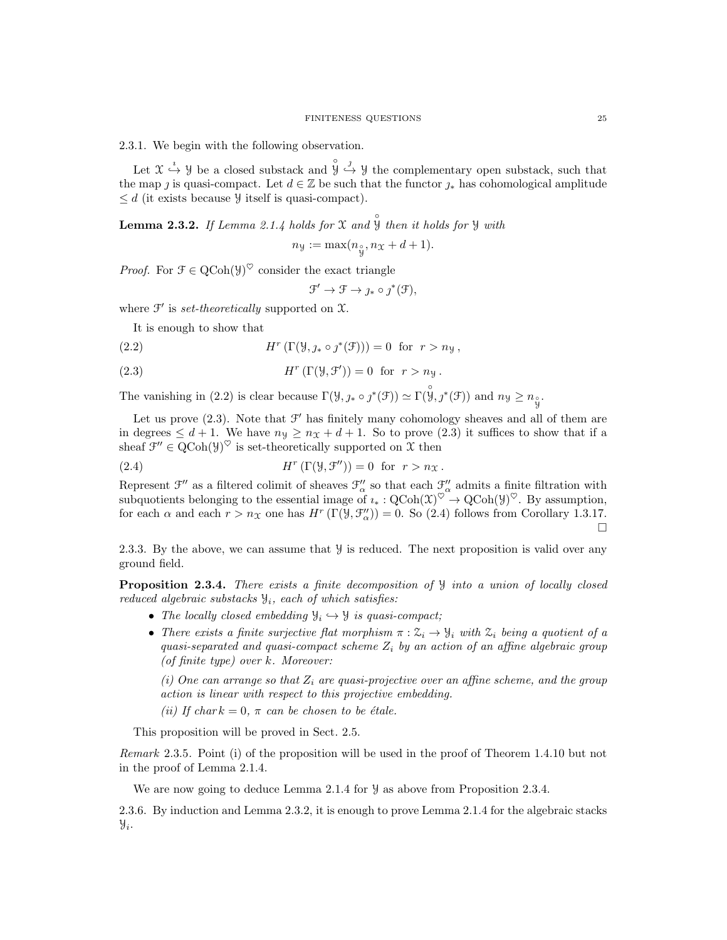2.3.1. We begin with the following observation.

Let  $\mathfrak{X} \stackrel{i}{\hookrightarrow} \mathfrak{Y}$  be a closed substack and  $\overset{\circ}{\mathfrak{Y}} \stackrel{j}{\hookrightarrow} \mathfrak{Y}$  the complementary open substack, such that the map *i* is quasi-compact. Let  $d \in \mathbb{Z}$  be such that the functor  $\gamma_*$  has cohomological amplitude  $\leq d$  (it exists because  $\mathcal Y$  itself is quasi-compact).

**Lemma 2.3.2.** If Lemma 2.1.4 holds for X and  $\overset{\circ}{y}$  then it holds for Y with

 $n_{\mathcal{Y}} := \max(n_{\hat{y}}, n_{\mathcal{X}} + d + 1).$ 

*Proof.* For  $\mathcal{F} \in \mathrm{QCoh}(\mathcal{Y})^{\heartsuit}$  consider the exact triangle

 $\mathfrak{F}' \to \mathfrak{F} \to \jmath_* \circ \jmath^*(\mathfrak{F}),$ 

where  $\mathcal{F}'$  is set-theoretically supported on  $\mathcal{X}$ .

It is enough to show that

 $(2.2)$  $(\Gamma(\mathcal{Y}, \jmath_* \circ \jmath^*(\mathcal{F}))) = 0$  for  $r > n_{\mathcal{Y}}$ ,

(2.3) 
$$
H^r(\Gamma(\mathcal{Y}, \mathcal{F}')) = 0 \text{ for } r > n_{\mathcal{Y}}.
$$

The vanishing in (2.2) is clear because  $\Gamma(\mathcal{Y}, \jmath_* \circ \jmath^*(\mathcal{F})) \simeq \Gamma(\overset{\circ}{\mathcal{Y}}, \jmath^*(\mathcal{F}))$  and  $n_{\mathcal{Y}} \ge n_{\overset{\circ}{\mathcal{Y}}}$ .

Let us prove  $(2.3)$ . Note that  $\mathcal{F}'$  has finitely many cohomology sheaves and all of them are in degrees  $\leq d+1$ . We have  $n_y \geq n_x + d + 1$ . So to prove (2.3) it suffices to show that if a sheaf  $\mathcal{F}'' \in \mathrm{QCoh}(\mathcal{Y})^{\heartsuit}$  is set-theoretically supported on X then

(2.4) 
$$
H^r(\Gamma(\mathcal{Y}, \mathcal{F}^{\prime\prime})) = 0 \text{ for } r > n_{\mathcal{X}}.
$$

Represent  $\mathfrak{F}''$  as a filtered colimit of sheaves  $\mathfrak{F}''_{\alpha}$  so that each  $\mathfrak{F}''_{\alpha}$  admits a finite filtration with subquotients belonging to the essential image of  $\iota_*: \mathrm{QCoh}(\mathfrak{X})^{\heartsuit} \to \mathrm{QCoh}(\mathcal{Y})^{\heartsuit}$ . By assumption, for each  $\alpha$  and each  $r > n_{\mathfrak{X}}$  one has  $H^r(\Gamma(\mathfrak{Y}, \mathcal{F}_{\alpha}^{\prime\prime})) = 0$ . So (2.4) follows from Corollary 1.3.17.  $\Box$ 

2.3.3. By the above, we can assume that  $\mathcal Y$  is reduced. The next proposition is valid over any ground field.

Proposition 2.3.4. There exists a finite decomposition of  $\mathcal{Y}$  into a union of locally closed reduced algebraic substacks  $\mathcal{Y}_i$ , each of which satisfies:

- The locally closed embedding  $\mathcal{Y}_i \hookrightarrow \mathcal{Y}$  is quasi-compact;
- There exists a finite surjective flat morphism  $\pi : \mathcal{Z}_i \to \mathcal{Y}_i$  with  $\mathcal{Z}_i$  being a quotient of a quasi-separated and quasi-compact scheme  $Z_i$  by an action of an affine algebraic group (of finite type) over k. Moreover:

(i) One can arrange so that  $Z_i$  are quasi-projective over an affine scheme, and the group action is linear with respect to this projective embedding.

(ii) If chark = 0,  $\pi$  can be chosen to be étale.

This proposition will be proved in Sect. 2.5.

Remark 2.3.5. Point (i) of the proposition will be used in the proof of Theorem 1.4.10 but not in the proof of Lemma 2.1.4.

We are now going to deduce Lemma 2.1.4 for  $\mathcal Y$  as above from Proposition 2.3.4.

2.3.6. By induction and Lemma 2.3.2, it is enough to prove Lemma 2.1.4 for the algebraic stacks  $y_i$ .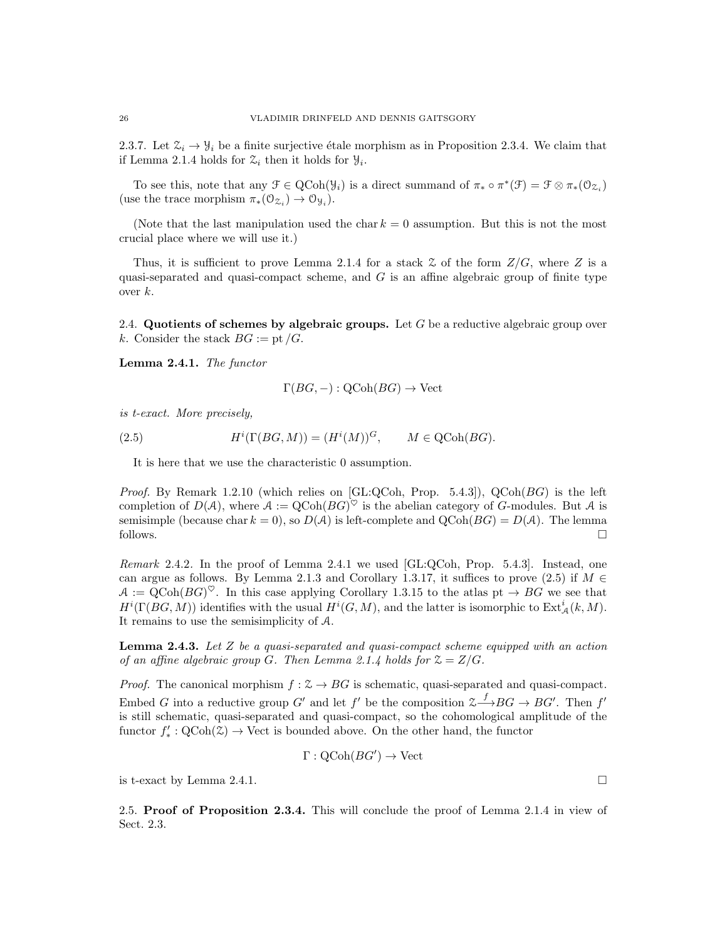2.3.7. Let  $\mathcal{Z}_i \to \mathcal{Y}_i$  be a finite surjective étale morphism as in Proposition 2.3.4. We claim that if Lemma 2.1.4 holds for  $\mathfrak{Z}_i$  then it holds for  $\mathfrak{Y}_i$ .

To see this, note that any  $\mathcal{F} \in \text{QCoh}(\mathcal{Y}_i)$  is a direct summand of  $\pi_* \circ \pi^*(\mathcal{F}) = \mathcal{F} \otimes \pi_*(\mathcal{O}_{\mathcal{Z}_i})$ (use the trace morphism  $\pi_*(\mathfrak{O}_{\mathfrak{Z}_i}) \to \mathfrak{O}_{\mathfrak{Y}_i}$ ).

(Note that the last manipulation used the char  $k = 0$  assumption. But this is not the most crucial place where we will use it.)

Thus, it is sufficient to prove Lemma 2.1.4 for a stack  $\mathcal Z$  of the form  $\mathbb Z/G$ , where  $\mathbb Z$  is a quasi-separated and quasi-compact scheme, and  $G$  is an affine algebraic group of finite type over  $k$ .

2.4. Quotients of schemes by algebraic groups. Let  $G$  be a reductive algebraic group over k. Consider the stack  $BG := pt/G$ .

Lemma 2.4.1. The functor

$$
\Gamma(BG, -): \text{QCoh}(BG) \to \text{Vect}
$$

is t-exact. More precisely,

(2.5) 
$$
H^{i}(\Gamma(BG,M)) = (H^{i}(M))^{G}, \qquad M \in \text{QCoh}(BG).
$$

It is here that we use the characteristic 0 assumption.

*Proof.* By Remark 1.2.10 (which relies on  $[GL:QCoh, Prop. 5.4.3]$ ),  $QCoh(BG)$  is the left completion of  $D(\mathcal{A})$ , where  $\mathcal{A} := Q \text{Coh}(BG)^\heartsuit$  is the abelian category of G-modules. But  $\mathcal{A}$  is semisimple (because char  $k = 0$ ), so  $D(\mathcal{A})$  is left-complete and  $QCoh(BG) = D(\mathcal{A})$ . The lemma follows.  $\Box$ 

Remark 2.4.2. In the proof of Lemma 2.4.1 we used [GL:QCoh, Prop. 5.4.3]. Instead, one can argue as follows. By Lemma 2.1.3 and Corollary 1.3.17, it suffices to prove (2.5) if  $M \in$  $A := Q \text{Coh}(BG)^\heartsuit$ . In this case applying Corollary 1.3.15 to the atlas pt  $\rightarrow BG$  we see that  $H^{i}(\Gamma(BG, M))$  identifies with the usual  $H^{i}(G, M)$ , and the latter is isomorphic to  $\text{Ext}^{i}_{\mathcal{A}}(k, M)$ . It remains to use the semisimplicity of A.

**Lemma 2.4.3.** Let  $Z$  be a quasi-separated and quasi-compact scheme equipped with an action of an affine algebraic group G. Then Lemma 2.1.4 holds for  $\mathfrak{Z} = Z/G$ .

*Proof.* The canonical morphism  $f : \mathcal{Z} \to BG$  is schematic, quasi-separated and quasi-compact. Embed G into a reductive group G' and let f' be the composition  $\mathfrak{S}\longrightarrow BG \rightarrow BG'$ . Then f' is still schematic, quasi-separated and quasi-compact, so the cohomological amplitude of the functor  $f'_* : \mathrm{QCoh}(\mathcal{Z}) \to \mathrm{Vect}$  is bounded above. On the other hand, the functor

$$
\Gamma: \mathrm{QCoh}(BG') \to \mathrm{Vect}
$$

is t-exact by Lemma 2.4.1.

2.5. Proof of Proposition 2.3.4. This will conclude the proof of Lemma 2.1.4 in view of Sect. 2.3.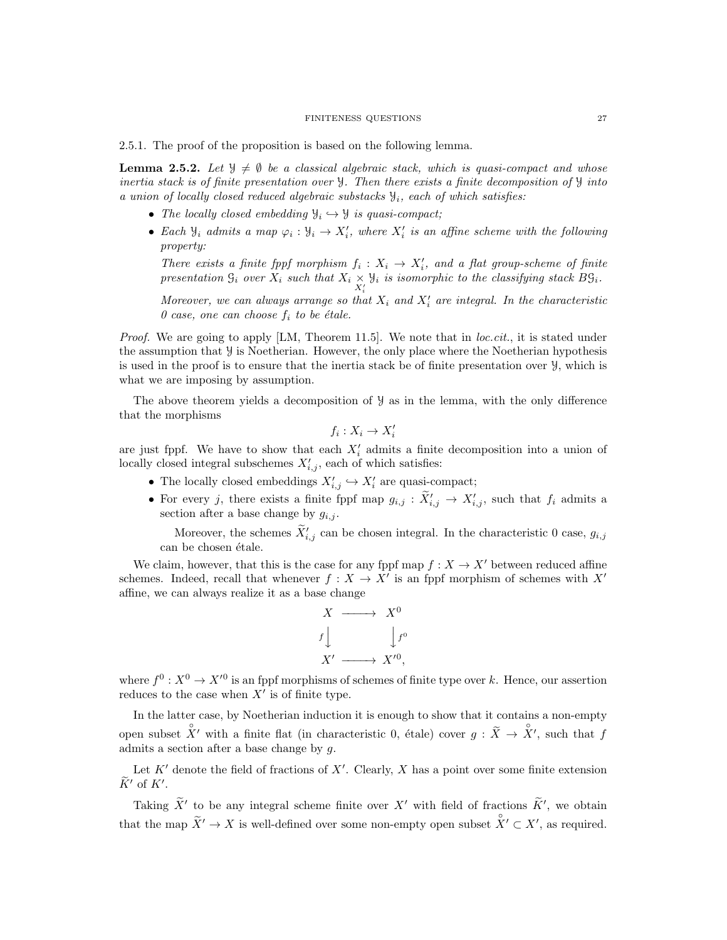#### FINITENESS QUESTIONS 27

2.5.1. The proof of the proposition is based on the following lemma.

**Lemma 2.5.2.** Let  $\mathcal{Y} \neq \emptyset$  be a classical algebraic stack, which is quasi-compact and whose inertia stack is of finite presentation over  $\mathcal{Y}$ . Then there exists a finite decomposition of  $\mathcal{Y}$  into a union of locally closed reduced algebraic substacks  $\mathcal{Y}_i$ , each of which satisfies:

- The locally closed embedding  $\mathcal{Y}_i \hookrightarrow \mathcal{Y}$  is quasi-compact;
- Each  $\mathcal{Y}_i$  admits a map  $\varphi_i : \mathcal{Y}_i \to X'_i$ , where  $X'_i$  is an affine scheme with the following property:

There exists a finite fppf morphism  $f_i: X_i \to X'_i$ , and a flat group-scheme of finite presentation  $\mathcal{G}_i$  over  $X_i$  such that  $X_i \underset{X_i'}{\times}$  $\mathcal{Y}_i$  is isomorphic to the classifying stack  $B\mathcal{G}_i$ .

Moreover, we can always arrange so that  $X_i$  and  $X'_i$  are integral. In the characteristic 0 case, one can choose  $f_i$  to be étale.

*Proof.* We are going to apply  $[LM, Theorem 11.5]$ . We note that in *loc.cit.*, it is stated under the assumption that  $\mathcal Y$  is Noetherian. However, the only place where the Noetherian hypothesis is used in the proof is to ensure that the inertia stack be of finite presentation over Y, which is what we are imposing by assumption.

The above theorem yields a decomposition of Y as in the lemma, with the only difference that the morphisms

$$
f_i: X_i \to X_i'
$$

are just fppf. We have to show that each  $X_i'$  admits a finite decomposition into a union of locally closed integral subschemes  $X'_{i,j}$ , each of which satisfies:

- The locally closed embeddings  $X'_{i,j} \hookrightarrow X'_i$  are quasi-compact;
- For every j, there exists a finite fppf map  $g_{i,j} : \tilde{X}'_{i,j} \to X'_{i,j}$ , such that  $f_i$  admits a section after a base change by  $g_{i,j}$ .

Moreover, the schemes  $\widetilde{X}_{i,j}$  can be chosen integral. In the characteristic 0 case,  $g_{i,j}$ can be chosen étale.

We claim, however, that this is the case for any fppf map  $f : X \to X'$  between reduced affine schemes. Indeed, recall that whenever  $f: X \to X'$  is an fppf morphism of schemes with X' affine, we can always realize it as a base change

$$
X \longrightarrow X^{0}
$$
  

$$
f \downarrow \qquad f^{0}
$$
  

$$
X' \longrightarrow X'^{0},
$$

where  $f^0: X^0 \to X'^0$  is an fppf morphisms of schemes of finite type over k. Hence, our assertion reduces to the case when  $X'$  is of finite type.

In the latter case, by Noetherian induction it is enough to show that it contains a non-empty open subset  $\chi'$  with a finite flat (in characteristic 0, étale) cover  $g : \tilde{X} \to \chi'$ , such that f admits a section after a base change by g.

Let  $K'$  denote the field of fractions of  $X'$ . Clearly, X has a point over some finite extension  $\widetilde{K}'$  of  $K'$ .

Taking  $\widetilde{X}'$  to be any integral scheme finite over  $X'$  with field of fractions  $\widetilde{K}'$ , we obtain that the map  $\widetilde{X}' \to X$  is well-defined over some non-empty open subset  $\overset{\circ}{X}' \subset X'$ , as required.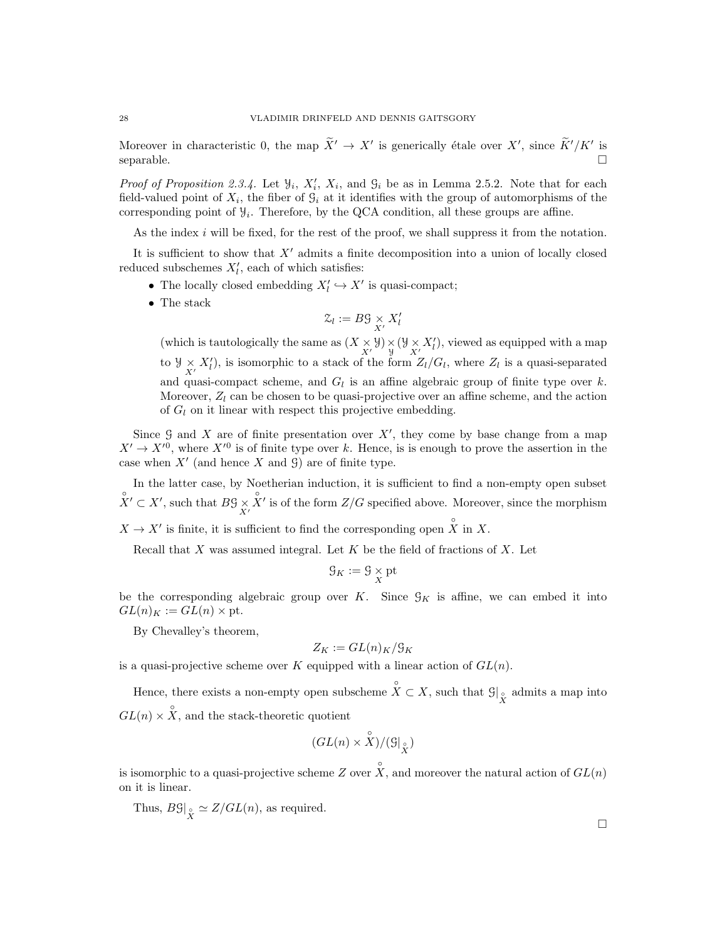Moreover in characteristic 0, the map  $\tilde{X}' \to X'$  is generically étale over  $X'$ , since  $\tilde{K}'/K'$  is  $\Box$  separable.

*Proof of Proposition 2.3.4.* Let  $\mathcal{Y}_i$ ,  $X'_i$ ,  $X_i$ , and  $\mathcal{G}_i$  be as in Lemma 2.5.2. Note that for each field-valued point of  $X_i$ , the fiber of  $\mathcal{G}_i$  at it identifies with the group of automorphisms of the corresponding point of  $\mathcal{Y}_i$ . Therefore, by the QCA condition, all these groups are affine.

As the index i will be fixed, for the rest of the proof, we shall suppress it from the notation.

It is sufficient to show that  $X'$  admits a finite decomposition into a union of locally closed reduced subschemes  $X'_{l}$ , each of which satisfies:

- The locally closed embedding  $X'_l \hookrightarrow X'$  is quasi-compact;
- The stack

$$
\mathcal{Z}_l := B\mathcal{G} \underset{X'}{\times} X_l'
$$

(which is tautologically the same as  $(X \underset{X'}{\times} \mathcal{Y}) \underset{y}{\times} (\mathcal{Y} \underset{X'}{\times} X'_{l})$ , viewed as equipped with a map to  $\mathcal{Y} \times X'_{l}$ , is isomorphic to a stack of the form  $Z_{l}/G_{l}$ , where  $Z_{l}$  is a quasi-separated and quasi-compact scheme, and  $G_l$  is an affine algebraic group of finite type over k. Moreover,  $Z_l$  can be chosen to be quasi-projective over an affine scheme, and the action of  $G_l$  on it linear with respect this projective embedding.

Since  $G$  and X are of finite presentation over  $X'$ , they come by base change from a map  $X' \to X'^0$ , where  $X'^0$  is of finite type over k. Hence, is is enough to prove the assertion in the case when  $X'$  (and hence X and  $\mathcal{G}$ ) are of finite type.

In the latter case, by Noetherian induction, it is sufficient to find a non-empty open subset  $X' \subset X'$ , such that  $B\mathcal{G} \underset{X'}{\times}$  $\hat{X}'$  is of the form  $Z/G$  specified above. Moreover, since the morphism

 $X \to X'$  is finite, it is sufficient to find the corresponding open  $\hat{X}$  in X.

Recall that  $X$  was assumed integral. Let  $K$  be the field of fractions of  $X$ . Let

$$
\mathcal{G}_K := \mathcal{G} \underset{X}{\times} \mathrm{pt}
$$

be the corresponding algebraic group over K. Since  $\mathcal{G}_K$  is affine, we can embed it into  $GL(n)_K := GL(n) \times pt.$ 

By Chevalley's theorem,

$$
Z_K := GL(n)_K / \mathfrak{G}_K
$$

is a quasi-projective scheme over K equipped with a linear action of  $GL(n)$ .

Hence, there exists a non-empty open subscheme  $\hat{X} \subset X$ , such that  $\mathcal{G}|_{\hat{X}}$  admits a map into  $GL(n) \times \overset{\circ}{X}$ , and the stack-theoretic quotient

$$
(GL(n) \times \overset{\circ}{X}) / (\mathbb{G}|_{\overset{\circ}{X}})
$$

is isomorphic to a quasi-projective scheme Z over  $\hat{X}$ , and moreover the natural action of  $GL(n)$ on it is linear.

Thus,  $B\mathcal{G}|_{\overset{\circ}{X}} \simeq Z(GL(n))$ , as required.

 $\Box$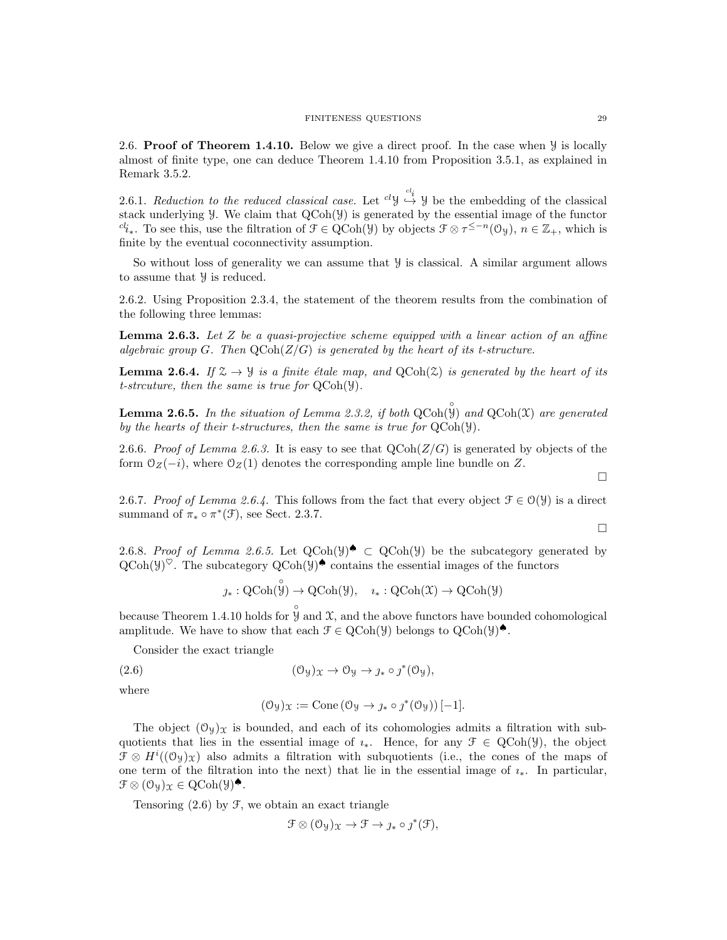2.6. **Proof of Theorem 1.4.10.** Below we give a direct proof. In the case when  $\mathcal{Y}$  is locally almost of finite type, one can deduce Theorem 1.4.10 from Proposition 3.5.1, as explained in Remark 3.5.2.

2.6.1. Reduction to the reduced classical case. Let  ${}^{cl}\mathcal{Y} \stackrel{cl_i}{\hookrightarrow} \mathcal{Y}$  be the embedding of the classical stack underlying Y. We claim that QCoh(Y) is generated by the essential image of the functor  $c l_{i*}$ . To see this, use the filtration of  $\mathcal{F} \in \mathrm{QCoh}(\mathcal{Y})$  by objects  $\mathcal{F} \otimes \tau^{\leq -n}(\mathcal{O}_{\mathcal{Y}})$ ,  $n \in \mathbb{Z}_+$ , which is finite by the eventual coconnectivity assumption.

So without loss of generality we can assume that  $\mathcal Y$  is classical. A similar argument allows to assume that Y is reduced.

2.6.2. Using Proposition 2.3.4, the statement of the theorem results from the combination of the following three lemmas:

**Lemma 2.6.3.** Let Z be a quasi-projective scheme equipped with a linear action of an affine algebraic group G. Then  $\mathbf{QCoh}(Z/G)$  is generated by the heart of its t-structure.

**Lemma 2.6.4.** If  $\mathcal{Z} \to \mathcal{Y}$  is a finite étale map, and  $QCoh(\mathcal{Z})$  is generated by the heart of its t-strcuture, then the same is true for QCoh(Y).

**Lemma 2.6.5.** In the situation of Lemma 2.3.2, if both  $QCoh(\mathcal{Y})$  and  $QCoh(\mathcal{X})$  are generated by the hearts of their t-structures, then the same is true for QCoh(Y).

2.6.6. Proof of Lemma 2.6.3. It is easy to see that  $QCoh(Z/G)$  is generated by objects of the form  $\mathcal{O}_Z(-i)$ , where  $\mathcal{O}_Z(1)$  denotes the corresponding ample line bundle on Z.

2.6.7. Proof of Lemma 2.6.4. This follows from the fact that every object  $\mathcal{F} \in \mathcal{O}(\mathcal{Y})$  is a direct summand of  $\pi_* \circ \pi^*(\mathcal{F})$ , see Sect. 2.3.7.

2.6.8. Proof of Lemma 2.6.5. Let  $QCoh(\mathcal{Y})^{\blacklozenge} \subset QCoh(\mathcal{Y})$  be the subcategory generated by  $\text{QCoh}(\mathcal{Y})^{\heartsuit}$ . The subcategory  $\text{QCoh}(\mathcal{Y})^{\spadesuit}$  contains the essential images of the functors

$$
\jmath_*: \mathrm{QCoh}(\overset{\circ}{\mathcal{Y}}) \to \mathrm{QCoh}(\mathcal{Y}), \quad \imath_*: \mathrm{QCoh}(\mathcal{X}) \to \mathrm{QCoh}(\mathcal{Y})
$$

because Theorem 1.4.10 holds for  $\hat{\mathcal{Y}}$  and  $\mathcal{X}$ , and the above functors have bounded cohomological amplitude. We have to show that each  $\mathcal{F} \in \text{QCoh}(\mathcal{Y})$  belongs to  $\text{QCoh}(\mathcal{Y})^{\spadesuit}$ .

Consider the exact triangle

(2.6) 
$$
(\mathcal{O}_y)_x \to \mathcal{O}_y \to j_* \circ j^*(\mathcal{O}_y),
$$

where

$$
(\mathcal{O}_y)_x := \text{Cone} \left( \mathcal{O}_y \to \jmath_* \circ \jmath^*(\mathcal{O}_y) \right)[-1].
$$

The object  $(\mathcal{O}_y)_x$  is bounded, and each of its cohomologies admits a filtration with subquotients that lies in the essential image of  $\iota_*$ . Hence, for any  $\mathcal{F} \in \text{QCoh}(\mathcal{Y})$ , the object  $\mathcal{F} \otimes H^{i}((\mathcal{O}_{\mathcal{Y}})_{\mathcal{X}})$  also admits a filtration with subquotients (i.e., the cones of the maps of one term of the filtration into the next) that lie in the essential image of  $i_*$ . In particular,  $\mathcal{F} \otimes (\mathcal{O}_{\mathcal{Y}})_{\mathcal{X}} \in \mathrm{QCoh}(\mathcal{Y})^{\spadesuit}.$ 

Tensoring  $(2.6)$  by  $\mathcal{F}$ , we obtain an exact triangle

$$
\mathcal{F} \otimes (\mathcal{O}_{\mathcal{Y}})_{\mathcal{X}} \to \mathcal{F} \to \jmath_* \circ \jmath^*(\mathcal{F}),
$$

 $\Box$ 

 $\Box$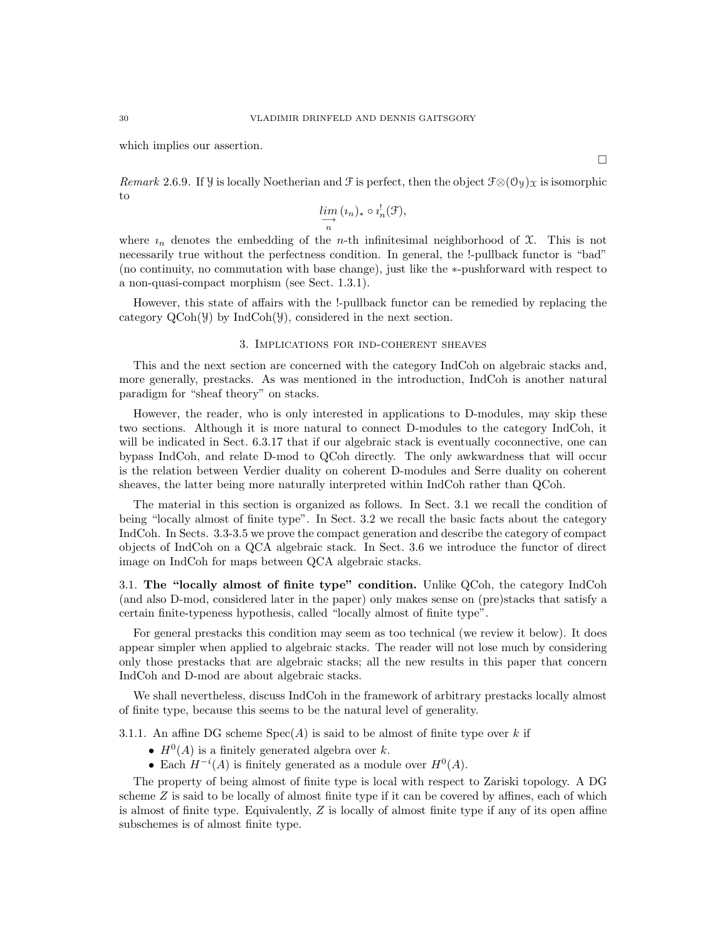which implies our assertion.

 $\Box$ 

Remark 2.6.9. If Y is locally Noetherian and F is perfect, then the object  $\mathcal{F}\otimes(\mathcal{O}_y)_X$  is isomorphic to

$$
\varinjlim_{n}(i_{n})_{*}\circ i_{n}^{!}(\mathcal{F}),
$$

where  $i_n$  denotes the embedding of the *n*-th infinitesimal neighborhood of  $\mathcal{X}$ . This is not necessarily true without the perfectness condition. In general, the !-pullback functor is "bad" (no continuity, no commutation with base change), just like the ∗-pushforward with respect to a non-quasi-compact morphism (see Sect. 1.3.1).

However, this state of affairs with the !-pullback functor can be remedied by replacing the category  $QCoh(\mathcal{Y})$  by IndCoh $(\mathcal{Y})$ , considered in the next section.

## 3. Implications for ind-coherent sheaves

This and the next section are concerned with the category IndCoh on algebraic stacks and, more generally, prestacks. As was mentioned in the introduction, IndCoh is another natural paradigm for "sheaf theory" on stacks.

However, the reader, who is only interested in applications to D-modules, may skip these two sections. Although it is more natural to connect D-modules to the category IndCoh, it will be indicated in Sect. 6.3.17 that if our algebraic stack is eventually coconnective, one can bypass IndCoh, and relate D-mod to QCoh directly. The only awkwardness that will occur is the relation between Verdier duality on coherent D-modules and Serre duality on coherent sheaves, the latter being more naturally interpreted within IndCoh rather than QCoh.

The material in this section is organized as follows. In Sect. 3.1 we recall the condition of being "locally almost of finite type". In Sect. 3.2 we recall the basic facts about the category IndCoh. In Sects. 3.3-3.5 we prove the compact generation and describe the category of compact objects of IndCoh on a QCA algebraic stack. In Sect. 3.6 we introduce the functor of direct image on IndCoh for maps between QCA algebraic stacks.

3.1. The "locally almost of finite type" condition. Unlike QCoh, the category IndCoh (and also D-mod, considered later in the paper) only makes sense on (pre)stacks that satisfy a certain finite-typeness hypothesis, called "locally almost of finite type".

For general prestacks this condition may seem as too technical (we review it below). It does appear simpler when applied to algebraic stacks. The reader will not lose much by considering only those prestacks that are algebraic stacks; all the new results in this paper that concern IndCoh and D-mod are about algebraic stacks.

We shall nevertheless, discuss IndCoh in the framework of arbitrary prestacks locally almost of finite type, because this seems to be the natural level of generality.

3.1.1. An affine DG scheme  $Spec(A)$  is said to be almost of finite type over k if

- $H^0(A)$  is a finitely generated algebra over k.
- Each  $H^{-i}(A)$  is finitely generated as a module over  $H^0(A)$ .

The property of being almost of finite type is local with respect to Zariski topology. A DG scheme  $Z$  is said to be locally of almost finite type if it can be covered by affines, each of which is almost of finite type. Equivalently,  $Z$  is locally of almost finite type if any of its open affine subschemes is of almost finite type.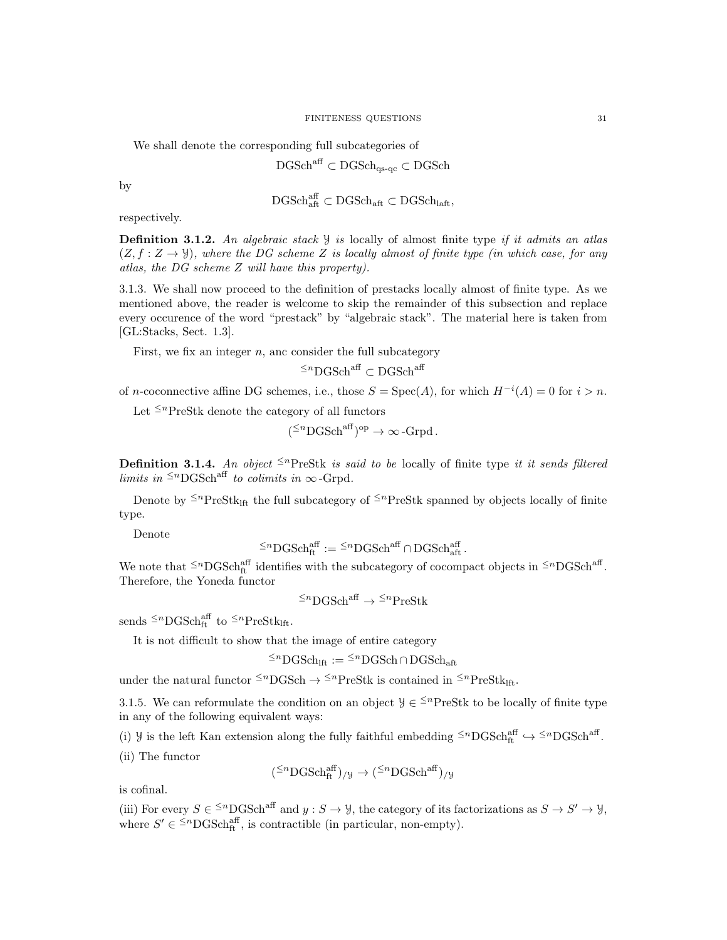We shall denote the corresponding full subcategories of

$$
\rm DGSch^{aff} \subset \rm DGSch_{qs\text{-}qc} \subset \rm DGSch
$$

by

$$
\rm DGSch^{\rm aff}_{\rm aff} \subset \rm DGSch_{\rm aff} \subset \rm DGSch_{\rm laft},
$$

respectively.

**Definition 3.1.2.** An algebraic stack  $\mathcal{Y}$  is locally of almost finite type if it admits an atlas  $(Z, f: Z \rightarrow \mathcal{Y})$ , where the DG scheme Z is locally almost of finite type (in which case, for any atlas, the DG scheme Z will have this property).

3.1.3. We shall now proceed to the definition of prestacks locally almost of finite type. As we mentioned above, the reader is welcome to skip the remainder of this subsection and replace every occurence of the word "prestack" by "algebraic stack". The material here is taken from [GL:Stacks, Sect. 1.3].

First, we fix an integer  $n$ , and consider the full subcategory

 $\leq^n$ DGSch<sup>aff</sup> ⊂ DGSch<sup>aff</sup>

of n-coconnective affine DG schemes, i.e., those  $S = \text{Spec}(A)$ , for which  $H^{-i}(A) = 0$  for  $i > n$ .

Let  $\leq^n$ PreStk denote the category of all functors

$$
(\leq^n \text{DGSch}^{\text{aff}})^{\text{op}} \to \infty
$$
-Grpd.

**Definition 3.1.4.** An object  $\leq^n$ PreStk is said to be locally of finite type it it sends filtered limits in  $\leq^n$ DGSch<sup>aff</sup> to colimits in  $\infty$ -Grpd.

Denote by  $\leq^n$ PreStk<sub>lft</sub> the full subcategory of  $\leq^n$ PreStk spanned by objects locally of finite type.

Denote

$$
\leq^n \text{DGSch}^{\text{aff}}_{\text{ft}} := \leq^n \text{DGSch}^{\text{aff}} \cap \text{DGSch}^{\text{aff}}_{\text{aft}}.
$$

We note that  $\leq^n$ DGSch<sup>aff</sup> identifies with the subcategory of cocompact objects in  $\leq^n$ DGSch<sup>aff</sup>. Therefore, the Yoneda functor

 ${^{\leq n}}\mathrm{DGSch}^\mathrm{aff} \to {^{\leq n}}\mathrm{PreStk}$ 

sends  $\leq^n$ DGSch<sup>aff</sup> to  $\leq^n$ PreStk<sub>lft</sub>.

It is not difficult to show that the image of entire category

 $\leq^n$ DGSch<sub>lft</sub> :=  $\leq^n$ DGSch∩DGSch<sub>aft</sub>

under the natural functor  $\leq^n$ DGSch  $\rightarrow \leq^n$ PreStk is contained in  $\leq^n$ PreStk<sub>lft</sub>.

3.1.5. We can reformulate the condition on an object  $\mathcal{Y} \in \leq^{n}$ PreStk to be locally of finite type in any of the following equivalent ways:

(i)  $\mathcal{Y}$  is the left Kan extension along the fully faithful embedding  $\leq^n$ DGSch<sup>aff</sup>.  $\hookrightarrow \leq^n$ DGSch<sup>aff</sup>.

(ii) The functor

$$
({}^{\leq n}{\rm DGSch}^{\rm aff}_{\rm ft})_{/\mathcal{Y}}\to ({}^{\leq n}{\rm DGSch}^{\rm aff})_{/\mathcal{Y}}
$$

is cofinal.

(iii) For every  $S \in \leq^n$ DGSch<sup>aff</sup> and  $y : S \to Y$ , the category of its factorizations as  $S \to S' \to Y$ , where  $S' \in \leq^{\text{th}}\text{DGSch}_{\text{ft}}^{\text{aff}}$ , is contractible (in particular, non-empty).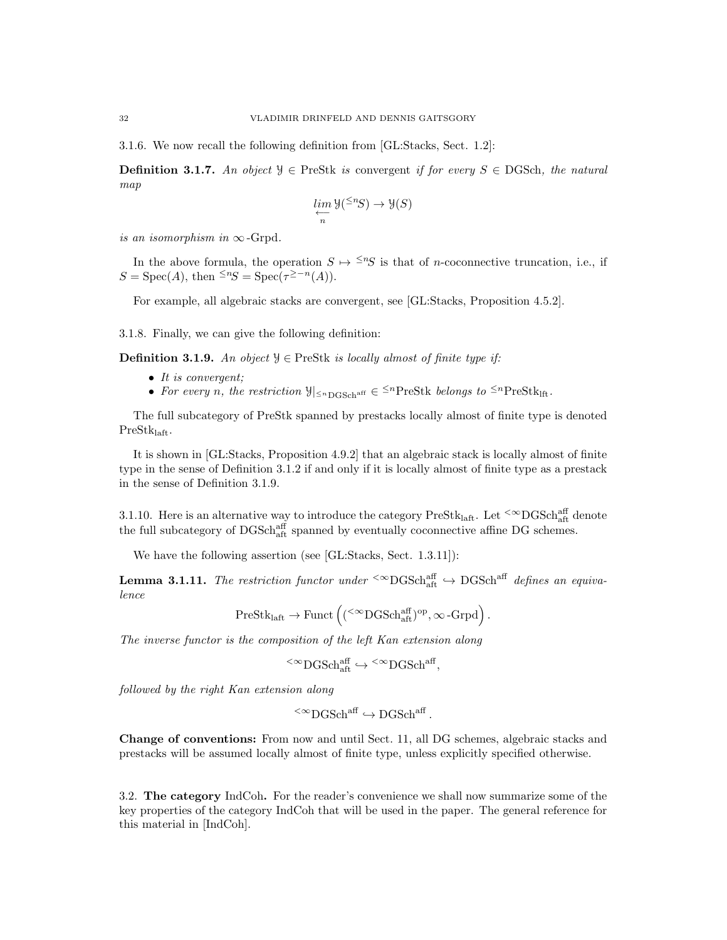3.1.6. We now recall the following definition from [GL:Stacks, Sect. 1.2]:

**Definition 3.1.7.** An object  $\mathcal{Y} \in \text{PreStk}$  is convergent if for every  $S \in \text{DGSch}$ , the natural map

$$
\varprojlim_n \mathcal{Y}({}^{\leq n}S) \to \mathcal{Y}(S)
$$

is an isomorphism in  $\infty$ -Grpd.

In the above formula, the operation  $S \mapsto \leq^n S$  is that of *n*-coconnective truncation, i.e., if  $S = \text{Spec}(A)$ , then  $\leq^n S = \text{Spec}(\tau^{\geq -n}(A)).$ 

For example, all algebraic stacks are convergent, see [GL:Stacks, Proposition 4.5.2].

3.1.8. Finally, we can give the following definition:

**Definition 3.1.9.** An object  $\mathcal{Y} \in \text{PreStk}$  is locally almost of finite type if:

- It is convergent;
- For every n, the restriction  $\mathcal{Y}|_{\leq n_{\text{DGSch}}^{\text{aff}}} \in \leq^{n} \text{PreStk}$  belongs to  $\leq^{n} \text{PreStk}_{\text{lift}}$ .

The full subcategory of PreStk spanned by prestacks locally almost of finite type is denoted PreStklaft.

It is shown in [GL:Stacks, Proposition 4.9.2] that an algebraic stack is locally almost of finite type in the sense of Definition 3.1.2 if and only if it is locally almost of finite type as a prestack in the sense of Definition 3.1.9.

3.1.10. Here is an alternative way to introduce the category  $PreStk_{\text{laff}}$ . Let  $\leq^\infty$ DGSchaff denote the full subcategory of  $\text{DGSch}_{\text{aff}}^{\text{aff}}$  spanned by eventually coconnective affine DG schemes.

We have the following assertion (see [GL:Stacks, Sect. 1.3.11]):

**Lemma 3.1.11.** The restriction functor under  $\text{~}^{\text{&}}\text{DGSch}^{\text{aff}}_{\text{aff}} \rightarrow \text{DGSch}^{\text{aff}}$  defines an equivalence

$$
\operatorname{PreStk}_{\operatorname{laft}}\to\operatorname{Funct}\left(\left({}^{<\infty}{\operatorname{DGSch}}^{\operatorname{aff}}_{\operatorname{aft}}\right)^{\operatorname{op}},\infty\operatorname{-Grpd}\right).
$$

The inverse functor is the composition of the left Kan extension along

$$
\leq^{\infty} \text{DGSch}_{\text{aff}}^{\text{aff}} \hookrightarrow \leq^{\infty} \text{DGSch}^{\text{aff}},
$$

followed by the right Kan extension along

$$
{}^{<\infty}{\rm DGSch}^{\rm aff} \hookrightarrow {\rm DGSch}^{\rm aff}\,.
$$

Change of conventions: From now and until Sect. 11, all DG schemes, algebraic stacks and prestacks will be assumed locally almost of finite type, unless explicitly specified otherwise.

3.2. The category IndCoh. For the reader's convenience we shall now summarize some of the key properties of the category IndCoh that will be used in the paper. The general reference for this material in [IndCoh].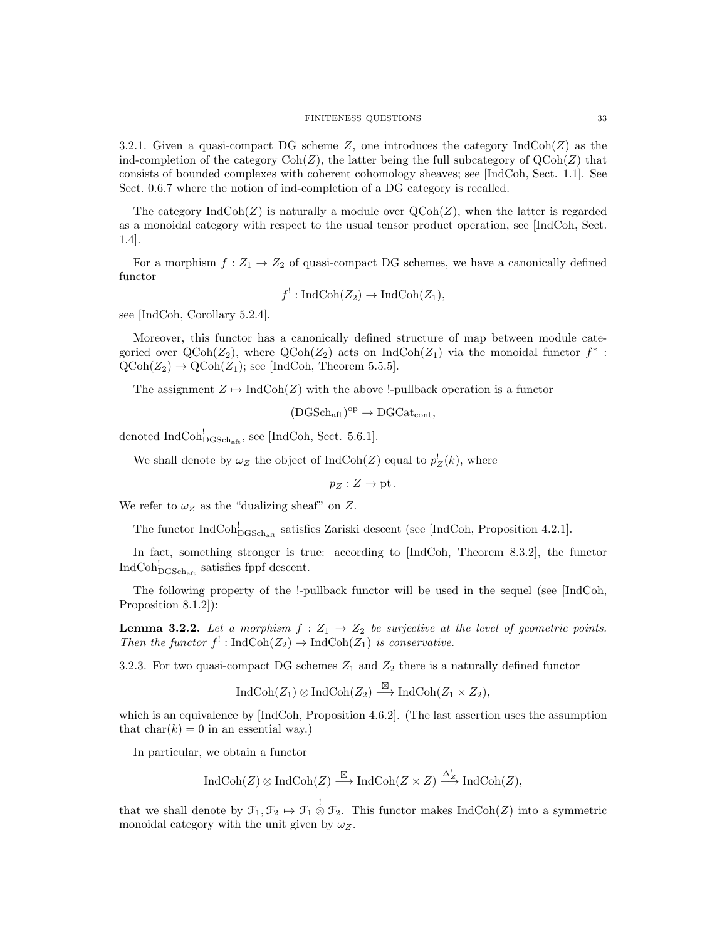#### FINITENESS QUESTIONS 33

3.2.1. Given a quasi-compact DG scheme  $Z$ , one introduces the category  $\text{IndCoh}(Z)$  as the ind-completion of the category  $\text{Coh}(Z)$ , the latter being the full subcategory of  $\text{QCoh}(Z)$  that consists of bounded complexes with coherent cohomology sheaves; see [IndCoh, Sect. 1.1]. See Sect. 0.6.7 where the notion of ind-completion of a DG category is recalled.

The category  $\text{IndCoh}(Z)$  is naturally a module over  $\text{QCoh}(Z)$ , when the latter is regarded as a monoidal category with respect to the usual tensor product operation, see [IndCoh, Sect. 1.4].

For a morphism  $f: Z_1 \to Z_2$  of quasi-compact DG schemes, we have a canonically defined functor

$$
f^!: \operatorname{IndCoh}(Z_2) \to \operatorname{IndCoh}(Z_1),
$$

see [IndCoh, Corollary 5.2.4].

Moreover, this functor has a canonically defined structure of map between module categoried over  $\text{QCoh}(Z_2)$ , where  $\text{QCoh}(Z_2)$  acts on IndCoh $(Z_1)$  via the monoidal functor  $f^*$ :  $\text{QCoh}(Z_2) \to \text{QCoh}(Z_1)$ ; see [IndCoh, Theorem 5.5.5].

The assignment  $Z \mapsto \text{IndCoh}(Z)$  with the above !-pullback operation is a functor

$$
(DGSch_{\mathrm{aft}})^{\mathrm{op}} \to DGCat_{\mathrm{cont}},
$$

denoted  $\text{IndCoh}_{\text{DGSch}_{\text{aff}}}^!$ , see [IndCoh, Sect. 5.6.1].

We shall denote by  $\omega_Z$  the object of IndCoh(Z) equal to  $p_Z^{\dagger}(k)$ , where

 $p_Z: Z \to \text{pt}.$ 

We refer to  $\omega_Z$  as the "dualizing sheaf" on Z.

The functor  $IndCoh_{DGSch_{\text{aff}}}^!$  satisfies Zariski descent (see [IndCoh, Proposition 4.2.1].

In fact, something stronger is true: according to [IndCoh, Theorem 8.3.2], the functor  $\text{IndCoh}_{\text{DGSch}_{\text{aff}}}^!$  satisfies fppf descent.

The following property of the !-pullback functor will be used in the sequel (see [IndCoh, Proposition 8.1.2]):

**Lemma 3.2.2.** Let a morphism  $f : Z_1 \rightarrow Z_2$  be surjective at the level of geometric points. Then the functor  $f' : \text{IndCoh}(Z_2) \to \text{IndCoh}(Z_1)$  is conservative.

3.2.3. For two quasi-compact DG schemes  $Z_1$  and  $Z_2$  there is a naturally defined functor

$$
IndCoh(Z_1) \otimes IndCoh(Z_2) \stackrel{\boxtimes}{\longrightarrow} IndCoh(Z_1 \times Z_2),
$$

which is an equivalence by [IndCoh, Proposition 4.6.2]. (The last assertion uses the assumption that  $char(k) = 0$  in an essential way.)

In particular, we obtain a functor

$$
\operatorname{IndCoh}(Z) \otimes \operatorname{IndCoh}(Z) \xrightarrow{\boxtimes} \operatorname{IndCoh}(Z \times Z) \xrightarrow{\Delta_Z^!} \operatorname{IndCoh}(Z),
$$

that we shall denote by  $\mathcal{F}_1, \mathcal{F}_2 \mapsto \mathcal{F}_1 \overset{!}{\otimes} \mathcal{F}_2$ . This functor makes IndCoh(Z) into a symmetric monoidal category with the unit given by  $\omega_Z$ .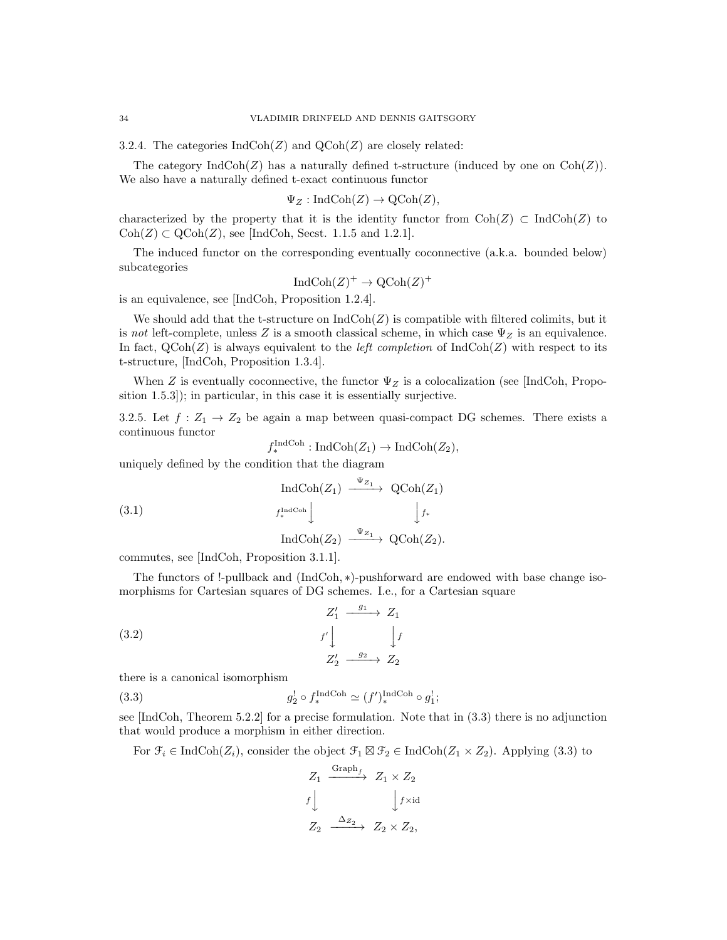3.2.4. The categories  $\text{IndCoh}(Z)$  and  $\text{QCoh}(Z)$  are closely related:

The category  $\text{IndCoh}(Z)$  has a naturally defined t-structure (induced by one on  $\text{Coh}(Z)$ ). We also have a naturally defined t-exact continuous functor

$$
\Psi_Z: \mathrm{IndCoh}(Z) \to \mathrm{QCoh}(Z),
$$

characterized by the property that it is the identity functor from  $Coh(Z) \subset IndCoh(Z)$  to  $\text{Coh}(Z) \subset \text{QCoh}(Z)$ , see [IndCoh, Secst. 1.1.5 and 1.2.1].

The induced functor on the corresponding eventually coconnective (a.k.a. bounded below) subcategories

$$
IndCoh(Z)^+ \to \mathrm{QCoh}(Z)^+
$$

is an equivalence, see [IndCoh, Proposition 1.2.4].

We should add that the t-structure on  $\text{IndCoh}(Z)$  is compatible with filtered colimits, but it is not left-complete, unless Z is a smooth classical scheme, in which case  $\Psi_Z$  is an equivalence. In fact,  $QCoh(Z)$  is always equivalent to the *left completion* of  $IndCoh(Z)$  with respect to its t-structure, [IndCoh, Proposition 1.3.4].

When Z is eventually coconnective, the functor  $\Psi_Z$  is a colocalization (see [IndCoh, Proposition 1.5.3]); in particular, in this case it is essentially surjective.

3.2.5. Let  $f: Z_1 \to Z_2$  be again a map between quasi-compact DG schemes. There exists a continuous functor

$$
f_*^{\text{IndCoh}} : \text{IndCoh}(Z_1) \to \text{IndCoh}(Z_2),
$$

uniquely defined by the condition that the diagram

(3.1)  
\n
$$
\operatorname{IndCoh}(Z_1) \xrightarrow{\Psi_{Z_1}} \operatorname{QCoh}(Z_1)
$$
\n
$$
f_*^{\operatorname{IndCoh}} \downarrow \qquad \qquad \downarrow f_*
$$
\n
$$
\operatorname{IndCoh}(Z_2) \xrightarrow{\Psi_{Z_1}} \operatorname{QCoh}(Z_2).
$$

commutes, see [IndCoh, Proposition 3.1.1].

The functors of !-pullback and (IndCoh, ∗)-pushforward are endowed with base change isomorphisms for Cartesian squares of DG schemes. I.e., for a Cartesian square

(3.2) 
$$
Z'_1 \xrightarrow{g_1} Z_1
$$

$$
f' \downarrow \qquad \qquad f
$$

$$
Z'_2 \xrightarrow{g_2} Z_2
$$

there is a canonical isomorphism

(3.3) 
$$
g_2^! \circ f_*^{\text{IndCoh}} \simeq (f')_*^{\text{IndCoh}} \circ g_1^!;
$$

see [IndCoh, Theorem 5.2.2] for a precise formulation. Note that in (3.3) there is no adjunction that would produce a morphism in either direction.

For  $\mathcal{F}_i \in \text{IndCoh}(Z_i)$ , consider the object  $\mathcal{F}_1 \boxtimes \mathcal{F}_2 \in \text{IndCoh}(Z_1 \times Z_2)$ . Applying (3.3) to

$$
Z_1 \xrightarrow{\text{Graph}_{f}} Z_1 \times Z_2
$$
  

$$
f \downarrow \qquad \qquad \downarrow f \times id
$$
  

$$
Z_2 \xrightarrow{\Delta_{Z_2}} Z_2 \times Z_2,
$$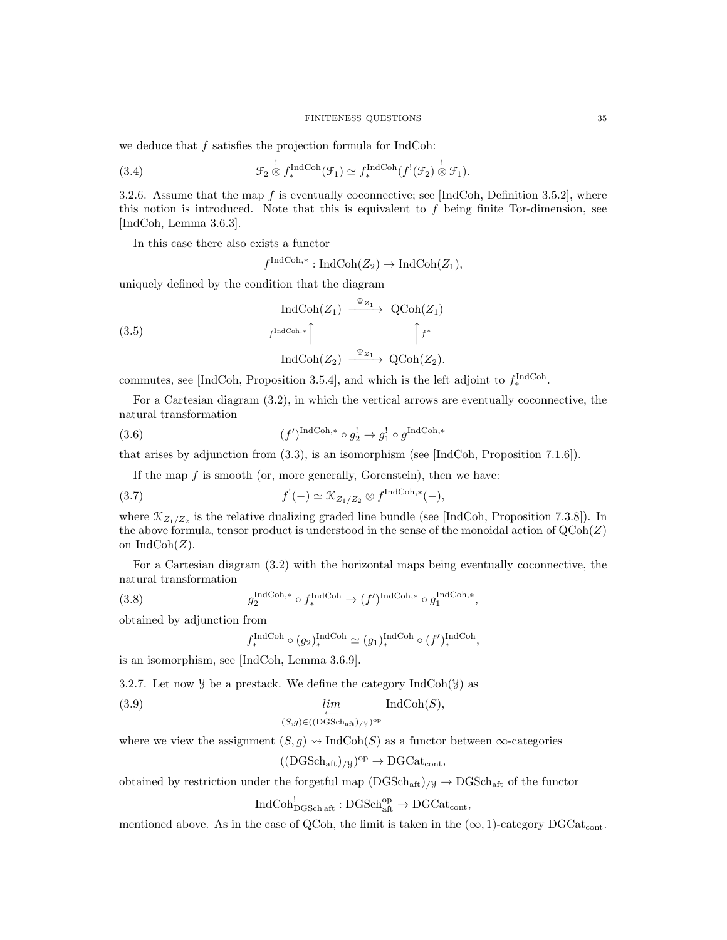we deduce that  $f$  satisfies the projection formula for IndCoh:

(3.4) 
$$
\mathcal{F}_2 \overset{!}{\otimes} f_*^{\text{IndCoh}}(\mathcal{F}_1) \simeq f_*^{\text{IndCoh}}(f^!(\mathcal{F}_2) \overset{!}{\otimes} \mathcal{F}_1).
$$

3.2.6. Assume that the map  $f$  is eventually coconnective; see [IndCoh, Definition 3.5.2], where this notion is introduced. Note that this is equivalent to  $f$  being finite Tor-dimension, see [IndCoh, Lemma 3.6.3].

In this case there also exists a functor

 $f^{\text{IndCoh},*}: \text{IndCoh}(Z_2) \to \text{IndCoh}(Z_1),$ 

uniquely defined by the condition that the diagram

(3.5)  
\n
$$
\operatorname{IndCoh}(Z_1) \xrightarrow{\Psi_{Z_1}} \operatorname{QCoh}(Z_1)
$$
\n
$$
f^{\operatorname{IndCoh},*} \qquad \qquad \uparrow f^*
$$
\n
$$
\operatorname{IndCoh}(Z_2) \xrightarrow{\Psi_{Z_1}} \operatorname{QCoh}(Z_2).
$$

commutes, see [IndCoh, Proposition 3.5.4], and which is the left adjoint to  $f_*^{\text{IndCoh}}$ .

For a Cartesian diagram (3.2), in which the vertical arrows are eventually coconnective, the natural transformation

(3.6) 
$$
(f')^{\text{IndCoh},*} \circ g_2^! \to g_1^! \circ g^{\text{IndCoh},*}
$$

that arises by adjunction from (3.3), is an isomorphism (see [IndCoh, Proposition 7.1.6]).

If the map  $f$  is smooth (or, more generally, Gorenstein), then we have:

(3.7) 
$$
f^{!}(-) \simeq \mathcal{K}_{Z_1/Z_2} \otimes f^{\text{IndCoh},*}(-),
$$

where  $\mathcal{K}_{Z_1/Z_2}$  is the relative dualizing graded line bundle (see [IndCoh, Proposition 7.3.8]). In the above formula, tensor product is understood in the sense of the monoidal action of  $QCoh(Z)$ on  $IndCoh(Z)$ .

For a Cartesian diagram (3.2) with the horizontal maps being eventually coconnective, the natural transformation

(3.8) 
$$
g_2^{\text{IndCoh},*} \circ f_*^{\text{IndCoh}} \to (f')^{\text{IndCoh},*} \circ g_1^{\text{IndCoh},*},
$$

obtained by adjunction from

$$
f_*^{\text{IndCoh}} \circ (g_2)_*^{\text{IndCoh}} \simeq (g_1)_*^{\text{IndCoh}} \circ (f')_*^{\text{IndCoh}}
$$

,

is an isomorphism, see [IndCoh, Lemma 3.6.9].

3.2.7. Let now  $\mathcal Y$  be a prestack. We define the category IndCoh( $\mathcal Y$ ) as

(3.9) lim←− IndCoh(S),

$$
(S,g) \in ((\mathrm{DGSch}_{\mathrm{aft}})_{/\mathcal{Y}})^{\mathrm{op}}
$$

where we view the assignment  $(S, g) \rightsquigarrow \text{IndCoh}(S)$  as a functor between  $\infty$ -categories

$$
((\mathrm{DGSch}_{\mathrm{aft}})_{/y})^{\mathrm{op}} \to \mathrm{DGCat}_{\mathrm{cont}},
$$

obtained by restriction under the forgetful map  $(DGSch_{\text{aff}})/y \to DGSch_{\text{aff}}$  of the functor

 $\text{IndCoh}_{\text{DGSch aft}}^! : \text{DGSch}_{\text{aft}}^{\text{op}} \to \text{DGCat}_{\text{cont}},$ 

mentioned above. As in the case of QCoh, the limit is taken in the  $(\infty, 1)$ -category DGCat<sub>cont</sub>.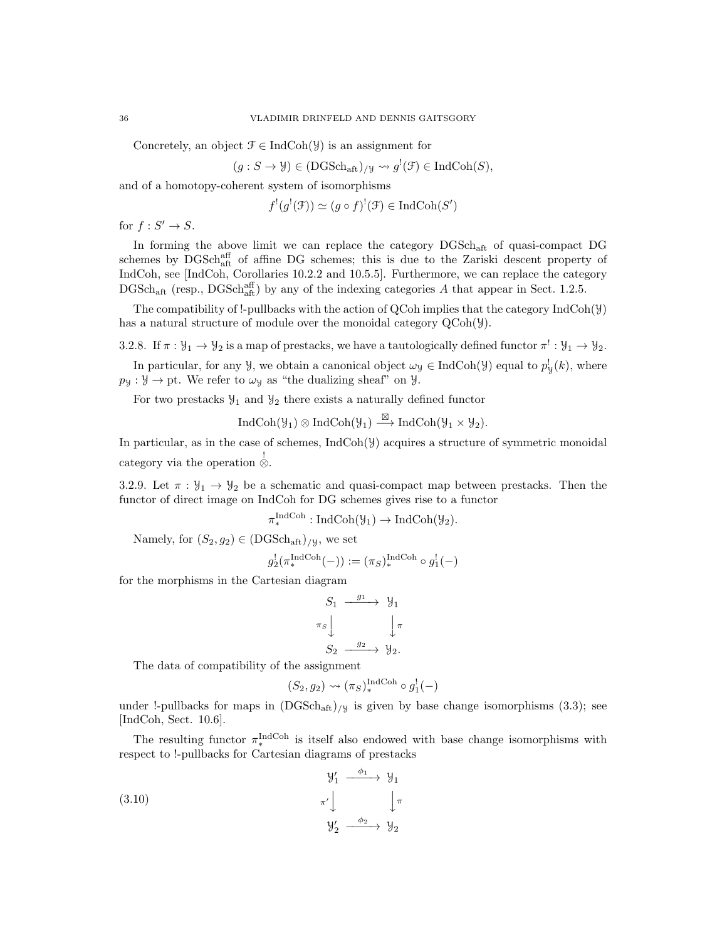Concretely, an object  $\mathcal{F} \in \text{IndCoh}(\mathcal{Y})$  is an assignment for

$$
(g: S \to \mathcal{Y}) \in (DGSch_{\mathrm{aff}})_{/\mathcal{Y}} \leadsto g^{!}(\mathcal{F}) \in \mathrm{IndCoh}(S),
$$

and of a homotopy-coherent system of isomorphisms

$$
f'(g'(\mathcal{F})) \simeq (g \circ f)'(\mathcal{F}) \in \text{IndCoh}(S')
$$

for  $f: S' \to S$ .

In forming the above limit we can replace the category DGSchaft of quasi-compact DG schemes by DGSch<sup>aff</sup> of affine DG schemes; this is due to the Zariski descent property of IndCoh, see [IndCoh, Corollaries 10.2.2 and 10.5.5]. Furthermore, we can replace the category  $\text{DGSch}_{\text{aft}}$  (resp.,  $\text{DGSch}_{\text{aft}}^{aff}$ ) by any of the indexing categories A that appear in Sect. 1.2.5.

The compatibility of !-pullbacks with the action of QCoh implies that the category IndCoh(Y) has a natural structure of module over the monoidal category  $QCoh(\mathcal{Y})$ .

3.2.8. If  $\pi : \mathcal{Y}_1 \to \mathcal{Y}_2$  is a map of prestacks, we have a tautologically defined functor  $\pi^!: \mathcal{Y}_1 \to \mathcal{Y}_2$ .

In particular, for any  $\mathcal{Y}$ , we obtain a canonical object  $\omega_{\mathcal{Y}} \in \text{IndCoh}(\mathcal{Y})$  equal to  $p_{\mathcal{Y}}^{\dagger}(k)$ , where  $p_y : \mathcal{Y} \to \text{pt}$ . We refer to  $\omega_y$  as "the dualizing sheaf" on  $\mathcal{Y}$ .

For two prestacks  $\mathcal{Y}_1$  and  $\mathcal{Y}_2$  there exists a naturally defined functor

 $\text{IndCoh}(\mathcal{Y}_1) \otimes \text{IndCoh}(\mathcal{Y}_1) \stackrel{\boxtimes}{\longrightarrow} \text{IndCoh}(\mathcal{Y}_1 \times \mathcal{Y}_2).$ 

In particular, as in the case of schemes, IndCoh(Y) acquires a structure of symmetric monoidal category via the operation ! ⊗.

3.2.9. Let  $\pi : \mathcal{Y}_1 \to \mathcal{Y}_2$  be a schematic and quasi-compact map between prestacks. Then the functor of direct image on IndCoh for DG schemes gives rise to a functor

$$
\pi^{\text{IndCoh}}_{*}: \text{IndCoh}(\mathcal{Y}_{1}) \to \text{IndCoh}(\mathcal{Y}_{2}).
$$

Namely, for  $(S_2, g_2) \in (DGSch_{\text{aff}})_{/y}$ , we set

$$
g_2^!(\pi_*^{\text{IndCoh}}(-)) := (\pi_S)^{\text{IndCoh}}_* \circ g_1^!(-)
$$

for the morphisms in the Cartesian diagram

$$
S_1 \xrightarrow{g_1} \mathcal{Y}_1
$$

$$
\pi_S \downarrow \qquad \qquad \downarrow \pi
$$

$$
S_2 \xrightarrow{g_2} \mathcal{Y}_2.
$$

The data of compatibility of the assignment

$$
(S_2, g_2) \rightsquigarrow (\pi_S)^{\text{IndCoh}}_* \circ g_1^!(-)
$$

under !-pullbacks for maps in  $(DGSch_{\text{aff}})/y$  is given by base change isomorphisms (3.3); see [IndCoh, Sect. 10.6].

The resulting functor  $\pi_*^{\text{IndCoh}}$  is itself also endowed with base change isomorphisms with respect to !-pullbacks for Cartesian diagrams of prestacks

(3.10)  
\n
$$
\begin{array}{ccc}\n & \mathcal{Y}'_1 & \xrightarrow{\phi_1} & \mathcal{Y}_1 \\
 & \pi' & & \downarrow \pi \\
 & \mathcal{Y}'_2 & \xrightarrow{\phi_2} & \mathcal{Y}_2\n\end{array}
$$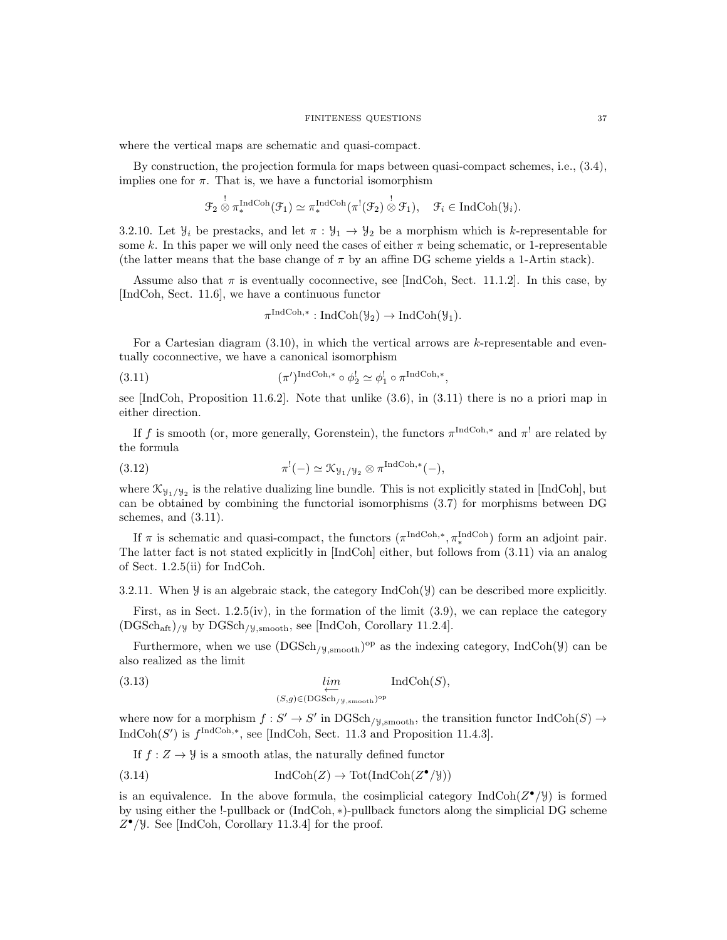where the vertical maps are schematic and quasi-compact.

By construction, the projection formula for maps between quasi-compact schemes, i.e., (3.4), implies one for  $\pi$ . That is, we have a functorial isomorphism

$$
\mathcal{F}_2 \overset{!}{\otimes} \pi_*^{\mathrm{IndCoh}}(\mathcal{F}_1) \simeq \pi_*^{\mathrm{IndCoh}}(\pi^!(\mathcal{F}_2) \overset{!}{\otimes} \mathcal{F}_1), \quad \mathcal{F}_i \in \mathrm{IndCoh}(\mathcal{Y}_i).
$$

3.2.10. Let  $\mathcal{Y}_i$  be prestacks, and let  $\pi : \mathcal{Y}_1 \to \mathcal{Y}_2$  be a morphism which is k-representable for some k. In this paper we will only need the cases of either  $\pi$  being schematic, or 1-representable (the latter means that the base change of  $\pi$  by an affine DG scheme yields a 1-Artin stack).

Assume also that  $\pi$  is eventually coconnective, see [IndCoh, Sect. 11.1.2]. In this case, by [IndCoh, Sect. 11.6], we have a continuous functor

$$
\pi^{\operatorname{IndCoh}, *} : \operatorname{IndCoh}(\mathcal{Y}_2) \to \operatorname{IndCoh}(\mathcal{Y}_1).
$$

For a Cartesian diagram  $(3.10)$ , in which the vertical arrows are k-representable and eventually coconnective, we have a canonical isomorphism

(3.11) 
$$
(\pi')^{\text{IndCoh},*} \circ \phi_2^! \simeq \phi_1^! \circ \pi^{\text{IndCoh},*},
$$

see [IndCoh, Proposition 11.6.2]. Note that unlike (3.6), in (3.11) there is no a priori map in either direction.

If f is smooth (or, more generally, Gorenstein), the functors  $\pi^{\text{IndCoh},*}$  and  $\pi^!$  are related by the formula

(3.12) 
$$
\pi^!(-) \simeq \mathfrak{K}_{\mathcal{Y}_1/\mathcal{Y}_2} \otimes \pi^{\text{IndCoh},*}(-),
$$

where  $\mathcal{K}_{\mathcal{Y}_1/\mathcal{Y}_2}$  is the relative dualizing line bundle. This is not explicitly stated in [IndCoh], but can be obtained by combining the functorial isomorphisms (3.7) for morphisms between DG schemes, and (3.11).

If  $\pi$  is schematic and quasi-compact, the functors  $(\pi^{\text{IndCoh},*}, \pi_*^{\text{IndCoh}})$  form an adjoint pair. The latter fact is not stated explicitly in [IndCoh] either, but follows from (3.11) via an analog of Sect. 1.2.5(ii) for IndCoh.

3.2.11. When  $\mathcal Y$  is an algebraic stack, the category IndCoh( $\mathcal Y$ ) can be described more explicitly.

First, as in Sect. 1.2.5(iv), in the formation of the limit (3.9), we can replace the category  $(DGSch<sub>aff</sub>)$ /y by  $DGSch<sub>/y,smooth</sub>$ , see [IndCoh, Corollary 11.2.4].

Furthermore, when we use  $(DGSch_{/\mathcal{Y},smooth})^{\text{op}}$  as the indexing category, IndCoh( $\mathcal{Y}$ ) can be also realized as the limit

(3.13) 
$$
\lim_{(S,g)\in(\text{DGSch}_{/\mathcal{Y},\text{smooth}})^{\text{op}}} \text{IndCoh}(S),
$$

where now for a morphism  $f: S' \to S'$  in  $\mathrm{DGSch}_{/\mathcal{Y}, \mathrm{smooth}}$ , the transition functor  $\mathrm{IndCoh}(S) \to$ IndCoh(S') is  $f^{\text{IndCoh},*}$ , see [IndCoh, Sect. 11.3 and Proposition 11.4.3].

If 
$$
f: Z \to Y
$$
 is a smooth atlas, the naturally defined functor

(3.14) 
$$
\operatorname{IndCoh}(Z) \to \operatorname{Tot}(\operatorname{IndCoh}(Z^{\bullet}/\mathcal{Y}))
$$

is an equivalence. In the above formula, the cosimplicial category  $\text{IndCoh}(Z^{\bullet}/\mathcal{Y})$  is formed by using either the !-pullback or (IndCoh, ∗)-pullback functors along the simplicial DG scheme  $Z^{\bullet}/\mathcal{Y}$ . See [IndCoh, Corollary 11.3.4] for the proof.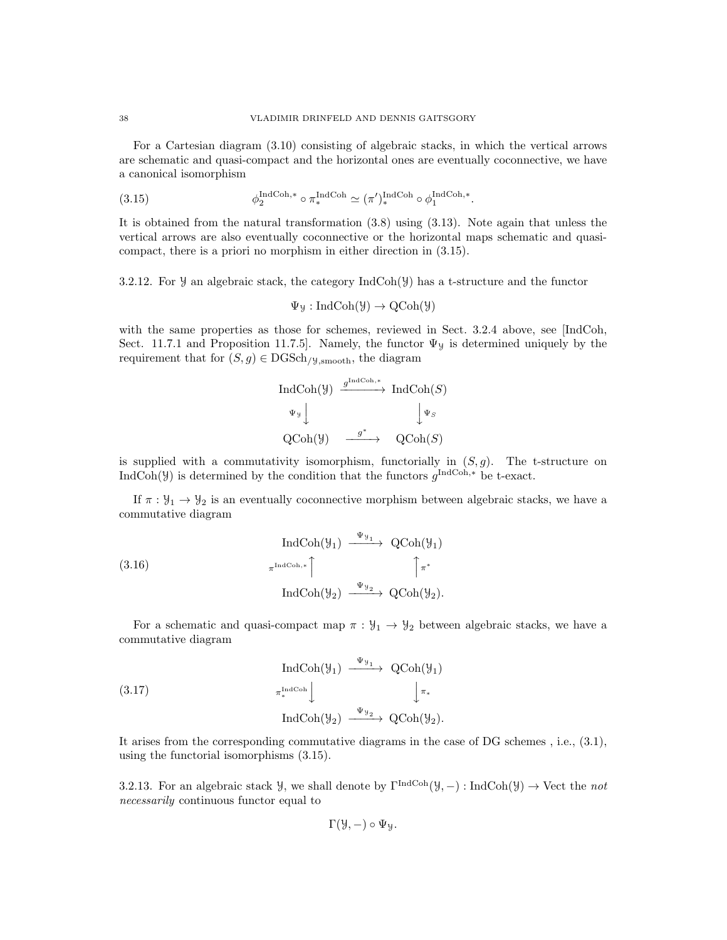For a Cartesian diagram (3.10) consisting of algebraic stacks, in which the vertical arrows are schematic and quasi-compact and the horizontal ones are eventually coconnective, we have a canonical isomorphism

(3.15) 
$$
\phi_2^{\text{IndCoh},*} \circ \pi_*^{\text{IndCoh}} \simeq (\pi')_*^{\text{IndCoh}} \circ \phi_1^{\text{IndCoh},*}.
$$

It is obtained from the natural transformation (3.8) using (3.13). Note again that unless the vertical arrows are also eventually coconnective or the horizontal maps schematic and quasicompact, there is a priori no morphism in either direction in (3.15).

3.2.12. For  $\mathcal Y$  an algebraic stack, the category IndCoh( $\mathcal Y$ ) has a t-structure and the functor

$$
\Psi_{\mathcal{Y}}: \mathrm{IndCoh}(\mathcal{Y}) \to \mathrm{QCoh}(\mathcal{Y})
$$

with the same properties as those for schemes, reviewed in Sect. 3.2.4 above, see [IndCoh, Sect. 11.7.1 and Proposition 11.7.5]. Namely, the functor  $\Psi_y$  is determined uniquely by the requirement that for  $(S, g) \in \text{DGSch}_{/\text{y,smooth}}$ , the diagram

$$
\begin{array}{ccc}\n\text{IndCoh}(\mathcal{Y}) & \xrightarrow{g^{\text{IndCoh},*}} & \text{IndCoh}(S) \\
\downarrow^{\Psi_{\mathcal{Y}}}\downarrow & & \downarrow^{\Psi_{S}} \\
\text{QCoh}(\mathcal{Y}) & \xrightarrow{g^{*}} & \text{QCoh}(S)\n\end{array}
$$

is supplied with a commutativity isomorphism, functorially in  $(S, g)$ . The t-structure on IndCoh(Y) is determined by the condition that the functors  $g^{\text{IndCoh},*}$  be t-exact.

If  $\pi : \mathcal{Y}_1 \to \mathcal{Y}_2$  is an eventually coconnective morphism between algebraic stacks, we have a commutative diagram

(3.16)  
\n
$$
\operatorname{IndCoh}(\mathcal{Y}_1) \xrightarrow{\Psi_{\mathcal{Y}_1}} \operatorname{QCoh}(\mathcal{Y}_1)
$$
\n
$$
\pi^{\operatorname{IndCoh},*} \uparrow \qquad \qquad \uparrow \pi^*
$$
\n
$$
\operatorname{IndCoh}(\mathcal{Y}_2) \xrightarrow{\Psi_{\mathcal{Y}_2}} \operatorname{QCoh}(\mathcal{Y}_2).
$$

For a schematic and quasi-compact map  $\pi : \mathcal{Y}_1 \to \mathcal{Y}_2$  between algebraic stacks, we have a commutative diagram

(3.17)  
\n
$$
\operatorname{IndCoh}(\mathcal{Y}_1) \xrightarrow{\Psi_{\mathcal{Y}_1}} \operatorname{QCoh}(\mathcal{Y}_1)
$$
\n
$$
\pi_*^{\operatorname{IndCoh}} \downarrow \qquad \qquad \downarrow \pi_*
$$
\n
$$
\operatorname{IndCoh}(\mathcal{Y}_2) \xrightarrow{\Psi_{\mathcal{Y}_2}} \operatorname{QCoh}(\mathcal{Y}_2).
$$

It arises from the corresponding commutative diagrams in the case of DG schemes , i.e., (3.1), using the functorial isomorphisms (3.15).

3.2.13. For an algebraic stack  $\mathcal{Y}$ , we shall denote by  $\Gamma^{\text{IndCoh}}(\mathcal{Y}, -) : \text{IndCoh}(\mathcal{Y}) \to \text{Vect}$  the not necessarily continuous functor equal to

$$
\Gamma(\mathcal{Y},-) \circ \Psi_{\mathcal{Y}}.
$$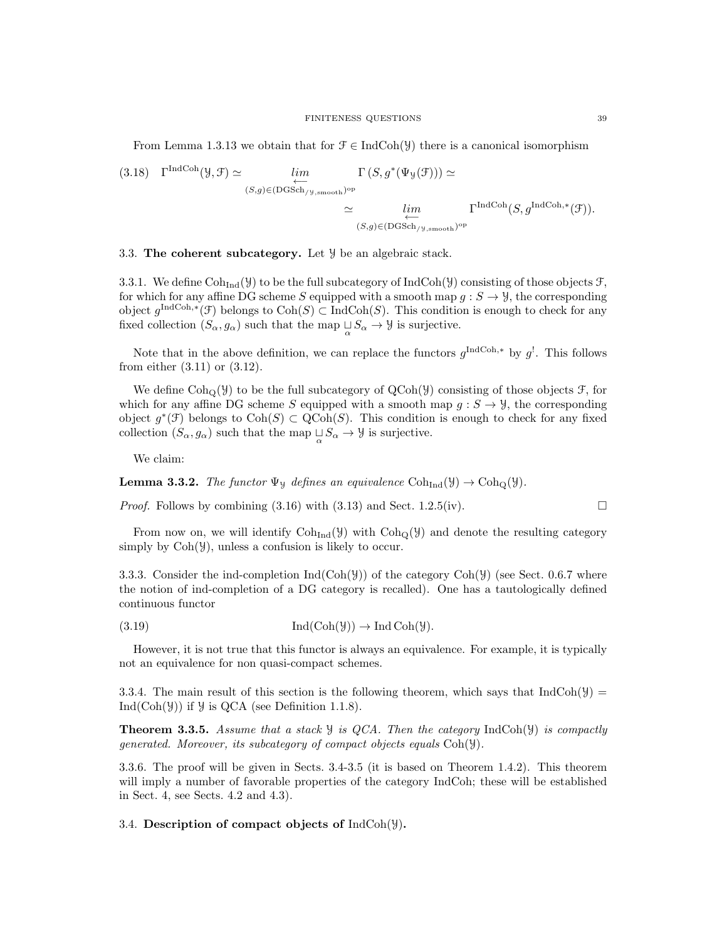From Lemma 1.3.13 we obtain that for  $\mathcal{F} \in \text{IndCoh}(\mathcal{Y})$  there is a canonical isomorphism

(3.18) 
$$
\Gamma^{\text{IndCoh}}(\mathcal{Y}, \mathcal{F}) \simeq \lim_{\substack{(S,g) \in (\text{DGSch}_{/\mathcal{Y}, \text{smooth}})^{\text{op}} \\ \simeq} \mu^{\text{Im}} \\ \simeq \lim_{\substack{(S,g) \in (\text{DGSch}_{/\mathcal{Y}, \text{smooth}})^{\text{op}} \\ (S,g) \in (\text{DGSch}_{/\mathcal{Y}, \text{smooth}})^{\text{op}}}} \Gamma^{\text{IndCoh}}(S, g^{\text{IndCoh}, *}(\mathcal{F})).
$$

3.3. The coherent subcategory. Let  $\mathcal{Y}$  be an algebraic stack.

3.3.1. We define  $\text{Coh}_{\text{Ind}}(\mathcal{Y})$  to be the full subcategory of  $\text{IndCoh}(\mathcal{Y})$  consisting of those objects  $\mathcal{F}$ , for which for any affine DG scheme S equipped with a smooth map  $g : S \to Y$ , the corresponding object  $g^{\text{IndCoh},*}(\mathcal{F})$  belongs to  $\text{Coh}(S) \subset \text{IndCoh}(S)$ . This condition is enough to check for any fixed collection  $(S_{\alpha}, g_{\alpha})$  such that the map  $\bigcup_{\alpha} S_{\alpha} \to \mathcal{Y}$  is surjective.

Note that in the above definition, we can replace the functors  $g^{\text{IndCoh},*}$  by  $g^!$ . This follows from either (3.11) or (3.12).

We define  $\text{Coh}_{\mathcal{O}}(\mathcal{Y})$  to be the full subcategory of  $\text{QCoh}(\mathcal{Y})$  consisting of those objects  $\mathcal{F}$ , for which for any affine DG scheme S equipped with a smooth map  $g: S \to \mathcal{Y}$ , the corresponding object  $g^*(\mathcal{F})$  belongs to  $\text{Coh}(S) \subset \text{QCoh}(S)$ . This condition is enough to check for any fixed collection  $(S_{\alpha}, g_{\alpha})$  such that the map  $\bigcup_{\alpha} S_{\alpha} \to \mathcal{Y}$  is surjective.

We claim:

**Lemma 3.3.2.** The functor  $\Psi_y$  defines an equivalence  $\text{Coh}_{\text{Ind}}(\mathcal{Y}) \to \text{Coh}_{\text{Q}}(\mathcal{Y})$ .

*Proof.* Follows by combining  $(3.16)$  with  $(3.13)$  and Sect. 1.2.5(iv).

From now on, we will identify  $\mathrm{Coh}_{\mathrm{Ind}}(\mathcal{Y})$  with  $\mathrm{Coh}_{\mathrm{O}}(\mathcal{Y})$  and denote the resulting category simply by  $Coh(\mathcal{Y})$ , unless a confusion is likely to occur.

3.3.3. Consider the ind-completion  $Ind(Coh(y))$  of the category  $Coh(y)$  (see Sect. 0.6.7 where the notion of ind-completion of a DG category is recalled). One has a tautologically defined continuous functor

$$
(3.19) \quad \text{Ind}(\text{Coh}(\mathcal{Y})) \to \text{Ind}\,\text{Coh}(\mathcal{Y}).
$$

However, it is not true that this functor is always an equivalence. For example, it is typically not an equivalence for non quasi-compact schemes.

3.3.4. The main result of this section is the following theorem, which says that IndCoh( $\mathcal{Y}$ ) = Ind( $\text{Coh}(\mathcal{Y})$ ) if  $\mathcal{Y}$  is QCA (see Definition 1.1.8).

**Theorem 3.3.5.** Assume that a stack  $\mathcal{Y}$  is QCA. Then the category IndCoh( $\mathcal{Y}$ ) is compactly generated. Moreover, its subcategory of compact objects equals Coh(Y).

3.3.6. The proof will be given in Sects. 3.4-3.5 (it is based on Theorem 1.4.2). This theorem will imply a number of favorable properties of the category IndCoh; these will be established in Sect. 4, see Sects. 4.2 and 4.3).

## 3.4. Description of compact objects of  $IndCoh(\mathcal{Y})$ .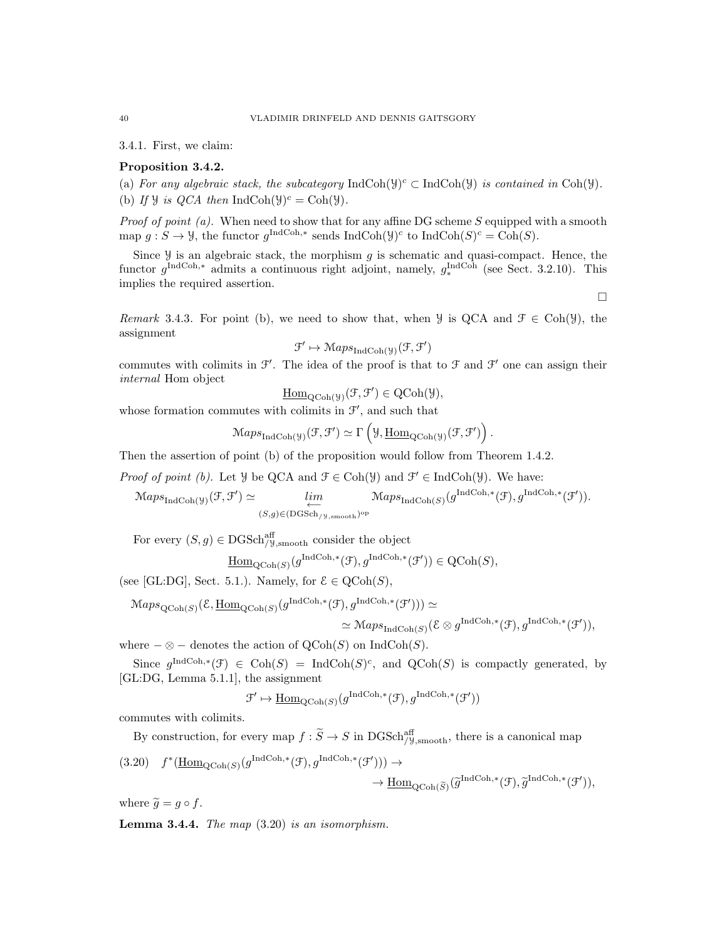3.4.1. First, we claim:

# Proposition 3.4.2.

(a) For any algebraic stack, the subcategory  $IndCoh(\mathcal{Y})^c \subset IndCoh(\mathcal{Y})$  is contained in Coh( $\mathcal{Y}$ ). (b) If *y* is *QCA* then IndCoh(*y*)<sup>*c*</sup> = Coh(*y*).

*Proof of point (a).* When need to show that for any affine DG scheme S equipped with a smooth map  $g: S \to \mathcal{Y}$ , the functor  $g^{\text{IndCoh},*}$  sends IndCoh $(\mathcal{Y})^c$  to IndCoh $(S)^c = \text{Coh}(S)$ .

Since  $\mathcal Y$  is an algebraic stack, the morphism g is schematic and quasi-compact. Hence, the functor  $g^{\text{IndCoh},*}$  admits a continuous right adjoint, namely,  $g^{\text{IndCoh}}_*$  (see Sect. 3.2.10). This implies the required assertion.

 $\Box$ 

Remark 3.4.3. For point (b), we need to show that, when  $\mathcal{Y}$  is QCA and  $\mathcal{F} \in \text{Coh}(\mathcal{Y})$ , the assignment

$$
\mathfrak{F}' \mapsto \mathsf{Maps}_{\mathrm{IndCoh}(\mathcal{Y})}(\mathfrak{F}, \mathfrak{F}')
$$

commutes with colimits in  $\mathcal{F}'$ . The idea of the proof is that to  $\mathcal{F}$  and  $\mathcal{F}'$  one can assign their internal Hom object

$$
\underline{\mathrm{Hom}}_{\mathrm{QCoh}(\mathcal{Y})}(\mathcal{F}, \mathcal{F}') \in \mathrm{QCoh}(\mathcal{Y}),
$$

whose formation commutes with colimits in  $\mathcal{F}'$ , and such that

$$
\mathrm{Maps}_{\mathrm{IndCoh}(\mathcal{Y})}(\mathcal{F}, \mathcal{F}') \simeq \Gamma\left(\mathcal{Y}, \underline{\mathrm{Hom}}_{\mathrm{QCoh}(\mathcal{Y})}(\mathcal{F}, \mathcal{F}')\right).
$$

Then the assertion of point (b) of the proposition would follow from Theorem 1.4.2.

*Proof of point (b)*. Let *y* be QCA and  $\mathcal{F} \in \text{Coh}(\mathcal{Y})$  and  $\mathcal{F}' \in \text{IndCoh}(\mathcal{Y})$ . We have:

 $\operatorname{Maps}_{\operatorname{IndCoh}(\mathcal{Y})}(\mathcal{F}, \mathcal{F}') \simeq \lim_{\longleftarrow}$  $(S,g) \in (DGSch_{/y,smooth})^{\text{op}}$  $\operatorname{Maps}_{\operatorname{IndCoh}(S)}(g^{\operatorname{IndCoh}, *}(\mathcal{F}), g^{\operatorname{IndCoh}, *}(\mathcal{F}')).$ 

For every  $(S, g) \in \text{DGSch}_{/\mathcal{Y}, \text{smooth}}^{\text{aff}}$  consider the object

$$
\underline{\mathrm{Hom}}_{\mathrm{QCoh}(S)}(g^{\mathrm{IndCoh},*}(\mathcal{F}), g^{\mathrm{IndCoh},*}(\mathcal{F}')) \in \mathrm{QCoh}(S),
$$

(see [GL:DG], Sect. 5.1.). Namely, for  $\mathcal{E} \in \text{QCoh}(S)$ ,

$$
\begin{split} \mathcal{M}aps_{\mathrm{QCoh}(S)}(\mathcal{E}, \underline{\mathrm{Hom}}_{\mathrm{QCoh}(S)}(g^{\mathrm{IndCoh},*}(\mathcal{F}), g^{\mathrm{IndCoh},*}(\mathcal{F}))) &\simeq \\ &\simeq \mathcal{M}aps_{\mathrm{IndCoh}(S)}(\mathcal{E} \otimes g^{\mathrm{IndCoh},*}(\mathcal{F}), g^{\mathrm{IndCoh},*}(\mathcal{F}')), \end{split}
$$

where  $-\otimes$  – denotes the action of  $\mathrm{QCoh}(S)$  on IndCoh(S).

Since  $g^{\text{IndCoh},*}(\mathcal{F}) \in \text{Coh}(S) = \text{IndCoh}(S)^c$ , and  $\text{QCoh}(S)$  is compactly generated, by [GL:DG, Lemma 5.1.1], the assignment

$$
\mathcal{F}' \mapsto \underline{\mathrm{Hom}}_{\mathrm{QCoh}(S)}(g^{\mathrm{IndCoh}, *}(\mathcal{F}), g^{\mathrm{IndCoh}, *}(\mathcal{F}'))
$$

commutes with colimits.

By construction, for every map  $f : \widetilde{S} \to S$  in  $\text{DGSch}_{/\mathcal{Y}, \text{smooth}}^{\text{aff}}$ , there is a canonical map

$$
(3.20) \quad f^*(\underline{\text{Hom}}_{\text{QCoh}(S)}(g^{\text{IndCoh},*}(\mathcal{F}), g^{\text{IndCoh},*}(\mathcal{F}'))) \to \underline{\text{Hom}}_{\text{QCoh}(\widetilde{S})}(\widetilde{g}^{\text{IndCoh},*}(\mathcal{F}), \widetilde{g}^{\text{IndCoh},*}(\mathcal{F}')),
$$

where  $\widetilde{g} = g \circ f$ .

**Lemma 3.4.4.** The map  $(3.20)$  is an isomorphism.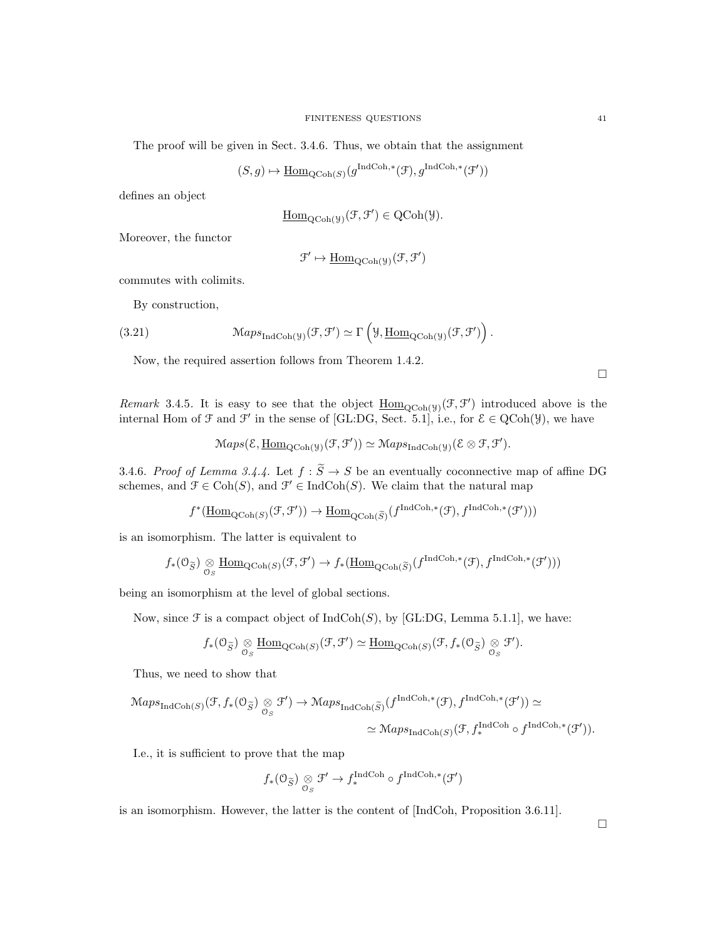The proof will be given in Sect. 3.4.6. Thus, we obtain that the assignment

$$
(S,g)\mapsto \underline{\mathrm{Hom}}_{\mathrm{QCoh}(S)}(g^{\mathrm{IndCoh},*}(\mathcal{F}),g^{\mathrm{IndCoh},*}(\mathcal{F}'))
$$

defines an object

$$
\underline{\mathrm{Hom}}_{\mathrm{QCoh}(\mathcal{Y})}(\mathcal{F}, \mathcal{F}') \in \mathrm{QCoh}(\mathcal{Y}).
$$

Moreover, the functor

$$
\mathcal{F}' \mapsto \underline{\mathrm{Hom}}_{\mathrm{QCoh}(\mathcal{Y})}(\mathcal{F}, \mathcal{F}')
$$

commutes with colimits.

By construction,

(3.21) 
$$
\operatorname{Maps}_{\operatorname{IndCoh}(\mathcal{Y})}(\mathcal{F}, \mathcal{F}') \simeq \Gamma\left(\mathcal{Y}, \underline{\operatorname{Hom}}_{\operatorname{QCoh}(\mathcal{Y})}(\mathcal{F}, \mathcal{F}')\right).
$$

Now, the required assertion follows from Theorem 1.4.2.

 $\Box$ 

Remark 3.4.5. It is easy to see that the object  $\underline{\text{Hom}}_{\text{QCoh}(\mathcal{Y})}(\mathcal{F}, \mathcal{F}')$  introduced above is the internal Hom of  $\mathcal F$  and  $\mathcal F'$  in the sense of [GL:DG, Sect. 5.1], i.e., for  $\mathcal E \in \mathrm{QCoh}(\mathcal Y)$ , we have

$$
\mathop{\mathcal{M}aps}(\mathcal{E},\underline{\mathrm{Hom}}_{\mathrm{QCoh}(\mathcal{Y})}(\mathcal{F},\mathcal{F}'))\simeq\mathop{\mathcal{M}aps}_{\mathrm{IndCoh}(\mathcal{Y})}(\mathcal{E}\otimes\mathcal{F},\mathcal{F}').
$$

3.4.6. Proof of Lemma 3.4.4. Let  $f : \widetilde{S} \to S$  be an eventually coconnective map of affine DG schemes, and  $\mathcal{F} \in \text{Coh}(S)$ , and  $\mathcal{F}' \in \text{IndCoh}(S)$ . We claim that the natural map

 $f^*(\underline{\mathrm{Hom}}_{\mathrm{QCoh}(S)}(\mathcal{F}, \mathcal{F}')) \to \underline{\mathrm{Hom}}_{\mathrm{QCoh}(\widetilde{S})}(f^{\mathrm{IndCoh}, *}(\mathcal{F}), f^{\mathrm{IndCoh}, *}(\mathcal{F}'))$ 

is an isomorphism. The latter is equivalent to

$$
f_*(\mathcal{O}_{\widetilde{S}}) \underset{\mathcal{O}_S}{\otimes} \underline{\text{Hom}}_{\text{QCoh}(S)}(\mathcal{F}, \mathcal{F}') \to f_*(\underline{\text{Hom}}_{\text{QCoh}(\widetilde{S})}(f^{\text{IndCoh}, *}(\mathcal{F}), f^{\text{IndCoh}, *}(\mathcal{F}')))
$$

being an isomorphism at the level of global sections.

Now, since  $\mathcal F$  is a compact object of  $IndCoh(S)$ , by [GL:DG, Lemma 5.1.1], we have:

$$
f_*(\mathcal{O}_{\widetilde{S}}) \underset{\mathcal{O}_S}{\otimes} \underline{\text{Hom}}_{\text{QCoh}(S)}(\mathcal{F}, \mathcal{F}') \simeq \underline{\text{Hom}}_{\text{QCoh}(S)}(\mathcal{F}, f_*(\mathcal{O}_{\widetilde{S}}) \underset{\mathcal{O}_S}{\otimes} \mathcal{F}').
$$

Thus, we need to show that

$$
\begin{split} \operatorname{Maps}_{\operatorname{IndCoh}(S)}(\mathcal{F}, f_{*}(\mathcal{O}_{\widetilde{S}}) \underset{\mathcal{O}_{S}}{\otimes} \mathcal{F}') &\to \operatorname{Maps}_{\operatorname{IndCoh}(\widetilde{S})}(f^{\operatorname{IndCoh},*}(\mathcal{F}), f^{\operatorname{IndCoh},*}(\mathcal{F}')) \simeq \\ &\simeq \operatorname{Maps}_{\operatorname{IndCoh}(S)}(\mathcal{F}, f^{\operatorname{IndCoh},*}_{*}(\mathcal{F}')). \end{split}
$$

I.e., it is sufficient to prove that the map

$$
f_*(\mathcal{O}_{\widetilde{S}}) \underset{\mathcal{O}_S}{\otimes} \mathcal{F}' \to f_*^{\text{IndCoh}} \circ f^{\text{IndCoh},*}(\mathcal{F}')
$$

is an isomorphism. However, the latter is the content of [IndCoh, Proposition 3.6.11].

 $\Box$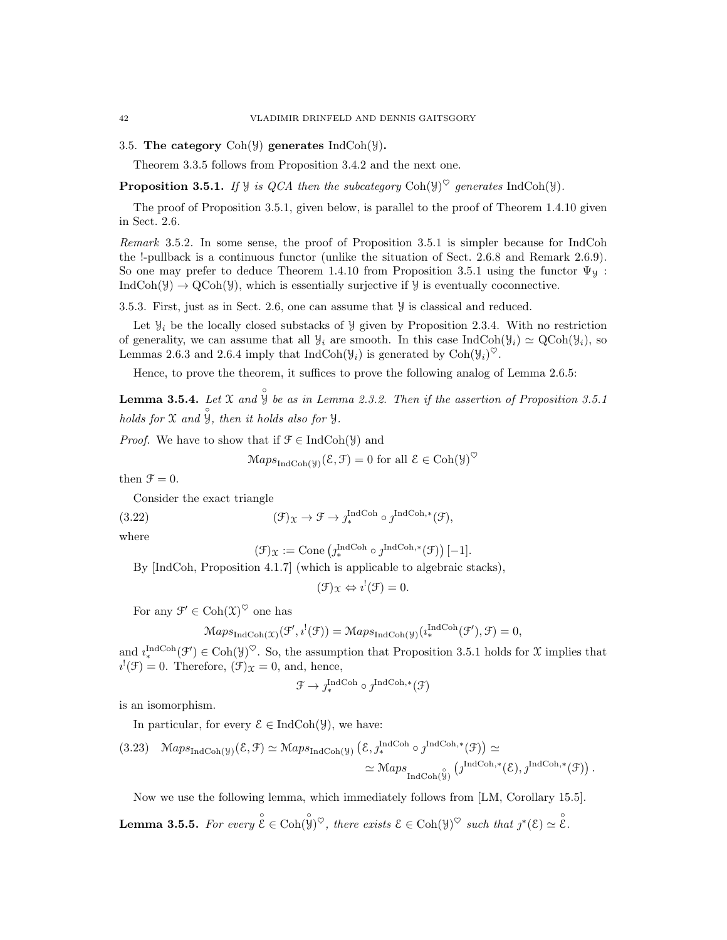3.5. The category  $\text{Coh}(\mathcal{Y})$  generates  $\text{IndCoh}(\mathcal{Y})$ .

Theorem 3.3.5 follows from Proposition 3.4.2 and the next one.

**Proposition 3.5.1.** If y is QCA then the subcategory Coh(y)<sup> $\heartsuit$ </sup> generates IndCoh(y).

The proof of Proposition 3.5.1, given below, is parallel to the proof of Theorem 1.4.10 given in Sect. 2.6.

Remark 3.5.2. In some sense, the proof of Proposition 3.5.1 is simpler because for IndCoh the !-pullback is a continuous functor (unlike the situation of Sect. 2.6.8 and Remark 2.6.9). So one may prefer to deduce Theorem 1.4.10 from Proposition 3.5.1 using the functor  $\Psi_y$ :  $IndCoh(\mathcal{Y}) \to QCoh(\mathcal{Y})$ , which is essentially surjective if  $\mathcal{Y}$  is eventually coconnective.

3.5.3. First, just as in Sect. 2.6, one can assume that Y is classical and reduced.

Let  $\mathcal{Y}_i$  be the locally closed substacks of  $\mathcal{Y}$  given by Proposition 2.3.4. With no restriction of generality, we can assume that all  $\mathcal{Y}_i$  are smooth. In this case IndCoh( $\mathcal{Y}_i$ )  $\simeq$  QCoh( $\mathcal{Y}_i$ ), so Lemmas 2.6.3 and 2.6.4 imply that  $\text{IndCoh}(\mathcal{Y}_i)$  is generated by  $\text{Coh}(\mathcal{Y}_i)^\heartsuit$ .

Hence, to prove the theorem, it suffices to prove the following analog of Lemma 2.6.5:

**Lemma 3.5.4.** Let X and  $\hat{y}$  be as in Lemma 2.3.2. Then if the assertion of Proposition 3.5.1 holds for  $\mathfrak X$  and  $\overset{\circ}{\mathfrak Y}$ , then it holds also for  $\mathcal Y$ .

*Proof.* We have to show that if  $\mathcal{F} \in \text{IndCoh}(\mathcal{Y})$  and

$$
\text{Maps}_{\text{IndCoh}(\mathcal{Y})}(\mathcal{E}, \mathcal{F}) = 0 \text{ for all } \mathcal{E} \in \text{Coh}(\mathcal{Y})^{\heartsuit}
$$

then  $\mathfrak{F} = 0$ .

Consider the exact triangle

(3.22) 
$$
(\mathfrak{F})_{\mathfrak{X}} \to \mathfrak{F} \to \jmath_*^{\text{IndCoh}} \circ \jmath^{\text{IndCoh},*}(\mathfrak{F}),
$$

where

$$
(\mathcal{F})_{\mathfrak{X}} := \text{Cone} \left( \jmath^{\text{IndCoh}}_{*} \circ \jmath^{\text{IndCoh},*}(\mathcal{F}) \right)[-1].
$$

By [IndCoh, Proposition 4.1.7] (which is applicable to algebraic stacks),

$$
(\mathcal{F})_{\mathfrak{X}} \Leftrightarrow i^{!}(\mathcal{F}) = 0.
$$

For any  $\mathfrak{F}' \in \mathrm{Coh}(\mathfrak{X})^{\heartsuit}$  one has

$$
\mathcal{M}aps_{\mathrm{IndCoh}(\mathfrak{X})}(\mathcal{F}',i^{!}(\mathcal{F})) = \mathcal{M}aps_{\mathrm{IndCoh}(\mathcal{Y})}(i^{ \mathrm{IndCoh} }_{*}(\mathcal{F}'), \mathcal{F}) = 0,
$$

and  $i_*^{\text{IndCoh}}(\mathcal{F}') \in \text{Coh}(\mathcal{Y})^{\heartsuit}$ . So, the assumption that Proposition 3.5.1 holds for X implies that  $i^{\prime}(\mathcal{F}) = 0$ . Therefore,  $(\mathcal{F})_{\mathcal{X}} = 0$ , and, hence,

$$
\mathcal{F} \to \jmath^{\operatorname{IndCoh}}_{*} \circ \jmath^{\operatorname{IndCoh},*}(\mathcal{F})
$$

is an isomorphism.

In particular, for every  $\mathcal{E} \in \text{IndCoh}(\mathcal{Y})$ , we have:

(3.23) 
$$
\operatorname{Maps}_{\operatorname{IndCoh}(\mathcal{Y})}(\mathcal{E}, \mathcal{F}) \simeq \operatorname{Maps}_{\operatorname{IndCoh}(\mathcal{Y})}(\mathcal{E}, J^{\operatorname{IndCoh}, *}_{*}(\mathcal{F})) \simeq
$$
  

$$
\simeq \operatorname{Maps}_{\operatorname{IndCoh}(\mathcal{Y})}(\jmath^{\operatorname{IndCoh}, *}(\mathcal{E}), J^{\operatorname{IndCoh}, *}(\mathcal{F})).
$$

Now we use the following lemma, which immediately follows from [LM, Corollary 15.5].

**Lemma 3.5.5.** For every  $\overset{\circ}{\mathcal{E}} \in \text{Coh}(\overset{\circ}{\mathcal{Y}})^{\heartsuit}$ , there exists  $\mathcal{E} \in \text{Coh}(\mathcal{Y})^{\heartsuit}$  such that  $\jmath^*(\mathcal{E}) \simeq \overset{\circ}{\mathcal{E}}$ .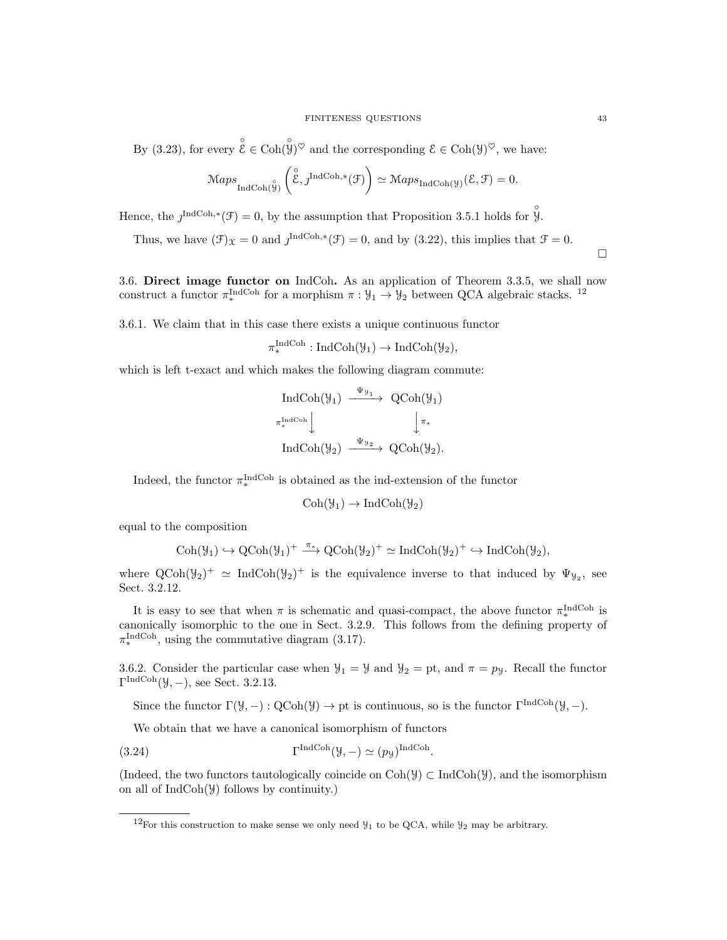By (3.23), for every  $\overset{\circ}{\mathcal{E}} \in \text{Coh}(\overset{\circ}{\mathcal{Y}})^{\heartsuit}$  and the corresponding  $\mathcal{E} \in \text{Coh}(\mathcal{Y})^{\heartsuit}$ , we have:

$$
\mathcal{M}aps_{\text{IndCoh}(\overset{\circ}{\mathcal{Y}})}\left(\overset{\circ}{\mathcal{E}}, \underset{\tau}{\mathcal{J}}^{\text{IndCoh},*}(\mathcal{F})\right) \simeq \mathcal{M}aps_{\text{IndCoh}(\mathcal{Y})}(\mathcal{E}, \mathcal{F}) = 0.
$$

Hence, the  $j^{\text{IndCoh},*}(\mathcal{F})=0$ , by the assumption that Proposition 3.5.1 holds for  $\hat{\mathcal{Y}}$ .

Thus, we have  $(\mathcal{F})_{\mathcal{X}} = 0$  and  $\jmath^{\text{IndCoh},*}(\mathcal{F}) = 0$ , and by  $(3.22)$ , this implies that  $\mathcal{F} = 0$ .

3.6. Direct image functor on IndCoh. As an application of Theorem 3.3.5, we shall now construct a functor  $\pi_*^{\text{IndCoh}}$  for a morphism  $\pi : \mathcal{Y}_1 \to \mathcal{Y}_2$  between QCA algebraic stacks. <sup>12</sup>

3.6.1. We claim that in this case there exists a unique continuous functor

 $\pi_*^{\text{IndCoh}}: \text{IndCoh}(\mathcal{Y}_1) \to \text{IndCoh}(\mathcal{Y}_2),$ 

which is left t-exact and which makes the following diagram commute:

$$
\begin{array}{ccc}\n\text{IndCoh}(\mathcal{Y}_{1}) & \xrightarrow{\Psi_{\mathcal{Y}_{1}}} & \text{QCoh}(\mathcal{Y}_{1}) \\
\pi_{*}^{\text{IndCoh}} & & \downarrow \pi_{*} \\
\text{IndCoh}(\mathcal{Y}_{2}) & \xrightarrow{\Psi_{\mathcal{Y}_{2}}} & \text{QCoh}(\mathcal{Y}_{2}).\n\end{array}
$$

Indeed, the functor  $\pi_*^{\text{IndCoh}}$  is obtained as the ind-extension of the functor

$$
\mathrm{Coh}(\mathcal{Y}_1)\to\mathrm{Ind}\mathrm{Coh}(\mathcal{Y}_2)
$$

equal to the composition

$$
\mathrm{Coh}(\mathcal{Y}_1) \hookrightarrow \mathrm{QCoh}(\mathcal{Y}_1)^+ \xrightarrow{\pi_*} \mathrm{QCoh}(\mathcal{Y}_2)^+ \simeq \mathrm{Ind}\mathrm{Coh}(\mathcal{Y}_2)^+ \hookrightarrow \mathrm{Ind}\mathrm{Coh}(\mathcal{Y}_2),
$$

where  $QCoh(\mathcal{Y}_2)^+ \simeq IndCoh(\mathcal{Y}_2)^+$  is the equivalence inverse to that induced by  $\Psi_{\mathcal{Y}_2}$ , see Sect. 3.2.12.

It is easy to see that when  $\pi$  is schematic and quasi-compact, the above functor  $\pi_*^{\text{IndCoh}}$  is canonically isomorphic to the one in Sect. 3.2.9. This follows from the defining property of  $\pi_*^{\text{IndCoh}}$ , using the commutative diagram (3.17).

3.6.2. Consider the particular case when  $\mathcal{Y}_1 = \mathcal{Y}$  and  $\mathcal{Y}_2 = \text{pt}$ , and  $\pi = p_{\mathcal{Y}}$ . Recall the functor  $\Gamma^{\text{IndCoh}}(\mathcal{Y}, -),$  see Sect. 3.2.13.

Since the functor  $\Gamma(\mathcal{Y}, -) : \mathrm{QCoh}(\mathcal{Y}) \to \mathrm{pt}$  is continuous, so is the functor  $\Gamma^{\mathrm{IndCoh}}(\mathcal{Y}, -)$ .

We obtain that we have a canonical isomorphism of functors

(3.24) 
$$
\Gamma^{\text{IndCoh}}(\mathcal{Y}, -) \simeq (p_{\mathcal{Y}})^{\text{IndCoh}}.
$$

(Indeed, the two functors tautologically coincide on  $\text{Coh}(\mathcal{Y}) \subset \text{IndCoh}(\mathcal{Y})$ , and the isomorphism on all of IndCoh(Y) follows by continuity.)

 $\Box$ 

<sup>&</sup>lt;sup>12</sup>For this construction to make sense we only need  $\mathcal{Y}_1$  to be QCA, while  $\mathcal{Y}_2$  may be arbitrary.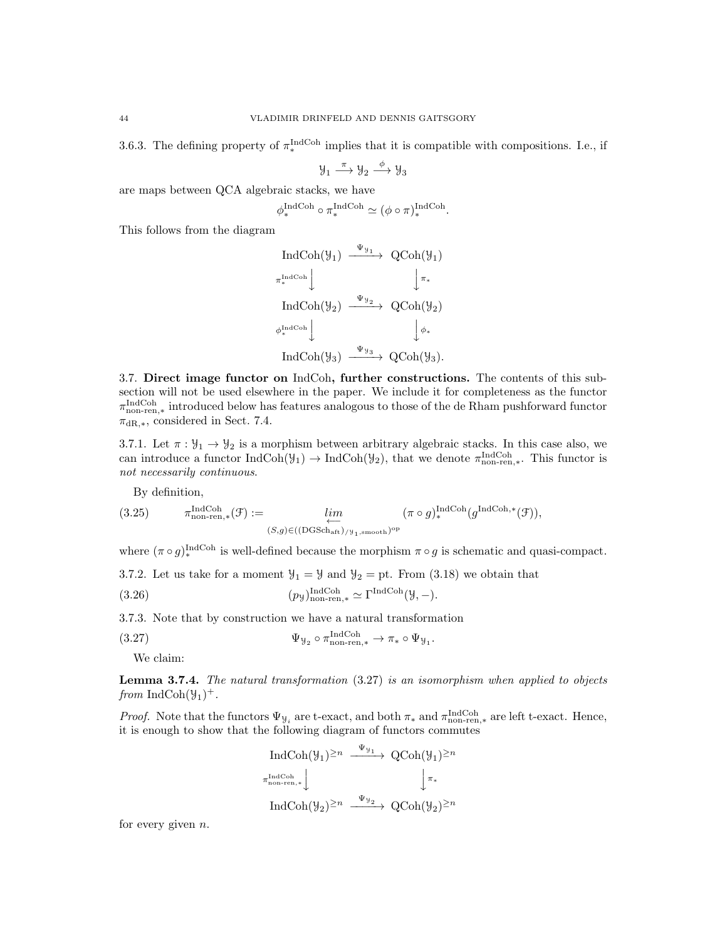3.6.3. The defining property of  $\pi_*^{\text{IndCoh}}$  implies that it is compatible with compositions. I.e., if

$$
\mathcal{Y}_1 \xrightarrow{\pi} \mathcal{Y}_2 \xrightarrow{\phi} \mathcal{Y}_3
$$

are maps between QCA algebraic stacks, we have

$$
\phi_*^{\text{IndCoh}} \circ \pi_*^{\text{IndCoh}} \simeq (\phi \circ \pi)_*^{\text{IndCoh}}.
$$

This follows from the diagram

$$
\begin{array}{ccc}\n\text{IndCoh}(\mathcal{Y}_{1}) & \xrightarrow{\Psi_{\mathcal{Y}_{1}}} & \text{QCoh}(\mathcal{Y}_{1}) \\
\pi_{*}^{\text{IndCoh}} & & \downarrow \pi_{*} \\
\text{IndCoh}(\mathcal{Y}_{2}) & \xrightarrow{\Psi_{\mathcal{Y}_{2}}} & \text{QCoh}(\mathcal{Y}_{2}) \\
\phi_{*}^{\text{IndCoh}} & & \downarrow \phi_{*} \\
\text{IndCoh}(\mathcal{Y}_{3}) & \xrightarrow{\Psi_{\mathcal{Y}_{3}}} & \text{QCoh}(\mathcal{Y}_{3}).\n\end{array}
$$

3.7. Direct image functor on IndCoh, further constructions. The contents of this subsection will not be used elsewhere in the paper. We include it for completeness as the functor π IndCoh non-ren,∗ introduced below has features analogous to those of the de Rham pushforward functor  $\pi_{\text{dR},*}$ , considered in Sect. 7.4.

3.7.1. Let  $\pi : \mathcal{Y}_1 \to \mathcal{Y}_2$  is a morphism between arbitrary algebraic stacks. In this case also, we can introduce a functor  $IndCoh(\mathcal{Y}_1) \to IndCoh(\mathcal{Y}_2)$ , that we denote  $\pi_{non-ren,*}^{IndCoh}$ . This functor is not necessarily continuous.

By definition,

(3.25) 
$$
\pi_{\text{non-ren},*}^{\text{IndCoh}}(\mathcal{F}) := \lim_{\substack{\longleftarrow \\ (S,g) \in (\text{(DGSch}_{\text{aft}})_{/y_1,\text{smooth}})^{\text{op}}}} (\pi \circ g)_{*}^{\text{IndCoh}}(g^{\text{IndCoh},*}(\mathcal{F})),
$$

where  $(\pi \circ g)_*^{\text{IndCoh}}$  is well-defined because the morphism  $\pi \circ g$  is schematic and quasi-compact.

3.7.2. Let us take for a moment  $\mathcal{Y}_1 = \mathcal{Y}$  and  $\mathcal{Y}_2 = \text{pt}$ . From (3.18) we obtain that

(3.26) 
$$
(p_{\mathcal{Y}})^{\text{IndCoh}}_{\text{non-ren,*}} \simeq \Gamma^{\text{IndCoh}}(\mathcal{Y}, -).
$$

3.7.3. Note that by construction we have a natural transformation

(3.27) 
$$
\Psi_{\mathcal{Y}_2} \circ \pi_{\text{non-ren}, *}^{\text{IndCoh}} \to \pi_* \circ \Psi_{\mathcal{Y}_1}.
$$

We claim:

Lemma 3.7.4. The natural transformation (3.27) is an isomorphism when applied to objects from  $\text{IndCoh}(\mathcal{Y}_1)^+$ .

*Proof.* Note that the functors  $\Psi_{\mathcal{Y}_i}$  are t-exact, and both  $\pi_*$  and  $\pi_{\text{non-ren,*}}^{\text{IndCoh}}$  are left t-exact. Hence, it is enough to show that the following diagram of functors commutes

$$
\operatorname{IndCoh}(\mathcal{Y}_1)^{\geq n} \xrightarrow{\Psi_{\mathcal{Y}_1}} \operatorname{QCoh}(\mathcal{Y}_1)^{\geq n}
$$
  
\n $\pi_{\text{non-ren,*}}^{\text{IndCoh}} \downarrow \qquad \qquad \downarrow \pi_*$   
\n $\operatorname{IndCoh}(\mathcal{Y}_2)^{\geq n} \xrightarrow{\Psi_{\mathcal{Y}_2}} \operatorname{QCoh}(\mathcal{Y}_2)^{\geq n}$ 

for every given  $n$ .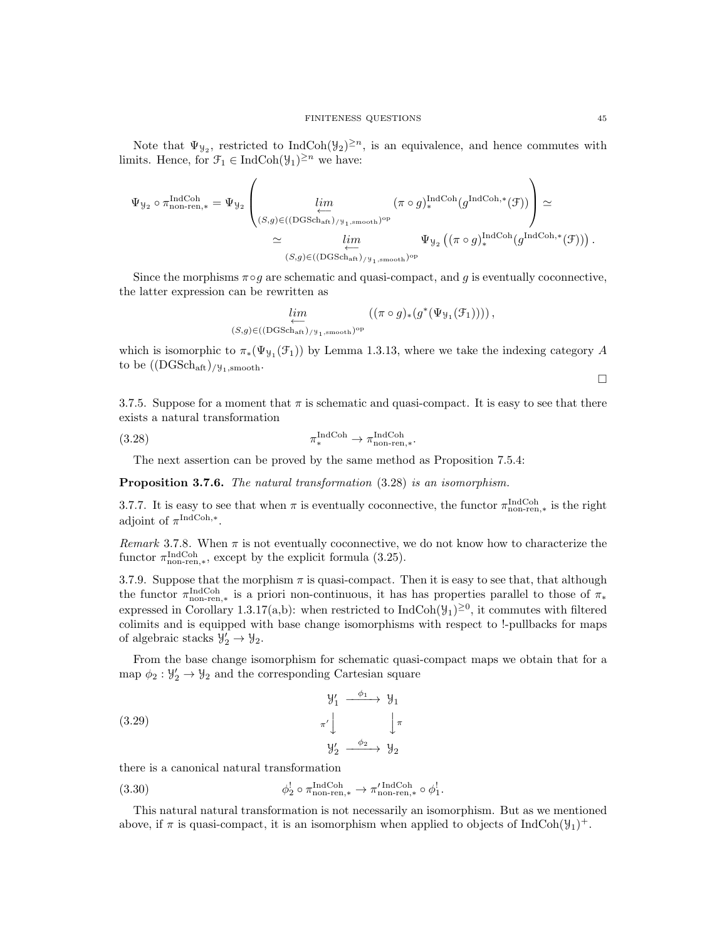Note that  $\Psi_{\mathcal{Y}_2}$ , restricted to IndCoh $(\mathcal{Y}_2)^{\geq n}$ , is an equivalence, and hence commutes with limits. Hence, for  $\mathcal{F}_1 \in \text{IndCoh}(\mathcal{Y}_1)^{\geq n}$  we have:

$$
\begin{split} \Psi_{\mathcal{Y}_2} \circ \pi_{\text{non-ren},*}^{\text{IndCoh}} &= \Psi_{\mathcal{Y}_2} \left( \lim_{\substack{\longleftarrow \\ (S,g) \in ((\text{DGSch}_\text{aff})_{/\mathcal{Y}_1, \text{smooth}})^{\text{op}} \\ &\simeq \varprojlim_{(S,g) \in ((\text{DGSch}_\text{aff})_{/\mathcal{Y}_1, \text{smooth}})^{\text{op}}} \Psi_{\mathcal{Y}_2} \left( (\pi \circ g)_*^{\text{IndCoh},*} (g^{\text{IndCoh},*} (\mathcal{F})) \right). \end{split}
$$

Since the morphisms  $\pi \circ g$  are schematic and quasi-compact, and g is eventually coconnective, the latter expression can be rewritten as

$$
\lim_{(S,g)\in((\text{DGSch}_{\text{aff}})_{/\mathcal{Y}_1,\text{smooth}})^{\text{op}}} ((\pi\circ g)_*(g^*(\Psi_{\mathcal{Y}_1}(\mathcal{F}_1))))\,,
$$

which is isomorphic to  $\pi_*(\Psi_{\mathcal{Y}_1}(\mathcal{F}_1))$  by Lemma 1.3.13, where we take the indexing category A to be  $((\text{DGSch}_{\text{aff}})_{/\mathcal{Y}_1,\text{smooth}}$ .

3.7.5. Suppose for a moment that  $\pi$  is schematic and quasi-compact. It is easy to see that there exists a natural transformation

(3.28) 
$$
\pi_*^{\text{IndCoh}} \to \pi_{\text{non-ren},*}^{\text{IndCoh}}.
$$

The next assertion can be proved by the same method as Proposition 7.5.4:

Proposition 3.7.6. The natural transformation  $(3.28)$  is an isomorphism.

3.7.7. It is easy to see that when  $\pi$  is eventually coconnective, the functor  $\pi_{\text{non-ren},*}^{\text{IndCoh}}$  is the right adjoint of  $\pi^{\text{IndCoh},*}$ .

Remark 3.7.8. When  $\pi$  is not eventually coconnective, we do not know how to characterize the functor  $\pi_{\text{non-ren},*}^{\text{IndCoh}}$ , except by the explicit formula (3.25).

3.7.9. Suppose that the morphism  $\pi$  is quasi-compact. Then it is easy to see that, that although the functor  $\pi_{\text{non-ren,*}}^{\text{IndCoh}}$  is a priori non-continuous, it has has properties parallel to those of  $\pi_*$ expressed in Corollary 1.3.17(a,b): when restricted to  $IndCoh(\mathcal{Y}_1)^{\geq 0}$ , it commutes with filtered colimits and is equipped with base change isomorphisms with respect to !-pullbacks for maps of algebraic stacks  $\mathcal{Y}'_2 \to \mathcal{Y}_2$ .

From the base change isomorphism for schematic quasi-compact maps we obtain that for a map  $\phi_2 : \mathcal{Y}'_2 \to \mathcal{Y}_2$  and the corresponding Cartesian square

(3.29) 
$$
\begin{array}{ccc}\n & \mathcal{Y}'_1 & \xrightarrow{\phi_1} & \mathcal{Y}_1 \\
 & \pi' & \downarrow & \pi' \\
 & \mathcal{Y}'_2 & \xrightarrow{\phi_2} & \mathcal{Y}_2\n\end{array}
$$

there is a canonical natural transformation

(3.30) 
$$
\phi_2^! \circ \pi_{\text{non-ren},*}^{\text{IndCoh}} \to \pi_{\text{non-ren},*}^{\prime \text{IndCoh}} \circ \phi_1^!.
$$

This natural natural transformation is not necessarily an isomorphism. But as we mentioned above, if  $\pi$  is quasi-compact, it is an isomorphism when applied to objects of IndCoh( $\mathcal{Y}_1$ )<sup>+</sup>.

 $\Box$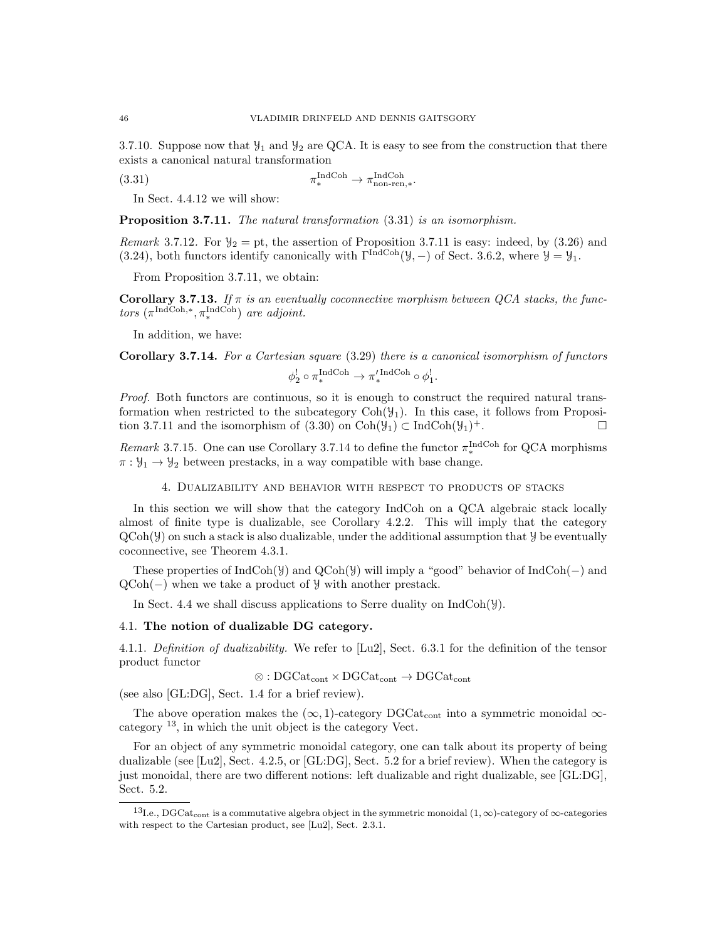3.7.10. Suppose now that  $\mathcal{Y}_1$  and  $\mathcal{Y}_2$  are QCA. It is easy to see from the construction that there exists a canonical natural transformation

 $(3.31)$  $\lim_{\ast}$ Coh  $\rightarrow \pi_{\text{non-ren},\ast}^{\text{IndCoh}}$ .

In Sect. 4.4.12 we will show:

Proposition 3.7.11. The natural transformation  $(3.31)$  is an isomorphism.

Remark 3.7.12. For  $\mathcal{Y}_2 =$  pt, the assertion of Proposition 3.7.11 is easy: indeed, by (3.26) and (3.24), both functors identify canonically with  $\Gamma^{\text{IndCoh}}(\mathcal{Y},-)$  of Sect. 3.6.2, where  $\mathcal{Y} = \mathcal{Y}_1$ .

From Proposition 3.7.11, we obtain:

Corollary 3.7.13. If  $\pi$  is an eventually coconnective morphism between QCA stacks, the functors  $(\pi^{\text{IndCoh},*}, \pi^{\text{IndCoh}}_*)$  are adjoint.

In addition, we have:

Corollary 3.7.14. For a Cartesian square (3.29) there is a canonical isomorphism of functors  $\phi_2^! \circ \pi_*^{\text{IndCoh}} \to \pi_*^{\prime \text{IndCoh}} \circ \phi_1^!$ .

Proof. Both functors are continuous, so it is enough to construct the required natural transformation when restricted to the subcategory  $Coh(\mathcal{Y}_1)$ . In this case, it follows from Proposition 3.7.11 and the isomorphism of  $(3.30)$  on Coh $(\mathcal{Y}_1) \subset \text{IndCoh}(\mathcal{Y}_1)^+$ .  $^+$ .

*Remark* 3.7.15. One can use Corollary 3.7.14 to define the functor  $\pi_{*}^{\text{IndCoh}}$  for QCA morphisms  $\pi : \mathcal{Y}_1 \to \mathcal{Y}_2$  between prestacks, in a way compatible with base change.

4. Dualizability and behavior with respect to products of stacks

In this section we will show that the category IndCoh on a QCA algebraic stack locally almost of finite type is dualizable, see Corollary 4.2.2. This will imply that the category  $QCoh(\mathcal{Y})$  on such a stack is also dualizable, under the additional assumption that  $\mathcal{Y}$  be eventually coconnective, see Theorem 4.3.1.

These properties of IndCoh(Y) and  $QCoh(Y)$  will imply a "good" behavior of IndCoh(-) and QCoh(−) when we take a product of Y with another prestack.

In Sect. 4.4 we shall discuss applications to Serre duality on  $IndCoh(\mathcal{Y})$ .

## 4.1. The notion of dualizable DG category.

4.1.1. Definition of dualizability. We refer to [Lu2], Sect. 6.3.1 for the definition of the tensor product functor

 $\otimes$ : DGCat<sub>cont</sub>  $\times$  DGCat<sub>cont</sub>  $\rightarrow$  DGCat<sub>cont</sub>

(see also [GL:DG], Sect. 1.4 for a brief review).

The above operation makes the  $(\infty, 1)$ -category DGCat<sub>cont</sub> into a symmetric monoidal  $\infty$ category <sup>13</sup>, in which the unit object is the category Vect.

For an object of any symmetric monoidal category, one can talk about its property of being dualizable (see [Lu2], Sect. 4.2.5, or [GL:DG], Sect. 5.2 for a brief review). When the category is just monoidal, there are two different notions: left dualizable and right dualizable, see [GL:DG], Sect. 5.2.

<sup>&</sup>lt;sup>13</sup>I.e., DGCat<sub>cont</sub> is a commutative algebra object in the symmetric monoidal  $(1, \infty)$ -category of  $\infty$ -categories with respect to the Cartesian product, see [Lu2], Sect. 2.3.1.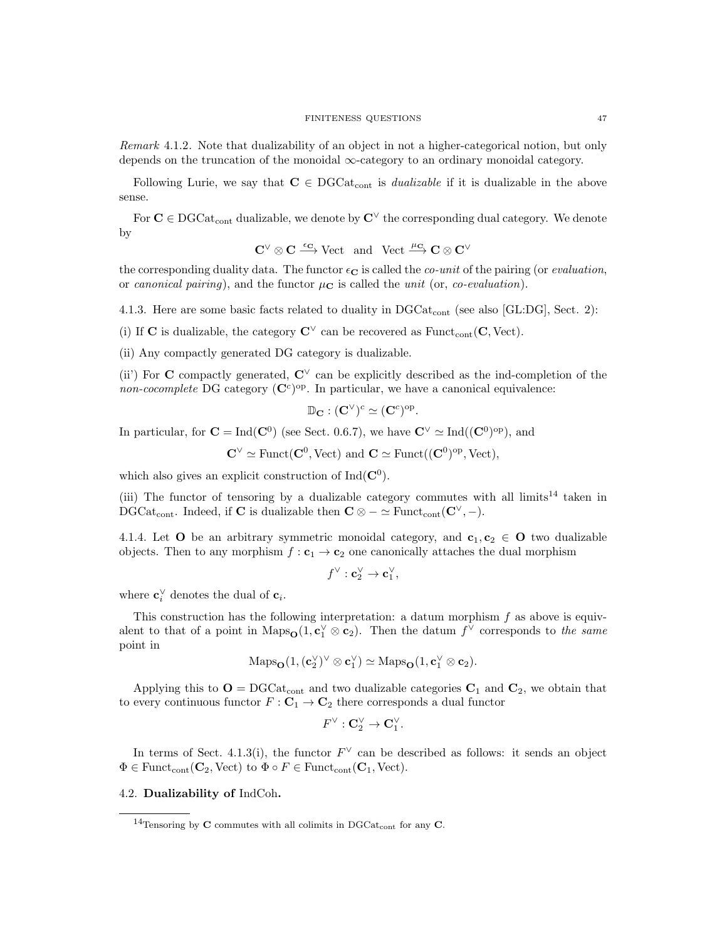Remark 4.1.2. Note that dualizability of an object in not a higher-categorical notion, but only depends on the truncation of the monoidal ∞-category to an ordinary monoidal category.

Following Lurie, we say that  $C \in DGCat_{cont}$  is *dualizable* if it is dualizable in the above sense.

For  $C \in DGCat_{cont}$  dualizable, we denote by  $C^{\vee}$  the corresponding dual category. We denote by

$$
\mathbf{C}^\vee\otimes \mathbf{C} \stackrel{\varepsilon_\mathbf{C}}{\longrightarrow} \text{Vect} \ \ \text{and} \ \ \text{Vect} \stackrel{\mu_\mathbf{C}}{\longrightarrow} \mathbf{C}\otimes \mathbf{C}^\vee
$$

the corresponding duality data. The functor  $\epsilon_{\mathbf{C}}$  is called the *co-unit* of the pairing (or *evaluation*, or canonical pairing), and the functor  $\mu_{\mathbf{C}}$  is called the unit (or, co-evaluation).

4.1.3. Here are some basic facts related to duality in  $DGCat_{cont}$  (see also [GL:DG], Sect. 2):

(i) If C is dualizable, the category  $\mathbb{C}^{\vee}$  can be recovered as Funct<sub>cont</sub> (C, Vect).

(ii) Any compactly generated DG category is dualizable.

(ii) For C compactly generated,  $\mathbb{C}^{\vee}$  can be explicitly described as the ind-completion of the non-cocomplete DG category  $(\mathbb{C}^c)^{op}$ . In particular, we have a canonical equivalence:

$$
\mathbb{D}_{\mathbf{C}} : (\mathbf{C}^{\vee})^c \simeq (\mathbf{C}^c)^{\mathrm{op}}.
$$

In particular, for  $\mathbf{C} = \text{Ind}(\mathbf{C}^0)$  (see Sect. 0.6.7), we have  $\mathbf{C}^{\vee} \simeq \text{Ind}((\mathbf{C}^0)^{\text{op}})$ , and

$$
C^{\vee} \simeq \text{Funct}(C^0, \text{Vect}) \text{ and } C \simeq \text{Funct}((C^0)^{\text{op}}, \text{Vect}),
$$

which also gives an explicit construction of  $Ind(C^0)$ .

(iii) The functor of tensoring by a dualizable category commutes with all limits<sup>14</sup> taken in DGCat<sub>cont</sub>. Indeed, if **C** is dualizable then  $\mathbf{C} \otimes -\simeq \text{Funct}_{\text{cont}}(\mathbf{C}^{\vee}, -).$ 

4.1.4. Let O be an arbitrary symmetric monoidal category, and  $c_1, c_2 \in O$  two dualizable objects. Then to any morphism  $f: \mathbf{c}_1 \to \mathbf{c}_2$  one canonically attaches the dual morphism

$$
f^{\vee} : \mathbf{c}_2^{\vee} \to \mathbf{c}_1^{\vee},
$$

where  $\mathbf{c}_i^{\vee}$  denotes the dual of  $\mathbf{c}_i$ .

This construction has the following interpretation: a datum morphism  $f$  as above is equivalent to that of a point in  $\text{Maps}_{\mathbf{O}}(1, \mathbf{c}_1^{\vee} \otimes \mathbf{c}_2)$ . Then the datum  $f^{\vee}$  corresponds to the same point in

$$
\mathrm{Maps}_{\mathbf{O}}(1, (\mathbf{c}_2^{\vee})^{\vee} \otimes \mathbf{c}_1^{\vee}) \simeq \mathrm{Maps}_{\mathbf{O}}(1, \mathbf{c}_1^{\vee} \otimes \mathbf{c}_2).
$$

Applying this to  $O = DGCat_{cont}$  and two dualizable categories  $C_1$  and  $C_2$ , we obtain that to every continuous functor  $F: \mathbf{C}_1 \to \mathbf{C}_2$  there corresponds a dual functor

$$
F^\vee:\mathbf{C}_2^\vee\to\mathbf{C}_1^\vee.
$$

In terms of Sect. 4.1.3(i), the functor  $F^{\vee}$  can be described as follows: it sends an object  $\Phi \in \text{Funct}_{\text{cont}}(\mathbf{C}_2, \text{Vect})$  to  $\Phi \circ F \in \text{Funct}_{\text{cont}}(\mathbf{C}_1, \text{Vect})$ .

# 4.2. Dualizability of IndCoh.

<sup>&</sup>lt;sup>14</sup>Tensoring by **C** commutes with all colimits in DGCat<sub>cont</sub> for any **C**.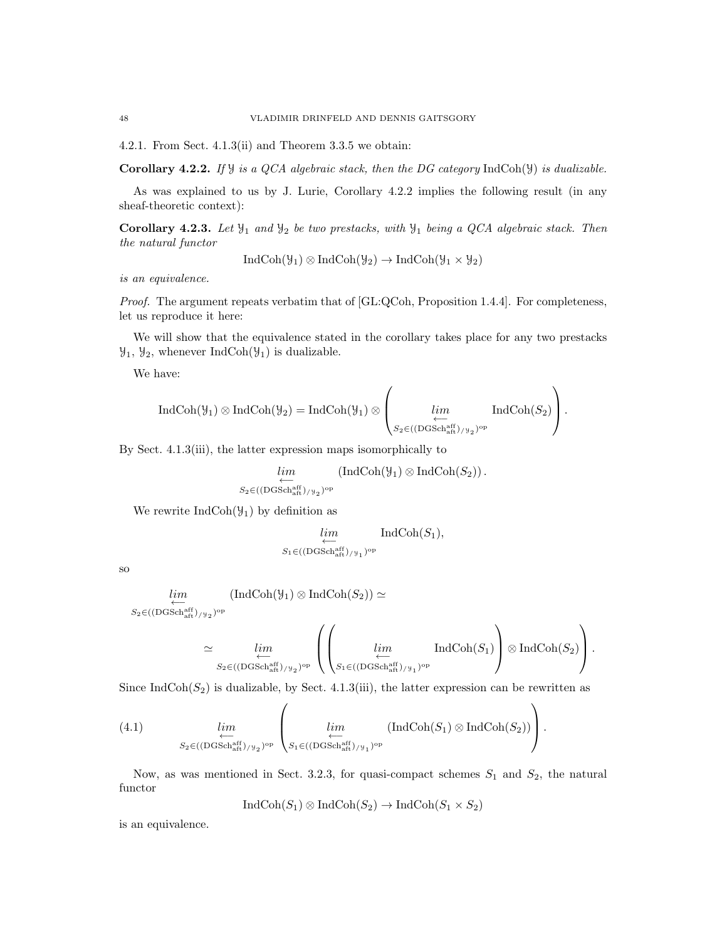4.2.1. From Sect. 4.1.3(ii) and Theorem 3.3.5 we obtain:

Corollary 4.2.2. If  $\mathcal Y$  is a QCA algebraic stack, then the DG category IndCoh( $\mathcal Y$ ) is dualizable.

As was explained to us by J. Lurie, Corollary 4.2.2 implies the following result (in any sheaf-theoretic context):

Corollary 4.2.3. Let  $\mathcal{Y}_1$  and  $\mathcal{Y}_2$  be two prestacks, with  $\mathcal{Y}_1$  being a QCA algebraic stack. Then the natural functor

$$
IndCoh(\mathcal{Y}_1) \otimes IndCoh(\mathcal{Y}_2) \to IndCoh(\mathcal{Y}_1 \times \mathcal{Y}_2)
$$

is an equivalence.

Proof. The argument repeats verbatim that of [GL:QCoh, Proposition 1.4.4]. For completeness, let us reproduce it here:

We will show that the equivalence stated in the corollary takes place for any two prestacks  $\mathcal{Y}_1$ ,  $\mathcal{Y}_2$ , whenever IndCoh( $\mathcal{Y}_1$ ) is dualizable.

We have:

$$
\operatorname{IndCoh}(\mathcal{Y}_{1})\otimes \operatorname{IndCoh}(\mathcal{Y}_{2})=\operatorname{IndCoh}(\mathcal{Y}_{1})\otimes \left(\lim_{\substack{\longleftarrow\\ S_{2}\in ((\operatorname{DGSch}^{\operatorname{aff}}_{\operatorname{aff}})/\mathcal{Y}_{2})^{\operatorname{op}}}}\operatorname{IndCoh}(S_{2})\right).
$$

By Sect. 4.1.3(iii), the latter expression maps isomorphically to

$$
\lim_{S_2 \in ((\text{DGSch}^{\text{aff}}_{\text{alt}})/y_2)^{\text{op}}} (\text{IndCoh}(\mathcal{Y}_1) \otimes \text{IndCoh}(S_2)) .
$$

We rewrite  $IndCoh(\mathcal{Y}_1)$  by definition as

$$
\lim_{S_1 \in ((\text{DGSch}^{\text{aff}}_{\text{aft}})_{/\mathcal{Y}_1})^{\text{op}}} \text{IndCoh}(S_1),
$$

so

$$
\lim_{S_2 \in ((\text{DGSch}^{\text{aff}}_{\text{aff}})/y_2)^{\text{op}}} (\text{IndCoh}(\mathcal{Y}_1) \otimes \text{IndCoh}(S_2)) \simeq
$$

$$
\simeq \varprojlim_{S_2 \in ((\mathrm{DGSch}^{\mathrm{aff}}_{\mathrm{aff}})/y_2)^{\mathrm{op}}} \left( \left( \varprojlim_{S_1 \in ((\mathrm{DGSch}^{\mathrm{aff}}_{\mathrm{aff}})/y_1)^{\mathrm{op}}} \mathrm{IndCoh}(S_1) \right) \otimes \mathrm{IndCoh}(S_2) \right).
$$

Since IndCoh( $S_2$ ) is dualizable, by Sect. 4.1.3(iii), the latter expression can be rewritten as

(4.1) 
$$
\lim_{\substack{\longleftarrow \\ S_2 \in ((\text{DGSch}_{\text{aff}}^{aff})_{/\forall_2})^{\text{op}}}} \left( \lim_{\substack{\longleftarrow \\ S_1 \in ((\text{DGSch}_{\text{aff}}^{aff})_{/\forall_1})^{\text{op}}}} (\text{IndCoh}(S_1) \otimes \text{IndCoh}(S_2)) \right) .
$$

Now, as was mentioned in Sect. 3.2.3, for quasi-compact schemes  $S_1$  and  $S_2$ , the natural functor

$$
IndCoh(S_1) \otimes IndCoh(S_2) \to IndCoh(S_1 \times S_2)
$$

is an equivalence.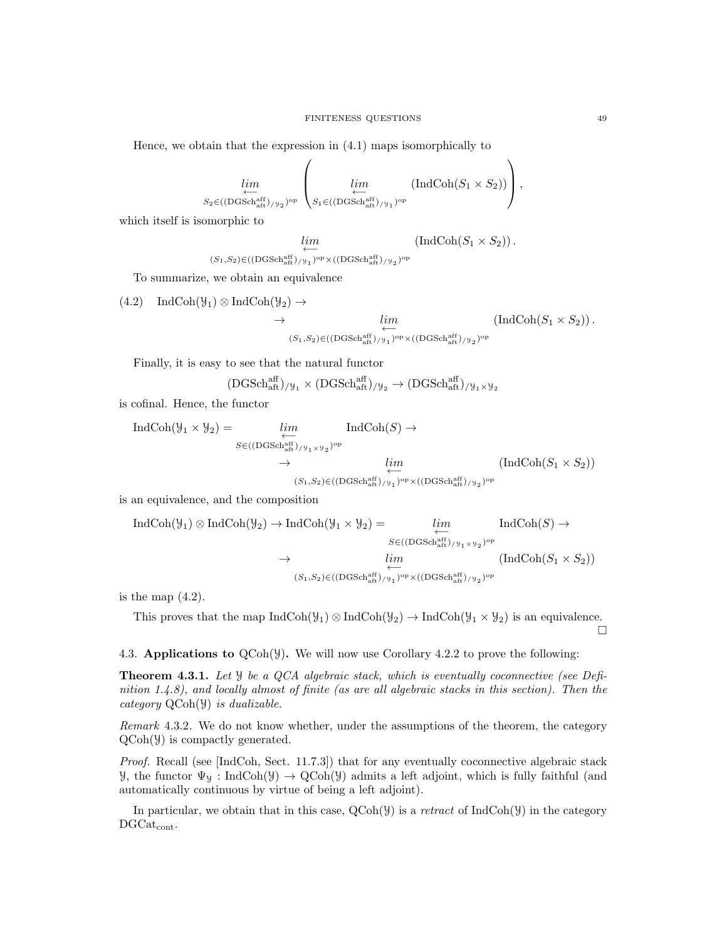Hence, we obtain that the expression in (4.1) maps isomorphically to

$$
\lim_{\substack{\longleftarrow \\ S_2 \in ((\text{DGSch}^{\text{aff}}_{\text{aff}})_{/\mathcal{Y}_2})^{\text{op}}}} \left( \lim_{\substack{\longleftarrow \\ S_1 \in ((\text{DGSch}^{\text{aff}}_{\text{alt}})_{/\mathcal{Y}_1})^{\text{op}}}} (\text{IndCoh}(S_1 \times S_2)) \right),
$$

which itself is isomorphic to

$$
\lim_{(S_1,S_2)\in ((\mathrm{DGSch}^{\mathrm{aff}}_{\mathrm{aft}})_{/\mathcal{Y}_1})^\mathrm{op}\times ((\mathrm{DGSch}^{\mathrm{aff}}_{\mathrm{aft}})_{/\mathcal{Y}_2})^\mathrm{op}} (\mathrm{IndCoh}(S_1\times S_2))\,.
$$

To summarize, we obtain an equivalence

$$
(4.2) IndCoh(\mathcal{Y}_1) \otimes IndCoh(\mathcal{Y}_2) \to \lim_{\substack{\longleftarrow \\ (S_1, S_2) \in ((\text{DGSch}_{\text{aff}}^{\text{aff}})/\mathcal{Y}_1)^{\text{op}} \times ((\text{DGSch}_{\text{aff}}^{\text{aff}})/\mathcal{Y}_2)^{\text{op}}}} (IndCoh(S_1 \times S_2)).
$$

Finally, it is easy to see that the natural functor

$$
(DGSch^{aff}_{\mathrm{aft}})_{/\mathcal{Y}_1} \times (DGSch^{aff}_{\mathrm{aft}})_{/\mathcal{Y}_2} \to (DGSch^{aff}_{\mathrm{aft}})_{/\mathcal{Y}_1 \times \mathcal{Y}_2}
$$

is cofinal. Hence, the functor

$$
\text{IndCoh}(\mathcal{Y}_1 \times \mathcal{Y}_2) = \underbrace{\lim_{S \in ((\text{DGSch}_{\text{aff}}^{\text{aff}}) / \mathcal{Y}_1 \times \mathcal{Y}_2)^{\text{op}}}}_{(S_1, S_2) \in ((\text{DGSch}_{\text{aff}}^{\text{aff}}) / \mathcal{Y}_1)^{\text{op}}} \qquad \qquad \downarrow \qquad \qquad \underbrace{\lim_{\longleftrightarrow} (\text{IndCoh}(S_1 \times S_2))}_{(S_1, S_2) \in ((\text{DGSch}_{\text{aff}}^{\text{aff}}) / \mathcal{Y}_1)^{\text{op}} \times ((\text{DGSch}_{\text{aff}}^{\text{aff}}) / \mathcal{Y}_2)^{\text{op}}}
$$

is an equivalence, and the composition

$$
\operatorname{IndCoh}(\mathcal{Y}_1) \otimes \operatorname{IndCoh}(\mathcal{Y}_2) \to \operatorname{IndCoh}(\mathcal{Y}_1 \times \mathcal{Y}_2) = \lim_{\substack{S \in ((\mathrm{DGSch}_{\mathrm{aff}}^{\mathrm{aff}}) / \mathcal{Y}_1 \times \mathcal{Y}_2)^{\mathrm{op}} \\ \longleftarrow}} \operatorname{IndCoh}(S) \to \lim_{\substack{K \to 0 \\ (S_1, S_2) \in ((\mathrm{DGSch}_{\mathrm{aff}}^{\mathrm{aff}}) / \mathcal{Y}_1)^{\mathrm{op}} \times ((\mathrm{DGSch}_{\mathrm{aff}}^{\mathrm{aff}}) / \mathcal{Y}_2)^{\mathrm{op}}}} \left(\operatorname{IndCoh}(S_1 \times S_2)\right)
$$

is the map  $(4.2)$ .

This proves that the map  $IndCoh(\mathcal{Y}_1) \otimes IndCoh(\mathcal{Y}_2) \rightarrow IndCoh(\mathcal{Y}_1 \times \mathcal{Y}_2)$  is an equivalence.  $\Box$ 

## 4.3. Applications to  $QCoh(\mathcal{Y})$ . We will now use Corollary 4.2.2 to prove the following:

**Theorem 4.3.1.** Let  $\mathcal{Y}$  be a QCA algebraic stack, which is eventually coconnective (see Definition 1.4.8), and locally almost of finite (as are all algebraic stacks in this section). Then the category  $QCoh(\mathcal{Y})$  is dualizable.

Remark 4.3.2. We do not know whether, under the assumptions of the theorem, the category QCoh(Y) is compactly generated.

Proof. Recall (see [IndCoh, Sect. 11.7.3]) that for any eventually coconnective algebraic stack  $\mathcal{Y}$ , the functor  $\Psi$ <sub>*y*</sub> : IndCoh(*y*) → QCoh(*y*) admits a left adjoint, which is fully faithful (and automatically continuous by virtue of being a left adjoint).

In particular, we obtain that in this case,  $QCoh(y)$  is a retract of IndCoh(Y) in the category DGCat<sub>cont</sub>.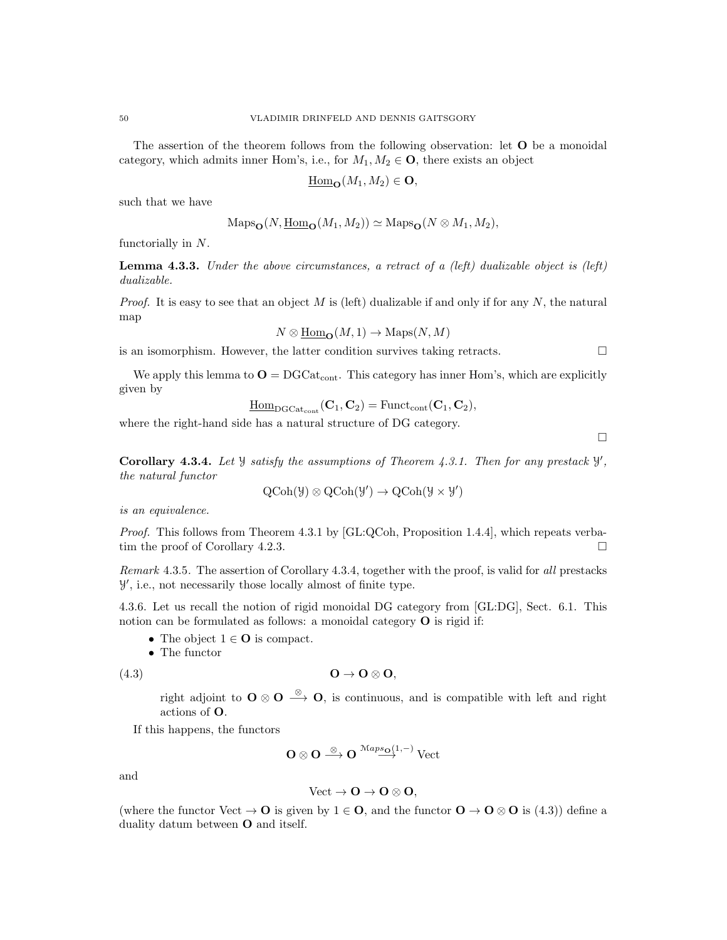The assertion of the theorem follows from the following observation: let **O** be a monoidal category, which admits inner Hom's, i.e., for  $M_1, M_2 \in \mathbf{O}$ , there exists an object

$$
\underline{\mathrm{Hom}}_{\mathbf{O}}(M_1, M_2) \in \mathbf{O},
$$

such that we have

$$
\mathrm{Maps}_{\mathbf{O}}(N, \underline{\mathrm{Hom}}_{\mathbf{O}}(M_1, M_2)) \simeq \mathrm{Maps}_{\mathbf{O}}(N \otimes M_1, M_2),
$$

functorially in N.

**Lemma 4.3.3.** Under the above circumstances, a retract of a (left) dualizable object is (left) dualizable.

*Proof.* It is easy to see that an object M is (left) dualizable if and only if for any N, the natural map

$$
N \otimes \underline{\mathrm{Hom}}_{\mathbf{O}}(M, 1) \to \mathrm{Maps}(N, M)
$$

is an isomorphism. However, the latter condition survives taking retracts.  $\Box$ 

We apply this lemma to  $\mathbf{O} = \text{DGCat}_{\text{cont}}$ . This category has inner Hom's, which are explicitly given by

$$
\underline{\mathrm{Hom}}_{\mathrm{DGCat}_{\mathrm{cont}}}(\mathbf{C}_1, \mathbf{C}_2) = \mathrm{Funct}_{\mathrm{cont}}(\mathbf{C}_1, \mathbf{C}_2),
$$

where the right-hand side has a natural structure of DG category.

Corollary 4.3.4. Let  $\mathcal Y$  satisfy the assumptions of Theorem 4.3.1. Then for any prestack  $\mathcal Y$ , the natural functor

$$
\mathrm{QCoh}(\mathcal{Y}) \otimes \mathrm{QCoh}(\mathcal{Y}') \to \mathrm{QCoh}(\mathcal{Y} \times \mathcal{Y}')
$$

is an equivalence.

Proof. This follows from Theorem 4.3.1 by [GL:QCoh, Proposition 1.4.4], which repeats verbatim the proof of Corollary 4.2.3.

Remark 4.3.5. The assertion of Corollary 4.3.4, together with the proof, is valid for all prestacks Y 0 , i.e., not necessarily those locally almost of finite type.

4.3.6. Let us recall the notion of rigid monoidal DG category from [GL:DG], Sect. 6.1. This notion can be formulated as follows: a monoidal category O is rigid if:

- The object  $1 \in \mathbf{O}$  is compact.
- The functor

(4.3) O → O ⊗ O,

right adjoint to  $\mathbf{O} \otimes \mathbf{O} \stackrel{\otimes}{\longrightarrow} \mathbf{O}$ , is continuous, and is compatible with left and right actions of O.

If this happens, the functors

$$
O\otimes O \stackrel{\otimes}{\longrightarrow} O \stackrel{\mathcal{M}aps_O(1,-)}{\longrightarrow} \text{Vect}
$$

and

$$
\text{Vect} \to \mathbf{O} \to \mathbf{O} \otimes \mathbf{O},
$$

(where the functor Vect  $\to \mathbf{O}$  is given by  $1 \in \mathbf{O}$ , and the functor  $\mathbf{O} \to \mathbf{O} \otimes \mathbf{O}$  is (4.3)) define a duality datum between O and itself.

 $\Box$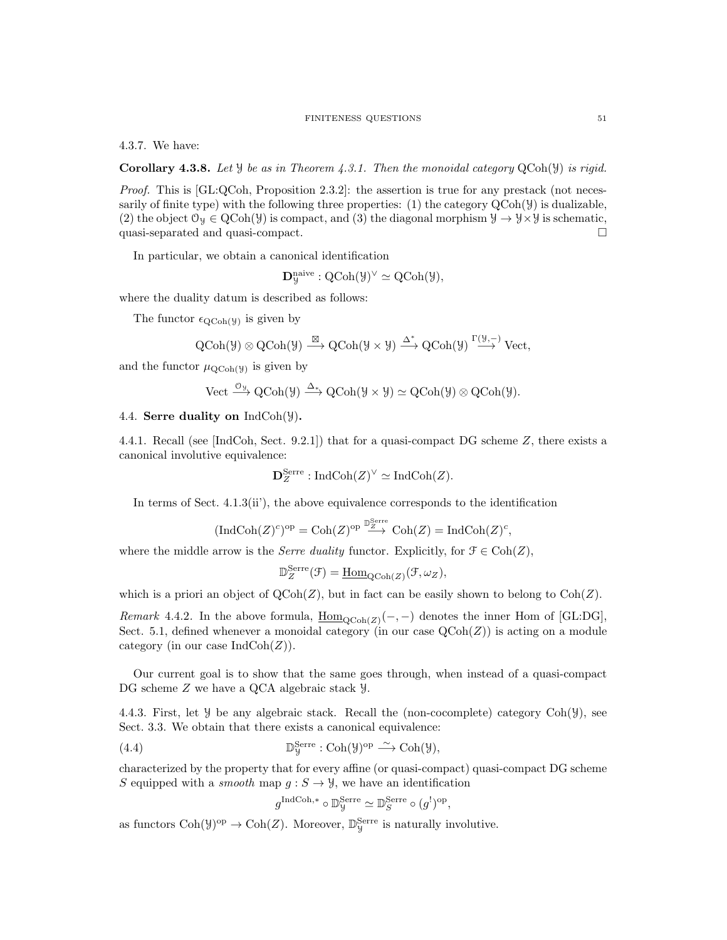#### FINITENESS QUESTIONS 51

4.3.7. We have:

**Corollary 4.3.8.** Let  $\mathcal{Y}$  be as in Theorem 4.3.1. Then the monoidal category  $QCoh(\mathcal{Y})$  is rigid.

*Proof.* This is  $[GL:QCoh,$  Proposition 2.3.2]: the assertion is true for any prestack (not necessarily of finite type) with the following three properties: (1) the category  $QCoh(\mathcal{Y})$  is dualizable, (2) the object  $\mathcal{O}_\mathcal{Y} \in \text{QCoh}(\mathcal{Y})$  is compact, and (3) the diagonal morphism  $\mathcal{Y} \to \mathcal{Y} \times \mathcal{Y}$  is schematic, quasi-separated and quasi-compact.

In particular, we obtain a canonical identification

$$
\mathbf{D}^{\mathrm{naive}}_{{\mathcal{Y}}}: \mathrm{QCoh}({\mathcal{Y}})^\vee \simeq \mathrm{QCoh}({\mathcal{Y}}),
$$

where the duality datum is described as follows:

The functor  $\epsilon_{\text{QCoh}(y)}$  is given by

$$
\text{QCoh}(\mathcal{Y}) \otimes \text{QCoh}(\mathcal{Y}) \stackrel{\boxtimes}{\longrightarrow} \text{QCoh}(\mathcal{Y} \times \mathcal{Y}) \stackrel{\Delta^*}{\longrightarrow} \text{QCoh}(\mathcal{Y}) \stackrel{\Gamma(\mathcal{Y}, -)}{\longrightarrow} \text{Vect},
$$

and the functor  $\mu_{\text{QCoh}(\mathcal{Y})}$  is given by

$$
\text{Vect} \xrightarrow{\mathcal{O}_{\mathcal{Y}}} \text{QCoh}(\mathcal{Y}) \xrightarrow{\Delta_*} \text{QCoh}(\mathcal{Y} \times \mathcal{Y}) \simeq \text{QCoh}(\mathcal{Y}) \otimes \text{QCoh}(\mathcal{Y}).
$$

## 4.4. Serre duality on  $\text{IndCoh}(\mathcal{Y})$ .

4.4.1. Recall (see [IndCoh, Sect. 9.2.1]) that for a quasi-compact DG scheme Z, there exists a canonical involutive equivalence:

$$
\mathbf{D}_{Z}^{\text{Serre}}: \text{IndCoh}(Z)^{\vee} \simeq \text{IndCoh}(Z).
$$

In terms of Sect. 4.1.3(ii'), the above equivalence corresponds to the identification

$$
(\mathrm{Ind}\mathrm{Coh}(Z)^c)^{\rm op}=\mathrm{Coh}(Z)^{\rm op}\stackrel{\mathbb{D}_Z^{\mathrm{Serre}}}{\longrightarrow}\mathrm{Coh}(Z)=\mathrm{Ind}\mathrm{Coh}(Z)^c,
$$

where the middle arrow is the *Serre duality* functor. Explicitly, for  $\mathcal{F} \in \text{Coh}(Z)$ ,

$$
\mathbb{D}_{Z}^{\text{Serre}}(\mathcal{F}) = \underline{\text{Hom}}_{\text{QCoh}(Z)}(\mathcal{F}, \omega_Z),
$$

which is a priori an object of  $Q\text{Coh}(Z)$ , but in fact can be easily shown to belong to  $\text{Coh}(Z)$ .

*Remark* 4.4.2. In the above formula,  $\underline{\text{Hom}}_{\text{QCoh}(Z)}(-,-)$  denotes the inner Hom of [GL:DG], Sect. 5.1, defined whenever a monoidal category (in our case  $QCoh(Z)$ ) is acting on a module category (in our case  $\text{IndCoh}(Z)$ ).

Our current goal is to show that the same goes through, when instead of a quasi-compact DG scheme Z we have a QCA algebraic stack  $\mathcal{Y}$ .

4.4.3. First, let  $\mathcal Y$  be any algebraic stack. Recall the (non-cocomplete) category  $Coh(\mathcal Y)$ , see Sect. 3.3. We obtain that there exists a canonical equivalence:

(4.4) 
$$
\mathbb{D}_{\mathcal{Y}}^{\text{Serre}} : \text{Coh}(\mathcal{Y})^{\text{op}} \xrightarrow{\sim} \text{Coh}(\mathcal{Y}),
$$

characterized by the property that for every affine (or quasi-compact) quasi-compact DG scheme S equipped with a *smooth* map  $g : S \to Y$ , we have an identification

$$
g^{\operatorname{IndCoh}, \ast} \circ \mathbb{D}_{\mathcal{Y}}^{\operatorname{Serre}} \simeq \mathbb{D}_S^{\operatorname{Serre}} \circ (g^!)^{\operatorname{op}},
$$

as functors  $\text{Coh}(\mathcal{Y})^{\text{op}} \to \text{Coh}(Z)$ . Moreover,  $\mathbb{D}_{\mathcal{Y}}^{\text{Serre}}$  is naturally involutive.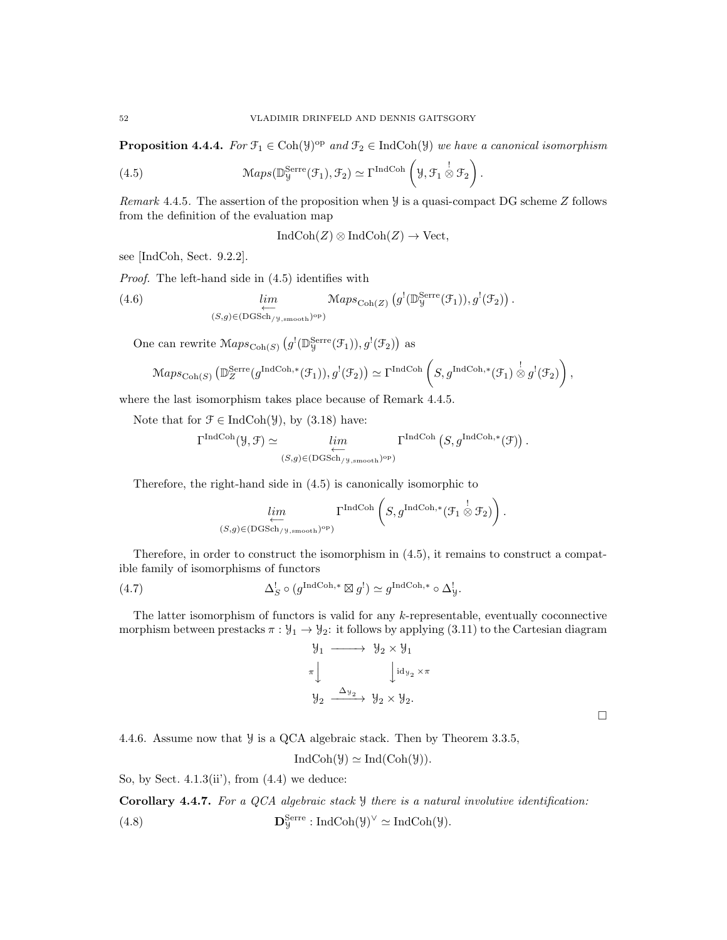**Proposition 4.4.4.** For  $\mathcal{F}_1 \in \text{Coh}(\mathcal{Y})^{\text{op}}$  and  $\mathcal{F}_2 \in \text{IndCoh}(\mathcal{Y})$  we have a canonical isomorphism

(4.5) 
$$
\text{Maps}(\mathbb{D}_{\mathcal{Y}}^{\text{Serre}}(\mathcal{F}_1), \mathcal{F}_2) \simeq \Gamma^{\text{IndCoh}}\left(\mathcal{Y}, \mathcal{F}_1 \overset{!}{\otimes} \mathcal{F}_2\right).
$$

Remark 4.4.5. The assertion of the proposition when  $\mathcal Y$  is a quasi-compact DG scheme Z follows from the definition of the evaluation map

$$
IndCoh(Z) \otimes IndCoh(Z) \to Vect,
$$

see [IndCoh, Sect. 9.2.2].

Proof. The left-hand side in (4.5) identifies with

(4.6) 
$$
\lim_{\substack{\longleftarrow \\ (S,g)\in(\text{DGSch}_{/y,\text{smooth}})^{\text{op}}}} \text{Maps}_{\text{Coh}(Z)}(g^{!}(\mathbb{D}_{y}^{\text{Serre}}(\mathcal{F}_{1})), g^{!}(\mathcal{F}_{2})) .
$$

One can rewrite  $\mathcal{M}aps_{\text{Coh}(S)}(g^{!}(\mathbb{D}_{\mathcal{Y}}^{\text{Serre}}(\mathcal{F}_{1})), g^{!}(\mathcal{F}_{2}))$  as

$$
\mathrm{Maps}_{\mathrm{Coh}(S)}\left(\mathbb{D}_{Z}^{\mathrm{Serre}}(g^{\mathrm{IndCoh},*}(\mathcal{F}_1)), g^{!}(\mathcal{F}_2)\right) \simeq \Gamma^{\mathrm{IndCoh}}\left(S, g^{\mathrm{IndCoh},*}(\mathcal{F}_1) \overset{!}{\otimes} g^{!}(\mathcal{F}_2)\right),
$$

where the last isomorphism takes place because of Remark 4.4.5.

Note that for  $\mathcal{F} \in \text{IndCoh}(\mathcal{Y})$ , by  $(3.18)$  have:

$$
\Gamma^{\text{IndCoh}}(\mathcal{Y}, \mathcal{F}) \simeq \lim_{\substack{\longleftarrow \\ (S, g) \in (\text{DGSch}_{\mathcal{Y}}, g_{\text{smooth}})^\text{op}}} \Gamma^{\text{IndCoh}}\left(S, g^{\text{IndCoh}, *}(\mathcal{F})\right).
$$

Therefore, the right-hand side in (4.5) is canonically isomorphic to

$$
\lim_{(S,g)\in(\text{DGSch}_{/\mathcal{Y},\text{smooth}})^{\text{op}}}\Gamma^{\text{IndCoh}}\left(S,g^{\text{IndCoh},*}(\mathcal{F}_1\overset{!}{\otimes}\mathcal{F}_2)\right).
$$

Therefore, in order to construct the isomorphism in (4.5), it remains to construct a compatible family of isomorphisms of functors

(4.7) 
$$
\Delta_S^! \circ (g^{\text{IndCoh},*} \boxtimes g^!) \simeq g^{\text{IndCoh},*} \circ \Delta_S^!.
$$

The latter isomorphism of functors is valid for any k-representable, eventually coconnective morphism between prestacks  $\pi : \mathcal{Y}_1 \to \mathcal{Y}_2$ : it follows by applying (3.11) to the Cartesian diagram

$$
\begin{array}{ccc}\n\mathcal{Y}_1 & \longrightarrow & \mathcal{Y}_2 \times \mathcal{Y}_1 \\
\pi & & \downarrow \mathrm{id}_{\mathcal{Y}_2} \times \pi \\
\mathcal{Y}_2 & \xrightarrow{\Delta_{\mathcal{Y}_2}} & \mathcal{Y}_2 \times \mathcal{Y}_2.\n\end{array}
$$

 $\Box$ 

4.4.6. Assume now that Y is a QCA algebraic stack. Then by Theorem 3.3.5,

$$
IndCoh(\mathcal{Y}) \simeq Ind(Coh(\mathcal{Y})).
$$

So, by Sect.  $4.1.3(ii')$ , from  $(4.4)$  we deduce:

Corollary 4.4.7. For a QCA algebraic stack  $\mathcal Y$  there is a natural involutive identification: (4.8)  $\mathbf{D}_{\mathcal{Y}}^{\text{Serre}} : \text{IndCoh}(\mathcal{Y})^{\vee} \simeq \text{IndCoh}(\mathcal{Y}).$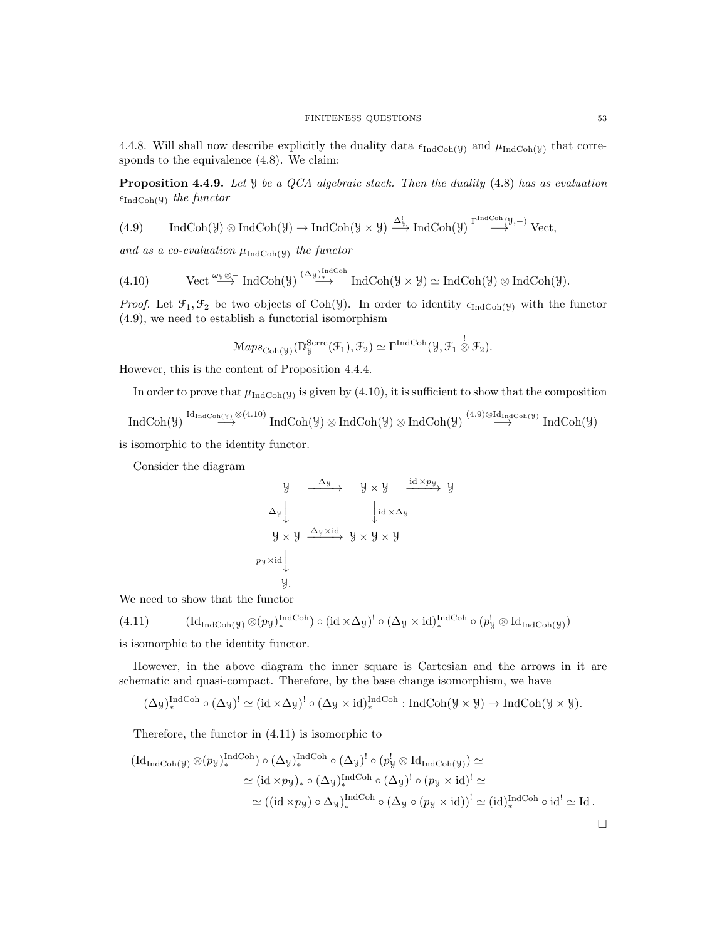4.4.8. Will shall now describe explicitly the duality data  $\epsilon_{IndCoh(y)}$  and  $\mu_{IndCoh(y)}$  that corresponds to the equivalence (4.8). We claim:

**Proposition 4.4.9.** Let  $\mathcal{Y}$  be a QCA algebraic stack. Then the duality (4.8) has as evaluation  $\epsilon_{\text{IndCoh}(\mathcal{Y})}$  the functor

(4.9) IndCoh(
$$
\mathcal{Y}
$$
)  $\otimes$  IndCoh( $\mathcal{Y}$ )  $\rightarrow$  IndCoh( $\mathcal{Y} \times \mathcal{Y}$ )  $\xrightarrow{\Delta_{\mathcal{Y}}^{\mathcal{Y}}}$  IndCoh( $\mathcal{Y}$ )  $\xrightarrow{\Gamma^{\text{IndCoh}}(\mathcal{Y}, -)}$  Vect,

and as a co-evaluation  $\mu_{IndCoh(y)}$  the functor

(4.10) Vect 
$$
\stackrel{\omega_y \otimes -}{\longrightarrow}
$$
 IndCoh( $\mathcal{Y}$ )  $\stackrel{(\Delta_y)_{*}^{IndCoh}}{\longrightarrow}$  IndCoh( $\mathcal{Y} \times \mathcal{Y}$ )  $\simeq$  IndCoh( $\mathcal{Y}$ )  $\otimes$  IndCoh( $\mathcal{Y}$ ).

*Proof.* Let  $\mathfrak{F}_1, \mathfrak{F}_2$  be two objects of Coh(Y). In order to identity  $\epsilon_{\text{IndCoh}(y)}$  with the functor (4.9), we need to establish a functorial isomorphism

$$
\mathrm{Maps}_{\mathrm{Coh}(\mathcal{Y})}(\mathbb{D}_{\mathcal{Y}}^{\mathrm{Serre}}(\mathcal{F}_1), \mathcal{F}_2) \simeq \Gamma^{\mathrm{IndCoh}}(\mathcal{Y}, \mathcal{F}_1 \overset{!}{\otimes} \mathcal{F}_2).
$$

However, this is the content of Proposition 4.4.4.

In order to prove that  $\mu_{IndCoh(y)}$  is given by (4.10), it is sufficient to show that the composition

$$
\operatorname{IndCoh}(\mathcal{Y}) \overset{\operatorname{Id}_{\operatorname{IndCoh}(\mathcal{Y})} \otimes (4.10)}{\longrightarrow} \operatorname{IndCoh}(\mathcal{Y}) \otimes \operatorname{IndCoh}(\mathcal{Y}) \otimes \operatorname{IndCoh}(\mathcal{Y}) \overset{(4.9) \otimes \operatorname{Id}_{\operatorname{IndCoh}(\mathcal{Y})}}{\longrightarrow} \operatorname{IndCoh}(\mathcal{Y})
$$

is isomorphic to the identity functor.

Consider the diagram

$$
y \xrightarrow{\Delta y} y \times y \xrightarrow{id \times py} y
$$
  
\n
$$
\Delta y \downarrow \qquad \qquad \downarrow id \times \Delta y
$$
  
\n
$$
y \times y \xrightarrow{\Delta y \times id} y \times y \times y
$$
  
\n
$$
py \times id \downarrow
$$
  
\n
$$
y.
$$

We need to show that the functor

$$
(4.11) \qquad (\mathrm{Id}_{\mathrm{IndCoh}(\mathcal{Y})}\otimes (p_{\mathcal{Y}})^{\mathrm{IndCoh}}_{*})\circ (\mathrm{id} \times \Delta_{\mathcal{Y}})^{!}\circ (\Delta_{\mathcal{Y}}\times \mathrm{id})^{\mathrm{IndCoh}}_{*}\circ (p_{\mathcal{Y}}^{!}\otimes \mathrm{Id}_{\mathrm{IndCoh}(\mathcal{Y})})
$$

is isomorphic to the identity functor.

However, in the above diagram the inner square is Cartesian and the arrows in it are schematic and quasi-compact. Therefore, by the base change isomorphism, we have

$$
(\Delta_{\mathcal{Y}})^{\mathrm{IndCoh}}_\ast \circ (\Delta_{\mathcal{Y}})^\text{!`} \simeq (\mathrm{id} \times \Delta_{\mathcal{Y}})^\text{!`} \circ (\Delta_{\mathcal{Y}} \times \mathrm{id})_\ast^{\mathrm{IndCoh}} : \mathrm{IndCoh}(\mathcal{Y} \times \mathcal{Y}) \to \mathrm{IndCoh}(\mathcal{Y} \times \mathcal{Y}).
$$

Therefore, the functor in (4.11) is isomorphic to

$$
\begin{aligned} (\mathrm{Id}_{\mathrm{Ind}\mathrm{Coh}(\mathcal{Y})}\otimes (p_{\mathcal{Y}})^{\mathrm{Ind}\mathrm{Coh}}) &\circ (\Delta_{\mathcal{Y}})^{\mathrm{Ind}\mathrm{Coh}} \circ (\Delta_{\mathcal{Y}})^{!} \circ (p_{\mathcal{Y}}^{!} \otimes \mathrm{Id}_{\mathrm{Ind}\mathrm{Coh}(\mathcal{Y})}) \simeq \\ &\simeq (\mathrm{id} \times p_{\mathcal{Y}})_{*} \circ (\Delta_{\mathcal{Y}})^{\mathrm{Ind}\mathrm{Coh}} \circ (\Delta_{\mathcal{Y}})^{!} \circ (p_{\mathcal{Y}} \times \mathrm{id})^{!} \simeq \\ &\simeq ((\mathrm{id} \times p_{\mathcal{Y}}) \circ \Delta_{\mathcal{Y}})^{\mathrm{Ind}\mathrm{Coh}} \circ (\Delta_{\mathcal{Y}} \circ (p_{\mathcal{Y}} \times \mathrm{id}))^{!} \simeq (\mathrm{id})_{*}^{\mathrm{Ind}\mathrm{Coh}} \circ \mathrm{id}^{!} \simeq \mathrm{Id} \,. \end{aligned}
$$

 $\Box$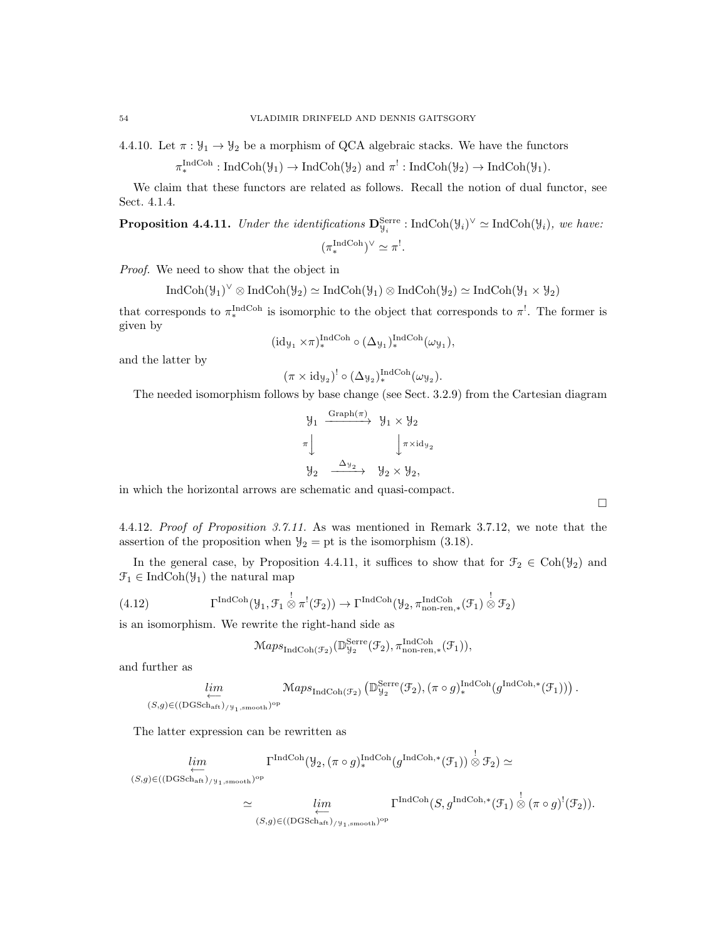4.4.10. Let  $\pi : \mathcal{Y}_1 \to \mathcal{Y}_2$  be a morphism of QCA algebraic stacks. We have the functors

$$
\pi_*^{\text{IndCoh}}: \text{IndCoh}(\mathcal{Y}_1) \to \text{IndCoh}(\mathcal{Y}_2) \text{ and } \pi^!: \text{IndCoh}(\mathcal{Y}_2) \to \text{IndCoh}(\mathcal{Y}_1).
$$

We claim that these functors are related as follows. Recall the notion of dual functor, see Sect. 4.1.4.

**Proposition 4.4.11.** Under the identifications  $\mathbf{D}_{\mathcal{Y}_i}^{\text{Serre}}$ : IndCoh( $\mathcal{Y}_i$ )<sup> $\vee$ </sup>  $\simeq$  IndCoh( $\mathcal{Y}_i$ ), we have:  $(\pi_*^{\text{IndCoh}})^\vee \simeq \pi'.$ 

Proof. We need to show that the object in

 $\text{IndCoh}(\mathcal{Y}_1)^{\vee} \otimes \text{IndCoh}(\mathcal{Y}_2) \simeq \text{IndCoh}(\mathcal{Y}_1) \otimes \text{IndCoh}(\mathcal{Y}_2) \simeq \text{IndCoh}(\mathcal{Y}_1 \times \mathcal{Y}_2)$ 

that corresponds to  $\pi_*^{\text{IndCoh}}$  is isomorphic to the object that corresponds to  $\pi^!$ . The former is given by

$$
(\mathrm{id}_{\mathcal{Y}_1} \times \pi)^{\mathrm{IndCoh}}_* \circ (\Delta_{\mathcal{Y}_1})^{\mathrm{IndCoh}}_*(\omega_{\mathcal{Y}_1}),
$$

and the latter by

$$
(\pi \times \mathrm{id}_{\mathcal{Y}_2})^! \circ (\Delta_{\mathcal{Y}_2})_*^{\mathrm{IndCoh}}(\omega_{\mathcal{Y}_2}).
$$

The needed isomorphism follows by base change (see Sect. 3.2.9) from the Cartesian diagram

$$
\begin{array}{ccc}\n\mathcal{Y}_1 & \xrightarrow{\text{Graph}(\pi)} & \mathcal{Y}_1 \times \mathcal{Y}_2 \\
\pi & & \downarrow & \downarrow^{\pi \times \text{id}_{\mathcal{Y}_2}} \\
\mathcal{Y}_2 & \xrightarrow{\Delta_{\mathcal{Y}_2}} & \mathcal{Y}_2 \times \mathcal{Y}_2,\n\end{array}
$$

in which the horizontal arrows are schematic and quasi-compact.

 $\Box$ 

4.4.12. Proof of Proposition 3.7.11. As was mentioned in Remark 3.7.12, we note that the assertion of the proposition when  $\mathcal{Y}_2 =$  pt is the isomorphism (3.18).

In the general case, by Proposition 4.4.11, it suffices to show that for  $\mathcal{F}_2 \in \text{Coh}(\mathcal{Y}_2)$  and  $\mathcal{F}_1 \in \text{IndCoh}(\mathcal{Y}_1)$  the natural map

(4.12) 
$$
\Gamma^{\text{IndCoh}}(\mathcal{Y}_1, \mathcal{F}_1 \overset{!}{\otimes} \pi^!(\mathcal{F}_2)) \to \Gamma^{\text{IndCoh}}(\mathcal{Y}_2, \pi_{\text{non-ren},*}^{\text{IndCoh}}(\mathcal{F}_1) \overset{!}{\otimes} \mathcal{F}_2)
$$

is an isomorphism. We rewrite the right-hand side as

$$
\mathcal{M}aps_{\mathrm{IndCoh}(\mathcal{F}_2)}(\mathbb{D}_{\mathcal{Y}_2}^{\mathrm{Serre}}(\mathcal{F}_2), \pi_{\mathrm{non-ren},*}^{\mathrm{IndCoh}}(\mathcal{F}_1)),
$$

and further as

$$
\lim_{\substack{\longleftarrow\\(S,g)\in((\text{DGSch}_{\text{aff}})/y_1,\text{smooth})^{\text{op}}}}\mathcal{M}aps_{\text{IndCoh}(\mathcal{F}_2)}\left(\mathbb{D}_{y_2}^{\text{Serre}}(\mathcal{F}_2), (\pi \circ g)_{*}^{\text{IndCoh}}(g^{\text{IndCoh},*}(\mathcal{F}_1))\right).
$$

The latter expression can be rewritten as

$$
\lim_{(S,g)\in((\text{DGSch}_{\text{aff}})_{/\mathcal{Y}_1,\text{smooth}})^{\text{op}}} \Gamma^{\text{IndCoh}}(\mathcal{Y}_2, (\pi \circ g)^{\text{IndCoh},*}_{*}(\mathcal{F}_1)) \overset{!}{\otimes} \mathcal{F}_2) \simeq
$$
\n
$$
\simeq \qquad \qquad \lim_{\simeq} \qquad \qquad \Gamma^{\text{IndCoh}}(S, g^{\text{IndCoh},*}(\mathcal{F}_1)) \overset{!}{\otimes} (\pi \circ g)^!(\mathcal{F}_2)).
$$

$$
\simeq \lim_{(S,g)\in((\text{DGSch}_{\text{aff}})_{/\mathcal{Y}_1,\text{smooth}})^{\text{op}}} \Gamma^{\text{IndCoh}}(S,g^{\text{IndCoh},*}(\mathcal{F}_1))
$$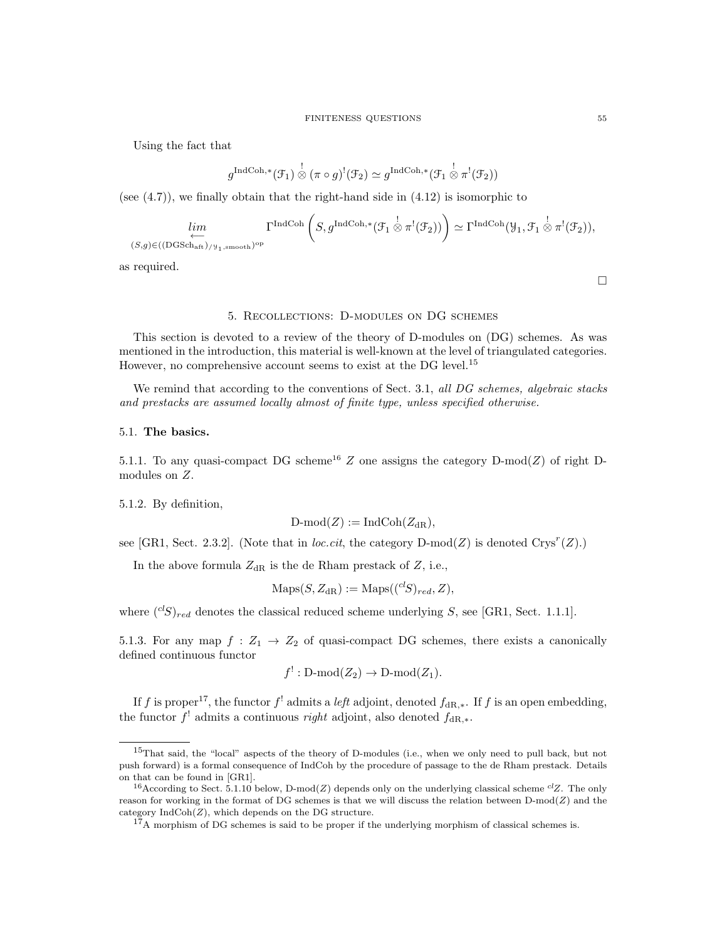Using the fact that

$$
g^{\text{IndCoh},*}(\mathcal{F}_1) \overset{!}{\otimes} (\pi \circ g)^!(\mathcal{F}_2) \simeq g^{\text{IndCoh},*}(\mathcal{F}_1 \overset{!}{\otimes} \pi^!(\mathcal{F}_2))
$$

(see  $(4.7)$ ), we finally obtain that the right-hand side in  $(4.12)$  is isomorphic to

$$
\lim_{(S,g)\in((\text{DGSch}_{\text{aff}})/y_1,\text{smooth})^{\text{op}}} \Gamma^{\text{IndCoh}}\left(S,g^{\text{IndCoh},*}(\mathcal{F}_1\overset{!}{\otimes}\pi^!(\mathcal{F}_2))\right)\simeq \Gamma^{\text{IndCoh}}(\mathcal{Y}_1,\mathcal{F}_1\overset{!}{\otimes}\pi^!(\mathcal{F}_2)),
$$

as required.

 $\Box$ 

#### 5. Recollections: D-modules on DG schemes

This section is devoted to a review of the theory of D-modules on (DG) schemes. As was mentioned in the introduction, this material is well-known at the level of triangulated categories. However, no comprehensive account seems to exist at the DG level.<sup>15</sup>

We remind that according to the conventions of Sect. 3.1, all DG schemes, algebraic stacks and prestacks are assumed locally almost of finite type, unless specified otherwise.

## 5.1. The basics.

5.1.1. To any quasi-compact DG scheme<sup>16</sup> Z one assigns the category D-mod(Z) of right Dmodules on Z.

5.1.2. By definition,

$$
\mathrm{D\text{-}mod}(Z):=\mathrm{IndCoh}(Z_{\mathrm{dR}}),
$$

see [GR1, Sect. 2.3.2]. (Note that in *loc.cit*, the category  $D\text{-mod}(Z)$  is denoted  $Crys^r(Z)$ .)

In the above formula  $Z_{\text{dR}}$  is the de Rham prestack of  $Z$ , i.e.,

$$
Maps(S, Z_{dR}) := Maps((^{cl}S)_{red}, Z),
$$

where  $(^{cl}S)_{red}$  denotes the classical reduced scheme underlying S, see [GR1, Sect. 1.1.1].

5.1.3. For any map  $f: Z_1 \rightarrow Z_2$  of quasi-compact DG schemes, there exists a canonically defined continuous functor

$$
f^!: \text{D-mod}(Z_2) \to \text{D-mod}(Z_1).
$$

If f is proper<sup>17</sup>, the functor f<sup>1</sup> admits a *left* adjoint, denoted  $f_{\text{dR}, *}$ . If f is an open embedding, the functor  $f^!$  admits a continuous *right* adjoint, also denoted  $f_{\text{dR},*}$ .

<sup>15</sup>That said, the "local" aspects of the theory of D-modules (i.e., when we only need to pull back, but not push forward) is a formal consequence of IndCoh by the procedure of passage to the de Rham prestack. Details on that can be found in [GR1].

<sup>&</sup>lt;sup>16</sup>According to Sect. 5.1.10 below, D-mod(Z) depends only on the underlying classical scheme <sup>cl</sup>Z. The only reason for working in the format of DG schemes is that we will discuss the relation between  $D\text{-mod}(Z)$  and the category  $IndCoh(Z)$ , which depends on the DG structure.

 $17A$  morphism of DG schemes is said to be proper if the underlying morphism of classical schemes is.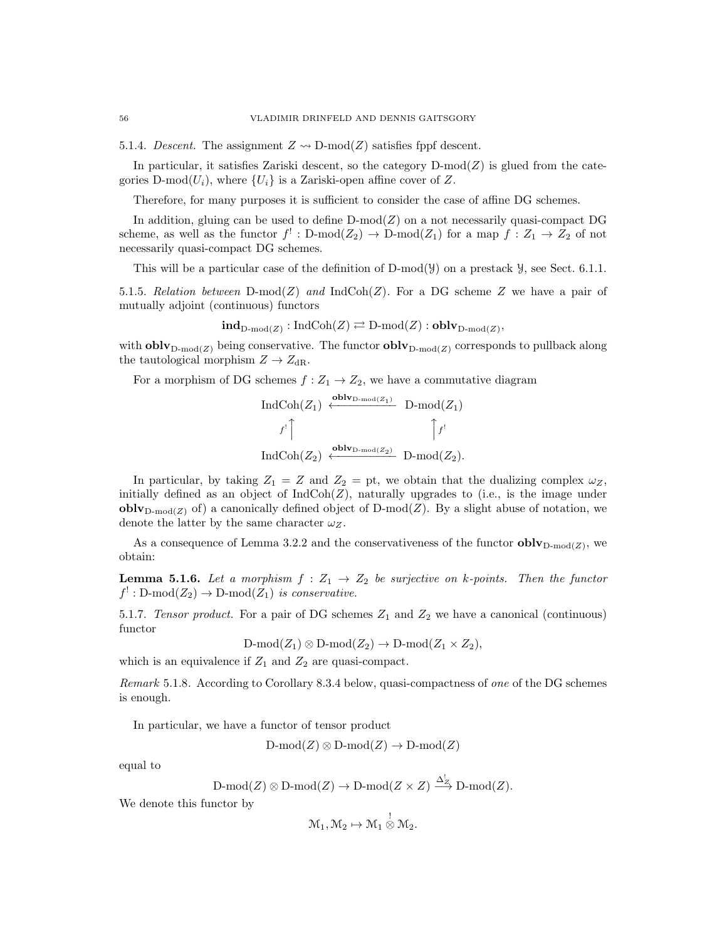5.1.4. Descent. The assignment  $Z \rightarrow D\text{-mod}(Z)$  satisfies fppf descent.

In particular, it satisfies Zariski descent, so the category  $D\text{-mod}(Z)$  is glued from the categories D-mod $(U_i)$ , where  $\{U_i\}$  is a Zariski-open affine cover of Z.

Therefore, for many purposes it is sufficient to consider the case of affine DG schemes.

In addition, gluing can be used to define  $D\text{-mod}(Z)$  on a not necessarily quasi-compact DG scheme, as well as the functor  $f' : D-mod(Z_2) \to D-mod(Z_1)$  for a map  $f : Z_1 \to Z_2$  of not necessarily quasi-compact DG schemes.

This will be a particular case of the definition of  $D\text{-mod}(\mathcal{Y})$  on a prestack  $\mathcal{Y}$ , see Sect. 6.1.1.

5.1.5. Relation between  $D\text{-mod}(Z)$  and  $\text{IndCoh}(Z)$ . For a DG scheme Z we have a pair of mutually adjoint (continuous) functors

 $\textbf{ind}_{\text{D-mod}(Z)} : \text{IndCoh}(Z) \rightleftarrows \text{D-mod}(Z) : \textbf{oblv}_{\text{D-mod}(Z)},$ 

with **obly**<sub>D-mod</sub>(*z*) being conservative. The functor **obly**<sub>D-mod</sub>(*z*) corresponds to pullback along the tautological morphism  $Z \to Z_{\text{dR}}$ .

For a morphism of DG schemes  $f : Z_1 \to Z_2$ , we have a commutative diagram

$$
\text{Ind}\text{Coh}(Z_1) \xleftarrow{\text{oblv}_{\text{D-mod}(Z_1)}} \text{D-mod}(Z_1)
$$
\n
$$
f' \uparrow \qquad \qquad f' \uparrow \qquad \qquad \uparrow f'
$$
\n
$$
\text{Ind}\text{Coh}(Z_2) \xleftarrow{\text{oblv}_{\text{D-mod}(Z_2)}} \text{D-mod}(Z_2).
$$

In particular, by taking  $Z_1 = Z$  and  $Z_2 =$  pt, we obtain that the dualizing complex  $\omega_Z$ , initially defined as an object of  $IndCoh(Z)$ , naturally upgrades to (i.e., is the image under **obly**<sub>D-mod</sub>(*z*) of) a canonically defined object of D-mod(*Z*). By a slight abuse of notation, we denote the latter by the same character  $\omega_Z$ .

As a consequence of Lemma 3.2.2 and the conservativeness of the functor  $\textbf{oblv}_{D\text{-mod}(Z)}$ , we obtain:

**Lemma 5.1.6.** Let a morphism  $f : Z_1 \rightarrow Z_2$  be surjective on k-points. Then the functor  $f^!: \text{D-mod}(Z_2) \to \text{D-mod}(Z_1)$  is conservative.

5.1.7. Tensor product. For a pair of DG schemes  $Z_1$  and  $Z_2$  we have a canonical (continuous) functor

$$
\text{D-mod}(Z_1)\otimes\text{D-mod}(Z_2)\to\text{D-mod}(Z_1\times Z_2),
$$

which is an equivalence if  $Z_1$  and  $Z_2$  are quasi-compact.

Remark 5.1.8. According to Corollary 8.3.4 below, quasi-compactness of one of the DG schemes is enough.

In particular, we have a functor of tensor product

 $D\text{-mod}(Z) \otimes D\text{-mod}(Z) \to D\text{-mod}(Z)$ 

equal to

$$
\mathrm{D\text{-}mod}(Z) \otimes \mathrm{D\text{-}mod}(Z) \to \mathrm{D\text{-}mod}(Z \times Z) \xrightarrow{\Delta^!_{Z}} \mathrm{D\text{-}mod}(Z).
$$

We denote this functor by

$$
\mathcal{M}_1, \mathcal{M}_2 \mapsto \mathcal{M}_1 \overset{!}{\otimes} \mathcal{M}_2.
$$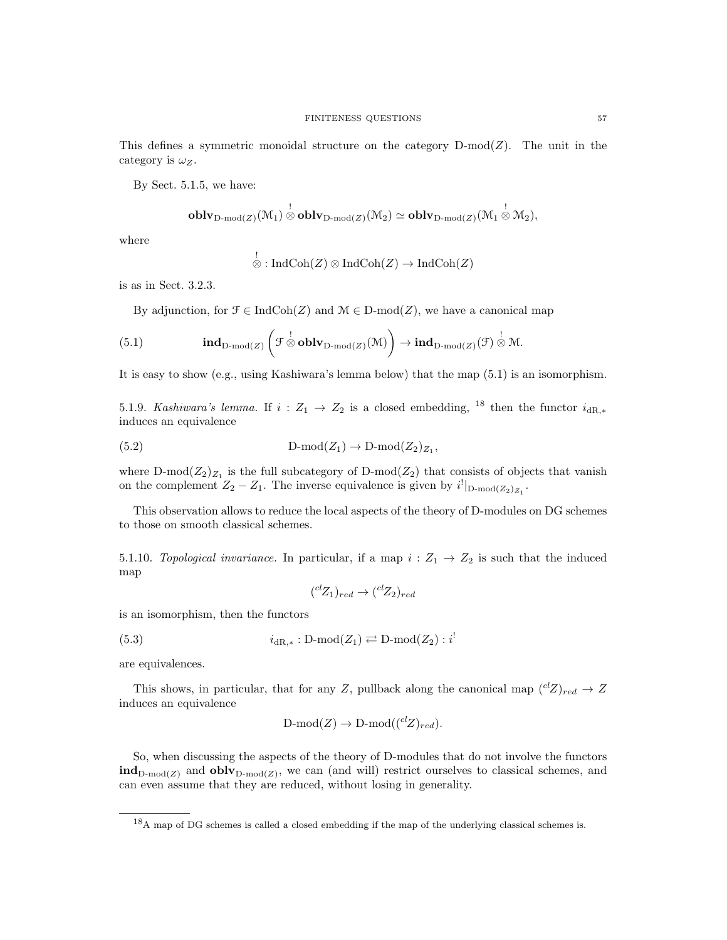This defines a symmetric monoidal structure on the category  $D\text{-mod}(Z)$ . The unit in the category is  $\omega_Z$ .

By Sect. 5.1.5, we have:

$$
\operatorname{\textbf{oblv}}_{D\operatorname{\textbf{-}mod}(Z)}(\mathcal{M}_1)\overset{!}{\otimes}\operatorname{\textbf{oblv}}_{D\operatorname{\textbf{-}mod}(Z)}(\mathcal{M}_2)\simeq\operatorname{\textbf{oblv}}_{D\operatorname{\textbf{-}mod}(Z)}(\mathcal{M}_1\overset{!}{\otimes}\mathcal{M}_2),
$$

where

$$
\bigotimes^! : \mathrm{IndCoh}(Z) \otimes \mathrm{IndCoh}(Z) \to \mathrm{IndCoh}(Z)
$$

is as in Sect. 3.2.3.

By adjunction, for  $\mathcal{F} \in \text{IndCoh}(Z)$  and  $\mathcal{M} \in \text{D-mod}(Z)$ , we have a canonical map

(5.1) 
$$
\qquad \qquad \mathbf{ind}_{\mathbf{D}\text{-mod}(Z)}\left(\mathcal{F}\overset{!}{\otimes}\mathbf{oblv}_{\mathbf{D}\text{-mod}(Z)}(\mathcal{M})\right) \to \mathbf{ind}_{\mathbf{D}\text{-mod}(Z)}(\mathcal{F})\overset{!}{\otimes}\mathcal{M}.
$$

It is easy to show (e.g., using Kashiwara's lemma below) that the map (5.1) is an isomorphism.

5.1.9. Kashiwara's lemma. If  $i: Z_1 \rightarrow Z_2$  is a closed embedding, <sup>18</sup> then the functor  $i_{dR,*}$ induces an equivalence

(5.2) 
$$
D-mod(Z_1) \to D-mod(Z_2)_{Z_1},
$$

where D-mod $(Z_2)_{Z_1}$  is the full subcategory of D-mod $(Z_2)$  that consists of objects that vanish on the complement  $Z_2 - Z_1$ . The inverse equivalence is given by  $i^!|_{D\text{-mod}(Z_2)_{Z_1}}$ .

This observation allows to reduce the local aspects of the theory of D-modules on DG schemes to those on smooth classical schemes.

5.1.10. Topological invariance. In particular, if a map  $i: Z_1 \rightarrow Z_2$  is such that the induced map

$$
({}^{cl}Z_1)_{red} \rightarrow ({}^{cl}Z_2)_{red}
$$

is an isomorphism, then the functors

(5.3) 
$$
i_{\text{dR},*}: \text{D-mod}(Z_1) \rightleftarrows \text{D-mod}(Z_2) : i^!
$$

are equivalences.

This shows, in particular, that for any Z, pullback along the canonical map  $({}^{cl}Z)_{red} \rightarrow Z$ induces an equivalence

$$
D\text{-mod}(Z) \to D\text{-mod}((^{cl}Z)_{red}).
$$

So, when discussing the aspects of the theory of D-modules that do not involve the functors  $\text{ind}_{\text{D-mod}(Z)}$  and  $\text{oblv}_{\text{D-mod}(Z)}$ , we can (and will) restrict ourselves to classical schemes, and can even assume that they are reduced, without losing in generality.

<sup>18</sup>A map of DG schemes is called a closed embedding if the map of the underlying classical schemes is.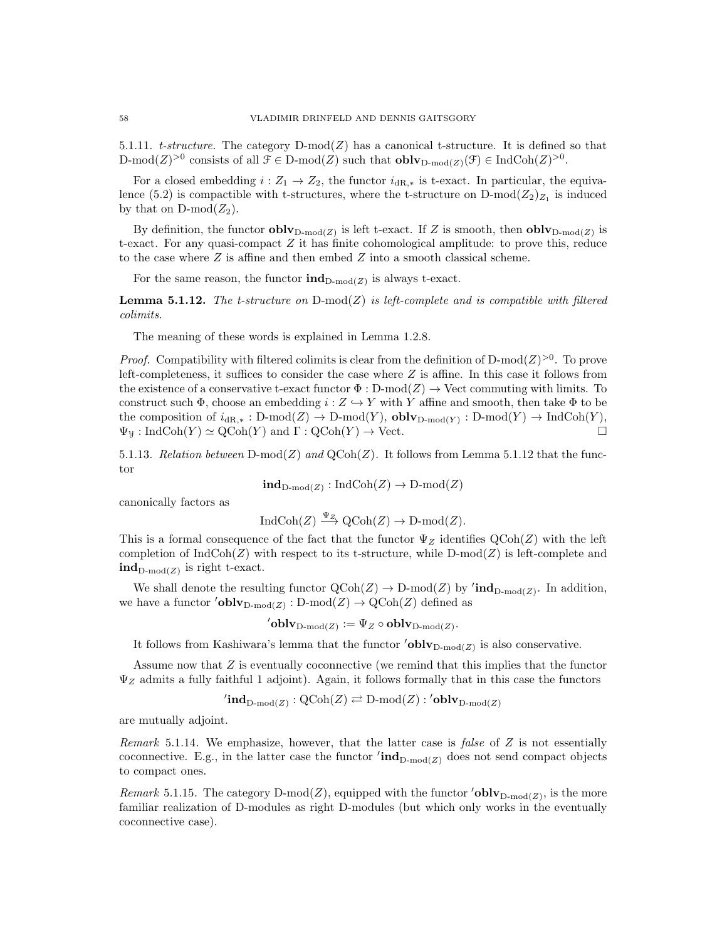5.1.11. t-structure. The category  $D\text{-mod}(Z)$  has a canonical t-structure. It is defined so that D-mod(Z)<sup>>0</sup> consists of all  $\mathcal{F} \in \mathcal{D}$ -mod(Z) such that  $\textbf{oblv}_{\mathcal{D} \text{-mod}(Z)}(\mathcal{F}) \in \text{IndCoh}(Z)^{>0}$ .

For a closed embedding  $i: Z_1 \to Z_2$ , the functor  $i_{\text{dR},*}$  is t-exact. In particular, the equivalence (5.2) is compactible with t-structures, where the t-structure on  $D\text{-mod}(Z_2)_{Z_1}$  is induced by that on  $D\text{-mod}(Z_2)$ .

By definition, the functor  $\textbf{oblv}_{D\text{-mod}(Z)}$  is left t-exact. If Z is smooth, then  $\textbf{oblv}_{D\text{-mod}(Z)}$  is t-exact. For any quasi-compact  $Z$  it has finite cohomological amplitude: to prove this, reduce to the case where  $Z$  is affine and then embed  $Z$  into a smooth classical scheme.

For the same reason, the functor  $\text{ind}_{D\text{-mod}(Z)}$  is always t-exact.

**Lemma 5.1.12.** The t-structure on  $D\text{-mod}(Z)$  is left-complete and is compatible with filtered colimits.

The meaning of these words is explained in Lemma 1.2.8.

*Proof.* Compatibility with filtered colimits is clear from the definition of D-mod( $Z$ )<sup>>0</sup>. To prove left-completeness, it suffices to consider the case where  $Z$  is affine. In this case it follows from the existence of a conservative t-exact functor  $\Phi : D\text{-mod}(Z) \to \text{Vect}$  commuting with limits. To construct such  $\Phi$ , choose an embedding  $i: Z \hookrightarrow Y$  with Y affine and smooth, then take  $\Phi$  to be the composition of  $i_{dR,*}: D\text{-mod}(Z) \to D\text{-mod}(Y)$ ,  $\text{oblv}_{D\text{-mod}(Y)}: D\text{-mod}(Y) \to \text{IndCoh}(Y)$ ,  $\Psi_{\mathcal{Y}}: \text{IndCoh}(Y) \simeq \text{QCoh}(Y)$  and  $\Gamma: \text{QCoh}(Y) \to \text{Vect}.$ 

5.1.13. Relation between  $D\text{-mod}(Z)$  and  $Q\text{Coh}(Z)$ . It follows from Lemma 5.1.12 that the functor

 $\mathbf{ind}_{\mathrm{D-mod}(Z)} : \mathrm{IndCoh}(Z) \to \mathrm{D-mod}(Z)$ 

canonically factors as

$$
IndCoh(Z) \xrightarrow{\Psi_Z} QCoh(Z) \to D-mod(Z).
$$

This is a formal consequence of the fact that the functor  $\Psi_Z$  identifies  $\mathrm{QCoh}(Z)$  with the left completion of  $\text{IndCoh}(Z)$  with respect to its t-structure, while D-mod(Z) is left-complete and  $\text{ind}_{\text{D-mod}(Z)}$  is right t-exact.

We shall denote the resulting functor  $\mathrm{QCoh}(Z) \to \mathrm{D-mod}(Z)$  by ' $\mathrm{ind}_{\mathrm{D-mod}(Z)}$ . In addition, we have a functor  $\text{'oblv}_{D\text{-mod}(Z)} : D\text{-mod}(Z) \to \text{QCoh}(Z)$  defined as

 ${}'{\bf oblv}_{{\rm D-mod}(Z)}: = \Psi_Z \circ {\bf oblv}_{{\rm D-mod}(Z)}.$ 

It follows from Kashiwara's lemma that the functor  $\prime$ **oblv**<sub>D-mod(Z)</sub> is also conservative.

Assume now that  $Z$  is eventually coconnective (we remind that this implies that the functor  $\Psi_Z$  admits a fully faithful 1 adjoint). Again, it follows formally that in this case the functors

 $\mathrm{Cind}_{\mathrm{D-mod}(Z)} : \mathrm{QCoh}(Z) \rightleftarrows \mathrm{D-mod}(Z) : {}^{\prime} \mathbf{oblv}_{\mathrm{D-mod}(Z)}$ 

are mutually adjoint.

Remark 5.1.14. We emphasize, however, that the latter case is *false* of  $Z$  is not essentially coconnective. E.g., in the latter case the functor  $'ind_{D\text{-mod}(Z)}$  does not send compact objects to compact ones.

Remark 5.1.15. The category D-mod(Z), equipped with the functor 'oblv<sub>D-mod(Z)</sub>, is the more familiar realization of D-modules as right D-modules (but which only works in the eventually coconnective case).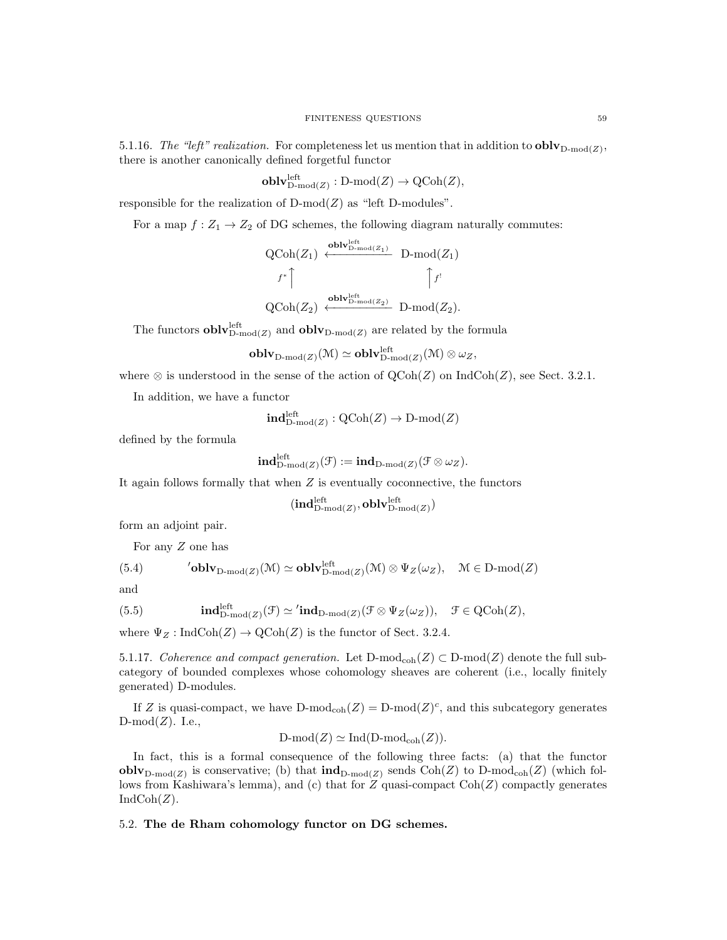5.1.16. The "left" realization. For completeness let us mention that in addition to  $\textbf{oblv}_{D\text{-mod}(Z)}$ , there is another canonically defined forgetful functor

$$
\mathbf{oblv}_{\mathrm{D-mod}(Z)}^{\mathrm{left}}:\mathrm{D-mod}(Z)\to \mathrm{QCoh}(Z),
$$

responsible for the realization of  $D\text{-mod}(Z)$  as "left D-modules".

For a map  $f: Z_1 \to Z_2$  of DG schemes, the following diagram naturally commutes:

$$
\operatorname{QCoh}(Z_1) \xleftarrow{\operatorname{oblv}_{\operatorname{D-mod}(Z_1)}^{\operatorname{lolv}_{\operatorname{D-mod}(Z_1)}}} \operatorname{D-mod}(Z_1)
$$
  

$$
f^* \uparrow \qquad \qquad \uparrow f'
$$
  

$$
\operatorname{QCoh}(Z_2) \xleftarrow{\operatorname{oblv}_{\operatorname{D-mod}(Z_2)}^{\operatorname{left}}} \operatorname{D-mod}(Z_2).
$$

The functors  $\textbf{oblv}_{\text{D-mod}(Z)}^{\text{left}}$  and  $\textbf{oblv}_{\text{D-mod}(Z)}$  are related by the formula

$$
\mathbf{oblv}_{\mathrm{D\text{-}mod}(Z)}(\mathfrak{M})\simeq\mathbf{oblv}_{\mathrm{D\text{-}mod}(Z)}^{\mathrm{left}}(\mathfrak{M})\otimes \omega_Z,
$$

where  $\otimes$  is understood in the sense of the action of QCoh(Z) on IndCoh(Z), see Sect. 3.2.1.

In addition, we have a functor

$$
\mathbf{ind}_{\mathrm{D-mod}(Z)}^{\mathrm{left}} : \mathrm{QCoh}(Z) \to \mathrm{D-mod}(Z)
$$

defined by the formula

$$
{\rm \bf ind}_{\rm D\text{-}mod}(Z)}^{\rm left}(\mathcal{F}):= {\rm \bf ind}_{\rm D\text{-}mod}(Z)}(\mathcal{F}\otimes\omega_Z).
$$

It again follows formally that when  $Z$  is eventually coconnective, the functors

$$
(\mathbf{ind}_{\mathrm{D-mod}(Z)}^\mathrm{left},\mathbf{oblv}_{\mathrm{D-mod}(Z)}^\mathrm{left})
$$

form an adjoint pair.

For any Z one has

(5.4) **"oblv**<sub>D-mod(Z)</sub>
$$
(\mathcal{M}) \simeq
$$
**oblv**<sub>D-mod(Z)</sub> $(\mathcal{M}) \otimes \Psi_Z(\omega_Z)$ ,  $\mathcal{M} \in \text{D-mod}(Z)$ 

and

(5.5) 
$$
\mathbf{ind}_{\mathrm{D-mod}(Z)}^{\mathrm{left}}(\mathcal{F}) \simeq \mathbf{ind}_{\mathrm{D-mod}(Z)}(\mathcal{F} \otimes \Psi_Z(\omega_Z)), \quad \mathcal{F} \in \mathrm{QCoh}(Z),
$$

where  $\Psi_Z : \text{IndCoh}(Z) \to \text{QCoh}(Z)$  is the functor of Sect. 3.2.4.

5.1.17. Coherence and compact generation. Let  $D\text{-mod}(Z) \subset D\text{-mod}(Z)$  denote the full subcategory of bounded complexes whose cohomology sheaves are coherent (i.e., locally finitely generated) D-modules.

If Z is quasi-compact, we have  $D\text{-mod}_{coh}(Z) = D\text{-mod}(Z)^c$ , and this subcategory generates  $D\text{-mod}(Z)$ . I.e.,

$$
D\text{-mod}(Z) \simeq \text{Ind}(D\text{-mod}_{\text{coh}}(Z)).
$$

In fact, this is a formal consequence of the following three facts: (a) that the functor **obly**<sub>D-mod(Z)</sub> is conservative; (b) that  $\text{ind}_{D\text{-mod}(Z)}$  sends  $\text{Coh}(Z)$  to D-mod<sub>coh</sub>(Z) (which follows from Kashiwara's lemma), and (c) that for  $Z$  quasi-compact  $\text{Coh}(Z)$  compactly generates  $IndCoh(Z).$ 

5.2. The de Rham cohomology functor on DG schemes.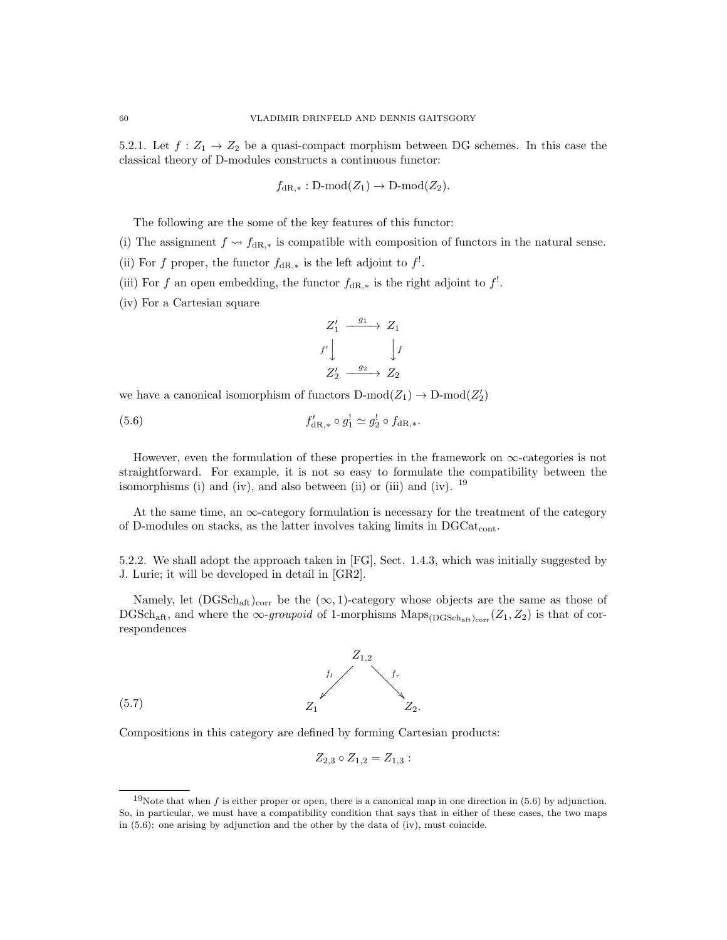5.2.1. Let  $f: Z_1 \to Z_2$  be a quasi-compact morphism between DG schemes. In this case the classical theory of D-modules constructs a continuous functor:

$$
f_{\mathrm{dR},*}: D\text{-mod}(Z_1) \to D\text{-mod}(Z_2).
$$

The following are the some of the key features of this functor:

- (i) The assignment  $f \nightharpoonup f_{\text{dR},*}$  is compatible with composition of functors in the natural sense.
- (ii) For f proper, the functor  $f_{\text{dR},*}$  is the left adjoint to  $f^!$ .
- (iii) For f an open embedding, the functor  $f_{\text{dR},*}$  is the right adjoint to  $f^!$ .
- (iv) For a Cartesian square

$$
Z_1' \xrightarrow{g_1} Z_1
$$
  

$$
f' \downarrow \qquad \qquad \downarrow f
$$
  

$$
Z_2' \xrightarrow{g_2} Z_2
$$

we have a canonical isomorphism of functors  $D\text{-mod}(Z_1) \to D\text{-mod}(Z_2')$ 

(5.6) 
$$
f'_{\text{dR},*} \circ g_1^1 \simeq g_2^1 \circ f_{\text{dR},*}.
$$

However, even the formulation of these properties in the framework on  $\infty$ -categories is not straightforward. For example, it is not so easy to formulate the compatibility between the isomorphisms (i) and (iv), and also between (ii) or (iii) and (iv).  $^{19}$ 

At the same time, an  $\infty$ -category formulation is necessary for the treatment of the category of D-modules on stacks, as the latter involves taking limits in  $DGCat_{cont}$ .

5.2.2. We shall adopt the approach taken in [FG], Sect. 1.4.3, which was initially suggested by J. Lurie; it will be developed in detail in [GR2].

Namely, let  $(DGSch_{\text{aff}})_{\text{corr}}$  be the  $(\infty, 1)$ -category whose objects are the same as those of DGSch<sub>aft</sub>, and where the  $\infty$ -groupoid of 1-morphisms Maps<sub>(DGSchaft)corr</sub>  $(Z_1, Z_2)$  is that of correspondences



Compositions in this category are defined by forming Cartesian products:

$$
Z_{2,3} \circ Z_{1,2} = Z_{1,3}:
$$

<sup>&</sup>lt;sup>19</sup>Note that when  $f$  is either proper or open, there is a canonical map in one direction in (5.6) by adjunction. So, in particular, we must have a compatibility condition that says that in either of these cases, the two maps in (5.6): one arising by adjunction and the other by the data of (iv), must coincide.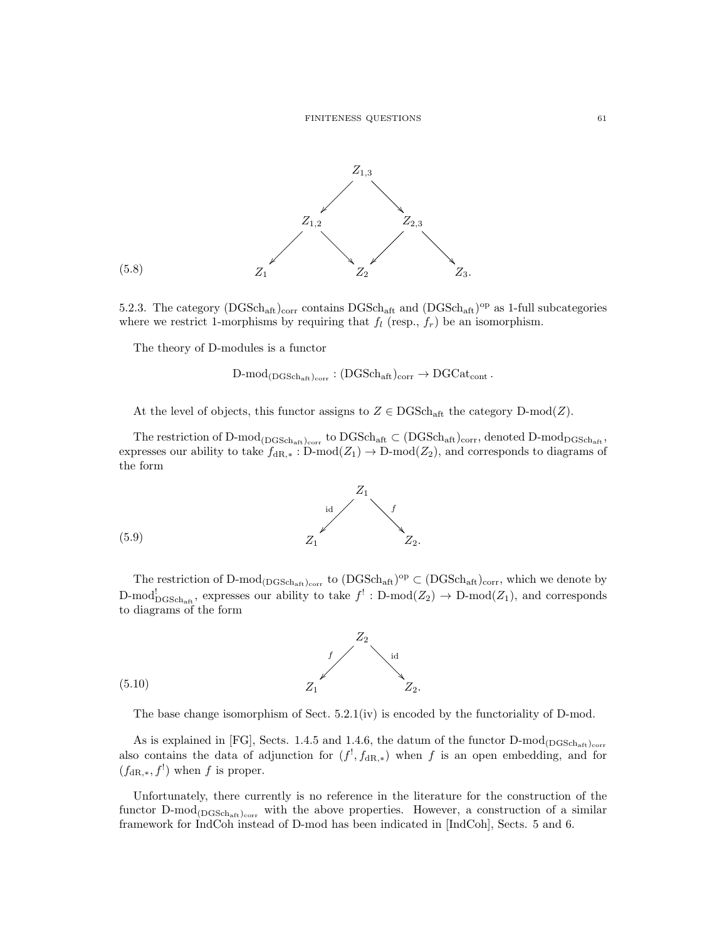

5.2.3. The category  $(DGSch_{\text{aff}})_{\text{corr}}$  contains  $DGSch_{\text{aff}}$  and  $(DGSch_{\text{aff}})_{\text{op}}$  as 1-full subcategories where we restrict 1-morphisms by requiring that  $f_l$  (resp.,  $f_r$ ) be an isomorphism.

The theory of D-modules is a functor

$$
D\text{-mod}_{(DGSch_{\rm aff})_{\rm corr}} : (DGSch_{\rm aff})_{\rm corr} \to DGCat_{\rm cont}.
$$

At the level of objects, this functor assigns to  $Z \in \text{DGSch}_{\text{aff}}$  the category D-mod(Z).

The restriction of D-mod<sub>(DGSch<sub>aft)corr</sub> to DGSch<sub>aft</sub>  $\subset$  (DGSch<sub>aft)corr</sub>, denoted D-mod<sub>DGSch<sub>aft</sub>,</sub></sub> expresses our ability to take  $f_{\text{dR},*}$ : D-mod $(Z_1) \rightarrow$  D-mod $(Z_2)$ , and corresponds to diagrams of the form



The restriction of  $D\text{-mod}_{(DGSch_{aff})_{corr}}$  to  $(DGSch_{aff})^{op} \subset (DGSch_{aff})_{corr}$ , which we denote by D-mod<sup>1</sup><sub>DGSch<sub>aft</sub></sub>, expresses our ability to take  $f' : D\text{-mod}(Z_2) \to D\text{-mod}(Z_1)$ , and corresponds to diagrams of the form



The base change isomorphism of Sect. 5.2.1(iv) is encoded by the functoriality of D-mod.

As is explained in [FG], Sects. 1.4.5 and 1.4.6, the datum of the functor  $D\text{-mod}_{(DGSch_{\text{aff}})_{corr}}$ also contains the data of adjunction for  $(f<sup>!</sup>, f<sub>dR,*</sub>)$  when f is an open embedding, and for  $(f_{\text{dR},*}, f!)$  when f is proper.

Unfortunately, there currently is no reference in the literature for the construction of the functor  $D\text{-mod}_{(DGSch_{\text{aff}})corr}$  with the above properties. However, a construction of a similar framework for IndCoh instead of D-mod has been indicated in [IndCoh], Sects. 5 and 6.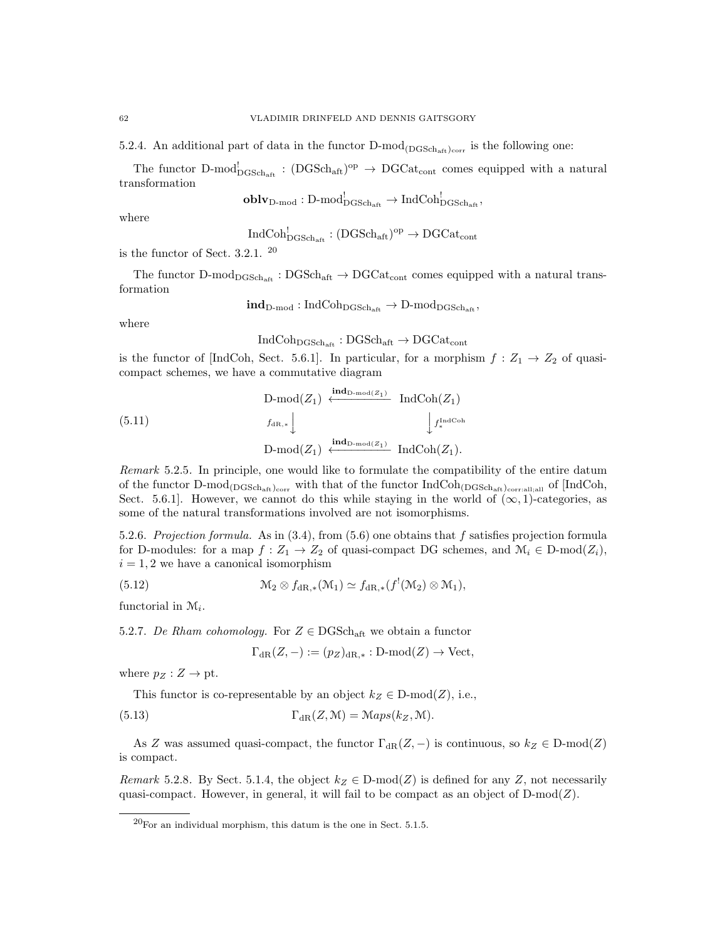5.2.4. An additional part of data in the functor  $D\text{-mod}_{(DGSch_{\text{aff}})_{corr}}$  is the following one:

The functor D-mod<sup>1</sup><sub>DGSch<sub>aft</sub>:  $(DGSch_{\text{aff}})^{\text{op}} \to DGCat_{\text{cont}}$  comes equipped with a natural</sub> transformation  $\overline{D}$   $\overline{D}$   $\overline{D}$  $\overline{101}$ 

$$
\mathbf{oblv}_{\mathrm{D-mod}} : \mathrm{D-mod}^!_{\mathrm{DGSch}_{\mathrm{aff}}} \to \mathrm{IndCoh}^!_{\mathrm{DGSch}_{\mathrm{aff}}},
$$

where

$$
\mathrm{IndCoh}^!_{\mathrm{DGSch}_{\mathrm{aff}}}:(\mathrm{DGSch}_{\mathrm{aff}})^{\mathrm{op}}\to \mathrm{DGCat}_{\mathrm{cont}}
$$

is the functor of Sect. 3.2.1. <sup>20</sup>

The functor D-mod $_{\text{DGSch}_{\text{aft}}}$ : DGSch<sub>aft</sub>  $\rightarrow$  DGCat<sub>cont</sub> comes equipped with a natural transformation

$$
\mathbf{ind}_{D\text{-mod}}:\mathrm{IndCoh}_{\mathrm{DGSch}_{\mathrm{aff}}}\rightarrow D\text{-mod}_{\mathrm{DGSch}_{\mathrm{aff}}},
$$

where

$$
\mathrm{IndCoh}_{\mathrm{DGSch}_{\mathrm{aff}}}: \mathrm{DGSch}_{\mathrm{aff}} \to \mathrm{DGCat}_{\mathrm{cont}}
$$

is the functor of [IndCoh, Sect. 5.6.1]. In particular, for a morphism  $f: Z_1 \to Z_2$  of quasicompact schemes, we have a commutative diagram

$$
\begin{array}{ccc}\n\text{D-mod}(Z_1) & \xleftarrow{\text{ind}_{\text{D-mod}(Z_1)}} & \text{IndCoh}(Z_1) \\
\downarrow f_{\text{dR},*} & & \downarrow f_{\text{dR},*}^{\text{IndCoh}} \\
\text{D-mod}(Z_1) & \xleftarrow{\text{ind}_{\text{D-mod}(Z_1)}} & \text{IndCoh}(Z_1).\n\end{array}
$$

Remark 5.2.5. In principle, one would like to formulate the compatibility of the entire datum of the functor  $D\text{-mod}_{(DGSch_{aff})_{corr}}$  with that of the functor  $IndCoh_{(DGSch_{aff})_{corr:all;all}}$  of [IndCoh, Sect. 5.6.1. However, we cannot do this while staying in the world of  $(\infty, 1)$ -categories, as some of the natural transformations involved are not isomorphisms.

5.2.6. Projection formula. As in  $(3.4)$ , from  $(5.6)$  one obtains that f satisfies projection formula for D-modules: for a map  $f: Z_1 \to Z_2$  of quasi-compact DG schemes, and  $\mathcal{M}_i \in D\text{-mod}(Z_i)$ ,  $i = 1, 2$  we have a canonical isomorphism

(5.12) 
$$
\mathcal{M}_2 \otimes f_{\mathrm{dR},*}(\mathcal{M}_1) \simeq f_{\mathrm{dR},*}(f^!(\mathcal{M}_2) \otimes \mathcal{M}_1),
$$

functorial in  $\mathcal{M}_i$ .

5.2.7. De Rham cohomology. For  $Z \in \text{DGSch}_{\text{aff}}$  we obtain a functor

$$
\Gamma_{\mathrm{dR}}(Z,-) := (p_Z)_{\mathrm{dR},*} : D\text{-mod}(Z) \to \text{Vect},
$$

where  $p_Z : Z \to \text{pt}$ .

This functor is co-representable by an object  $k_Z \in D\text{-mod}(Z)$ , i.e.,

(5.13) 
$$
\Gamma_{\text{dR}}(Z,\mathcal{M}) = \text{Maps}(k_Z,\mathcal{M}).
$$

As Z was assumed quasi-compact, the functor  $\Gamma_{\text{dR}}(Z, -)$  is continuous, so  $k_Z \in D\text{-mod}(Z)$ is compact.

Remark 5.2.8. By Sect. 5.1.4, the object  $k_Z \in D\text{-mod}(Z)$  is defined for any Z, not necessarily quasi-compact. However, in general, it will fail to be compact as an object of  $D\text{-mod}(Z)$ .

 $^{20}$ For an individual morphism, this datum is the one in Sect. 5.1.5.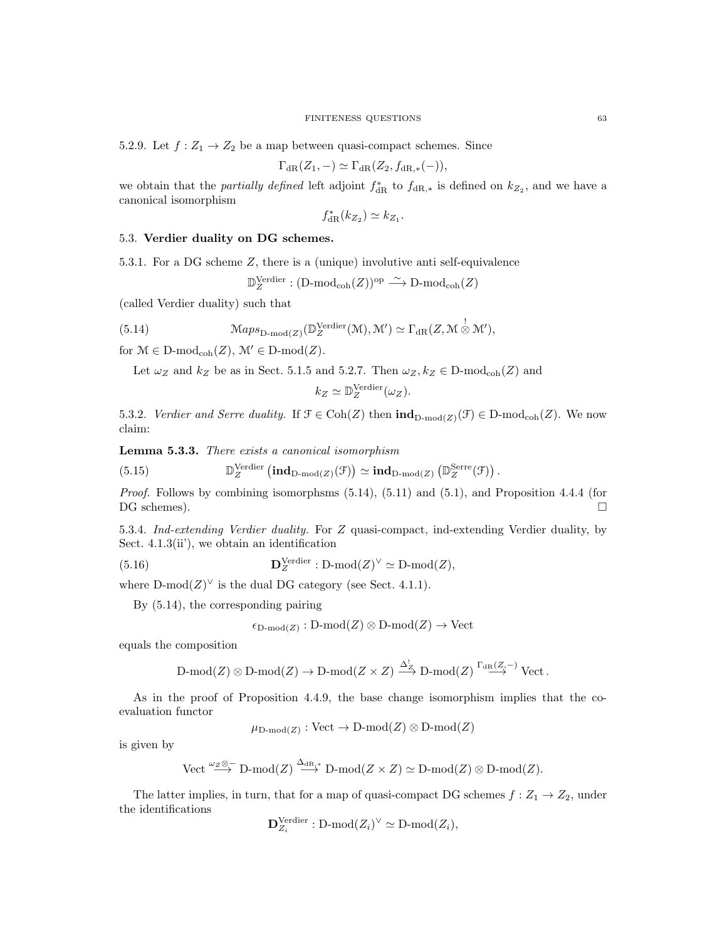5.2.9. Let  $f: Z_1 \to Z_2$  be a map between quasi-compact schemes. Since

$$
\Gamma_{\mathrm{dR}}(Z_1, -) \simeq \Gamma_{\mathrm{dR}}(Z_2, f_{\mathrm{dR},*}(-)),
$$

we obtain that the *partially defined* left adjoint  $f_{\text{dR}}^*$  to  $f_{\text{dR},*}$  is defined on  $k_{Z_2}$ , and we have a canonical isomorphism

$$
f_{\rm dR}^*(k_{Z_2}) \simeq k_{Z_1}.
$$

## 5.3. Verdier duality on DG schemes.

5.3.1. For a DG scheme Z, there is a (unique) involutive anti self-equivalence

$$
\mathbb{D}_Z^{\mathrm{Verdier}}:(\mathrm{D\text{-}mod}_{\mathrm{coh}}(Z))^{\mathrm{op}}\stackrel{\sim}{\longrightarrow}\mathrm{D\text{-}mod}_{\mathrm{coh}}(Z)
$$

(called Verdier duality) such that

(5.14) 
$$
\mathcal{M}aps_{\mathcal{D}\text{-mod}(Z)}(\mathbb{D}_{Z}^{\text{Verdier}}(\mathcal{M}), \mathcal{M}') \simeq \Gamma_{\text{dR}}(Z, \mathcal{M} \overset{!}{\otimes} \mathcal{M}'),
$$

for  $\mathcal{M} \in \mathcal{D}\text{-mod}_{\text{coh}}(Z)$ ,  $\mathcal{M}' \in \mathcal{D}\text{-mod}(Z)$ .

Let  $\omega_Z$  and  $k_Z$  be as in Sect. 5.1.5 and 5.2.7. Then  $\omega_Z, k_Z \in \text{D-mod}_{\text{coh}}(Z)$  and

$$
k_Z \simeq \mathbb{D}_Z^{\text{Verdier}}(\omega_Z).
$$

5.3.2. Verdier and Serre duality. If  $\mathcal{F} \in \text{Coh}(Z)$  then  $\text{ind}_{D\text{-mod}(Z)}(\mathcal{F}) \in D\text{-mod}_{\text{coh}}(Z)$ . We now claim:

Lemma 5.3.3. There exists a canonical isomorphism

(5.15) 
$$
\mathbb{D}_{Z}^{\text{Verder}}\left(\text{ind}_{D\text{-mod}(Z)}(\mathcal{F})\right) \simeq \text{ind}_{D\text{-mod}(Z)}\left(\mathbb{D}_{Z}^{\text{Serre}}(\mathcal{F})\right)
$$

*Proof.* Follows by combining isomorphsms  $(5.14)$ ,  $(5.11)$  and  $(5.1)$ , and Proposition 4.4.4 (for DG schemes).

.

5.3.4. Ind-extending Verdier duality. For Z quasi-compact, ind-extending Verdier duality, by Sect. 4.1.3(ii'), we obtain an identification

(5.16) 
$$
\mathbf{D}_Z^{\text{Verdier}} : \text{D-mod}(Z)^\vee \simeq \text{D-mod}(Z),
$$

where  $D\text{-mod}(Z)^\vee$  is the dual DG category (see Sect. 4.1.1).

By (5.14), the corresponding pairing

$$
\epsilon_{\text{D-mod}(Z)}:\text{D-mod}(Z)\otimes\text{D-mod}(Z)\to\text{Vect}
$$

equals the composition

$$
\text{D-mod}(Z) \otimes \text{D-mod}(Z) \to \text{D-mod}(Z \times Z) \xrightarrow{\Delta_Z^!} \text{D-mod}(Z) \xrightarrow{\Gamma_{\text{dR}}(Z, -)} \text{Vect}.
$$

As in the proof of Proposition 4.4.9, the base change isomorphism implies that the coevaluation functor

$$
\mu_{D\text{-mod}(Z)} : \text{Vect} \to D\text{-mod}(Z) \otimes D\text{-mod}(Z)
$$

is given by

Vect 
$$
\stackrel{\omega_Z \otimes -}{\longrightarrow}
$$
 D-mod(Z)  $\stackrel{\Delta_{dR,*}}{\longrightarrow}$  D-mod(Z \times Z)  $\simeq$  D-mod(Z)  $\otimes$  D-mod(Z).

The latter implies, in turn, that for a map of quasi-compact DG schemes  $f: Z_1 \to Z_2$ , under the identifications

$$
\mathbf{D}_{Z_i}^{\text{Verdier}} : \text{D-mod}(Z_i)^{\vee} \simeq \text{D-mod}(Z_i),
$$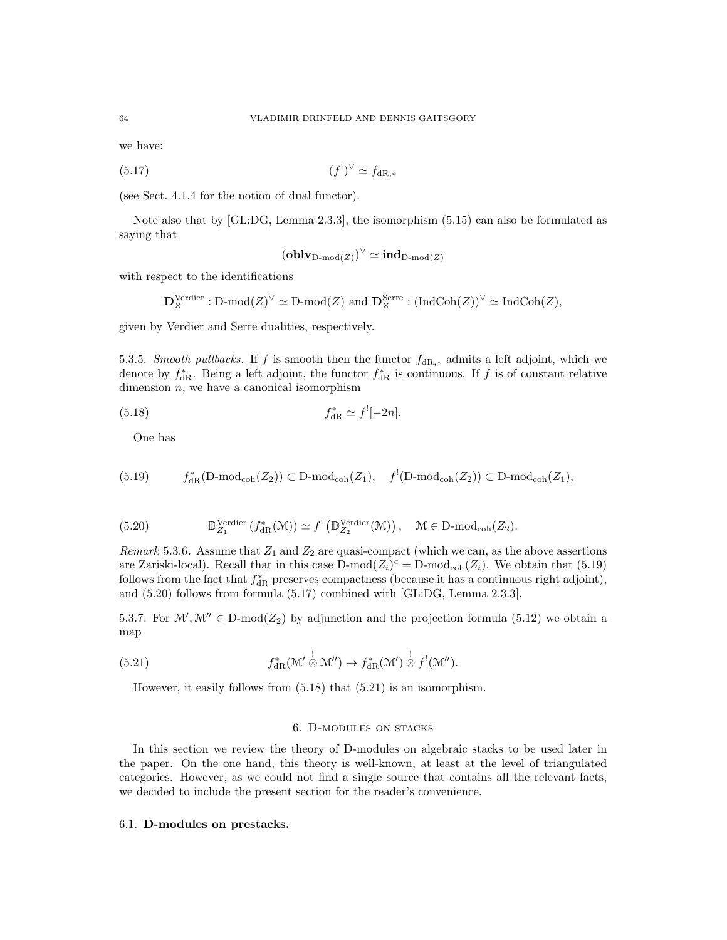we have:

$$
(5.17)\t\t\t(f1)0 \simeq fdR,*
$$

(see Sect. 4.1.4 for the notion of dual functor).

Note also that by [GL:DG, Lemma 2.3.3], the isomorphism (5.15) can also be formulated as saying that

$$
(\mathbf{oblv}_{\mathrm{D-mod}(Z)})^{\vee} \simeq \mathbf{ind}_{\mathrm{D-mod}(Z)}
$$

with respect to the identifications

$$
\mathbf{D}^{\mathrm{Verdier}}_Z : \mathrm{D\text{-}mod}(Z)^\vee \simeq \mathrm{D\text{-}mod}(Z) \text{ and } \mathbf{D}^{\mathrm{Serre}}_Z : (\mathrm{IndCoh}(Z))^\vee \simeq \mathrm{IndCoh}(Z),
$$

given by Verdier and Serre dualities, respectively.

5.3.5. Smooth pullbacks. If f is smooth then the functor  $f_{\text{dR},*}$  admits a left adjoint, which we denote by  $f_{\text{dR}}^*$ . Being a left adjoint, the functor  $f_{\text{dR}}^*$  is continuous. If f is of constant relative dimension  $n$ , we have a canonical isomorphism

(5.18) 
$$
f_{\rm dR}^* \simeq f'[-2n].
$$

One has

$$
(5.19) \t\t f_{\rm dR}^*(D\text{-}\mathrm{mod}_{\mathrm{coh}}(Z_2)) \subset D\text{-}\mathrm{mod}_{\mathrm{coh}}(Z_1), \quad f^!(D\text{-}\mathrm{mod}_{\mathrm{coh}}(Z_2)) \subset D\text{-}\mathrm{mod}_{\mathrm{coh}}(Z_1),
$$

(5.20) 
$$
\mathbb{D}_{Z_1}^{\text{Verdier}}(f_{\text{dR}}^*(\mathcal{M})) \simeq f'(\mathbb{D}_{Z_2}^{\text{Verdier}}(\mathcal{M})), \quad \mathcal{M} \in \text{D-mod}_{\text{coh}}(Z_2).
$$

Remark 5.3.6. Assume that  $Z_1$  and  $Z_2$  are quasi-compact (which we can, as the above assertions are Zariski-local). Recall that in this case  $D\text{-mod}(Z_i)^c = D\text{-mod}_{coh}(Z_i)$ . We obtain that (5.19) follows from the fact that  $f_{\rm dR}^*$  preserves compactness (because it has a continuous right adjoint), and (5.20) follows from formula (5.17) combined with [GL:DG, Lemma 2.3.3].

5.3.7. For  $\mathcal{M}', \mathcal{M}'' \in D\text{-mod}(Z_2)$  by adjunction and the projection formula (5.12) we obtain a map

(5.21) 
$$
f_{\mathrm{dR}}^*(\mathcal{M}' \overset{!}{\otimes} \mathcal{M}'') \to f_{\mathrm{dR}}^*(\mathcal{M}') \overset{!}{\otimes} f^!(\mathcal{M}'').
$$

However, it easily follows from (5.18) that (5.21) is an isomorphism.

### 6. D-modules on stacks

In this section we review the theory of D-modules on algebraic stacks to be used later in the paper. On the one hand, this theory is well-known, at least at the level of triangulated categories. However, as we could not find a single source that contains all the relevant facts, we decided to include the present section for the reader's convenience.

## 6.1. D-modules on prestacks.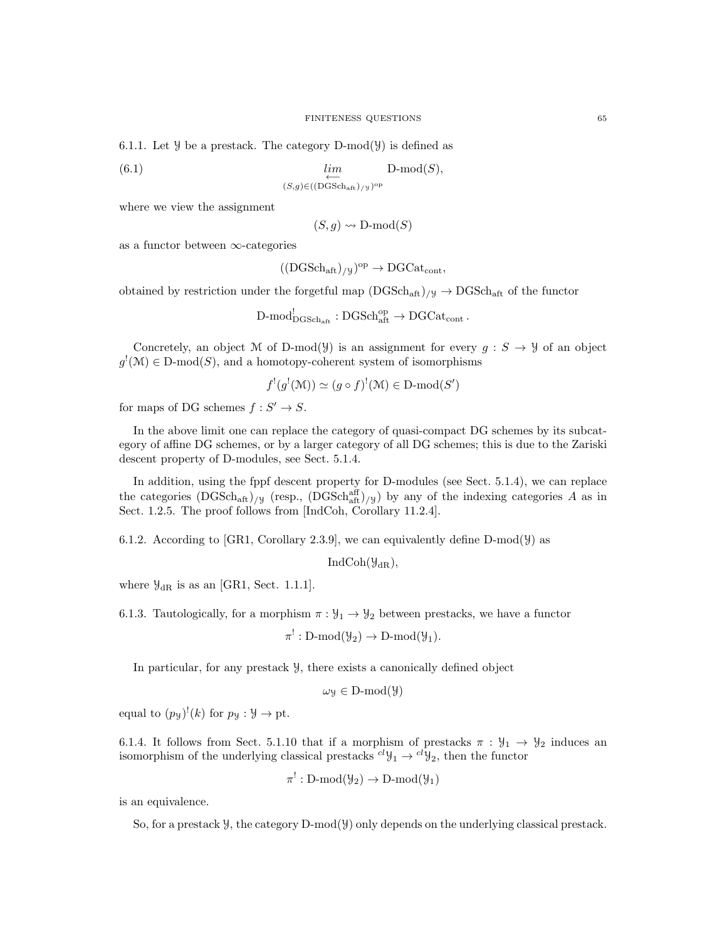6.1.1. Let  $\mathcal Y$  be a prestack. The category D-mod( $\mathcal Y$ ) is defined as

 $(lin$  lim←  $D\text{-mod}(S)$ ,

where we view the assignment

$$
(S, g) \rightsquigarrow \mathbf{D}\text{-mod}(S)
$$

as a functor between  $\infty$ -categories

$$
((\mathrm{DGSch}_{\mathrm{aft}})_{/y})^{\mathrm{op}} \to \mathrm{DGCat}_{\mathrm{cont}},
$$

obtained by restriction under the forgetful map  $(DGSch_{\text{aff}})/y \to DGSch_{\text{aff}}$  of the functor

 $(S,g) \in ((\text{DGSch}_{\text{aff}})_{/y})^{\text{op}}$ 

$$
\text{D-mod}_{\text{DGSch}_{\text{aff}}}^! : \text{DGSch}_{\text{aff}}^{\text{op}} \to \text{DGCat}_{\text{cont}}.
$$

Concretely, an object M of D-mod( $\mathcal{Y}$ ) is an assignment for every  $g : S \to \mathcal{Y}$  of an object  $g'(\mathcal{M}) \in \mathcal{D}$ -mod $(S)$ , and a homotopy-coherent system of isomorphisms

$$
f^!(g^!(\mathcal{M})) \simeq (g \circ f)^!(\mathcal{M}) \in \mathcal{D}\text{-mod}(S')
$$

for maps of DG schemes  $f: S' \to S$ .

In the above limit one can replace the category of quasi-compact DG schemes by its subcategory of affine DG schemes, or by a larger category of all DG schemes; this is due to the Zariski descent property of D-modules, see Sect. 5.1.4.

In addition, using the fppf descent property for D-modules (see Sect. 5.1.4), we can replace the categories  $(DGSch_{\text{aff}})/y$  (resp.,  $(DGSch_{\text{aff}}^{\text{aff}})/y$ ) by any of the indexing categories A as in Sect. 1.2.5. The proof follows from [IndCoh, Corollary 11.2.4].

6.1.2. According to [GR1, Corollary 2.3.9], we can equivalently define D-mod( $\mathcal{Y}$ ) as

 $IndCoh(\mathcal{Y}_{dR}),$ 

where  $\mathcal{Y}_{\text{dR}}$  is as an [GR1, Sect. 1.1.1].

6.1.3. Tautologically, for a morphism  $\pi : \mathcal{Y}_1 \to \mathcal{Y}_2$  between prestacks, we have a functor

 $\pi^!: \text{D-mod}(\mathcal{Y}_2) \to \text{D-mod}(\mathcal{Y}_1).$ 

In particular, for any prestack Y, there exists a canonically defined object

$$
\omega_{\mathcal{Y}} \in D\text{-mod}(\mathcal{Y})
$$

equal to  $(p_y)'(k)$  for  $p_y : Y \to pt$ .

6.1.4. It follows from Sect. 5.1.10 that if a morphism of prestacks  $\pi : \mathcal{Y}_1 \to \mathcal{Y}_2$  induces an isomorphism of the underlying classical prestacks  ${}^{cl}y_1 \rightarrow {}^{cl}y_2$ , then the functor

$$
\pi^!: D\text{-mod}(\mathcal{Y}_2) \to D\text{-mod}(\mathcal{Y}_1)
$$

is an equivalence.

So, for a prestack  $\mathcal{Y}$ , the category D-mod $(\mathcal{Y})$  only depends on the underlying classical prestack.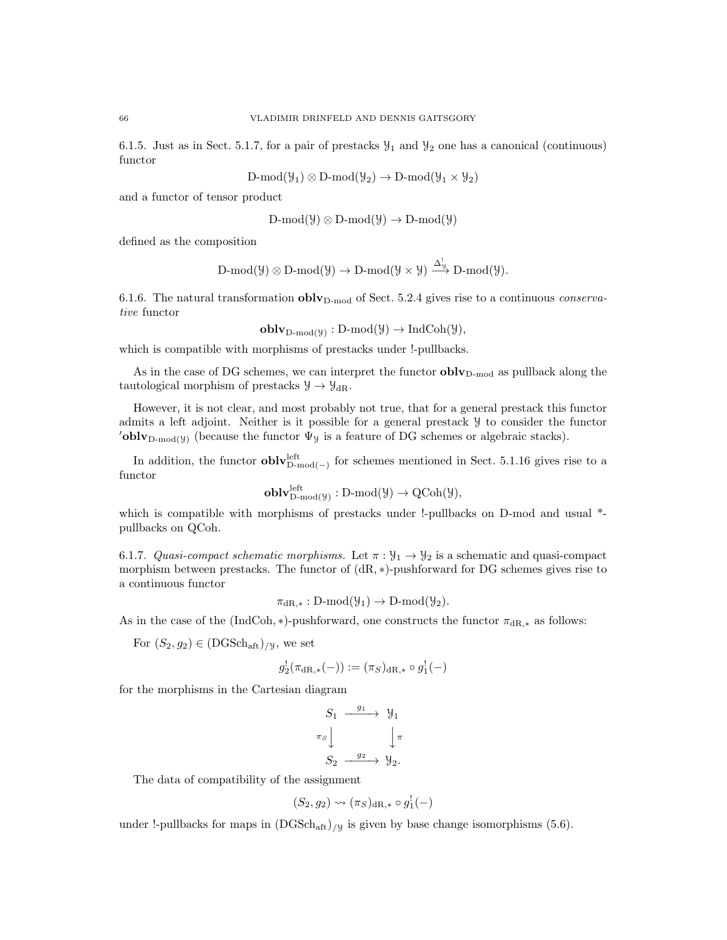6.1.5. Just as in Sect. 5.1.7, for a pair of prestacks  $\mathcal{Y}_1$  and  $\mathcal{Y}_2$  one has a canonical (continuous) functor

$$
D\text{-mod}(\mathcal{Y}_1) \otimes D\text{-mod}(\mathcal{Y}_2) \to D\text{-mod}(\mathcal{Y}_1 \times \mathcal{Y}_2)
$$

and a functor of tensor product

$$
D\text{-mod}(\mathcal{Y}) \otimes D\text{-mod}(\mathcal{Y}) \to D\text{-mod}(\mathcal{Y})
$$

defined as the composition

$$
\operatorname{D-mod}(\mathcal{Y}) \otimes \operatorname{D-mod}(\mathcal{Y}) \to \operatorname{D-mod}(\mathcal{Y} \times \mathcal{Y}) \stackrel{\Delta^!_{\mathcal{Y}}}{\longrightarrow} \operatorname{D-mod}(\mathcal{Y}).
$$

6.1.6. The natural transformation  $\text{oblv}_{D\text{-mod}}$  of Sect. 5.2.4 gives rise to a continuous *conserva*tive functor

 $\textbf{oblv}_{D\text{-mod}(\mathcal{Y})}: D\text{-mod}(\mathcal{Y}) \to \text{IndCoh}(\mathcal{Y}),$ 

which is compatible with morphisms of prestacks under !-pullbacks.

As in the case of DG schemes, we can interpret the functor  $\textbf{oblv}_{D\text{-mod}}$  as pullback along the tautological morphism of prestacks  $\mathcal{Y} \to \mathcal{Y}_{dR}$ .

However, it is not clear, and most probably not true, that for a general prestack this functor admits a left adjoint. Neither is it possible for a general prestack Y to consider the functor 'oblv<sub>D-mod(y)</sub> (because the functor  $\Psi$ y is a feature of DG schemes or algebraic stacks).

In addition, the functor  $\textbf{oblv}_{D\text{-mod}(-)}^{left}$  for schemes mentioned in Sect. 5.1.16 gives rise to a functor

$$
\mathbf{oblv}_{D\text{-mod}(\mathcal{Y})}^{\mathrm{left}}: D\text{-mod}(\mathcal{Y}) \to \mathrm{QCoh}(\mathcal{Y}),
$$

which is compatible with morphisms of prestacks under !-pullbacks on D-mod and usual  $*$ pullbacks on QCoh.

6.1.7. Quasi-compact schematic morphisms. Let  $\pi : \mathcal{Y}_1 \to \mathcal{Y}_2$  is a schematic and quasi-compact morphism between prestacks. The functor of  $(dR, *)$ -pushforward for DG schemes gives rise to a continuous functor

 $\pi_{\text{dR}_{\cdot\ast}} : D\text{-mod}(\mathcal{Y}_1) \to D\text{-mod}(\mathcal{Y}_2).$ 

As in the case of the (IndCoh, \*)-pushforward, one constructs the functor  $\pi_{\text{dR},*}$  as follows:

For  $(S_2, g_2) \in (DGSch<sub>aff</sub>)/y$ , we set

$$
g_2^!(\pi_{{\mathrm{dR}},*}(-)) := (\pi_S)_{{\mathrm{dR}},*} \circ g_1^!(-)
$$

for the morphisms in the Cartesian diagram

$$
S_1 \xrightarrow{g_1} \mathcal{Y}_1
$$

$$
\pi_S \downarrow \qquad \qquad \downarrow \pi
$$

$$
S_2 \xrightarrow{g_2} \mathcal{Y}_2.
$$

The data of compatibility of the assignment

$$
(S_2, g_2) \leadsto (\pi_S)_{\mathrm{dR},*} \circ g_1^!(-)
$$

under !-pullbacks for maps in  $(DGSch<sub>att</sub>)_{/y}$  is given by base change isomorphisms (5.6).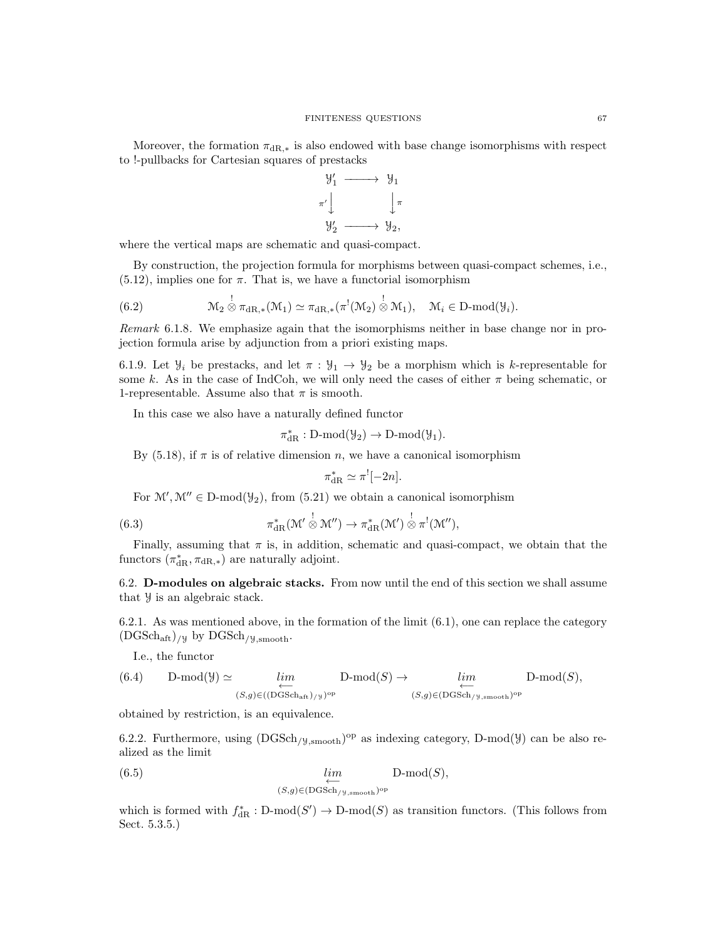Moreover, the formation  $\pi_{\text{dR},*}$  is also endowed with base change isomorphisms with respect to !-pullbacks for Cartesian squares of prestacks



where the vertical maps are schematic and quasi-compact.

By construction, the projection formula for morphisms between quasi-compact schemes, i.e.,  $(5.12)$ , implies one for  $\pi$ . That is, we have a functorial isomorphism

(6.2) 
$$
\mathcal{M}_2 \overset{!}{\otimes} \pi_{\mathrm{dR},*}(\mathcal{M}_1) \simeq \pi_{\mathrm{dR},*}(\pi^!(\mathcal{M}_2) \overset{!}{\otimes} \mathcal{M}_1), \quad \mathcal{M}_i \in \mathrm{D}\text{-}\mathrm{mod}(\mathcal{Y}_i).
$$

Remark 6.1.8. We emphasize again that the isomorphisms neither in base change nor in projection formula arise by adjunction from a priori existing maps.

6.1.9. Let  $\mathcal{Y}_i$  be prestacks, and let  $\pi : \mathcal{Y}_1 \to \mathcal{Y}_2$  be a morphism which is k-representable for some k. As in the case of IndCoh, we will only need the cases of either  $\pi$  being schematic, or 1-representable. Assume also that  $\pi$  is smooth.

In this case we also have a naturally defined functor

$$
\pi_{\mathrm{dR}}^*: D\text{-}\mathrm{mod}(\mathcal{Y}_2)\to D\text{-}\mathrm{mod}(\mathcal{Y}_1).
$$

By (5.18), if  $\pi$  is of relative dimension n, we have a canonical isomorphism

$$
\pi_{\mathrm{dR}}^* \simeq \pi^![-2n].
$$

For  $\mathcal{M}', \mathcal{M}'' \in D\text{-mod}(\mathcal{Y}_2)$ , from  $(5.21)$  we obtain a canonical isomorphism

(6.3) 
$$
\pi_{\mathrm{dR}}^*(\mathcal{M}' \overset{!}{\otimes} \mathcal{M}'') \to \pi_{\mathrm{dR}}^*(\mathcal{M}') \overset{!}{\otimes} \pi^!(\mathcal{M}''),
$$

Finally, assuming that  $\pi$  is, in addition, schematic and quasi-compact, we obtain that the functors  $(\pi_{\mathrm{dR}}^*, \pi_{\mathrm{dR},*})$  are naturally adjoint.

6.2. D-modules on algebraic stacks. From now until the end of this section we shall assume that Y is an algebraic stack.

6.2.1. As was mentioned above, in the formation of the limit (6.1), one can replace the category  $(DGSch<sub>aff</sub>)$ /y by  $DGSch<sub>/y,smooth</sub>$ .

I.e., the functor

(6.4) 
$$
\text{D-mod}(\mathcal{Y}) \simeq \lim_{\substack{\longleftarrow \\ (S,g)\in ((\text{DGSch}_{\text{aff}})_{/\mathcal{Y}})^{\text{op}}}} \text{D-mod}(S) \to \lim_{\substack{\longleftarrow \\ (S,g)\in (\text{DGSch}_{/\mathcal{Y},\text{smooth}})^{\text{op}}}} \text{D-mod}(S),
$$

obtained by restriction, is an equivalence.

6.2.2. Furthermore, using  $(DGSch_{/\mathcal{Y},smooth})^{\text{op}}$  as indexing category, D-mod( $\mathcal{Y}$ ) can be also realized as the limit

(6.5) 
$$
\lim_{\substack{\longleftarrow \\ (S,g)\in(\text{DGSch}_{/\text{y,smooth}})^{\text{op}}}} D\text{-mod}(S),
$$

which is formed with  $f_{\text{dR}}^* : D\text{-mod}(S') \to D\text{-mod}(S)$  as transition functors. (This follows from Sect. 5.3.5.)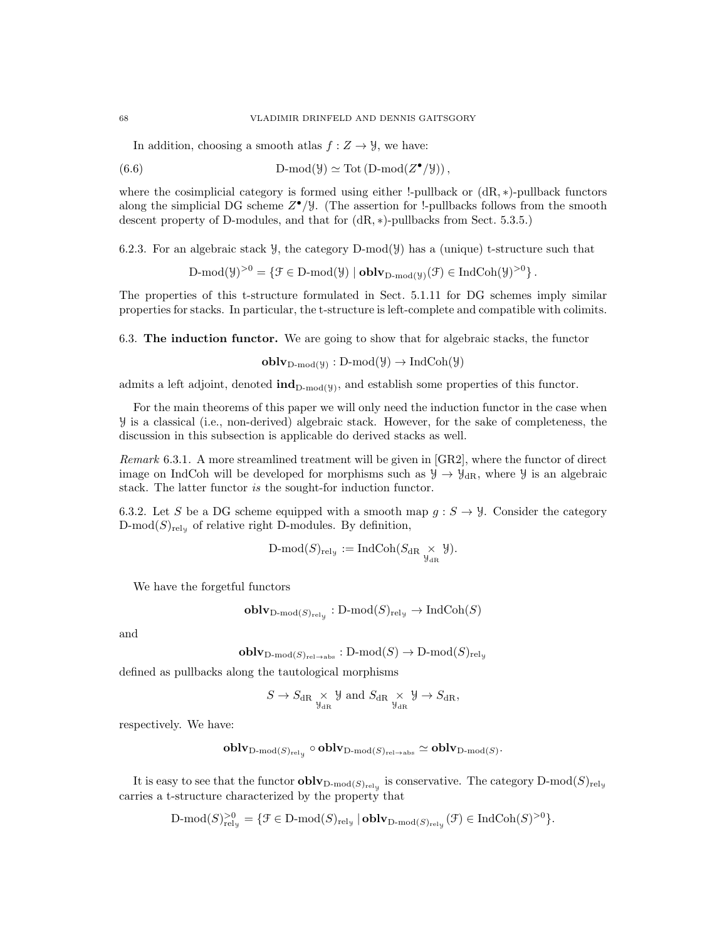In addition, choosing a smooth atlas  $f: Z \to Y$ , we have:

(6.6) 
$$
D\text{-mod}(\mathcal{Y}) \simeq \text{Tot}(D\text{-mod}(Z^{\bullet}/\mathcal{Y})),
$$

where the cosimplicial category is formed using either !-pullback or  $(dR, *)$ -pullback functors along the simplicial DG scheme  $Z^{\bullet}/\mathcal{Y}$ . (The assertion for !-pullbacks follows from the smooth descent property of D-modules, and that for (dR, ∗)-pullbacks from Sect. 5.3.5.)

6.2.3. For an algebraic stack  $\mathcal{Y}$ , the category D-mod( $\mathcal{Y}$ ) has a (unique) t-structure such that

 $D\text{-mod}(\mathcal{Y})^{>0} = \{ \mathcal{F} \in D\text{-mod}(\mathcal{Y}) \mid \textbf{oblv}_{D\text{-mod}(\mathcal{Y})}(\mathcal{F}) \in \text{IndCoh}(\mathcal{Y})^{>0} \}.$ 

The properties of this t-structure formulated in Sect. 5.1.11 for DG schemes imply similar properties for stacks. In particular, the t-structure is left-complete and compatible with colimits.

6.3. The induction functor. We are going to show that for algebraic stacks, the functor

 $\textbf{oblv}_{D\text{-mod}(\mathcal{Y})}: D\text{-mod}(\mathcal{Y}) \to \text{IndCoh}(\mathcal{Y})$ 

admits a left adjoint, denoted  $\text{ind}_{D\text{-mod}(y)}$ , and establish some properties of this functor.

For the main theorems of this paper we will only need the induction functor in the case when Y is a classical (i.e., non-derived) algebraic stack. However, for the sake of completeness, the discussion in this subsection is applicable do derived stacks as well.

Remark 6.3.1. A more streamlined treatment will be given in [GR2], where the functor of direct image on IndCoh will be developed for morphisms such as  $\mathcal{Y} \to \mathcal{Y}_{dR}$ , where  $\mathcal{Y}$  is an algebraic stack. The latter functor is the sought-for induction functor.

6.3.2. Let S be a DG scheme equipped with a smooth map  $g : S \to Y$ . Consider the category  $D\text{-mod}(S)_{\text{rel}_y}$  of relative right D-modules. By definition,

$$
\text{D-mod}(S)_{\text{rel}_y} := \text{IndCoh}(S_{\text{dR}} \underset{\mathcal{Y}_{\text{dR}}}{\times} \mathcal{Y}).
$$

We have the forgetful functors

$$
\mathbf{oblv}_{\mathbf{D}\text{-mod}(S)_{\mathbf{rel}_\mathfrak{Y}}} : \mathbf{D}\text{-mod}(S)_{\mathbf{rel}_\mathfrak{Y}} \to \mathbf{IndCoh}(S)
$$

and

$$
\mathbf{oblv}_{\mathrm{D\text{-}mod}(S)_{\mathrm{rel}\to\mathrm{abs}}}:\mathrm{D\text{-}mod}(S)\to\mathrm{D\text{-}mod}(S)_{\mathrm{rel}_\mathcal{Y}}
$$

defined as pullbacks along the tautological morphisms

$$
S \to S_{\mathrm{dR}} \underset{\mathcal{Y}_{\mathrm{dR}}}{\times} \mathcal{Y} \text{ and } S_{\mathrm{dR}} \underset{\mathcal{Y}_{\mathrm{dR}}}{\times} \mathcal{Y} \to S_{\mathrm{dR}},
$$

respectively. We have:

$$
\operatorname{\mathbf{oblv}}_{\operatorname{D-mod}(S)_{\operatorname{rel}_\mathcal{Y}}}\circ\operatorname{\mathbf{oblv}}_{\operatorname{D-mod}(S)_{\operatorname{rel}\rightarrow\operatorname{abs}}}\simeq\operatorname{\mathbf{oblv}}_{\operatorname{D-mod}(S)}.
$$

It is easy to see that the functor  $\bf{oblv}_{D\text{-mod}(S)_{\rm rely}}$  is conservative. The category  $D\text{-mod}(S)_{\rm rely}$ carries a t-structure characterized by the property that

$$
\text{$D$-mod}(S)_{\text{rel}_y}^{>0} = \{ \mathcal{F} \in \text{$D$-mod}(S)_{\text{rel}_y} \mid \text{oblv}_{\text{D-mod}(S)_{\text{rel}_y}}(\mathcal{F}) \in \text{Ind}\text{Coh}(S)^{>0} \}.
$$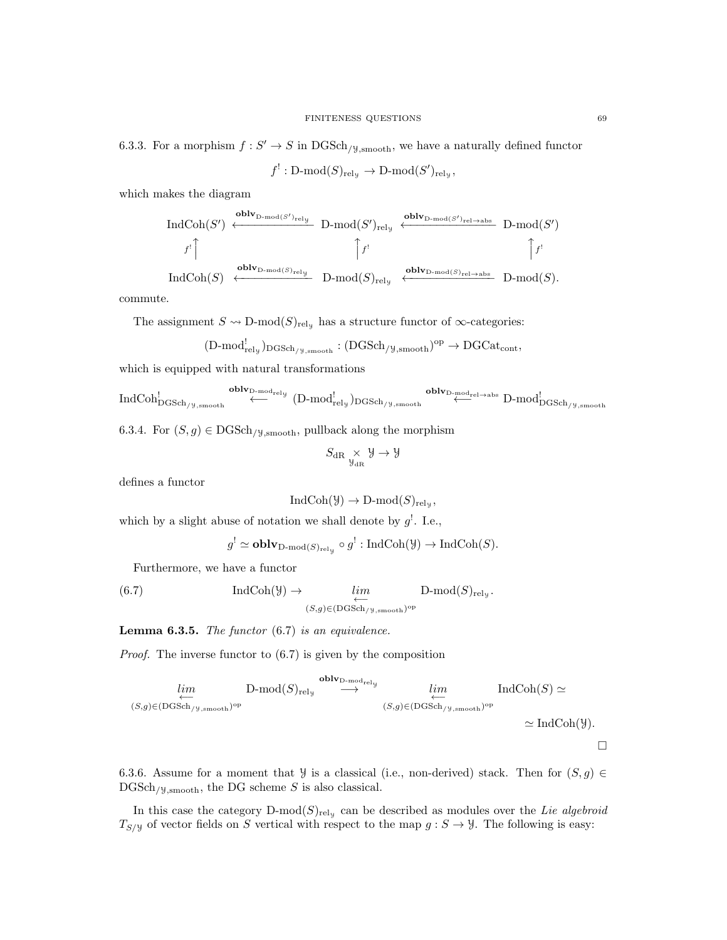6.3.3. For a morphism  $f: S' \to S$  in  $DGSch_{/y, \text{smooth}}$ , we have a naturally defined functor

$$
f^!: \mathrm{D\text{-}mod}(S)_{\mathrm{rel}_\mathcal{Y}} \to \mathrm{D\text{-}mod}(S')_{\mathrm{rel}_\mathcal{Y}},
$$

which makes the diagram

$$
\begin{array}{ccc}\n\text{IndCoh}(S') & \xleftarrow{\text{oblv}_{\text{D-mod}(S')_{\text{rel-y}}}} & \text{D-mod}(S')_{\text{rel,y}} & \xleftarrow{\text{oblv}_{\text{D-mod}(S')_{\text{rel}\rightarrow\text{abs}}}} & \text{D-mod}(S') \\
f^! & & \uparrow f^! & & \uparrow f^! & & \uparrow f^! \\
\text{IndCoh}(S) & \xleftarrow{\text{oblv}_{\text{D-mod}(S)_{\text{rel,y}}}} & \text{D-mod}(S)_{\text{rel,y}} & \xleftarrow{\text{oblv}_{\text{D-mod}(S)_{\text{rel}\rightarrow\text{abs}}}} & \text{D-mod}(S).\n\end{array}
$$

commute.

The assignment  $S \leadsto D\text{-mod}(S)_{\text{rely}}$  has a structure functor of  $\infty$ -categories:

$$
(D\text{-mod}_{\text{rel}_\mathcal{Y}^\text{-}}^!)_{\text{DGSch}_{/\mathcal{Y},\text{smooth}}}:(\text{DGSch}_{/\mathcal{Y},\text{smooth}})^\text{op}\to \text{DGCat}_{\text{cont}},
$$

which is equipped with natural transformations

$$
\text{IndCoh}_{\text{DGSch}/\text{y},\text{smooth}}^! \xleftarrow{\text{oblv}_{\text{D-mod}^1_{rel}}}\text{(D-mod}^!_{rel_y})_{\text{DGSch}/\text{y},\text{smooth}} \xleftarrow{\text{oblv}_{\text{D-mod}^1_{rel}\rightarrow\text{abs}} } \text{D-mod}^!_{\text{DGSch}/\text{y},\text{smooth}}
$$

6.3.4. For  $(S, g) \in \text{DGSch}_{/\mathcal{Y}, \text{smooth}}$ , pullback along the morphism

$$
S_{\mathrm{dR}}\underset{\mathbb{Y}_{\mathrm{dR}}}{\times}\mathbb{Y}\rightarrow\mathbb{Y}
$$

defines a functor

$$
IndCoh(\mathcal{Y}) \to D\text{-mod}(S)_{\text{rel}_{\mathcal{Y}}},
$$

which by a slight abuse of notation we shall denote by  $g^!$ . I.e.,

$$
g' \simeq \mathbf{oblv}_{\mathbf{D}\text{-mod}(S)_{\text{rel}_\mathcal{Y}}} \circ g' : \mathbf{IndCoh}(\mathcal{Y}) \to \mathbf{IndCoh}(S).
$$

Furthermore, we have a functor

(6.7) 
$$
\operatorname{IndCoh}(\mathcal{Y}) \to \lim_{\substack{\longleftarrow \\ (S,g) \in (\text{DGSch}_{/\mathcal{Y},\text{smooth}})^{\text{op}}}} D\text{-mod}(S)_{\text{rel}_{\mathcal{Y}}}.
$$

**Lemma 6.3.5.** The functor  $(6.7)$  is an equivalence.

Proof. The inverse functor to (6.7) is given by the composition

$$
\lim_{(S,g)\in(\text{DGSch}/y,\text{smooth})^{\text{op}}} \text{D-mod}(S)_{\text{rel}_y} \xrightarrow{\text{oblv}_{\text{D-mod}^{\text{end}_{\text{rel}_y}}} \lim_{(S,g)\in(\text{DGSch}/y,\text{smooth})^{\text{op}}} \text{IndCoh}(S) \simeq
$$
  

$$
\xleftarrow{\text{IndCoh}(S)} \simeq \text{IndCoh}(\mathcal{Y}).
$$

 $\Box$ 

6.3.6. Assume for a moment that *Y* is a classical (i.e., non-derived) stack. Then for  $(S, g) \in$  $DGSch_{/y,smooth}$ , the DG scheme S is also classical.

In this case the category  $D\text{-mod}(S)_{\text{rel}_y}$  can be described as modules over the Lie algebroid  $T_{S/\mathcal{Y}}$  of vector fields on S vertical with respect to the map  $g : S \to \mathcal{Y}$ . The following is easy: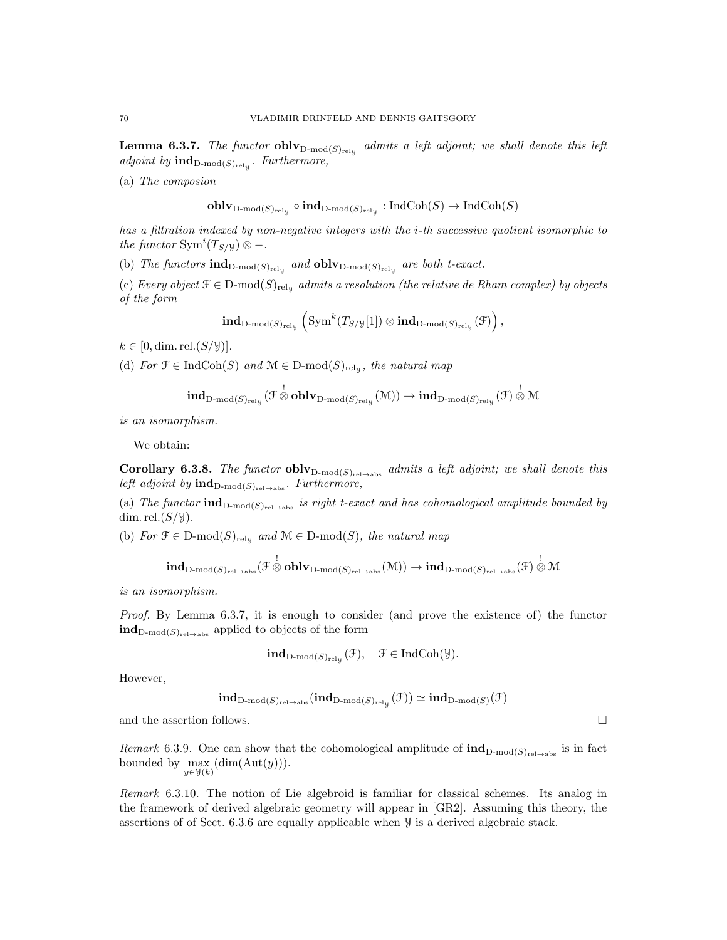**Lemma 6.3.7.** The functor  $\textbf{oblv}_{\text{D-mod}(S)_{\text{rely}}}$  admits a left adjoint; we shall denote this left adjoint by  $\textbf{ind}_{\text{D-mod}(S)_{\text{rel}_y}}$ . Furthermore,

(a) The composion

$$
\mathbf{oblv}_{\mathbf{D}\text{-mod}(S)_{\text{rel}_\mathcal{Y}}}\circ\mathbf{ind}_{\mathbf{D}\text{-mod}(S)_{\text{rel}_\mathcal{Y}}}:\mathbf{IndCoh}(S)\to\mathbf{IndCoh}(S)
$$

has a filtration indexed by non-negative integers with the i-th successive quotient isomorphic to the functor  $\text{Sym}^{i}(T_{S/\mathcal{Y}}) \otimes -$ .

(b) The functors  $\text{ind}_{D\text{-mod}(S)_{\text{rel}_y}}$  and  $\text{oblv}_{D\text{-mod}(S)_{\text{rel}_y}}$  are both t-exact.

(c) Every object  $\mathcal{F} \in \mathcal{D}\text{-mod}(S)_{\text{rely}}$  admits a resolution (the relative de Rham complex) by objects of the form

$$
\mathbf{ind}_{\mathrm{D\text{-}mod}(S)_{\mathrm{rel}_\mathcal{Y}}}\left(\mathrm{Sym}^k(T_{S/\mathcal{Y}}[1])\otimes\mathbf{ind}_{\mathrm{D\text{-}mod}(S)_{\mathrm{rel}_\mathcal{Y}}}(\mathcal{F})\right),
$$

 $k \in [0, \dim \text{rel.}(S/\mathcal{Y})].$ 

(d) For  $\mathfrak{F} \in \text{IndCoh}(S)$  and  $\mathfrak{M} \in \text{D-mod}(S)_{\text{rely}}$ , the natural map

$$
\mathbf{ind}_{\mathrm{D}\text{-}\mathrm{mod}(S)_{\mathrm{rel}_\mathcal{Y}}}(\mathcal{F}\overset{!}{\otimes}\mathbf{oblv}_{\mathrm{D}\text{-}\mathrm{mod}(S)_{\mathrm{rel}_\mathcal{Y}}}(\mathcal{M}))\to\mathbf{ind}_{\mathrm{D}\text{-}\mathrm{mod}(S)_{\mathrm{rel}_\mathcal{Y}}}(\mathcal{F})\overset{!}{\otimes}\mathcal{M}
$$

is an isomorphism.

We obtain:

Corollary 6.3.8. The functor obly  $D_{\text{mod}(S)_{\text{rel}\rightarrow \text{abs}}}$  admits a left adjoint; we shall denote this left adjoint by  $\mathrm{ind}_{D\text{-mod}(S)_{\mathrm{rel}\rightarrow\mathrm{abs}}}$ . Furthermore,

(a) The functor  $\text{ind}_{D\text{-mod}(S)_{\text{rel}\rightarrow \text{abs}}}$  is right t-exact and has cohomological amplitude bounded by dim. rel. $(S/y)$ .

(b) For  $\mathcal{F} \in \mathcal{D}$ -mod $(S)_{\text{rel}_\mathcal{Y}}$  and  $\mathcal{M} \in \mathcal{D}$ -mod $(S)$ , the natural map

$$
\textbf{ind}_{D\text{-mod}(S)_{\text{rel}\rightarrow\text{abs}}}(\mathcal{F}\overset{!}{\otimes}\textbf{oblv}_{D\text{-mod}(S)_{\text{rel}\rightarrow\text{abs}}}(\mathcal{M}))\rightarrow\textbf{ind}_{D\text{-mod}(S)_{\text{rel}\rightarrow\text{abs}}}(\mathcal{F})\overset{!}{\otimes}\mathcal{M}
$$

is an isomorphism.

Proof. By Lemma 6.3.7, it is enough to consider (and prove the existence of) the functor  $\textbf{ind}_{D\text{-mod}(S)_{\text{rel}\rightarrow \text{abs}}}$  applied to objects of the form

$$
\mathbf{ind}_{\mathrm{D\text{-}mod}(S)_{\mathrm{rel}_\mathcal{Y}}}(\mathcal{F}), \quad \mathcal{F} \in \mathrm{IndCoh}(\mathcal{Y}).
$$

However,

$$
\mathbf{ind}_{\mathrm{D\text{-}mod}(S)_{\mathrm{rel}\to\mathrm{abs}}}(\mathbf{ind}_{\mathrm{D\text{-}mod}(S)_{\mathrm{rel}_\mathcal{Y}}}(\mathcal{F}))\simeq\mathbf{ind}_{\mathrm{D\text{-}mod}(S)}(\mathcal{F})
$$

and the assertion follows.  $\Box$ 

Remark 6.3.9. One can show that the cohomological amplitude of  $\text{ind}_{D\text{-mod}(S)_{\text{rel}\rightarrow\text{abs}}}$  is in fact bounded by  $\max(\dim(\text{Aut}(y)))$ .  $y \in \mathcal{Y}(k)$ 

Remark 6.3.10. The notion of Lie algebroid is familiar for classical schemes. Its analog in the framework of derived algebraic geometry will appear in [GR2]. Assuming this theory, the assertions of of Sect. 6.3.6 are equally applicable when Y is a derived algebraic stack.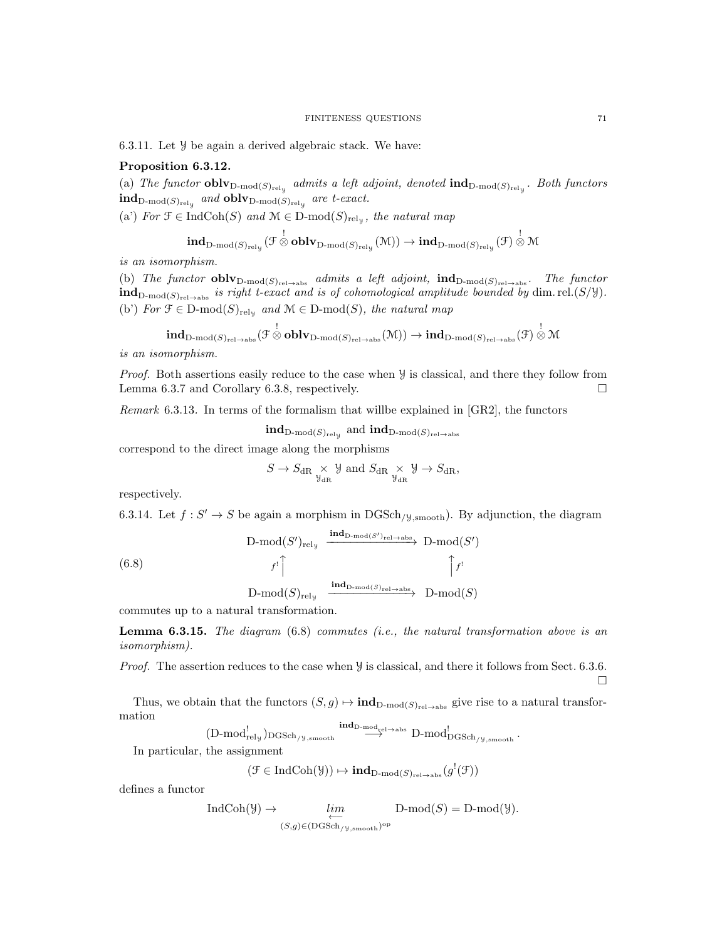6.3.11. Let Y be again a derived algebraic stack. We have:

## Proposition 6.3.12.

(a) The functor  $oblv_{D\text{-mod}(S)_{\text{rel}_y}}$  admits a left adjoint, denoted  $\text{ind}_{D\text{-mod}(S)_{\text{rel}_y}}$ . Both functors  $\operatorname{\hspace{0.3mm}ind}_{\operatorname{D-mod}(S)_{\operatorname{rel}_y}}$  and  $\operatorname{\hspace{0.3mm}oblv}_{\operatorname{D-mod}(S)_{\operatorname{rel}_y}}$  are t-exact.

(a') For  $\mathfrak{F} \in \text{IndCoh}(S)$  and  $\mathfrak{M} \in \text{D-mod}(S)_{\text{rely}}$ , the natural map

$$
\mathbf{ind}_{\mathrm{D}\text{-}\mathrm{mod}(S)_{\mathrm{rel}_\mathcal{Y}}}(\mathcal{F}\overset{!}{\otimes}\mathbf{oblv}_{\mathrm{D}\text{-}\mathrm{mod}(S)_{\mathrm{rel}_\mathcal{Y}}}(\mathcal{M}))\to\mathbf{ind}_{\mathrm{D}\text{-}\mathrm{mod}(S)_{\mathrm{rel}_\mathcal{Y}}}(\mathcal{F})\overset{!}{\otimes}\mathcal{M}
$$

is an isomorphism.

(b) The functor  $\textbf{oblv}_{D\text{-mod}(S)_{\text{rel}\rightarrow \text{abs}}}$  admits a left adjoint,  $\textbf{ind}_{D\text{-mod}(S)_{\text{rel}\rightarrow \text{abs}}}$ . The functor  $\textbf{ind}_{\text{D-mod}(S)_{\text{rel}\rightarrow \text{abs}}}$  is right t-exact and is of cohomological amplitude bounded by dim.rel.(S/Y). (b') For  $\mathfrak{F} \in \mathcal{D}\text{-mod}(S)_{\text{rel}_\mathcal{Y}}$  and  $\mathcal{M} \in \mathcal{D}\text{-mod}(S)$ , the natural map

$$
\textbf{ind}_{D\textbf{-}\mathrm{mod}(S)_{\mathrm{rel}\rightarrow\mathrm{abs}}}(\mathcal{F}\overset{!}{\otimes}\textbf{oblv}_{D\textbf{-}\mathrm{mod}(S)_{\mathrm{rel}\rightarrow\mathrm{abs}}}(\mathcal{M}))\to\textbf{ind}_{D\textbf{-}\mathrm{mod}(S)_{\mathrm{rel}\rightarrow\mathrm{abs}}}(\mathcal{F})\overset{!}{\otimes}\mathcal{M}
$$

is an isomorphism.

Proof. Both assertions easily reduce to the case when  $\mathcal Y$  is classical, and there they follow from Lemma 6.3.7 and Corollary 6.3.8, respectively.  $\Box$ 

Remark 6.3.13. In terms of the formalism that willbe explained in [GR2], the functors

 $\mathbf{ind}_{\mathrm{D\text{-}mod}(S)_{\mathrm{rel-y}}}$  and  $\mathbf{ind}_{\mathrm{D\text{-}mod}(S)_{\mathrm{rel}\to\mathrm{abs}}}$ 

correspond to the direct image along the morphisms

$$
S \to S_{\mathrm{dR}} \underset{\mathcal{Y}_{\mathrm{dR}}}{\times} \mathcal{Y} \text{ and } S_{\mathrm{dR}} \underset{\mathcal{Y}_{\mathrm{dR}}}{\times} \mathcal{Y} \to S_{\mathrm{dR}},
$$

respectively.

6.3.14. Let  $f: S' \to S$  be again a morphism in DGSch<sub>/Y,smooth</sub>). By adjunction, the diagram

$$
\text{D-mod}(S')_{\text{rely}} \xrightarrow{\text{ind}_{\text{D-mod}(S')_{\text{rel}\to\text{abs}}}} \text{D-mod}(S')
$$

(6.8)

$$
\text{D-mod}(S)_{\text{rel}_\mathcal{Y}} \xrightarrow{\text{ind}_{\text{D-mod}(S)_{\text{rel}\rightarrow \text{abs}}}} \text{D-mod}(S)
$$

commutes up to a natural transformation.

**Lemma 6.3.15.** The diagram  $(6.8)$  commutes  $(i.e.,$  the natural transformation above is an isomorphism).

Proof. The assertion reduces to the case when  $\mathcal Y$  is classical, and there it follows from Sect. 6.3.6.  $\Box$ 

Thus, we obtain that the functors  $(S, g) \mapsto \text{ind}_{D\text{-mod}(S)_{\text{rel}\rightarrow\text{abs}}}$  give rise to a natural transformation

 $(D\text{-mod}_{\text{rel}_y})_{\text{DGSch}/y,\text{smooth}} \overset{\textbf{ind}_{\text{D-mod}_{\text{rel}} \to \text{abs}}}{\longrightarrow} D\text{-mod}_{\text{DGSch}/y,\text{smooth}}^!$  .

In particular, the assignment

$$
(\mathcal{F} \in \mathrm{IndCoh}(\mathcal{Y})) \mapsto \mathrm{\mathbf{ind}}_{\mathrm{D\text{-}mod}(S)_{\mathrm{rel}\to\mathrm{abs}}}(g^{!}(\mathcal{F}))
$$

defines a functor

$$
\text{IndCoh}(\mathcal{Y}) \to \lim_{\substack{\longleftarrow \\ (S,g) \in (\text{DGSch}_{/\mathcal{Y},\text{smooth}})^{\text{op}}}} \text{D-mod}(S) = \text{D-mod}(\mathcal{Y}).
$$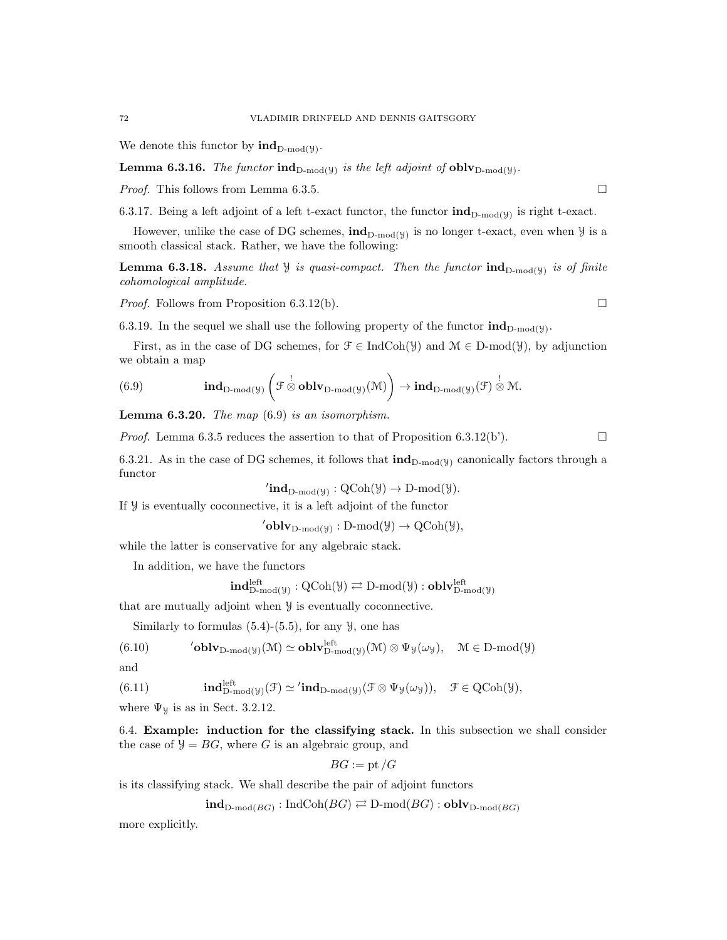We denote this functor by  $\text{ind}_{D\text{-mod}(\mathcal{Y})}$ .

**Lemma 6.3.16.** The functor  $\text{ind}_{D\text{-mod}(y)}$  is the left adjoint of  $\text{oblv}_{D\text{-mod}(y)}$ .

*Proof.* This follows from Lemma 6.3.5.

6.3.17. Being a left adjoint of a left t-exact functor, the functor  $\text{ind}_{D\text{-mod}(y)}$  is right t-exact.

However, unlike the case of DG schemes,  $\text{ind}_{D\text{-mod}(y)}$  is no longer t-exact, even when  $\mathcal Y$  is a smooth classical stack. Rather, we have the following:

**Lemma 6.3.18.** Assume that  $\mathcal{Y}$  is quasi-compact. Then the functor  $\text{ind}_{D\text{-mod}(\mathcal{Y})}$  is of finite cohomological amplitude.

*Proof.* Follows from Proposition 6.3.12(b).

6.3.19. In the sequel we shall use the following property of the functor  $\text{ind}_{D\text{-mod}(y)}$ .

First, as in the case of DG schemes, for  $\mathcal{F} \in \text{IndCoh}(\mathcal{Y})$  and  $\mathcal{M} \in \text{D-mod}(\mathcal{Y})$ , by adjunction we obtain a map

(6.9) 
$$
\qquad \qquad \mathbf{ind}_{\mathbf{D}\text{-mod}(\mathcal{Y})}\left(\mathcal{F}\overset{!}{\otimes}\mathbf{oblv}_{\mathbf{D}\text{-mod}(\mathcal{Y})}(\mathcal{M})\right) \to \mathbf{ind}_{\mathbf{D}\text{-mod}(\mathcal{Y})}(\mathcal{F})\overset{!}{\otimes}\mathcal{M}.
$$

**Lemma 6.3.20.** The map  $(6.9)$  is an isomorphism.

*Proof.* Lemma 6.3.5 reduces the assertion to that of Proposition 6.3.12(b').

6.3.21. As in the case of DG schemes, it follows that  $\text{ind}_{D\text{-mod}(y)}$  canonically factors through a functor

$$
{}'\mathbf{ind}_{D\text{-}\mathrm{mod}(\mathcal{Y})} : \mathrm{QCoh}(\mathcal{Y}) \to D\text{-}\mathrm{mod}(\mathcal{Y}).
$$

If Y is eventually coconnective, it is a left adjoint of the functor

$$
^{\prime}\mathbf{oblv}_{D\text{-mod}(\mathcal{Y})}:D\text{-mod}(\mathcal{Y})\to \mathrm{QCoh}(\mathcal{Y}),
$$

while the latter is conservative for any algebraic stack.

In addition, we have the functors

$$
\mathbf{ind}_{D\text{-mod}(\mathcal{Y})}^{\mathrm{left}}: \mathrm{QCoh}(\mathcal{Y}) \rightleftarrows \mathrm{D}\text{-mod}(\mathcal{Y}): \mathbf{oblv}_{D\text{-mod}(\mathcal{Y})}^{\mathrm{left}}
$$

that are mutually adjoint when Y is eventually coconnective.

Similarly to formulas  $(5.4)-(5.5)$ , for any  $\mathcal{Y}$ , one has

$$
(6.10) \qquad \qquad 'oblv_{D\text{-mod}(\mathcal{Y})}(\mathcal{M})\simeq \mathbf{oblv}_{D\text{-mod}(\mathcal{Y})}^{\mathrm{left}}(\mathcal{M})\otimes \Psi_{\mathcal{Y}}(\omega_{\mathcal{Y}}), \quad \mathcal{M}\in D\text{-mod}(\mathcal{Y})
$$

and

(6.11) 
$$
\mathbf{ind}_{\mathrm{D-mod}(\mathcal{Y})}^{\mathrm{left}}(\mathcal{F}) \simeq \mathbf{ind}_{\mathrm{D-mod}(\mathcal{Y})}(\mathcal{F} \otimes \Psi_{\mathcal{Y}}(\omega_{\mathcal{Y}})), \quad \mathcal{F} \in \mathrm{QCoh}(\mathcal{Y}),
$$

where  $\Psi$ <sub>y</sub> is as in Sect. 3.2.12.

6.4. Example: induction for the classifying stack. In this subsection we shall consider the case of  $\mathcal{Y} = BG$ , where G is an algebraic group, and

$$
BG := \operatorname{pt}/G
$$

is its classifying stack. We shall describe the pair of adjoint functors

$$
\mathbf{ind}_{\mathrm{D-mod}(BG)} : \mathrm{IndCoh}(BG) \rightleftarrows \mathrm{D-mod}(BG) : \mathbf{oblv}_{\mathrm{D-mod}(BG)}
$$

more explicitly.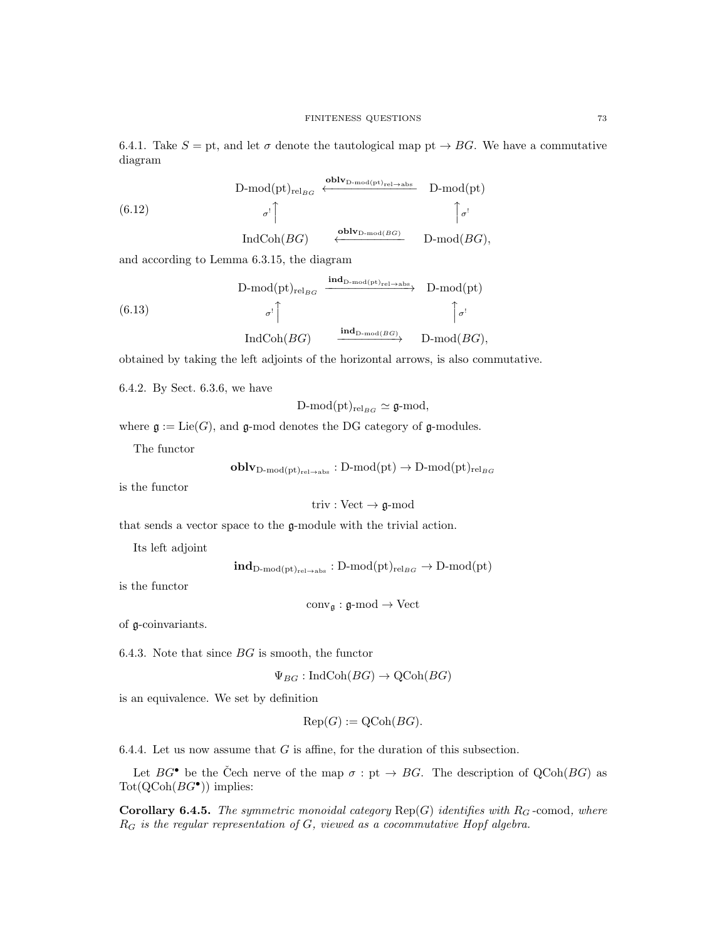6.4.1. Take  $S = pt$ , and let  $\sigma$  denote the tautological map pt  $\rightarrow BG$ . We have a commutative diagram

$$
\begin{array}{ccc}\n\text{D-mod}(\text{pt})_{\text{rel}_{BG}} & \xleftarrow{\text{oblv}_{\text{D-mod}(\text{pt})_{\text{rel}\to\text{abs}}}} & \text{D-mod}(\text{pt}) \\
(6.12) & \sigma^!\int & \sigma^!\int & \sigma^!\n\end{array}
$$
\n
$$
\text{IndCoh}(BG) \xleftarrow{\text{oblv}_{\text{D-mod}(BG)}} & \text{D-mod}(BG),
$$

and according to Lemma 6.3.15, the diagram

$$
(6.13)
$$
\n
$$
\text{D-mod}(\text{pt})_{\text{rel}_{BG}} \xrightarrow{\text{ind}_{\text{D-mod}(\text{pt})_{\text{rel}\to\text{abs}}}} \text{D-mod}(\text{pt})
$$
\n
$$
\sigma^!\begin{bmatrix}\n\sigma^!\end{bmatrix}
$$
\n
$$
\text{IndCoh}(BG) \xrightarrow{\text{ind}_{\text{D-mod}(BG)}} \text{D-mod}(BG),
$$

obtained by taking the left adjoints of the horizontal arrows, is also commutative.

6.4.2. By Sect. 6.3.6, we have

$$
\mathrm{D\text{-}mod}(\mathrm{pt})_{\mathrm{rel}_{BG}}\simeq\mathfrak{g}\text{-}\mathrm{mod},
$$

where  $\mathfrak{g} := \text{Lie}(G)$ , and  $\mathfrak{g}\text{-mod}$  denotes the DG category of  $\mathfrak{g}\text{-mod}$ ules.

The functor

 $\textbf{oblv}_{D\text{-mod}(\text{pt})_{\text{rel}\rightarrow\text{abs}}} : D\text{-mod}(\text{pt}) \to D\text{-mod}(\text{pt})_{\text{rel}_{BG}}$ 

is the functor

triv : Vect  $\rightarrow$  g-mod

that sends a vector space to the g-module with the trivial action.

Its left adjoint

 $\text{ind}_{D\text{-mod}(pt)_{rel\rightarrow abs}} : D\text{-mod}(pt)_{rel_{BG}} \rightarrow D\text{-mod}(pt)$ 

is the functor

 $conv_{\mathfrak{g}} : \mathfrak{g}\text{-mod} \to Vect$ 

of g-coinvariants.

6.4.3. Note that since  $BG$  is smooth, the functor

 $\Psi_{BG}: \text{IndCoh}(BG) \to \text{QCoh}(BG)$ 

is an equivalence. We set by definition

$$
Rep(G) := QCoh(BG).
$$

6.4.4. Let us now assume that  $G$  is affine, for the duration of this subsection.

Let  $BG^{\bullet}$  be the Čech nerve of the map  $\sigma : pt \rightarrow BG$ . The description of QCoh(BG) as  $\mathrm{Tot}(\mathrm{QCoh}(BG^{\bullet}))$  implies:

Corollary 6.4.5. The symmetric monoidal category  $Rep(G)$  identifies with  $R_G$ -comod, where  $R_G$  is the regular representation of  $G$ , viewed as a cocommutative Hopf algebra.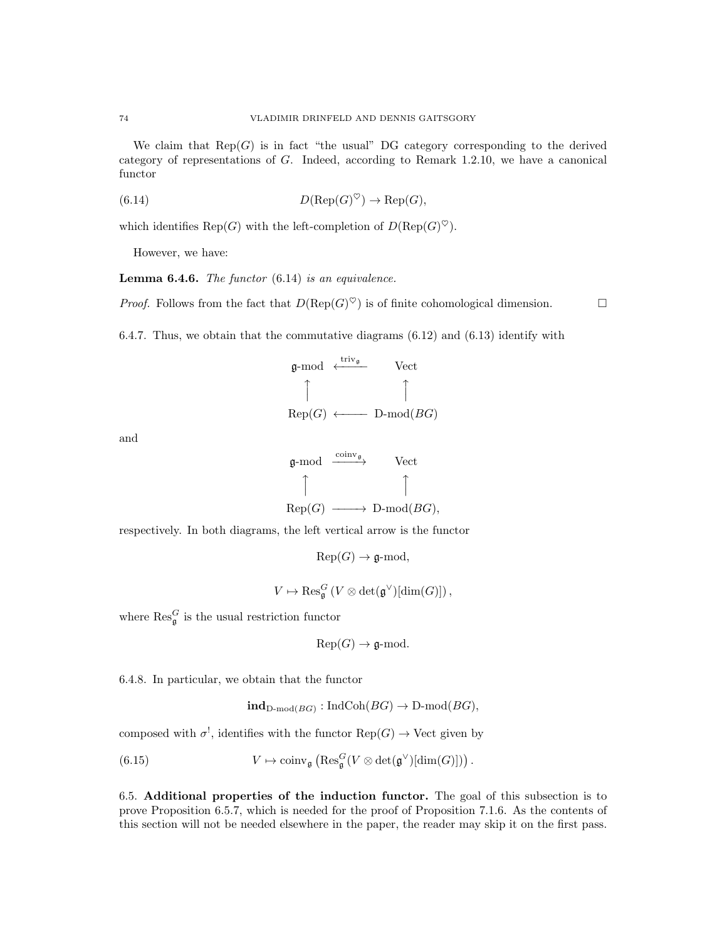We claim that  $\text{Rep}(G)$  is in fact "the usual" DG category corresponding to the derived category of representations of G. Indeed, according to Remark 1.2.10, we have a canonical functor

(6.14) 
$$
D(\operatorname{Rep}(G)^{\heartsuit}) \to \operatorname{Rep}(G),
$$

which identifies Rep(G) with the left-completion of  $D(\text{Rep}(G)^{\heartsuit})$ .

However, we have:

**Lemma 6.4.6.** The functor  $(6.14)$  is an equivalence.

*Proof.* Follows from the fact that  $D(\text{Rep}(G)^{\heartsuit})$  is of finite cohomological dimension.

6.4.7. Thus, we obtain that the commutative diagrams (6.12) and (6.13) identify with

$$
\mathfrak{g}\text{-mod} \stackrel{\mathfrak{t}\text{-}\mathfrak{riv}_{\mathfrak{g}}}{\uparrow} \qquad \text{Vect}
$$
\n
$$
\uparrow \qquad \qquad \uparrow
$$
\n
$$
\text{Rep}(G) \longleftarrow \text{D-mod}(BG)
$$

and

$$
\begin{array}{ccc}\n\mathfrak{g}\text{-mod} & \xrightarrow{\text{coinv}_{\mathfrak{g}}} & \text{Vect} \\
\uparrow & & \uparrow \\
\text{Rep}(G) & \longrightarrow & \text{D-mod}(BG),\n\end{array}
$$

respectively. In both diagrams, the left vertical arrow is the functor

 $\mathrm{Rep}(G) \to \mathfrak{g}\text{-mod},$ 

$$
V \mapsto \operatorname{Res}_{\mathfrak{g}}^G \left( V \otimes \det(\mathfrak{g}^\vee)[\dim(G)] \right),
$$

where  $\text{Res}_{\mathfrak{g}}^G$  is the usual restriction functor

 $Rep(G) \to \mathfrak{g}\text{-mod}.$ 

6.4.8. In particular, we obtain that the functor

$$
\mathbf{ind}_{\mathrm{D-mod}(BG)} : \mathrm{IndCoh}(BG) \to \mathrm{D-mod}(BG),
$$

composed with  $\sigma^!$ , identifies with the functor  $\text{Rep}(G) \to \text{Vect}$  given by

(6.15) 
$$
V \mapsto \operatorname{coinv}_{\mathfrak{g}} \left( \operatorname{Res}_{\mathfrak{g}}^G (V \otimes \det(\mathfrak{g}^{\vee})[\dim(G)]) \right).
$$

6.5. Additional properties of the induction functor. The goal of this subsection is to prove Proposition 6.5.7, which is needed for the proof of Proposition 7.1.6. As the contents of this section will not be needed elsewhere in the paper, the reader may skip it on the first pass.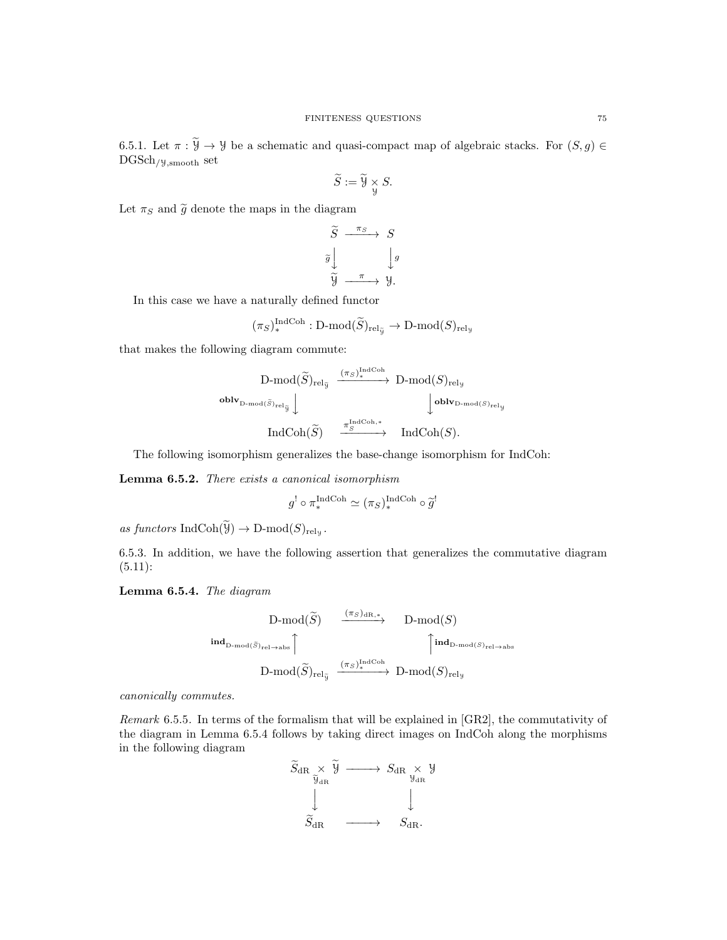6.5.1. Let  $\pi : \widetilde{Y} \to Y$  be a schematic and quasi-compact map of algebraic stacks. For  $(S, g) \in$  $DGSch_{/Y,smooth}$  set

$$
\widetilde{S} := \widetilde{\mathcal{Y}} \underset{\mathcal{Y}}{\times} S.
$$

Let  $\pi_S$  and  $\tilde{g}$  denote the maps in the diagram

$$
\widetilde{S} \xrightarrow{\pi_S} S
$$

$$
\widetilde{g} \downarrow \qquad \qquad \downarrow g
$$

$$
\widetilde{y} \xrightarrow{\pi} y.
$$

In this case we have a naturally defined functor

$$
(\pi_S)^{\text{IndCoh}}_* : \text{D-mod}(\widetilde{S})_{\text{rel}_{\widetilde{y}}} \to \text{D-mod}(S)_{\text{rel}_y}
$$

that makes the following diagram commute:

$$
\begin{CD} \text{D-mod}(\widetilde{S})_{\text{rel}_{\widetilde{y}}} & \xrightarrow{(\pi_S)^{\text{IndCoh}}}_{\ast} \text{D-mod}(S)_{\text{rel}_y} \\ \text{oblv}_{\text{D-mod}(\widetilde{S})_{\text{rel}_{\widetilde{y}}}} \downarrow & \qquad \qquad \downarrow \text{oblv}_{\text{D-mod}(S)_{\text{rel}_y}} \\ \text{IndCoh}(\widetilde{S}) & \xrightarrow{\pi_S^{\text{IndCoh},*}} \text{IndCoh}(S). \end{CD}
$$

The following isomorphism generalizes the base-change isomorphism for IndCoh:

Lemma 6.5.2. There exists a canonical isomorphism

$$
g^! \circ \pi_*^{\text{IndCoh}} \simeq (\pi_S)^{\text{IndCoh}}_* \circ \widetilde{g}^!
$$

as functors IndCoh( $\mathcal{Y}$ )  $\rightarrow$  D-mod( $S$ )<sub>rely</sub>.

6.5.3. In addition, we have the following assertion that generalizes the commutative diagram  $(5.11):$ 

Lemma 6.5.4. The diagram

$$
\begin{array}{ccc}\n\text{D-mod}(\widetilde{S}) & \xrightarrow{(\pi_S)_{\text{dR},*}} & \text{D-mod}(S) \\
\text{ind}_{\text{D-mod}(\widetilde{S})_{\text{rel}\to\text{abs}}}\n\uparrow & \uparrow \\
\text{D-mod}(\widetilde{S})_{\text{rel}\to} & \xrightarrow{(\pi_S)^{\text{IndCoh}}_{*}} & \text{D-mod}(S)_{\text{rel}\to\text{abs}}\n\end{array}
$$

canonically commutes.

Remark 6.5.5. In terms of the formalism that will be explained in [GR2], the commutativity of the diagram in Lemma 6.5.4 follows by taking direct images on IndCoh along the morphisms in the following diagram

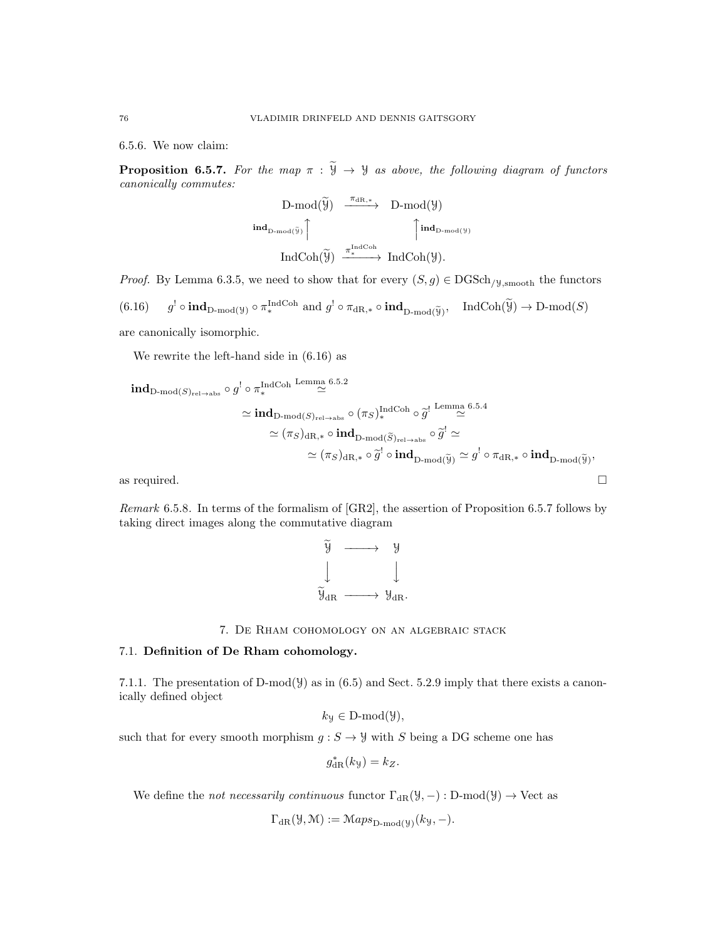6.5.6. We now claim:

**Proposition 6.5.7.** For the map  $\pi : \widetilde{\mathcal{Y}} \to \mathcal{Y}$  as above, the following diagram of functors canonically commutes:

$$
\begin{array}{ccc}D\text{-mod}(\widetilde{\mathcal{Y}})&\xrightarrow{\pi_{dR,*}}&D\text{-mod}(\mathcal{Y})\\ \mathrm{\textbf{ind}}_{D\text{-mod}(\widetilde{\mathcal{Y}})}\Big\uparrow&&\Big\uparrow\mathrm{\textbf{ind}}_{D\text{-mod}(\mathcal{Y})}\\&\\ \mathrm{IndCoh}(\widetilde{\mathcal{Y}})&\xrightarrow{\pi_{*}^{\mathrm{IndCoh}}} &\mathrm{IndCoh}(\mathcal{Y}).\end{array}
$$

*Proof.* By Lemma 6.3.5, we need to show that for every  $(S, g) \in DGSch_{/\mathcal{Y}, \text{smooth}}$  the functors  $(6.16)$  ${\mathcal{A}}^! \circ \textbf{ind}_{D\textbf{-mod}(\mathcal{Y})} \circ \pi^{\textbf{IndCoh}}_{\ast} \text{ and } g^! \circ \pi_{\textbf{dR},\ast} \circ \textbf{ind}_{D\textbf{-mod}(\widetilde{\mathcal{Y}})}$ ,  $\textbf{IndCoh}(\widetilde{\mathcal{Y}}) \to D\textbf{-mod}(S)$ are canonically isomorphic.

We rewrite the left-hand side in (6.16) as

$$
\begin{aligned}\n\text{ind}_{D\text{-mod}(S)_{\text{rel}\to\text{abs}}}\circ g^! \circ \pi^\text{IndCoh}\xrightarrow{\text{Lemma 6.5.2}} &\cong \text{ind}_{D\text{-mod}(S)_{\text{rel}\to\text{abs}}}\circ (\pi_S)^{\text{IndCoh}}_* \circ \widetilde{g}^! \xrightarrow{\text{Lemma 6.5.4}} &\cong \\
&\cong (\pi_S)_{\text{dR},*} \circ \text{ind}_{D\text{-mod}(\widetilde{S})_{\text{rel}\to\text{abs}}}\circ \widetilde{g}^! \simeq &\cong \\
&\cong (\pi_S)_{\text{dR},*} \circ \widetilde{g}^! \circ \text{ind}_{D\text{-mod}(\widetilde{y})} \simeq g^! \circ \pi_{\text{dR},*} \circ \text{ind}_{D\text{-mod}(\widetilde{y})}, &\cong \text{mod}(\widetilde{g})\circ \pi_{\text{dR},*} \circ \text{ind}_{D\text{-mod}(\widetilde{y})} &\cong \text{mod}(\pi_S) \end{aligned}
$$

Remark 6.5.8. In terms of the formalism of [GR2], the assertion of Proposition 6.5.7 follows by taking direct images along the commutative diagram



7. De Rham cohomology on an algebraic stack

## 7.1. Definition of De Rham cohomology.

7.1.1. The presentation of D-mod( $\mathcal{Y}$ ) as in (6.5) and Sect. 5.2.9 imply that there exists a canonically defined object

$$
k_{\mathcal{Y}} \in \mathcal{D}\text{-mod}(\mathcal{Y}),
$$

such that for every smooth morphism  $g: S \to Y$  with S being a DG scheme one has

$$
g_{\mathrm{dR}}^*(k_{\mathcal{Y}})=k_Z.
$$

We define the *not necessarily continuous* functor  $\Gamma_{\text{dR}}(\mathcal{Y}, -) : D\text{-mod}(\mathcal{Y}) \to \text{Vect}$  as

$$
\Gamma_{\mathrm{dR}}(\mathcal{Y}, \mathcal{M}) := \mathcal{M}aps_{\mathrm{D-mod}(\mathcal{Y})}(ky, -).
$$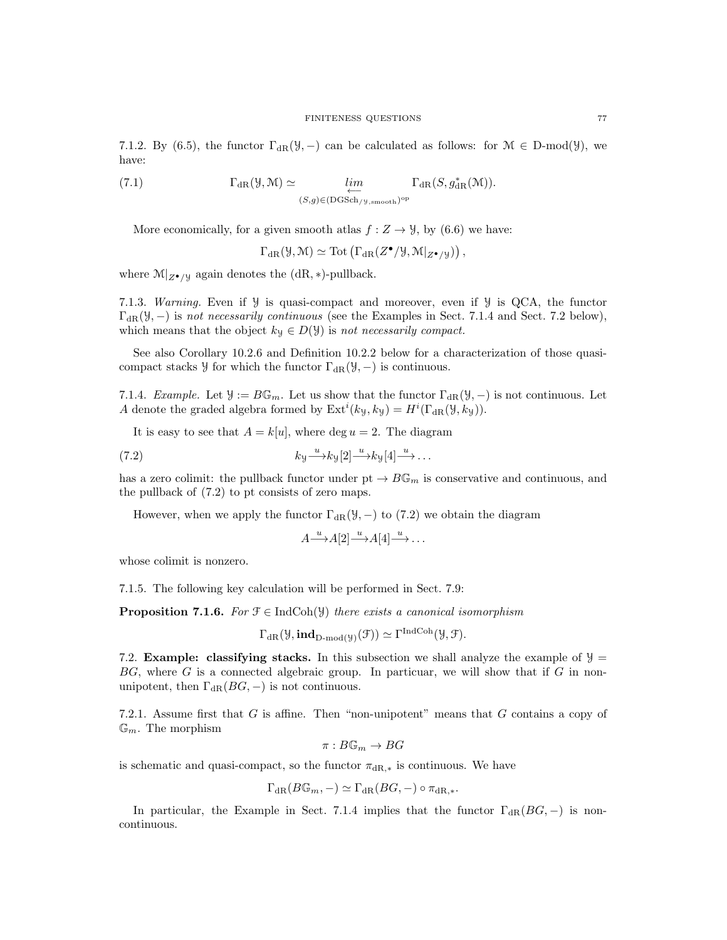7.1.2. By (6.5), the functor  $\Gamma_{\text{dR}}(\mathcal{Y},-)$  can be calculated as follows: for  $\mathcal{M} \in D\text{-mod}(\mathcal{Y})$ , we have:

(7.1) 
$$
\Gamma_{\mathrm{dR}}(\mathcal{Y}, \mathcal{M}) \simeq \lim_{\substack{\longleftarrow \\ (S,g) \in (\mathrm{DGSch}_{/\mathcal{Y}, \mathrm{smooth}})^{\mathrm{op}}}} \Gamma_{\mathrm{dR}}(S, g_{\mathrm{dR}}^*(\mathcal{M})).
$$

More economically, for a given smooth atlas  $f : Z \to Y$ , by (6.6) we have:

 $\Gamma_{\text{dR}}(\mathcal{Y},\mathcal{M}) \simeq \text{Tot}\left(\Gamma_{\text{dR}}(Z^{\bullet}/\mathcal{Y},\mathcal{M}|_{Z^{\bullet}/\mathcal{Y}})\right),$ 

where  $\mathcal{M}|_{Z^{\bullet}/\mathcal{Y}}$  again denotes the (dR, \*)-pullback.

7.1.3. Warning. Even if Y is quasi-compact and moreover, even if Y is QCA, the functor  $\Gamma_{\text{dR}}(\mathcal{Y},-)$  is not necessarily continuous (see the Examples in Sect. 7.1.4 and Sect. 7.2 below), which means that the object  $k_y \in D(y)$  is not necessarily compact.

See also Corollary 10.2.6 and Definition 10.2.2 below for a characterization of those quasicompact stacks  $\mathcal{Y}$  for which the functor  $\Gamma_{\text{dR}}(\mathcal{Y},-)$  is continuous.

7.1.4. Example. Let  $\mathcal{Y} := B\mathbb{G}_m$ . Let us show that the functor  $\Gamma_{\text{dR}}(\mathcal{Y},-)$  is not continuous. Let A denote the graded algebra formed by  $\mathrm{Ext}^i(k_y, k_y) = H^i(\Gamma_{\mathrm{dR}}(\mathcal{Y}, k_y)).$ 

It is easy to see that  $A = k[u]$ , where deg  $u = 2$ . The diagram

(7.2) 
$$
k_y \xrightarrow{u} k_y[2] \xrightarrow{u} k_y[4] \xrightarrow{u} \dots
$$

has a zero colimit: the pullback functor under  $pt \rightarrow B\mathbb{G}_m$  is conservative and continuous, and the pullback of (7.2) to pt consists of zero maps.

However, when we apply the functor  $\Gamma_{\text{dR}}(\mathcal{Y},-)$  to (7.2) we obtain the diagram

$$
A \longrightarrow A[2] \longrightarrow A[4] \longrightarrow \dots
$$

whose colimit is nonzero.

7.1.5. The following key calculation will be performed in Sect. 7.9:

**Proposition 7.1.6.** For  $\mathcal{F} \in \text{IndCoh}(\mathcal{Y})$  there exists a canonical isomorphism

$$
\Gamma_{\text{dR}}(\mathcal{Y}, \text{ind}_{D\text{-mod}(\mathcal{Y})}(\mathcal{F})) \simeq \Gamma^{\text{IndCoh}}(\mathcal{Y}, \mathcal{F}).
$$

7.2. **Example: classifying stacks.** In this subsection we shall analyze the example of  $\mathcal{Y} =$  $BG$ , where G is a connected algebraic group. In particuar, we will show that if G in nonunipotent, then  $\Gamma_{\text{dR}}(BG, -)$  is not continuous.

7.2.1. Assume first that  $G$  is affine. Then "non-unipotent" means that  $G$  contains a copy of  $\mathbb{G}_m$ . The morphism

$$
\pi: B\mathbb{G}_m \to BG
$$

is schematic and quasi-compact, so the functor  $\pi_{\text{dR},*}$  is continuous. We have

$$
\Gamma_{\mathrm{dR}}(B\mathbb{G}_m,-)\simeq \Gamma_{\mathrm{dR}}(BG,-)\circ \pi_{\mathrm{dR},*}.
$$

In particular, the Example in Sect. 7.1.4 implies that the functor  $\Gamma_{\text{dR}}(BG, -)$  is noncontinuous.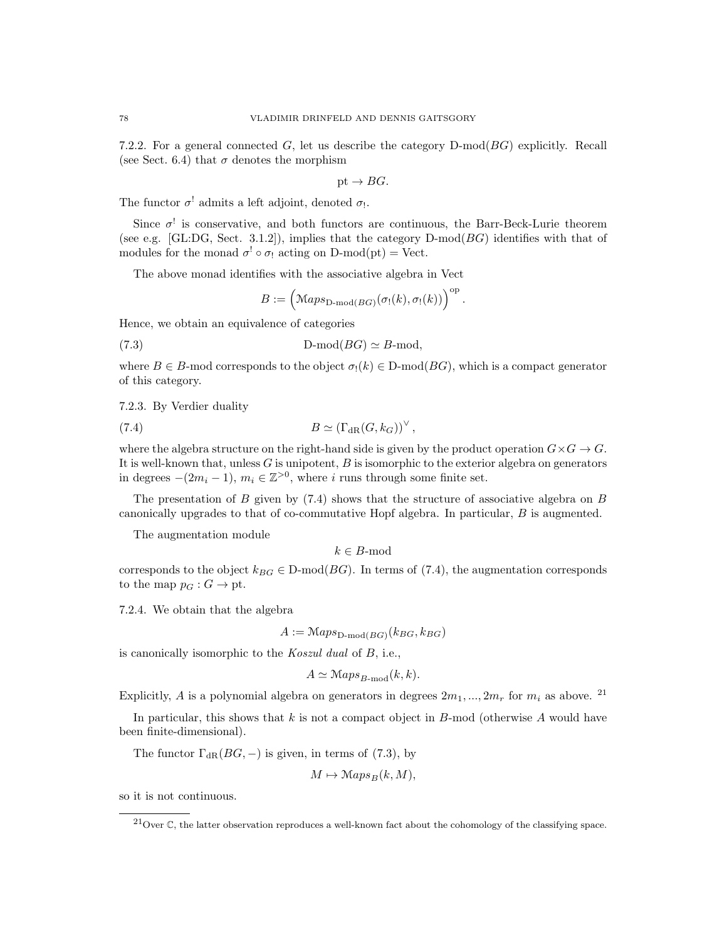7.2.2. For a general connected  $G$ , let us describe the category  $D\text{-mod}(BG)$  explicitly. Recall (see Sect. 6.4) that  $\sigma$  denotes the morphism

$$
\mathrm{pt} \to BG.
$$

The functor  $\sigma^!$  admits a left adjoint, denoted  $\sigma_!$ .

Since  $\sigma^!$  is conservative, and both functors are continuous, the Barr-Beck-Lurie theorem (see e.g. [GL:DG, Sect. 3.1.2]), implies that the category  $D\text{-mod}(BG)$  identifies with that of modules for the monad  $\sigma^! \circ \sigma_!$  acting on D-mod(pt) = Vect.

The above monad identifies with the associative algebra in Vect

$$
B:=\Big(\mathbb{M}aps_{\mathbf{D}\text{-}\mathrm{mod}(BG)}\big(\sigma_!(k),\sigma_!(k)\big)\Big)^{\mathrm{op}}\,.
$$

Hence, we obtain an equivalence of categories

(7.3) D-mod(BG) ' B-mod,

where  $B \in B$ -mod corresponds to the object  $\sigma_1(k) \in D$ -mod $(BG)$ , which is a compact generator of this category.

7.2.3. By Verdier duality

(7.4) 
$$
B \simeq (\Gamma_{\rm dR}(G,k_G))^{\vee},
$$

where the algebra structure on the right-hand side is given by the product operation  $G \times G \to G$ . It is well-known that, unless  $G$  is unipotent,  $B$  is isomorphic to the exterior algebra on generators in degrees  $-(2m_i-1)$ ,  $m_i \in \mathbb{Z}^{>0}$ , where i runs through some finite set.

The presentation of  $B$  given by (7.4) shows that the structure of associative algebra on  $B$ canonically upgrades to that of co-commutative Hopf algebra. In particular, B is augmented.

The augmentation module

 $k \in B$ -mod

corresponds to the object  $k_{BG} \in D\text{-mod}(BG)$ . In terms of (7.4), the augmentation corresponds to the map  $p_G : G \to \text{pt.}$ 

7.2.4. We obtain that the algebra

$$
A := \mathcal{M}aps_{\mathcal{D}\text{-mod}(BG)}(k_{BG}, k_{BG})
$$

is canonically isomorphic to the Koszul dual of B, i.e.,

$$
A \simeq \mathcal{M}aps_{B\text{-mod}}(k,k).
$$

Explicitly, A is a polynomial algebra on generators in degrees  $2m_1, ..., 2m_r$  for  $m_i$  as above. <sup>21</sup>

In particular, this shows that k is not a compact object in  $B$ -mod (otherwise A would have been finite-dimensional).

The functor  $\Gamma_{\text{dR}}(BG, -)$  is given, in terms of (7.3), by

$$
M\mapsto \mathrm{Maps}_B(k,M),
$$

so it is not continuous.

 $^{21}$ Over C, the latter observation reproduces a well-known fact about the cohomology of the classifying space.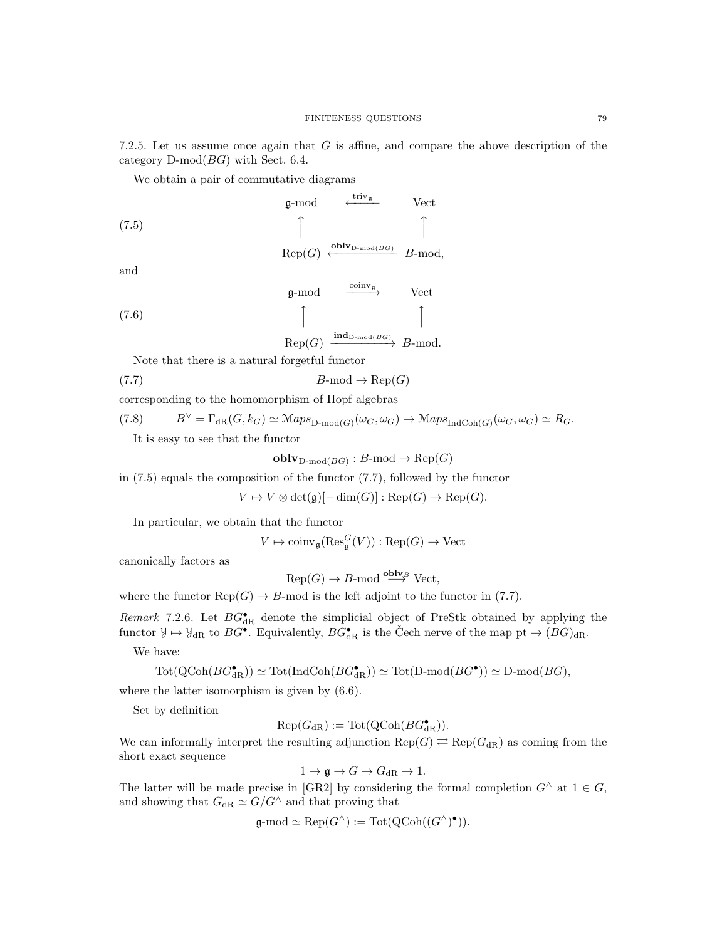7.2.5. Let us assume once again that G is affine, and compare the above description of the category  $D\text{-mod}(BG)$  with Sect. 6.4.

We obtain a pair of commutative diagrams

(7.5) 
$$
\mathfrak{g}\text{-mod} \quad \overset{\text{triv}_{\mathfrak{g}}}{\longleftrightarrow} \quad \text{Vect}
$$
\n
$$
\uparrow \qquad \qquad \uparrow
$$
\n
$$
\text{Rep}(G) \xleftarrow{\text{oblv}_{\text{D-mod}(BG)}} B\text{-mod},
$$

and

(7.6)   
\n
$$
\uparrow
$$
  $\text{Rep}(G) \xrightarrow{\text{ind}_{D\text{-mod}(BG)}} B\text{-mod}.$ 

Note that there is a natural forgetful functor

$$
(7.7) \t\t\t B\text{-mod} \to \text{Rep}(G)
$$

corresponding to the homomorphism of Hopf algebras

$$
(7.8) \tB^{\vee} = \Gamma_{\text{dR}}(G, k_G) \simeq \text{Maps}_{\text{D-mod}(G)}(\omega_G, \omega_G) \to \text{Maps}_{\text{IndCoh}(G)}(\omega_G, \omega_G) \simeq R_G.
$$

It is easy to see that the functor

$$
\mathbf{oblv}_{\mathbf{D}\text{-}\mathrm{mod}(BG)} : B\text{-}\mathrm{mod} \to \mathrm{Rep}(G)
$$

in (7.5) equals the composition of the functor (7.7), followed by the functor

 $V \mapsto V \otimes \det(\mathfrak{g})[-\dim(G)] : \text{Rep}(G) \to \text{Rep}(G).$ 

In particular, we obtain that the functor

$$
V \mapsto \operatorname{coinv}_{\mathfrak{g}}(\operatorname{Res}_{\mathfrak{g}}^G(V)) : \operatorname{Rep}(G) \to \operatorname{Vect}
$$

canonically factors as

 $\text{Rep}(G) \to B\text{-mod} \stackrel{\text{oblv}_B}{\longrightarrow} \text{Vect},$ 

where the functor  $\text{Rep}(G) \to B$ -mod is the left adjoint to the functor in (7.7).

Remark 7.2.6. Let  $BG^{\bullet}_{dR}$  denote the simplicial object of PreStk obtained by applying the functor  $\mathcal{Y} \mapsto \mathcal{Y}_{dR}$  to  $BG^{\bullet}$ . Equivalently,  $BG^{\bullet}_{dR}$  is the Čech nerve of the map  $pt \to (BG)_{dR}$ .

We have:

$$
\mathrm{Tot}(\mathrm{QCoh}(BG_{\mathrm{dR}}^{\bullet})) \simeq \mathrm{Tot}(\mathrm{IndCoh}(BG_{\mathrm{dR}}^{\bullet})) \simeq \mathrm{Tot}(\mathrm{D}\text{-}\mathrm{mod}(BG^{\bullet})) \simeq \mathrm{D}\text{-}\mathrm{mod}(BG),
$$

where the latter isomorphism is given by (6.6).

Set by definition

$$
Rep(G_{\mathrm{dR}}) := \mathrm{Tot}(\mathrm{QCoh}(BG_{\mathrm{dR}}^{\bullet})).
$$

We can informally interpret the resulting adjunction  $\text{Rep}(G) \rightleftarrows \text{Rep}(G_{dR})$  as coming from the short exact sequence

$$
1 \to \mathfrak{g} \to G \to G_{\mathrm{dR}} \to 1.
$$

The latter will be made precise in [GR2] by considering the formal completion  $G^{\wedge}$  at  $1 \in G$ , and showing that  $G_{\text{dR}} \simeq G/G^{\wedge}$  and that proving that

$$
\mathfrak{g}\text{-mod}\simeq \mathrm{Rep}(G^\wedge):=\mathrm{Tot}(\mathrm{QCoh}((G^\wedge)^\bullet)).
$$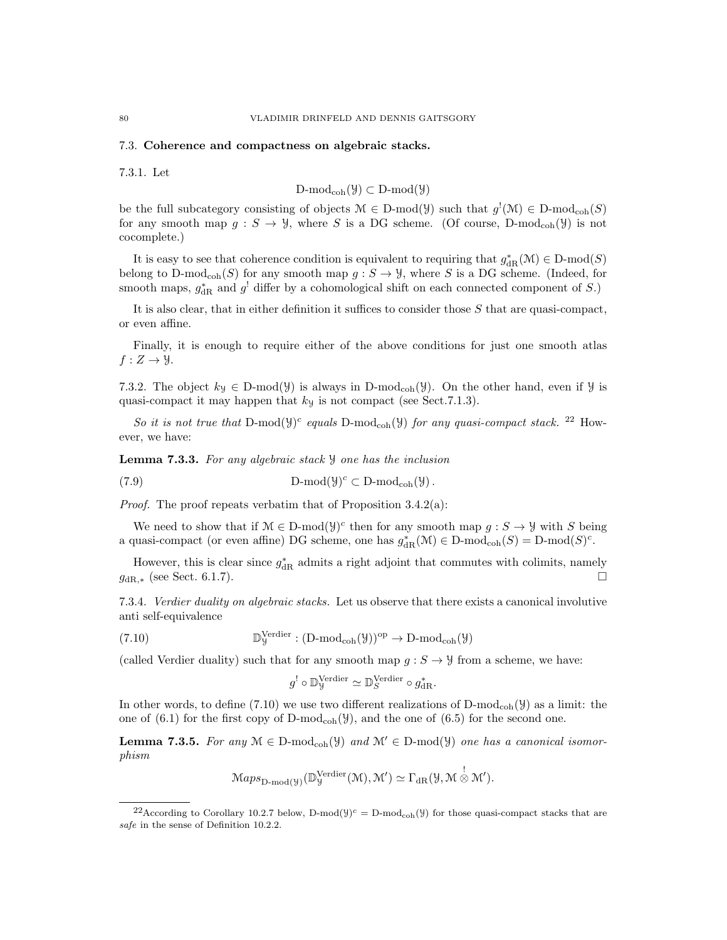#### 7.3. Coherence and compactness on algebraic stacks.

7.3.1. Let

$$
\mathrm{D\text{-}mod}_{\mathrm{coh}}(\mathcal{Y})\subset \mathrm{D\text{-}mod}(\mathcal{Y})
$$

be the full subcategory consisting of objects  $\mathcal{M} \in D\text{-mod}(\mathcal{Y})$  such that  $g'(\mathcal{M}) \in D\text{-mod}_{\text{coh}}(S)$ for any smooth map  $g: S \to \mathcal{Y}$ , where S is a DG scheme. (Of course, D-mod<sub>coh</sub>( $\mathcal{Y}$ ) is not cocomplete.)

It is easy to see that coherence condition is equivalent to requiring that  $g_{\text{dR}}^*(\mathcal{M}) \in \text{D-mod}(S)$ belong to D-mod<sub>coh</sub>(S) for any smooth map  $g : S \to Y$ , where S is a DG scheme. (Indeed, for smooth maps,  $g_{\text{dR}}^*$  and  $g^!$  differ by a cohomological shift on each connected component of S.)

It is also clear, that in either definition it suffices to consider those S that are quasi-compact, or even affine.

Finally, it is enough to require either of the above conditions for just one smooth atlas  $f: Z \rightarrow \mathcal{Y}.$ 

7.3.2. The object  $k_y \in D\text{-mod}(\mathcal{Y})$  is always in D-mod<sub>coh</sub>( $\mathcal{Y}$ ). On the other hand, even if  $\mathcal{Y}$  is quasi-compact it may happen that  $k<sub>y</sub>$  is not compact (see Sect.7.1.3).

So it is not true that D-mod( $\mathcal{Y}^c$  equals D-mod<sub>coh</sub>( $\mathcal{Y}$ ) for any quasi-compact stack. <sup>22</sup> However, we have:

Lemma 7.3.3. For any algebraic stack y one has the inclusion

(7.9) 
$$
D\text{-mod}(\mathcal{Y})^c \subset D\text{-mod}_{coh}(\mathcal{Y}).
$$

*Proof.* The proof repeats verbatim that of Proposition  $3.4.2(a)$ :

We need to show that if  $\mathcal{M} \in \mathcal{D}$ -mod $(\mathcal{Y})^c$  then for any smooth map  $g : S \to \mathcal{Y}$  with S being a quasi-compact (or even affine) DG scheme, one has  $g_{\text{dR}}^*(\mathcal{M}) \in \text{D-mod}_{\text{coh}}(S) = \text{D-mod}(S)^c$ .

However, this is clear since  $g_{\text{dR}}^*$  admits a right adjoint that commutes with colimits, namely  $g_{\text{dR},*}$  (see Sect. 6.1.7).

7.3.4. Verdier duality on algebraic stacks. Let us observe that there exists a canonical involutive anti self-equivalence

(7.10) 
$$
\mathbb{D}_{y}^{\text{Verdier}} : (\text{D-mod}_{\text{coh}}(\mathcal{Y}))^{\text{op}} \to \text{D-mod}_{\text{coh}}(\mathcal{Y})
$$

(called Verdier duality) such that for any smooth map  $g : S \to Y$  from a scheme, we have:

$$
g^! \circ \mathbb{D}_{\mathcal{Y}}^{\text{Verdier}} \simeq \mathbb{D}_{S}^{\text{Verdier}} \circ g_{\text{dR}}^*.
$$

In other words, to define (7.10) we use two different realizations of  $D\text{-mod}_{coh}(\mathcal{Y})$  as a limit: the one of  $(6.1)$  for the first copy of D-mod<sub>coh</sub> $(y)$ , and the one of  $(6.5)$  for the second one.

**Lemma 7.3.5.** For any  $M \in D\text{-mod}_{coh}(\mathcal{Y})$  and  $M' \in D\text{-mod}(\mathcal{Y})$  one has a canonical isomorphism

$$
\mathcal{M}aps_{\mathcal{D}\text{-mod}(\mathcal{Y})}(\mathbb{D}_{\mathcal{Y}}^{\mathcal{V}\text{-}\mathrm{r}\mathrm{-der}}(\mathcal{M}), \mathcal{M}') \simeq \Gamma_{\mathrm{dR}}(\mathcal{Y}, \mathcal{M} \overset{!}{\otimes} \mathcal{M}').
$$

<sup>&</sup>lt;sup>22</sup>According to Corollary 10.2.7 below, D-mod( $y$ )<sup>c</sup> = D-mod<sub>coh</sub>( $y$ ) for those quasi-compact stacks that are safe in the sense of Definition 10.2.2.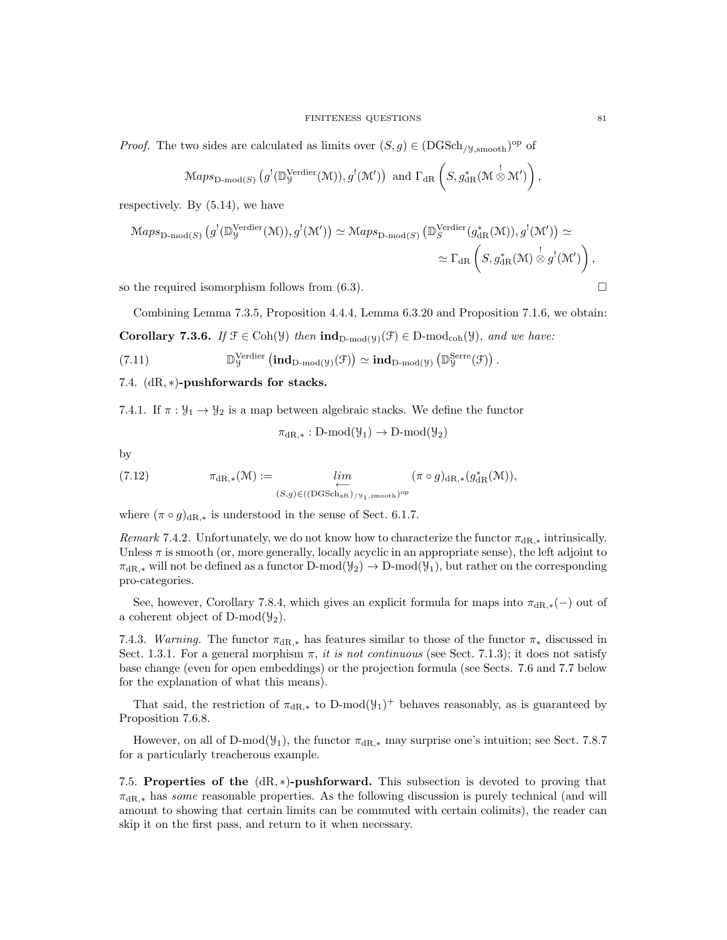*Proof.* The two sides are calculated as limits over  $(S, g) \in (DGSch_{/\mathcal{Y},smooth})^{\text{op}}$  of

$$
\mathrm{Maps}_{\mathrm{D\text{-}mod}(S)}\left(g^{!}(\mathbb{D}_{\mathcal{Y}}^{\mathrm{Verdier}}(\mathcal{M})), g^{!}(\mathcal{M}')\right) \text{ and } \Gamma_{\mathrm{dR}}\left(S, g_{\mathrm{dR}}^{*}(\mathcal{M} \overset{!}{\otimes} \mathcal{M}')\right),
$$

respectively. By (5.14), we have

$$
\mathrm{Maps}_{\mathrm{D-mod}(S)}\left(g^{!}(\mathbb{D}_{\mathcal{Y}}^{\mathrm{Verdier}}(\mathcal{M})), g^{!}(\mathcal{M}')\right) \simeq \mathrm{Maps}_{\mathrm{D-mod}(S)}\left(\mathbb{D}_{S}^{\mathrm{Verdier}}(g_{\mathrm{dR}}^{*}(\mathcal{M})), g^{!}(\mathcal{M}')\right) \simeq \\ \simeq \Gamma_{\mathrm{dR}}\left(S, g_{\mathrm{dR}}^{*}(\mathcal{M}) \overset{!}{\otimes} g^{!}(\mathcal{M}')\right),
$$

so the required isomorphism follows from  $(6.3)$ .

Combining Lemma 7.3.5, Proposition 4.4.4, Lemma 6.3.20 and Proposition 7.1.6, we obtain:

.

**Corollary 7.3.6.** If  $\mathcal{F} \in \text{Coh}(\mathcal{Y})$  then  $\text{ind}_{D\text{-mod}(\mathcal{Y})}(\mathcal{F}) \in D\text{-mod}_{\text{coh}}(\mathcal{Y})$ , and we have: Verdier

(7.11) 
$$
\mathbb{D}_{y}^{\text{Verdier}}\left(\text{ind}_{D\text{-mod}(y)}(\mathcal{F})\right) \simeq \text{ind}_{D\text{-mod}(y)}\left(\mathbb{D}_{y}^{\text{Serre}}(\mathcal{F})\right)
$$

7.4. (dR, ∗)-pushforwards for stacks.

7.4.1. If  $\pi : \mathcal{Y}_1 \to \mathcal{Y}_2$  is a map between algebraic stacks. We define the functor

$$
\pi_{\mathrm{dR},*}: \mathrm{D-mod}(\mathcal{Y}_1) \to \mathrm{D-mod}(\mathcal{Y}_2)
$$

by

(7.12) 
$$
\pi_{\mathrm{dR},*}(\mathcal{M}) := \lim_{\substack{\longleftarrow \\ (S,g) \in ((\mathrm{DGSch}_{\mathrm{aft}})_{/\mathcal{Y}_1,\mathrm{smooth}})^{\mathrm{op}}}} (\pi \circ g)_{\mathrm{dR},*} (g_{\mathrm{dR}}^*(\mathcal{M})),
$$

where  $(\pi \circ g)_{\text{dR},*}$  is understood in the sense of Sect. 6.1.7.

Remark 7.4.2. Unfortunately, we do not know how to characterize the functor  $\pi_{\text{dR},*}$  intrinsically. Unless  $\pi$  is smooth (or, more generally, locally acyclic in an appropriate sense), the left adjoint to  $\pi_{\text{dR},*}$  will not be defined as a functor D-mod $(\mathcal{Y}_2) \to D\text{-mod}(\mathcal{Y}_1)$ , but rather on the corresponding pro-categories.

See, however, Corollary 7.8.4, which gives an explicit formula for maps into  $\pi_{\text{dR},*}(-)$  out of a coherent object of D-mod $(\mathcal{Y}_2)$ .

7.4.3. Warning. The functor  $\pi_{\text{dR,*}}$  has features similar to those of the functor  $\pi_*$  discussed in Sect. 1.3.1. For a general morphism  $\pi$ , it is not continuous (see Sect. 7.1.3); it does not satisfy base change (even for open embeddings) or the projection formula (see Sects. 7.6 and 7.7 below for the explanation of what this means).

That said, the restriction of  $\pi_{\text{dR},*}$  to D-mod $(\mathcal{Y}_1)^+$  behaves reasonably, as is guaranteed by Proposition 7.6.8.

However, on all of D-mod( $\mathcal{Y}_1$ ), the functor  $\pi_{\text{dR},*}$  may surprise one's intuition; see Sect. 7.8.7 for a particularly treacherous example.

7.5. Properties of the  $(dR, *)$ -pushforward. This subsection is devoted to proving that  $\pi_{\text{dR},*}$  has some reasonable properties. As the following discussion is purely technical (and will amount to showing that certain limits can be commuted with certain colimits), the reader can skip it on the first pass, and return to it when necessary.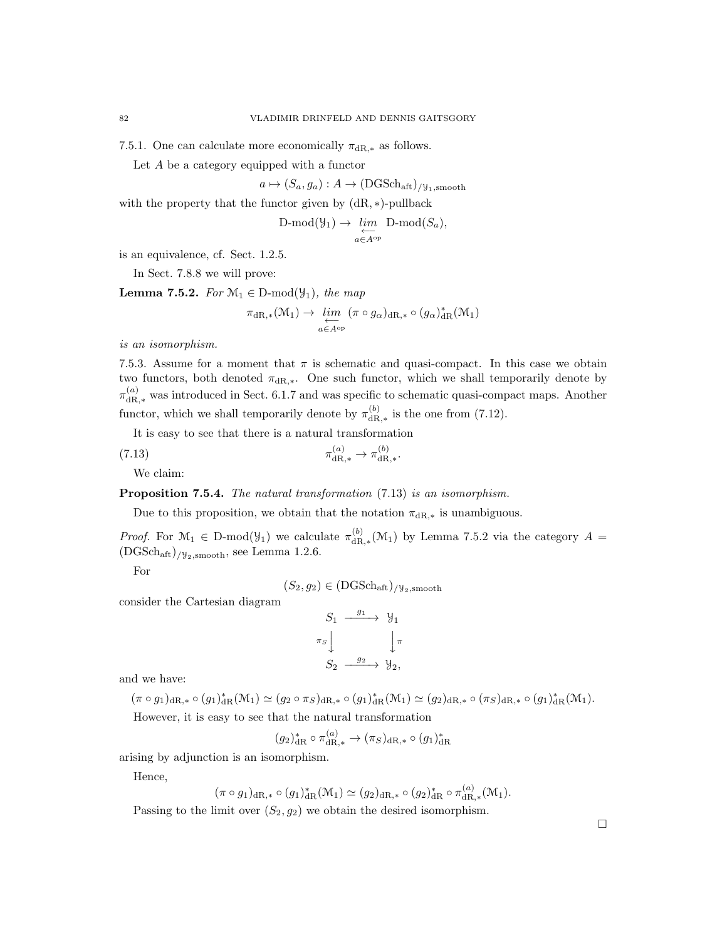7.5.1. One can calculate more economically  $\pi_{\text{dR},*}$  as follows.

Let A be a category equipped with a functor

$$
a \mapsto (S_a, g_a) : A \to (DGSch_{\text{aft}})_{/\mathcal{Y}_1, \text{smooth}}
$$

with the property that the functor given by  $(dR, *)$ -pullback

$$
\text{D-mod}(\mathcal{Y}_1) \to \varprojlim_{a \in A^{\text{op}}} \text{D-mod}(S_a),
$$

is an equivalence, cf. Sect. 1.2.5.

In Sect. 7.8.8 we will prove:

**Lemma 7.5.2.** For  $\mathcal{M}_1 \in \mathcal{D}$ -mod $(\mathcal{Y}_1)$ , the map

$$
\pi_{\mathrm{dR},*}(\mathcal{M}_1) \to \varprojlim_{a \in A^{\mathrm{op}}} (\pi \circ g_{\alpha})_{\mathrm{dR},*} \circ (g_{\alpha})_{\mathrm{dR}}^*(\mathcal{M}_1)
$$

is an isomorphism.

7.5.3. Assume for a moment that  $\pi$  is schematic and quasi-compact. In this case we obtain two functors, both denoted  $\pi_{\text{dR},*}$ . One such functor, which we shall temporarily denote by  $\pi_{\text{dR},*}^{(a)}$  was introduced in Sect. 6.1.7 and was specific to schematic quasi-compact maps. Another functor, which we shall temporarily denote by  $\pi_{\text{dR}}^{(b)}$  $\frac{dR}{dR,*}$  is the one from (7.12).

It is easy to see that there is a natural transformation

(7.13) 
$$
\pi_{\mathrm{dR},*}^{(a)} \to \pi_{\mathrm{dR},*}^{(b)}
$$

We claim:

Proposition 7.5.4. The natural transformation  $(7.13)$  is an isomorphism.

Due to this proposition, we obtain that the notation  $\pi_{\text{dR},*}$  is unambiguous.

*Proof.* For  $\mathcal{M}_1 \in D\text{-mod}(\mathcal{Y}_1)$  we calculate  $\pi_{\text{dR}}^{(b)}$  $d_{\text{dR},*}^{(0)}(\mathcal{M}_1)$  by Lemma 7.5.2 via the category  $A =$  $(DGSch<sub>aff</sub>)/y<sub>2,smooth</sub>$ , see Lemma 1.2.6.

For

 $(S_2, g_2) \in (DGSch_{\text{aff}})_{/\mathcal{Y}_2,\text{smooth}}$ 

consider the Cartesian diagram

$$
S_1 \xrightarrow{g_1} \mathcal{Y}_1
$$
  
\n
$$
\pi_S \downarrow \qquad \qquad \downarrow \pi
$$
  
\n
$$
S_2 \xrightarrow{g_2} \mathcal{Y}_2,
$$

and we have:

$$
(\pi \circ g_1)_{\mathrm{dR},*} \circ (g_1)^*_{\mathrm{dR}}(\mathcal{M}_1) \simeq (g_2 \circ \pi_S)_{\mathrm{dR},*} \circ (g_1)^*_{\mathrm{dR}}(\mathcal{M}_1) \simeq (g_2)_{\mathrm{dR},*} \circ (\pi_S)_{\mathrm{dR},*} \circ (g_1)^*_{\mathrm{dR}}(\mathcal{M}_1).
$$
  
However, it is easy to see that the natural transformation

$$
(g_2)^*_{\mathrm{dR}} \circ \pi_{\mathrm{dR},*}^{(a)} \to (\pi_S)_{\mathrm{dR},*} \circ (g_1)^*_{\mathrm{dR}}
$$

arising by adjunction is an isomorphism.

Hence,

$$
(\pi \circ g_1)_{\mathrm{dR},*} \circ (g_1)^*_{\mathrm{dR}}(\mathcal{M}_1) \simeq (g_2)_{\mathrm{dR},*} \circ (g_2)^*_{\mathrm{dR}} \circ \pi_{\mathrm{dR},*}^{(a)}(\mathcal{M}_1).
$$

 $\lambda$ 

Passing to the limit over  $(S_2, g_2)$  we obtain the desired isomorphism.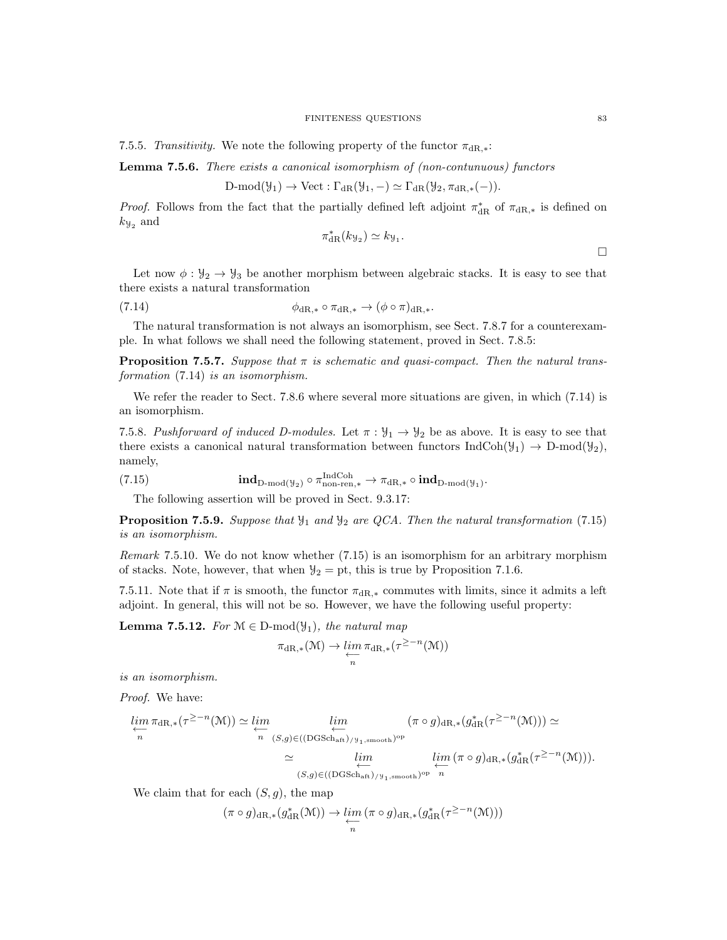7.5.5. Transitivity. We note the following property of the functor  $\pi_{\text{dR},*}$ :

Lemma 7.5.6. There exists a canonical isomorphism of (non-contunuous) functors

$$
D\text{-mod}(\mathcal{Y}_1) \to \text{Vect}: \Gamma_{\text{dR}}(\mathcal{Y}_1, -) \simeq \Gamma_{\text{dR}}(\mathcal{Y}_2, \pi_{\text{dR},*}(-)).
$$

*Proof.* Follows from the fact that the partially defined left adjoint  $\pi_{\text{dR}}^*$  of  $\pi_{\text{dR,*}}$  is defined on  $k_{\mathcal{Y}_2}$  and

$$
\pi_{\mathrm{dR}}^*(k_{\mathcal{Y}_2}) \simeq k_{\mathcal{Y}_1}.
$$

Let now  $\phi: \mathcal{Y}_2 \to \mathcal{Y}_3$  be another morphism between algebraic stacks. It is easy to see that there exists a natural transformation

$$
\phi_{\mathrm{dR},*} \circ \pi_{\mathrm{dR},*} \to (\phi \circ \pi)_{\mathrm{dR},*}.
$$

The natural transformation is not always an isomorphism, see Sect. 7.8.7 for a counterexample. In what follows we shall need the following statement, proved in Sect. 7.8.5:

**Proposition 7.5.7.** Suppose that  $\pi$  is schematic and quasi-compact. Then the natural transformation (7.14) is an isomorphism.

We refer the reader to Sect. 7.8.6 where several more situations are given, in which  $(7.14)$  is an isomorphism.

7.5.8. Pushforward of induced D-modules. Let  $\pi : \mathcal{Y}_1 \to \mathcal{Y}_2$  be as above. It is easy to see that there exists a canonical natural transformation between functors  $\text{IndCoh}(\mathcal{Y}_1) \to \text{D-mod}(\mathcal{Y}_2)$ , namely,

(7.15) 
$$
\mathbf{ind}_{D\text{-mod}(\mathcal{Y}_2)} \circ \pi_{\text{non-ren},*}^{\text{IndCoh}} \to \pi_{dR,*} \circ \mathbf{ind}_{D\text{-mod}(\mathcal{Y}_1)}.
$$

The following assertion will be proved in Sect. 9.3.17:

**Proposition 7.5.9.** Suppose that  $\mathcal{Y}_1$  and  $\mathcal{Y}_2$  are QCA. Then the natural transformation (7.15) is an isomorphism.

Remark 7.5.10. We do not know whether (7.15) is an isomorphism for an arbitrary morphism of stacks. Note, however, that when  $\mathcal{Y}_2 = \text{pt}$ , this is true by Proposition 7.1.6.

7.5.11. Note that if  $\pi$  is smooth, the functor  $\pi_{\text{dR},*}$  commutes with limits, since it admits a left adjoint. In general, this will not be so. However, we have the following useful property:

**Lemma 7.5.12.** For  $\mathcal{M} \in \mathcal{D}$ -mod $(\mathcal{Y}_1)$ , the natural map

$$
\pi_{\mathrm{dR},*}(\mathcal{M}) \to \varprojlim_{n} \pi_{\mathrm{dR},*}(\tau^{\geq -n}(\mathcal{M}))
$$

is an isomorphism.

Proof. We have:

$$
\lim_{\substack{\longleftarrow \\ n}} \pi_{\mathrm{dR},*}(\tau^{\geq -n}(\mathcal{M})) \simeq \lim_{\substack{\longleftarrow \\ n}} \lim_{(S,g) \in ((\mathrm{DGSch}_{\mathrm{aff}}) / \mathcal{Y}_1, \mathrm{smooth})^{\mathrm{op}}}} \frac{\lim}{\left(\pi \circ g\right)_{\mathrm{dR},*} (g_{\mathrm{dR}}^*(\tau^{\geq -n}(\mathcal{M})))} \simeq \lim_{\substack{\longleftarrow \\ (S,g) \in ((\mathrm{DGSch}_{\mathrm{aff}}) / \mathcal{Y}_1, \mathrm{smooth})^{\mathrm{op}}}} \lim_{\substack{\longleftarrow \\ n}} \lim_{(S,g) \in ((\mathrm{DGSch}_{\mathrm{aff}}) / \mathcal{Y}_1, \mathrm{smooth})^{\mathrm{op}}}} \frac{\lim}{n} \left(\pi \circ g\right)_{\mathrm{dR},*} (g_{\mathrm{dR}}^*(\tau^{\geq -n}(\mathcal{M}))).
$$

We claim that for each  $(S, g)$ , the map

$$
(\pi \circ g)_{\mathrm{dR},*}(g_{\mathrm{dR}}^*(\mathcal{M})) \to \varprojlim_n (\pi \circ g)_{\mathrm{dR},*}(g_{\mathrm{dR}}^*(\tau^{\geq -n}(\mathcal{M})))
$$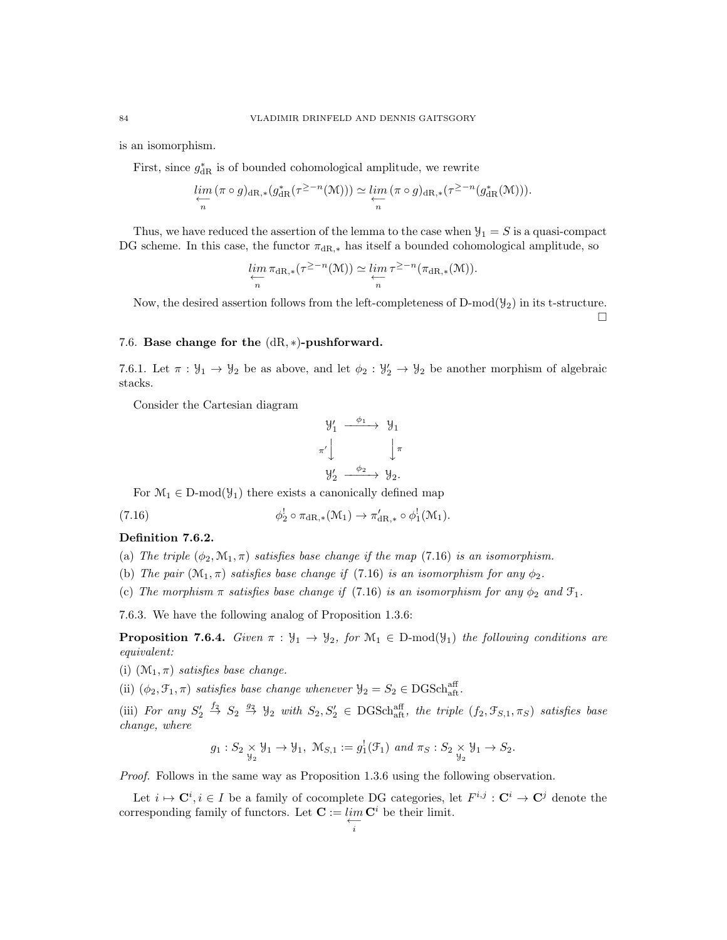is an isomorphism.

First, since  $g_{\text{dR}}^*$  is of bounded cohomological amplitude, we rewrite

$$
\lim_{\substack{\longleftarrow \\n}} (\pi \circ g)_{\mathrm{dR},*} (g_{\mathrm{dR}}^*(\tau^{\geq -n}(\mathcal{M}))) \simeq \lim_{\substack{\longleftarrow \\n}} (\pi \circ g)_{\mathrm{dR},*} (\tau^{\geq -n} (g_{\mathrm{dR}}^*(\mathcal{M}))).
$$

Thus, we have reduced the assertion of the lemma to the case when  $\mathcal{Y}_1 = S$  is a quasi-compact DG scheme. In this case, the functor  $\pi_{\text{dR},*}$  has itself a bounded cohomological amplitude, so

$$
\lim_{\substack{\longleftarrow \\n}} \pi_{\mathrm{dR},*}(\tau^{\geq -n}(\mathfrak{M})) \simeq \lim_{\substack{\longleftarrow \\n}} \tau^{\geq -n}(\pi_{\mathrm{dR},*}(\mathfrak{M})).
$$

Now, the desired assertion follows from the left-completeness of  $D-mod(\mathcal{Y}_2)$  in its t-structure.  $\Box$ 

### 7.6. Base change for the (dR, ∗)-pushforward.

7.6.1. Let  $\pi : \mathcal{Y}_1 \to \mathcal{Y}_2$  be as above, and let  $\phi_2 : \mathcal{Y}'_2 \to \mathcal{Y}_2$  be another morphism of algebraic stacks.

Consider the Cartesian diagram

$$
\begin{array}{ccc}\n\mathcal{Y}'_1 & \xrightarrow{\phi_1} & \mathcal{Y}_1 \\
\pi' & & \downarrow \pi \\
\mathcal{Y}'_2 & \xrightarrow{\phi_2} & \mathcal{Y}_2.\n\end{array}
$$

For  $\mathcal{M}_1 \in D\text{-mod}(\mathcal{Y}_1)$  there exists a canonically defined map

(7.16) 
$$
\phi_2^! \circ \pi_{\mathrm{dR},*}(\mathcal{M}_1) \to \pi'_{\mathrm{dR},*} \circ \phi_1^!(\mathcal{M}_1).
$$

#### Definition 7.6.2.

- (a) The triple  $(\phi_2, \mathcal{M}_1, \pi)$  satisfies base change if the map (7.16) is an isomorphism.
- (b) The pair  $(\mathcal{M}_1, \pi)$  satisfies base change if (7.16) is an isomorphism for any  $\phi_2$ .
- (c) The morphism  $\pi$  satisfies base change if (7.16) is an isomorphism for any  $\phi_2$  and  $\mathcal{F}_1$ .

7.6.3. We have the following analog of Proposition 1.3.6:

**Proposition 7.6.4.** Given  $\pi : \mathcal{Y}_1 \to \mathcal{Y}_2$ , for  $\mathcal{M}_1 \in D\text{-mod}(\mathcal{Y}_1)$  the following conditions are equivalent:

- (i)  $(\mathcal{M}_1, \pi)$  satisfies base change.
- (ii)  $(\phi_2, \mathcal{F}_1, \pi)$  satisfies base change whenever  $\mathcal{Y}_2 = S_2 \in \text{DGSch}_{\text{aff}}^{\text{aff}}$ .

(iii) For any  $S'_2 \stackrel{f_2}{\rightarrow} S_2 \stackrel{g_2}{\rightarrow} \mathcal{Y}_2$  with  $S_2, S'_2 \in DGSch_{aff}^{aff}$ , the triple  $(f_2, \mathcal{F}_{S,1}, \pi_S)$  satisfies base change, where

$$
g_1: S_2 \underset{\mathcal{Y}_2}{\times} \mathcal{Y}_1 \to \mathcal{Y}_1, \ \mathcal{M}_{S,1} := g_1^1(\mathcal{F}_1) \ \text{and} \ \pi_S: S_2 \underset{\mathcal{Y}_2}{\times} \mathcal{Y}_1 \to S_2.
$$

Proof. Follows in the same way as Proposition 1.3.6 using the following observation.

Let  $i \mapsto \mathbf{C}^i, i \in I$  be a family of cocomplete DG categories, let  $F^{i,j} : \mathbf{C}^i \to \mathbf{C}^j$  denote the corresponding family of functors. Let  $\mathbf{C} := \lim_{\leftarrow} \mathbf{C}^i$  be their limit.  $\overleftarrow{i}$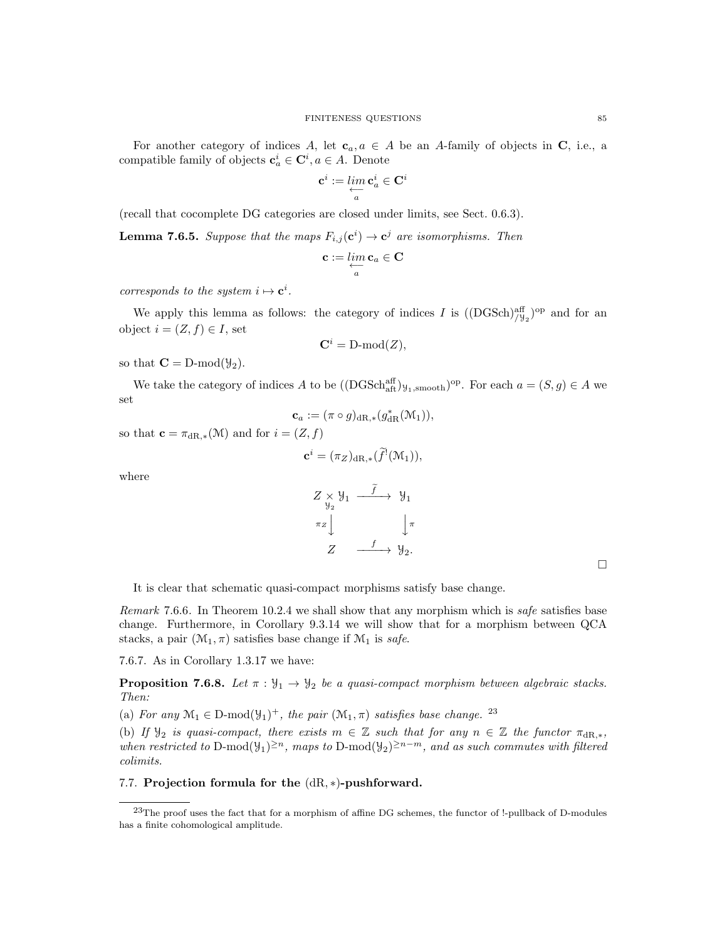For another category of indices A, let  $c_a, a \in A$  be an A-family of objects in C, i.e., a compatible family of objects  $\mathbf{c}_a^i \in \mathbf{C}^i, a \in A$ . Denote

$$
\mathbf{c}^i := \mathop{lim}\limits_{\substack{\longleftarrow \\ a}} \mathbf{c}^i_a \in \mathbf{C}^i
$$

(recall that cocomplete DG categories are closed under limits, see Sect. 0.6.3).

**Lemma 7.6.5.** Suppose that the maps  $F_{i,j}(\mathbf{c}^i) \to \mathbf{c}^j$  are isomorphisms. Then

$$
\mathbf{c}:=\lim_{\substack{\longleftarrow \\ a}}\mathbf{c}_a \in \mathbf{C}
$$

corresponds to the system  $i \mapsto c^i$ .

We apply this lemma as follows: the category of indices I is  $((\text{DGSch})^{\text{aff}}_{/y_2})^{\text{op}}$  and for an object  $i = (Z, f) \in I$ , set

$$
\mathbf{C}^i = \text{D-mod}(Z),
$$

so that  $\mathbf{C} = \text{D-mod}(\mathcal{Y}_2)$ .

We take the category of indices A to be  $((\text{DGSch}^{\text{aff}}_{\text{aff}})_{y_1,\text{smooth}})^\text{op}$ . For each  $a = (S, g) \in A$  we set

$$
\mathbf{c}_a := (\pi \circ g)_{\mathrm{dR},*}(g_{\mathrm{dR}}^*(\mathcal{M}_1)),
$$

so that  $\mathbf{c} = \pi_{\mathrm{dR},*}(\mathcal{M})$  and for  $i = (Z, f)$ 

$$
\mathbf{c}^i = (\pi_Z)_{\mathrm{dR},*}(\widetilde{f}^!(\mathcal{M}_1)),
$$

where

$$
Z \underset{\mathcal{Y}_2}{\times} \mathcal{Y}_1 \xrightarrow{\widetilde{f}} \mathcal{Y}_1
$$
  
\n
$$
\pi_Z \downarrow \qquad \qquad \downarrow \pi
$$
  
\n
$$
Z \xrightarrow{f} \mathcal{Y}_2.
$$

 $\Box$ 

It is clear that schematic quasi-compact morphisms satisfy base change.

Remark 7.6.6. In Theorem 10.2.4 we shall show that any morphism which is safe satisfies base change. Furthermore, in Corollary 9.3.14 we will show that for a morphism between QCA stacks, a pair  $(\mathcal{M}_1, \pi)$  satisfies base change if  $\mathcal{M}_1$  is safe.

7.6.7. As in Corollary 1.3.17 we have:

**Proposition 7.6.8.** Let  $\pi : \mathcal{Y}_1 \to \mathcal{Y}_2$  be a quasi-compact morphism between algebraic stacks. Then:

(a) For any  $\mathcal{M}_1 \in \mathcal{D}\text{-mod}(\mathcal{Y}_1)^+$ , the pair  $(\mathcal{M}_1, \pi)$  satisfies base change. <sup>23</sup>

(b) If  $\mathcal{Y}_2$  is quasi-compact, there exists  $m \in \mathbb{Z}$  such that for any  $n \in \mathbb{Z}$  the functor  $\pi_{dR,*}$ , when restricted to D-mod $(\mathcal{Y}_1)^{\geq n}$ , maps to D-mod $(\mathcal{Y}_2)^{\geq n-m}$ , and as such commutes with filtered colimits.

### 7.7. Projection formula for the (dR, ∗)-pushforward.

<sup>&</sup>lt;sup>23</sup>The proof uses the fact that for a morphism of affine DG schemes, the functor of !-pullback of D-modules has a finite cohomological amplitude.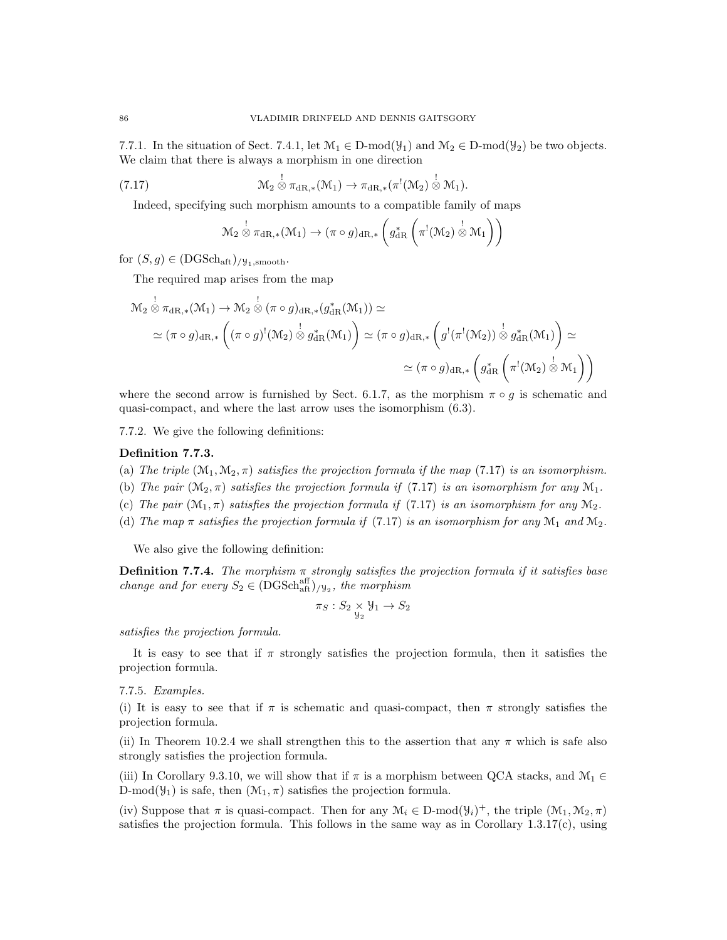7.7.1. In the situation of Sect. 7.4.1, let  $\mathcal{M}_1 \in \text{D-mod}(\mathcal{Y}_1)$  and  $\mathcal{M}_2 \in \text{D-mod}(\mathcal{Y}_2)$  be two objects. We claim that there is always a morphism in one direction

(7.17) 
$$
\mathcal{M}_2 \overset{!}{\otimes} \pi_{\mathrm{dR},*}(\mathcal{M}_1) \to \pi_{\mathrm{dR},*}(\pi^!(\mathcal{M}_2) \overset{!}{\otimes} \mathcal{M}_1).
$$

Indeed, specifying such morphism amounts to a compatible family of maps

$$
\mathcal{M}_2 \overset{!}{\otimes} \pi_{\mathrm{dR},*}(\mathcal{M}_1) \to (\pi \circ g)_{\mathrm{dR},*} \left( g_{\mathrm{dR}}^* \left( \pi^!(\mathcal{M}_2) \overset{!}{\otimes} \mathcal{M}_1 \right) \right)
$$

for  $(S, g) \in (DGSch_{\text{aff}})_{/\mathcal{Y}_1, \text{smooth}}$ .

The required map arises from the map

$$
\mathcal{M}_2 \overset{!}{\otimes} \pi_{\mathrm{dR},*}(\mathcal{M}_1) \to \mathcal{M}_2 \overset{!}{\otimes} (\pi \circ g)_{\mathrm{dR},*} (g_{\mathrm{dR}}^*(\mathcal{M}_1)) \simeq
$$
\n
$$
\simeq (\pi \circ g)_{\mathrm{dR},*} \left( (\pi \circ g)^!(\mathcal{M}_2) \overset{!}{\otimes} g_{\mathrm{dR}}^*(\mathcal{M}_1) \right) \simeq (\pi \circ g)_{\mathrm{dR},*} \left( g^!(\pi^!(\mathcal{M}_2)) \overset{!}{\otimes} g_{\mathrm{dR}}^*(\mathcal{M}_1) \right) \simeq
$$
\n
$$
\simeq (\pi \circ g)_{\mathrm{dR},*} \left( g_{\mathrm{dR}}^* \left( \pi^!(\mathcal{M}_2) \overset{!}{\otimes} \mathcal{M}_1 \right) \right)
$$

where the second arrow is furnished by Sect. 6.1.7, as the morphism  $\pi \circ q$  is schematic and quasi-compact, and where the last arrow uses the isomorphism (6.3).

7.7.2. We give the following definitions:

### Definition 7.7.3.

- (a) The triple  $(\mathcal{M}_1, \mathcal{M}_2, \pi)$  satisfies the projection formula if the map (7.17) is an isomorphism.
- (b) The pair  $(\mathcal{M}_2, \pi)$  satisfies the projection formula if (7.17) is an isomorphism for any  $\mathcal{M}_1$ .
- (c) The pair  $(\mathcal{M}_1, \pi)$  satisfies the projection formula if (7.17) is an isomorphism for any  $\mathcal{M}_2$ .
- (d) The map  $\pi$  satisfies the projection formula if (7.17) is an isomorphism for any  $\mathcal{M}_1$  and  $\mathcal{M}_2$ .

We also give the following definition:

**Definition 7.7.4.** The morphism  $\pi$  strongly satisfies the projection formula if it satisfies base change and for every  $S_2 \in (DGSch^{\text{aff}}_{\text{aff}})_{/\frac{1}{2}}$ , the morphism

$$
\pi_S: S_2 \underset{\mathcal{Y}_2}{\times} \mathcal{Y}_1 \rightarrow S_2
$$

satisfies the projection formula.

It is easy to see that if  $\pi$  strongly satisfies the projection formula, then it satisfies the projection formula.

#### 7.7.5. Examples.

(i) It is easy to see that if  $\pi$  is schematic and quasi-compact, then  $\pi$  strongly satisfies the projection formula.

(ii) In Theorem 10.2.4 we shall strengthen this to the assertion that any  $\pi$  which is safe also strongly satisfies the projection formula.

(iii) In Corollary 9.3.10, we will show that if  $\pi$  is a morphism between QCA stacks, and  $\mathcal{M}_1 \in$ D-mod( $\mathcal{Y}_1$ ) is safe, then  $(\mathcal{M}_1, \pi)$  satisfies the projection formula.

(iv) Suppose that  $\pi$  is quasi-compact. Then for any  $\mathcal{M}_i \in \mathcal{D}\text{-mod}(\mathcal{Y}_i)^+$ , the triple  $(\mathcal{M}_1, \mathcal{M}_2, \pi)$ satisfies the projection formula. This follows in the same way as in Corollary 1.3.17(c), using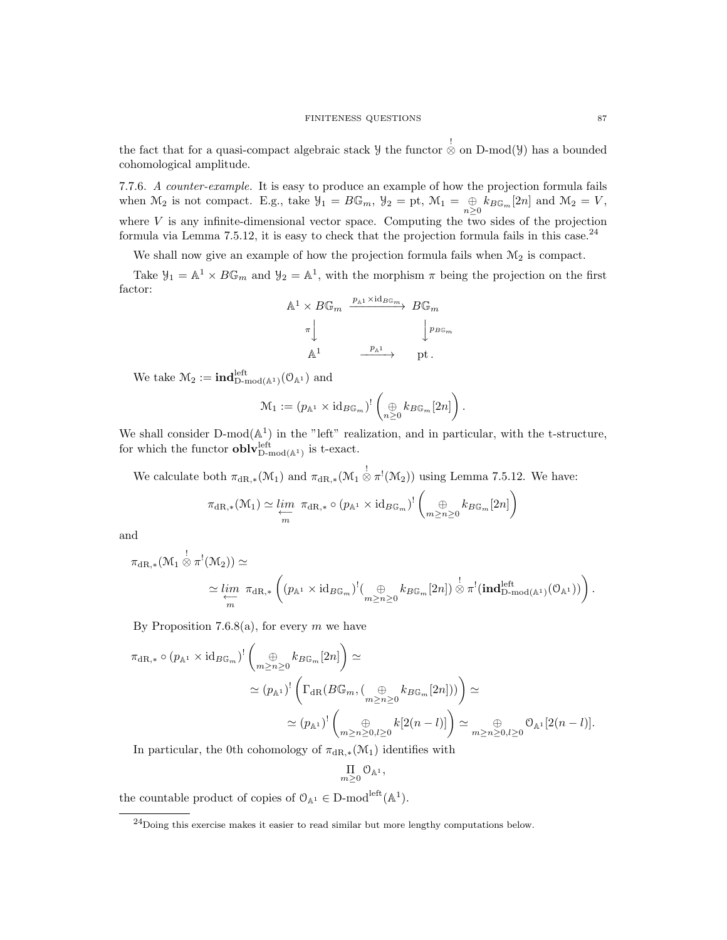the fact that for a quasi-compact algebraic stack  $\mathcal Y$  the functor  $\stackrel{!}{\otimes}$  on D-mod( $\mathcal Y$ ) has a bounded cohomological amplitude.

7.7.6. A counter-example. It is easy to produce an example of how the projection formula fails when  $\mathcal{M}_2$  is not compact. E.g., take  $\mathcal{Y}_1 = B\mathbb{G}_m$ ,  $\mathcal{Y}_2 = \text{pt}$ ,  $\mathcal{M}_1 = \bigoplus_{n \geq 0} k_{B\mathbb{G}_m}[2n]$  and  $\mathcal{M}_2 = V$ , where  $V$  is any infinite-dimensional vector space. Computing the two sides of the projection formula via Lemma 7.5.12, it is easy to check that the projection formula fails in this case.<sup>24</sup>

We shall now give an example of how the projection formula fails when  $\mathcal{M}_2$  is compact.

Take  $\mathcal{Y}_1 = \mathbb{A}^1 \times B\mathbb{G}_m$  and  $\mathcal{Y}_2 = \mathbb{A}^1$ , with the morphism  $\pi$  being the projection on the first factor:



We take  $\mathcal{M}_2 := \text{ind}_{D\text{-mod}(\mathbb{A}^1)}^{\text{left}}(\mathcal{O}_{\mathbb{A}^1})$  and

$$
\mathcal{M}_1 := (p_{\mathbb{A}^1} \times \mathrm{id}_{B\mathbb{G}_m})^! \left( \bigoplus_{n \geq 0} k_{B\mathbb{G}_m} [2n] \right).
$$

We shall consider  $D-mod(A^1)$  in the "left" realization, and in particular, with the t-structure, for which the functor  $\textbf{oblv}_{D\text{-mod}({\mathbb{A}}^1)}^{\text{left}}$  is t-exact.

We calculate both  $\pi_{\mathrm{dR},*}(\mathcal{M}_1)$  and  $\pi_{\mathrm{dR},*}(\mathcal{M}_1 \overset{!}{\otimes} \pi^!(\mathcal{M}_2))$  using Lemma 7.5.12. We have:

$$
\pi_{\mathrm{dR},*}(\mathcal{M}_1) \simeq \varprojlim_m \pi_{\mathrm{dR},*} \circ (p_{\mathbb{A}^1} \times \mathrm{id}_{B\mathbb{G}_m})^! \left( \bigoplus_{m \geq n \geq 0} k_{B\mathbb{G}_m} [2n] \right)
$$

and

$$
\pi_{\mathrm{dR},*}(\mathcal{M}_1 \overset{!}{\otimes} \pi^!(\mathcal{M}_2)) \simeq
$$
  

$$
\simeq \lim_{\substack{\longleftarrow \\ m}} \pi_{\mathrm{dR},*} \left( (p_{\mathbb{A}^1} \times \mathrm{id}_{B\mathbb{G}_m})^!(\bigoplus_{m \geq n \geq 0} k_{B\mathbb{G}_m}[2n]) \overset{!}{\otimes} \pi^!(\mathrm{\bf ind}_{\mathrm{D-mod}(\mathbb{A}^1)}^{left}(\mathcal{O}_{\mathbb{A}^1})) \right).
$$

By Proposition 7.6.8(a), for every  $m$  we have

$$
\pi_{\mathrm{dR},*} \circ (p_{\mathbb{A}^1} \times \mathrm{id}_{B\mathbb{G}_m})^! \left( \bigoplus_{m \ge n \ge 0} k_{B\mathbb{G}_m} [2n] \right) \simeq
$$
  

$$
\simeq (p_{\mathbb{A}^1})^! \left( \Gamma_{\mathrm{dR}} (B\mathbb{G}_m, (\bigoplus_{m \ge n \ge 0} k_{B\mathbb{G}_m} [2n])) \right) \simeq
$$
  

$$
\simeq (p_{\mathbb{A}^1})^! \left( \bigoplus_{m \ge n \ge 0, l \ge 0} k [2(n-l)] \right) \simeq \bigoplus_{m \ge n \ge 0, l \ge 0} \mathcal{O}_{\mathbb{A}^1} [2(n-l)].
$$

In particular, the 0th cohomology of  $\pi_{\text{dR},*}(\mathcal{M}_1)$  identifies with

$$
\underset{m\geq 0}{\Pi} \mathfrak{O}_{\mathbb{A}^1},
$$

the countable product of copies of  $\mathcal{O}_{\mathbb{A}^1} \in D\text{-mod}^{\text{left}}(\mathbb{A}^1)$ .

<sup>24</sup>Doing this exercise makes it easier to read similar but more lengthy computations below.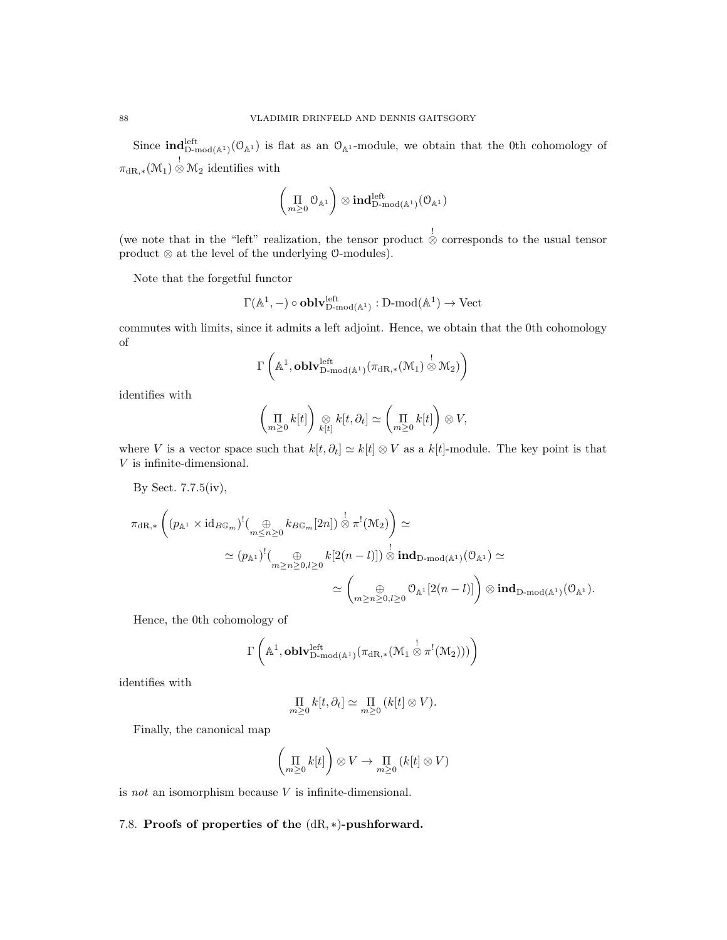Since  $\text{ind}_{D\text{-mod}({\mathbb{A}}^1)}^{\text{left}}(\mathcal{O}_{{\mathbb{A}}^1})$  is flat as an  $\mathcal{O}_{{\mathbb{A}}^1}$ -module, we obtain that the 0th cohomology of  $\pi_{\mathrm{dR},*}(\mathcal{M}_1) \overset{!}{\otimes} \mathcal{M}_2$  identifies with

$$
\left(\underset{m\geq 0}{\Pi}\mathcal{O}_{\mathbb{A}^1}\right)\otimes\textbf{ind}_{D\text{-mod}(\mathbb{A}^1)}^{\text{left}}(\mathcal{O}_{\mathbb{A}^1})
$$

(we note that in the "left" realization, the tensor product  $\stackrel{!}{\otimes}$  corresponds to the usual tensor product ⊗ at the level of the underlying O-modules).

Note that the forgetful functor

$$
\Gamma(\mathbb{A}^1,-)\circ {\bf oblv}_{D\text{-mod}(\mathbb{A}^1)}^{\mathrm{left}}:D\text{-mod}(\mathbb{A}^1)\to \mathrm{Vect}
$$

commutes with limits, since it admits a left adjoint. Hence, we obtain that the 0th cohomology of

$$
\Gamma\left(\mathbb{A}^1,\mathbf{oblv}_{D\text{-mod}({\mathbb{A}}^1)}^{left}(\pi_{dR,*}({\mathcal{M}}_1)\overset{!}{\otimes}{\mathcal{M}}_2)\right)
$$

identifies with

$$
\left(\prod_{m\geq 0}k[t]\right)\underset{k[t]}{\otimes}k[t,\partial_t]\simeq \left(\prod_{m\geq 0}k[t]\right)\otimes V,
$$

where V is a vector space such that  $k[t, \partial_t] \simeq k[t] \otimes V$  as a  $k[t]$ -module. The key point is that  ${\cal V}$  is infinite-dimensional.

By Sect. 7.7.5(iv),

$$
\pi_{\mathrm{dR},*}\left((p_{\mathbb{A}^1}\times \mathrm{id}_{B\mathbb{G}_m})^!(\bigoplus_{m\leq n\geq 0}k_{B\mathbb{G}_m}[2n])\overset{!}{\otimes}\pi^!(\mathcal{M}_2)\right)\simeq\\ \simeq (p_{\mathbb{A}^1})^!(\bigoplus_{m\geq n\geq 0,l\geq 0}k[2(n-l)])\overset{!}{\otimes}\textbf{ind}_{\mathrm{D-mod}(\mathbb{A}^1)}(\mathbb{O}_{\mathbb{A}^1})\simeq\\ \simeq \left(\bigoplus_{m\geq n\geq 0,l\geq 0}\mathbb{O}_{\mathbb{A}^1}[2(n-l)]\right)\otimes\textbf{ind}_{\mathrm{D-mod}(\mathbb{A}^1)}(\mathbb{O}_{\mathbb{A}^1}).
$$

Hence, the 0th cohomology of

$$
\Gamma\left(\mathbb{A}^1,\mathbf{oblv}_{D\text{-mod}({\mathbb{A}^1})}^{left}(\pi_{\mathrm{dR},*}({\mathcal{M}_1\overset !\otimes \pi^!(\mathcal{M}_2)}))\right)
$$

identifies with

$$
\prod_{m\geq 0} k[t,\partial_t] \simeq \prod_{m\geq 0} (k[t] \otimes V).
$$

Finally, the canonical map

$$
\left(\prod_{m\geq 0}k[t]\right)\otimes V\to \prod_{m\geq 0}\left(k[t]\otimes V\right)
$$

is not an isomorphism because  $V$  is infinite-dimensional.

## 7.8. Proofs of properties of the (dR, ∗)-pushforward.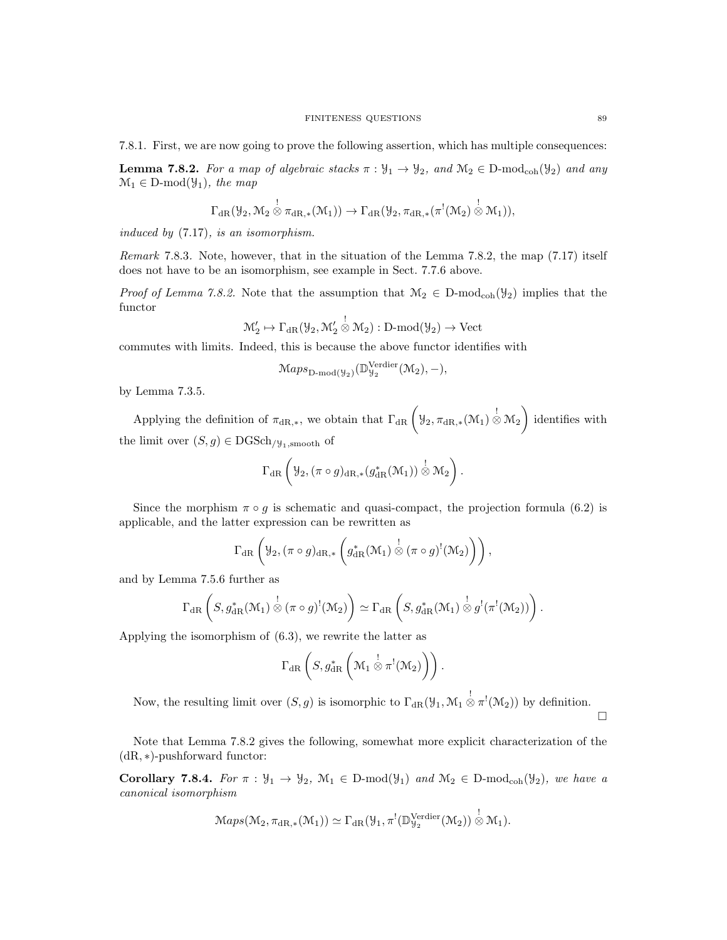**Lemma 7.8.2.** For a map of algebraic stacks  $\pi : \mathcal{Y}_1 \to \mathcal{Y}_2$ , and  $\mathcal{M}_2 \in D\text{-mod}_{coh}(\mathcal{Y}_2)$  and any  $\mathcal{M}_1 \in \mathcal{D}\text{-mod}(\mathcal{Y}_1)$ , the map

$$
\Gamma_{\mathrm{dR}}(\mathcal{Y}_2,\mathcal{M}_2\overset{!}{\otimes}\pi_{\mathrm{dR},*}(\mathcal{M}_1))\rightarrow \Gamma_{\mathrm{dR}}(\mathcal{Y}_2,\pi_{\mathrm{dR},*}(\pi^!(\mathcal{M}_2)\overset{!}{\otimes}\mathcal{M}_1)),
$$

induced by (7.17), is an isomorphism.

Remark 7.8.3. Note, however, that in the situation of the Lemma 7.8.2, the map (7.17) itself does not have to be an isomorphism, see example in Sect. 7.7.6 above.

*Proof of Lemma 7.8.2.* Note that the assumption that  $\mathcal{M}_2 \in D\text{-mod}_{coh}(\mathcal{Y}_2)$  implies that the functor

$$
\mathcal{M}'_2 \mapsto \Gamma_{\mathrm{dR}}(\mathcal{Y}_2, \mathcal{M}'_2 \overset{!}{\otimes} \mathcal{M}_2): \mathrm{D-mod}(\mathcal{Y}_2) \to \mathrm{Vect}
$$

commutes with limits. Indeed, this is because the above functor identifies with

$$
\mathcal{M}aps_{\mathbf{D}\text{-}\mathrm{mod}(\mathcal{Y}_2)}(\mathbb{D}_{\mathcal{Y}_2}^{\mathbf{Verdier}}(\mathcal{M}_2), -),
$$

by Lemma 7.3.5.

Applying the definition of  $\pi_{\text{dR},*}$ , we obtain that  $\Gamma_{\text{dR}}\left(\mathcal{Y}_2, \pi_{\text{dR},*}(\mathcal{M}_1) \overset{!}{\otimes} \mathcal{M}_2\right)$  identifies with the limit over  $(S, g) \in \text{DGSch}_{/\mathcal{Y}_1, \text{smooth}}$  of

$$
\Gamma_{\mathrm{dR}}\left(\mathcal{Y}_{2},\left(\pi\circ g\right)_{\mathrm{dR},*}\left(g_{\mathrm{dR}}^*(\mathcal{M}_1)\right)\overset{!}{\otimes}\mathcal{M}_2\right).
$$

Since the morphism  $\pi \circ g$  is schematic and quasi-compact, the projection formula (6.2) is applicable, and the latter expression can be rewritten as

$$
\Gamma_{\mathrm{dR}}\left(\mathcal{Y}_{2}, (\pi \circ g)_{\mathrm{dR},*}\left(g_{\mathrm{dR}}^{*}(\mathcal{M}_{1})\overset{!}{\otimes}(\pi \circ g)^{!}(\mathcal{M}_{2})\right)\right),
$$

and by Lemma 7.5.6 further as

$$
\Gamma_{\mathrm{dR}}\left(S,g_{\mathrm{dR}}^*(\mathcal{M}_1)\overset{!}{\otimes}(\pi\circ g)^!(\mathcal{M}_2)\right)\simeq \Gamma_{\mathrm{dR}}\left(S,g_{\mathrm{dR}}^*(\mathcal{M}_1)\overset{!}{\otimes}g^!(\pi^!(\mathcal{M}_2))\right).
$$

Applying the isomorphism of (6.3), we rewrite the latter as

$$
\Gamma_{\mathrm{dR}}\left(S,g^*_{\mathrm{dR}}\left(\mathcal{M}_1\overset{!}{\otimes}\pi^!(\mathcal{M}_2)\right)\right).
$$

Now, the resulting limit over  $(S, g)$  is isomorphic to  $\Gamma_{\text{dR}}(\mathcal{Y}_1, \mathcal{M}_1 \overset{!}{\otimes} \pi^!(\mathcal{M}_2))$  by definition.

 $\Box$ 

Note that Lemma 7.8.2 gives the following, somewhat more explicit characterization of the (dR, ∗)-pushforward functor:

**Corollary 7.8.4.** For  $\pi : \mathcal{Y}_1 \to \mathcal{Y}_2$ ,  $\mathcal{M}_1 \in D\text{-mod}(\mathcal{Y}_1)$  and  $\mathcal{M}_2 \in D\text{-mod}_{coh}(\mathcal{Y}_2)$ , we have a canonical isomorphism

$$
\mathrm{Maps}(\mathcal{M}_2, \pi_{\mathrm{dR},*}(\mathcal{M}_1)) \simeq \Gamma_{\mathrm{dR}}(\mathcal{Y}_1, \pi^!(\mathbb{D}_{\mathcal{Y}_2}^{\mathrm{Verdier}}(\mathcal{M}_2)) \overset{!}{\otimes} \mathcal{M}_1).
$$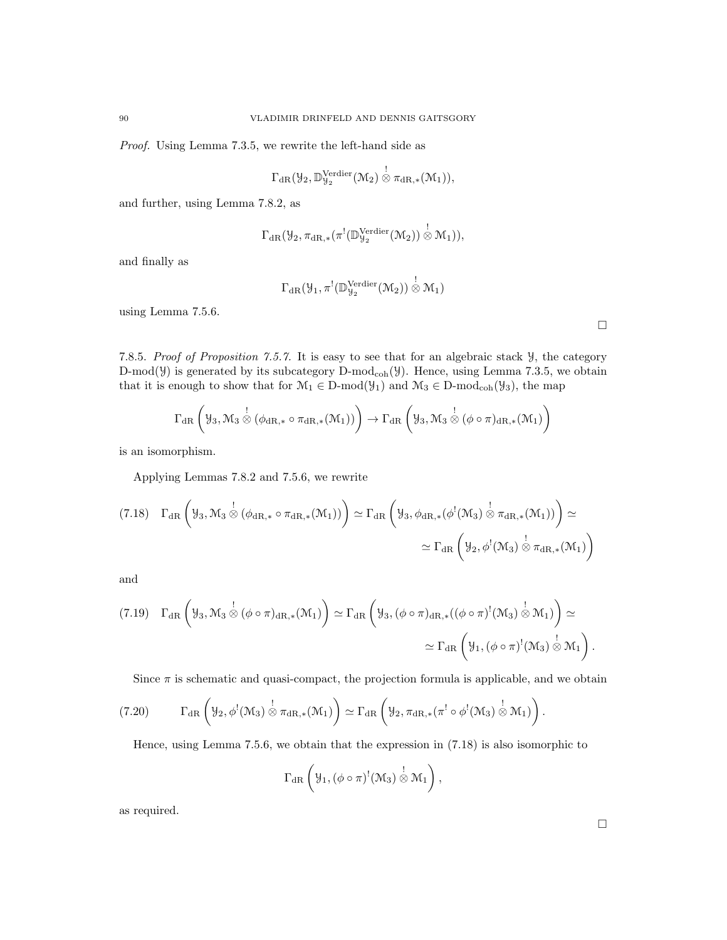Proof. Using Lemma 7.3.5, we rewrite the left-hand side as

$$
\Gamma_{\mathrm{dR}}(\mathcal{Y}_2, \mathbb{D}_{\mathcal{Y}_2}^{\mathrm{Verdier}}(\mathcal{M}_2) \overset{!}{\otimes} \pi_{\mathrm{dR},*}(\mathcal{M}_1)),
$$

and further, using Lemma 7.8.2, as

$$
\Gamma_{\mathrm{dR}}(\mathcal{Y}_2, \pi_{\mathrm{dR},*}(\pi^!(\mathbb{D}_{\mathcal{Y}_2}^{\mathrm{Verdier}}(\mathcal{M}_2)) \overset{!}{\otimes} \mathcal{M}_1)),
$$

and finally as

$$
\Gamma_{\mathrm{dR}}(\mathcal{Y}_1, \pi^! (\mathbb{D}_{\mathcal{Y}_2}^{\mathrm{Verdier}} (\mathcal{M}_2)) \overset{!}{\otimes} \mathcal{M}_1)
$$

using Lemma 7.5.6.

7.8.5. Proof of Proposition 7.5.7. It is easy to see that for an algebraic stack Y, the category D-mod( $\mathcal{Y}$ ) is generated by its subcategory D-mod<sub>coh</sub>( $\mathcal{Y}$ ). Hence, using Lemma 7.3.5, we obtain that it is enough to show that for  $\mathcal{M}_1 \in \mathcal{D}\text{-mod}(\mathcal{Y}_1)$  and  $\mathcal{M}_3 \in \mathcal{D}\text{-mod}_{coh}(\mathcal{Y}_3)$ , the map

$$
\Gamma_{\mathrm{dR}}\left(\mathcal{Y}_{3},\mathcal{M}_{3}\overset{!}{\otimes}(\phi_{\mathrm{dR},*}\circ\pi_{\mathrm{dR},*}(\mathcal{M}_{1}))\right)\rightarrow\Gamma_{\mathrm{dR}}\left(\mathcal{Y}_{3},\mathcal{M}_{3}\overset{!}{\otimes}(\phi\circ\pi)_{\mathrm{dR},*}(\mathcal{M}_{1})\right)
$$

is an isomorphism.

Applying Lemmas 7.8.2 and 7.5.6, we rewrite

$$
(7.18)\quad \Gamma_{\mathrm{dR}}\left(\mathcal{Y}_3,\mathcal{M}_3\overset{!}{\otimes}(\phi_{\mathrm{dR},*}\circ\pi_{\mathrm{dR},*}(\mathcal{M}_1))\right)\simeq\Gamma_{\mathrm{dR}}\left(\mathcal{Y}_3,\phi_{\mathrm{dR},*}(\phi^!(\mathcal{M}_3)\overset{!}{\otimes}\pi_{\mathrm{dR},*}(\mathcal{M}_1))\right)\simeq\\\qquad \qquad \simeq\Gamma_{\mathrm{dR}}\left(\mathcal{Y}_2,\phi^!(\mathcal{M}_3)\overset{!}{\otimes}\pi_{\mathrm{dR},*}(\mathcal{M}_1)\right)
$$

and

$$
(7.19) \quad \Gamma_{\mathrm{dR}}\left(\mathcal{Y}_3,\mathcal{M}_3\overset{!}{\otimes}(\phi\circ\pi)_{\mathrm{dR},*}(\mathcal{M}_1)\right)\simeq \Gamma_{\mathrm{dR}}\left(\mathcal{Y}_3,(\phi\circ\pi)_{\mathrm{dR},*}((\phi\circ\pi)^!(\mathcal{M}_3)\overset{!}{\otimes}\mathcal{M}_1)\right)\simeq\\qquad \qquad \simeq \Gamma_{\mathrm{dR}}\left(\mathcal{Y}_1,(\phi\circ\pi)^!(\mathcal{M}_3)\overset{!}{\otimes}\mathcal{M}_1\right).
$$

Since  $\pi$  is schematic and quasi-compact, the projection formula is applicable, and we obtain

$$
(7.20) \t\Gamma_{\mathrm{dR}}\left(\mathcal{Y}_2, \phi^!(\mathcal{M}_3) \overset{!}{\otimes} \pi_{\mathrm{dR},*}(\mathcal{M}_1)\right) \simeq \Gamma_{\mathrm{dR}}\left(\mathcal{Y}_2, \pi_{\mathrm{dR},*}(\pi^!\circ\phi^!(\mathcal{M}_3) \overset{!}{\otimes} \mathcal{M}_1)\right).
$$

Hence, using Lemma 7.5.6, we obtain that the expression in (7.18) is also isomorphic to

$$
\Gamma_{\mathrm{dR}}\left(\mathcal{Y}_1, (\phi \circ \pi)^!(\mathcal{M}_3) \overset{!}{\otimes} \mathcal{M}_1\right),\,
$$

as required.

 $\Box$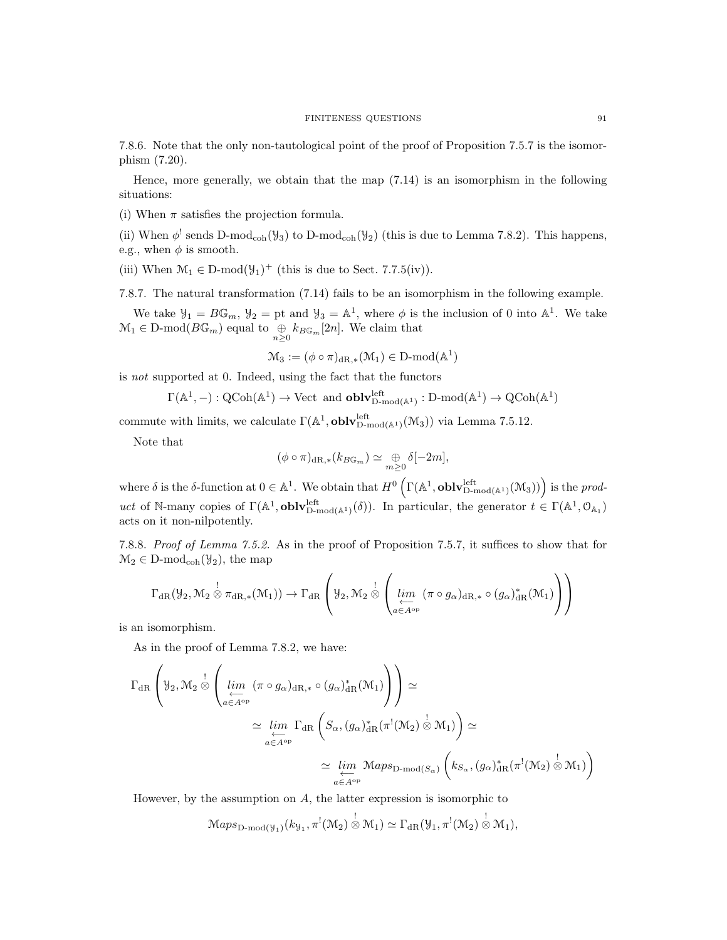7.8.6. Note that the only non-tautological point of the proof of Proposition 7.5.7 is the isomorphism (7.20).

Hence, more generally, we obtain that the map (7.14) is an isomorphism in the following situations:

(i) When  $\pi$  satisfies the projection formula.

(ii) When  $\phi^!$  sends D-mod<sub>coh</sub>( $\mathcal{Y}_3$ ) to D-mod<sub>coh</sub>( $\mathcal{Y}_2$ ) (this is due to Lemma 7.8.2). This happens, e.g., when  $\phi$  is smooth.

(iii) When  $\mathcal{M}_1 \in \mathcal{D}\text{-mod}(\mathcal{Y}_1)^+$  (this is due to Sect. 7.7.5(iv)).

7.8.7. The natural transformation (7.14) fails to be an isomorphism in the following example.

We take  $\mathcal{Y}_1 = B\mathbb{G}_m$ ,  $\mathcal{Y}_2 =$  pt and  $\mathcal{Y}_3 = \mathbb{A}^1$ , where  $\phi$  is the inclusion of 0 into  $\mathbb{A}^1$ . We take  $\mathcal{M}_1 \in \mathcal{D}\text{-mod}(B\mathbb{G}_m)$  equal to  $\bigoplus_{n>0} k_{B\mathbb{G}_m}[2n]$ . We claim that

$$
\mathcal{M}_3:=(\phi\circ\pi)_{\mathrm{dR},*}(\mathcal{M}_1)\in D\text{-}\mathrm{mod}(\mathbb{A}^1)
$$

is not supported at 0. Indeed, using the fact that the functors

$$
\Gamma(\mathbb{A}^1,-):{\rm QCoh}(\mathbb{A}^1)\rightarrow {\rm Vect} \ \ {\rm and} \ \ {\bf oblv}^{\rm left}_{{\rm D-mod}(\mathbb{A}^1)}:{\rm D-mod}(\mathbb{A}^1)\rightarrow {\rm QCoh}(\mathbb{A}^1)
$$

commute with limits, we calculate  $\Gamma(\mathbb{A}^1, \textbf{oblv}_{D\text{-mod}(\mathbb{A}^1)}^{\text{left}}(\mathcal{M}_3))$  via Lemma 7.5.12.

Note that

$$
(\phi \circ \pi)_{\mathrm{dR},*}(k_{B\mathbb{G}_m}) \simeq \underset{m \geq 0}{\oplus} \delta[-2m],
$$

where  $\delta$  is the  $\delta$ -function at  $0 \in \mathbb{A}^1$ . We obtain that  $H^0(\Gamma(\mathbb{A}^1, \textbf{oblv}_{D\text{-mod}({\mathbb{A}^1})}^{left}(\mathcal{M}_3)))$  is the product of N-many copies of  $\Gamma(\mathbb{A}^1, \textbf{oblv}_{D\text{-mod}(\mathbb{A}^1)}^{left}(\delta)).$  In particular, the generator  $t \in \Gamma(\mathbb{A}^1, \mathcal{O}_{\mathbb{A}_1})$ acts on it non-nilpotently.

7.8.8. Proof of Lemma 7.5.2. As in the proof of Proposition 7.5.7, it suffices to show that for  $\mathcal{M}_2 \in \mathcal{D}\text{-mod}_{\text{coh}}(\mathcal{Y}_2)$ , the map

$$
\Gamma_{\mathrm{dR}}(\mathcal{Y}_2,\mathcal{M}_2 \overset{!}{\otimes} \pi_{\mathrm{dR},*}(\mathcal{M}_1)) \to \Gamma_{\mathrm{dR}}\left(\mathcal{Y}_2,\mathcal{M}_2 \overset{!}{\otimes} \left(\varinjlim_{a \in A^{\mathrm{op}}} (\pi \circ g_{\alpha})_{\mathrm{dR},*} \circ (g_{\alpha})_{\mathrm{dR}}^*(\mathcal{M}_1)\right)\right)
$$

is an isomorphism.

As in the proof of Lemma 7.8.2, we have:

$$
\Gamma_{\mathrm{dR}}\left(\mathcal{Y}_{2},\mathcal{M}_{2}\overset{!}{\otimes}\left(\underset{a\in A^{\mathrm{op}}}{\underset{\leftarrow}{\lim}}\ (\pi\circ g_{\alpha})_{\mathrm{dR},*}\circ(g_{\alpha})_{\mathrm{dR}}^{*}(\mathcal{M}_{1})\right)\right)\simeq
$$
\n
$$
\simeq \underset{a\in A^{\mathrm{op}}}{\underset{\leftarrow}{\lim}}\ \Gamma_{\mathrm{dR}}\left(S_{\alpha},\left(g_{\alpha}\right)_{\mathrm{dR}}^{*}(\pi^{!}(\mathcal{M}_{2})\overset{!}{\otimes}\mathcal{M}_{1})\right)\simeq
$$
\n
$$
\simeq \underset{a\in A^{\mathrm{op}}}{\underset{\leftarrow}{\lim}}\ \mathcal{M}aps_{\mathrm{D-mod}(S_{\alpha})}\left(k_{S_{\alpha}},\left(g_{\alpha}\right)_{\mathrm{dR}}^{*}(\pi^{!}(\mathcal{M}_{2})\overset{!}{\otimes}\mathcal{M}_{1})\right)
$$

However, by the assumption on A, the latter expression is isomorphic to

$$
\mathrm{Maps}_{\mathrm{D-mod}(\mathcal{Y}_1)}(k_{\mathcal{Y}_1}, \pi^!(\mathcal{M}_2) \overset{!}{\otimes} \mathcal{M}_1) \simeq \Gamma_{\mathrm{dR}}(\mathcal{Y}_1, \pi^!(\mathcal{M}_2) \overset{!}{\otimes} \mathcal{M}_1),
$$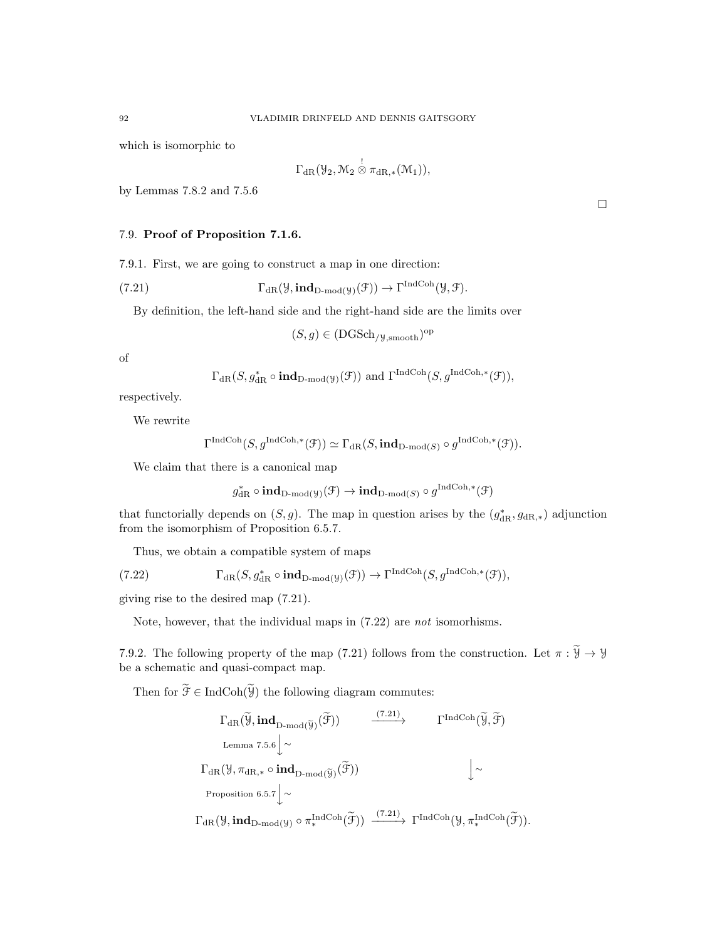which is isomorphic to

$$
\Gamma_{\mathrm{dR}}(\mathcal{Y}_2, \mathcal{M}_2\overset{!}{\otimes}\pi_{\mathrm{dR},*}(\mathcal{M}_1)),
$$

by Lemmas 7.8.2 and 7.5.6

# 7.9. Proof of Proposition 7.1.6.

7.9.1. First, we are going to construct a map in one direction:

(7.21) 
$$
\Gamma_{\mathrm{dR}}(\mathcal{Y}, \mathrm{ind}_{D\text{-mod}(\mathcal{Y})}(\mathcal{F})) \to \Gamma^{\mathrm{IndCoh}}(\mathcal{Y}, \mathcal{F}).
$$

By definition, the left-hand side and the right-hand side are the limits over

 $(S, g) \in (DGSch_{/\mathcal{Y}, \text{smooth}})^{op}$ 

of

$$
\Gamma_{\text{dR}}(S, g_{\text{dR}}^* \circ \text{ind}_{\text{D-mod}(\mathcal{Y})}(\mathcal{F}))
$$
 and  $\Gamma^{\text{IndCoh}}(S, g^{\text{IndCoh},*}(\mathcal{F})),$ 

respectively.

We rewrite

$$
\Gamma^{\text{IndCoh}}(S, g^{\text{IndCoh},*}(\mathcal{F})) \simeq \Gamma_{\text{dR}}(S, \text{ind}_{\text{D-mod}(S)} \circ g^{\text{IndCoh},*}(\mathcal{F})).
$$

We claim that there is a canonical map

$$
g_{\mathrm{dR}}^*\circ\mathbf{ind}_{\mathrm{D\text{-}mod}}({\mathcal Y}) (\mathcal F)\to\mathbf{ind}_{\mathrm{D\text{-}mod}}({\mathcal S})\circ g^{\mathrm{IndCoh},*}(\mathcal F)
$$

that functorially depends on  $(S, g)$ . The map in question arises by the  $(g_{dR}^*, g_{dR,*})$  adjunction from the isomorphism of Proposition 6.5.7.

Thus, we obtain a compatible system of maps

(7.22) 
$$
\Gamma_{\mathrm{dR}}(S,g_{\mathrm{dR}}^*\circ \mathrm{ind}_{\mathrm{D-mod}(\mathcal{Y})}(\mathcal{F})) \to \Gamma^{\mathrm{IndCoh}}(S,g^{\mathrm{IndCoh},*}(\mathcal{F})),
$$

giving rise to the desired map (7.21).

Note, however, that the individual maps in (7.22) are not isomorhisms.

7.9.2. The following property of the map (7.21) follows from the construction. Let  $\pi : \widetilde{\mathcal{Y}} \to \mathcal{Y}$ be a schematic and quasi-compact map.

Then for  $\widetilde{\mathcal{F}} \in \mathrm{IndCoh}(\widetilde{\mathcal{Y}})$  the following diagram commutes:

$$
\begin{array}{ccc}\n\Gamma_{\mathrm{dR}}(\widetilde{\mathcal{Y}},\mathrm{\bf ind}_{D\text{-mod}(\widetilde{\mathcal{Y}})}(\widetilde{\mathcal{F}})) & \xrightarrow{\qquad \qquad (\text{7.21})} & \Gamma^{\mathrm{IndCoh}}(\widetilde{\mathcal{Y}},\widetilde{\mathcal{F}}) \\
\text{Lemma 7.5.6}\n\end{array}
$$
\n
$$
\begin{array}{ccc}\n\Gamma_{\mathrm{dR}}(\mathcal{Y},\pi_{\mathrm{dR},*}\circ\mathrm{\bf ind}_{D\text{-mod}(\widetilde{\mathcal{Y}})}(\widetilde{\mathcal{F}})) & & \downarrow \sim \\
\text{Proposition 6.5.7}\n\end{array}
$$
\n
$$
\begin{array}{ccc}\n\Gamma_{\mathrm{dR}}(\mathcal{Y},\mathrm{\bf ind}_{D\text{-mod}(\mathcal{Y})}\circ\pi^{ \mathrm{IndCoh}}_* (\widetilde{\mathcal{F}})) & \xrightarrow{(\text{7.21})} & \Gamma^{\mathrm{IndCoh}}(\mathcal{Y},\pi^{ \mathrm{IndCoh}}_* (\widetilde{\mathcal{F}})).\n\end{array}
$$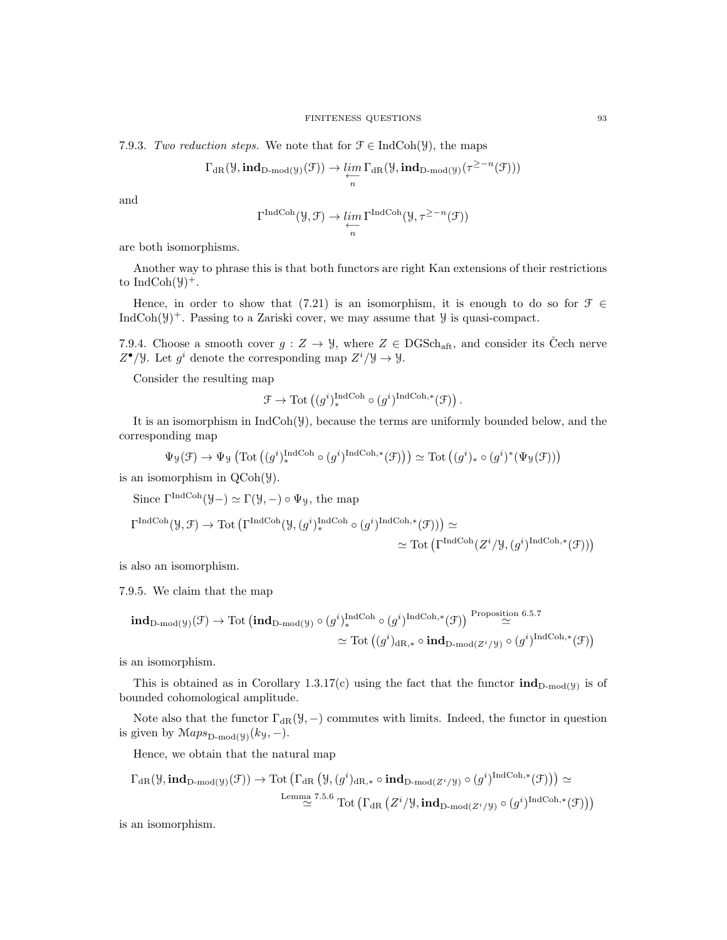7.9.3. Two reduction steps. We note that for  $\mathcal{F} \in \text{IndCoh}(\mathcal{Y})$ , the maps

$$
\Gamma_{\operatorname{dR}}(\mathcal Y,\operatorname{\textbf{ind}}_{D\operatorname{\textbf{-}mod}}(\mathcal Y)}(\mathcal F))\to \varprojlim_n\Gamma_{\operatorname{dR}}(\mathcal Y,\operatorname{\textbf{ind}}_{D\operatorname{\textbf{-}mod}}(\mathcal Y)}(\tau^{\geq -n}(\mathcal F)))
$$

and

$$
\Gamma^{\text{IndCoh}}(\mathcal{Y}, \mathcal{F}) \to \varprojlim_{n} \Gamma^{\text{IndCoh}}(\mathcal{Y}, \tau^{\geq -n}(\mathcal{F}))
$$

are both isomorphisms.

Another way to phrase this is that both functors are right Kan extensions of their restrictions to IndCoh $(\mathcal{Y})^+$ .

Hence, in order to show that (7.21) is an isomorphism, it is enough to do so for  $\mathcal{F} \in$ IndCoh( $\mathcal{Y}$ )<sup>+</sup>. Passing to a Zariski cover, we may assume that  $\mathcal{Y}$  is quasi-compact.

7.9.4. Choose a smooth cover  $g: Z \to \mathcal{Y}$ , where  $Z \in \text{DGSch}_{\text{aff}}$ , and consider its Cech nerve  $Z^{\bullet}/\mathcal{Y}$ . Let  $g^i$  denote the corresponding map  $Z^i/\mathcal{Y} \to \mathcal{Y}$ .

Consider the resulting map

$$
\mathcal{F} \rightarrow \mathrm{Tot}\left((g^i)^{\mathrm{IndCoh}}_* \circ (g^i)^{\mathrm{IndCoh}, *}(\mathcal{F})\right).
$$

It is an isomorphism in  $IndCoh(\mathcal{Y})$ , because the terms are uniformly bounded below, and the corresponding map

$$
\Psi_{\mathcal{Y}}(\mathcal{F}) \to \Psi_{\mathcal{Y}}\left(\mathrm{Tot}\left((g^{i})_{*}^{\mathrm{IndCoh}} \circ (g^{i})^{\mathrm{IndCoh},*}(\mathcal{F})\right)\right) \simeq \mathrm{Tot}\left((g^{i})_{*} \circ (g^{i})^{*}(\Psi_{\mathcal{Y}}(\mathcal{F}))\right)
$$

is an isomorphism in QCoh(Y).

Since  $\Gamma^{\text{IndCoh}}(\mathcal{Y}-)\simeq \Gamma(\mathcal{Y}, -)\circ \Psi_{\mathcal{Y}},$  the map

$$
\Gamma^{\text{IndCoh}}(\mathcal{Y}, \mathcal{F}) \to \text{Tot}\left(\Gamma^{\text{IndCoh}}(\mathcal{Y}, (g^i)^{\text{IndCoh}}_*) \circ (g^i)^{\text{IndCoh}, *}(\mathcal{F}))\right) \simeq
$$
  

$$
\simeq \text{Tot}\left(\Gamma^{\text{IndCoh}}(Z^i/\mathcal{Y}, (g^i)^{\text{IndCoh}, *}(\mathcal{F}))\right)
$$

is also an isomorphism.

7.9.5. We claim that the map

$$
\mathbf{ind}_{\mathbf{D}\text{-mod}(\mathcal{Y})}(\mathcal{F}) \to \text{Tot }(\mathbf{ind}_{\mathbf{D}\text{-mod}(\mathcal{Y})}\circ (g^i)^{\text{IndCoh}}_*(g^i)^{\text{IndCoh},*}(\mathcal{F})) \stackrel{\text{Proposition 6.5.7}}{\simeq}
$$

$$
\simeq \text{Tot }((g^i)_{\text{dR},*}\circ \mathbf{ind}_{\mathbf{D}\text{-mod}(\mathcal{Z}^i/\mathcal{Y})}\circ (g^i)^{\text{IndCoh},*}(\mathcal{F}))
$$

is an isomorphism.

This is obtained as in Corollary 1.3.17(c) using the fact that the functor  $\text{ind}_{D\text{-mod}(y)}$  is of bounded cohomological amplitude.

Note also that the functor  $\Gamma_{\text{dR}}(\mathcal{Y}, -)$  commutes with limits. Indeed, the functor in question is given by  $Maps_{D\text{-mod}(y)}(k_y, -)$ .

Hence, we obtain that the natural map

$$
\Gamma_{\mathrm{dR}}(\mathcal{Y},\mathrm{\bf ind}_{\mathrm{D\text{-}mod}(\mathcal{Y})}(\mathcal{F}))\to\mathrm{Tot}\left(\Gamma_{\mathrm{dR}}\left(\mathcal{Y},(g^{i})_{\mathrm{dR},*}\circ\mathrm{\bf ind}_{\mathrm{D\text{-}mod}(Z^{i}/\mathcal{Y})}\circ(g^{i})^{\mathrm{IndCoh},*}(\mathcal{F})\right)\right)\simeq\\\xrightarrow{\mathrm{Lemma}~7.5.6}}\mathrm{Tot}\left(\Gamma_{\mathrm{dR}}\left(Z^{i}/\mathcal{Y},\mathrm{\bf ind}_{\mathrm{D\text{-}mod}(Z^{i}/\mathcal{Y})}\circ(g^{i})^{\mathrm{IndCoh},*}(\mathcal{F})\right)\right)
$$

is an isomorphism.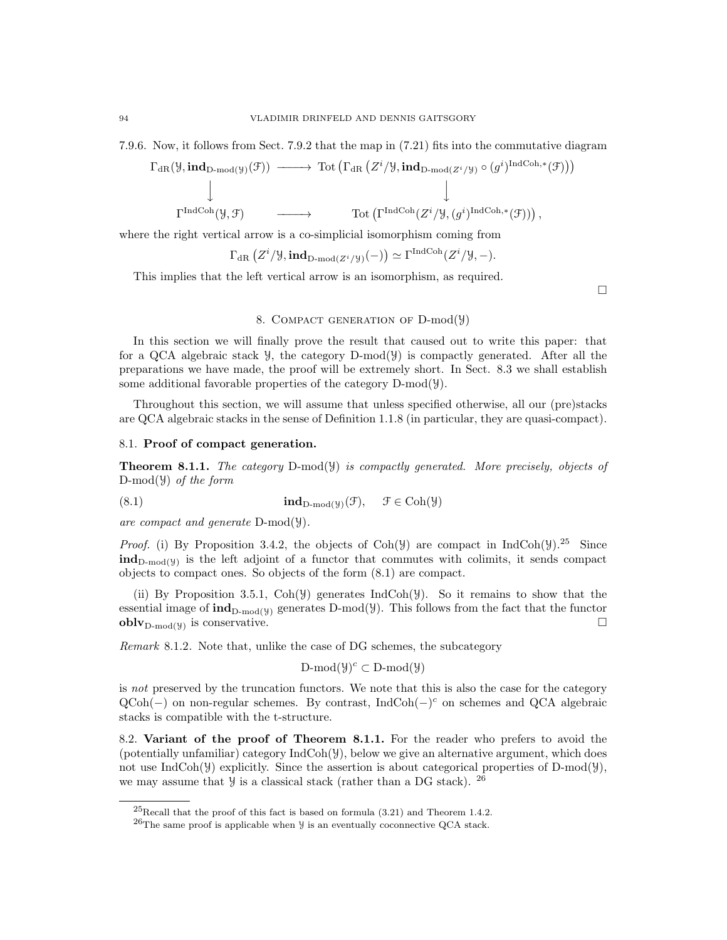7.9.6. Now, it follows from Sect. 7.9.2 that the map in (7.21) fits into the commutative diagram

$$
\begin{array}{cccc}\n\Gamma_{\text{dR}}(\mathcal{Y},\text{ind}_{D\text{-mod}(\mathcal{Y})}(\mathcal{F})) & \longrightarrow & \text{Tot}\left(\Gamma_{\text{dR}}\left(Z^i/\mathcal{Y},\text{ind}_{D\text{-mod}(Z^i/\mathcal{Y})}\circ(g^i)^{\text{IndCoh},*}(\mathcal{F})\right)\right) \\
& & \downarrow & \downarrow\n\end{array}
$$

$$
\Gamma^{\operatorname{IndCoh}}(\mathcal{Y}, \mathcal{F}) \qquad \longrightarrow \qquad \operatorname{Tot}\left(\Gamma^{\operatorname{IndCoh}}(Z^i/\mathcal{Y}, (g^i)^{\operatorname{IndCoh}, *}(\mathcal{F}))\right),
$$

where the right vertical arrow is a co-simplicial isomorphism coming from

$$
\Gamma_{\text{dR}}(Z^i/\mathcal{Y}, \text{ind}_{D\text{-mod}(Z^i/\mathcal{Y})}(-)) \simeq \Gamma^{\text{IndCoh}}(Z^i/\mathcal{Y}, -).
$$

This implies that the left vertical arrow is an isomorphism, as required.

 $\Box$ 

# 8. COMPACT GENERATION OF D-mod( $\mathcal{Y}$ )

In this section we will finally prove the result that caused out to write this paper: that for a QCA algebraic stack  $\mathcal{Y}$ , the category D-mod( $\mathcal{Y}$ ) is compactly generated. After all the preparations we have made, the proof will be extremely short. In Sect. 8.3 we shall establish some additional favorable properties of the category D-mod(Y).

Throughout this section, we will assume that unless specified otherwise, all our (pre)stacks are QCA algebraic stacks in the sense of Definition 1.1.8 (in particular, they are quasi-compact).

### 8.1. Proof of compact generation.

**Theorem 8.1.1.** The category  $D\text{-mod}(\mathcal{Y})$  is compactly generated. More precisely, objects of D-mod( $\mathcal{Y}$ ) of the form

(8.1) 
$$
\mathbf{ind}_{D\text{-mod}(\mathcal{Y})}(\mathcal{F}), \quad \mathcal{F} \in \text{Coh}(\mathcal{Y})
$$

are compact and generate D-mod(Y).

*Proof.* (i) By Proposition 3.4.2, the objects of Coh( $\mathcal{Y}$ ) are compact in IndCoh( $\mathcal{Y}$ ).<sup>25</sup> Since  $\text{ind}_{D\text{-mod}(y)}$  is the left adjoint of a functor that commutes with colimits, it sends compact objects to compact ones. So objects of the form (8.1) are compact.

(ii) By Proposition 3.5.1,  $\text{Coh}(\mathcal{Y})$  generates IndCoh( $\mathcal{Y}$ ). So it remains to show that the essential image of  $\text{ind}_{D\text{-mod}(y)}$  generates D-mod(Y). This follows from the fact that the functor  $\textbf{oblv}_{\text{D-mod}(\mathcal{Y})}$  is conservative.

Remark 8.1.2. Note that, unlike the case of DG schemes, the subcategory

$$
D\text{-mod}(\mathcal{Y})^c \subset D\text{-mod}(\mathcal{Y})
$$

is not preserved by the truncation functors. We note that this is also the case for the category QCoh(-) on non-regular schemes. By contrast, IndCoh(-)<sup>c</sup> on schemes and QCA algebraic stacks is compatible with the t-structure.

8.2. Variant of the proof of Theorem 8.1.1. For the reader who prefers to avoid the (potentially unfamiliar) category IndCoh(Y), below we give an alternative argument, which does not use IndCoh( $\mathcal{Y}$ ) explicitly. Since the assertion is about categorical properties of D-mod( $\mathcal{Y}$ ), we may assume that  $\mathcal{Y}$  is a classical stack (rather than a DG stack). <sup>26</sup>

 $^{25}$ Recall that the proof of this fact is based on formula (3.21) and Theorem 1.4.2.

 $^{26}$ The same proof is applicable when  $\frac{1}{2}$  is an eventually coconnective QCA stack.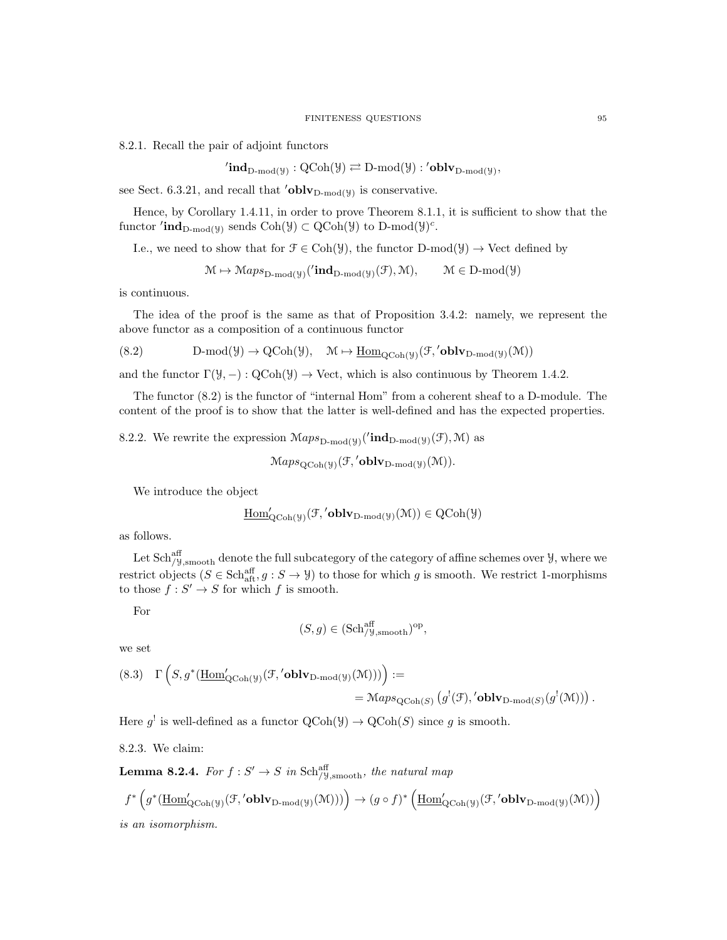8.2.1. Recall the pair of adjoint functors

 $\text{'ind}_{\text{D-mod}(\mathcal{Y})}: \text{QCoh}(\mathcal{Y}) \rightleftarrows \text{D-mod}(\mathcal{Y}): \text{'oblv}_{\text{D-mod}(\mathcal{Y})},$ 

see Sect. 6.3.21, and recall that  $\text{'oblv}_{D\text{-mod}(y)}$  is conservative.

Hence, by Corollary 1.4.11, in order to prove Theorem 8.1.1, it is sufficient to show that the functor  $'\text{ind}_{D\text{-mod}(y)}$  sends  $Coh(\mathcal{Y}) \subset QCoh(\mathcal{Y})$  to  $D\text{-mod}(\mathcal{Y})^c$ .

I.e., we need to show that for  $\mathcal{F} \in \text{Coh}(\mathcal{Y})$ , the functor  $D\text{-mod}(\mathcal{Y}) \to \text{Vect}$  defined by

 $\mathcal{M} \mapsto \mathcal{M}aps_{\mathrm{D-mod}(\mathcal{Y})}(\text{'ind}_{\mathrm{D-mod}(\mathcal{Y})}(\mathcal{F}), \mathcal{M}), \qquad \mathcal{M} \in \mathrm{D-mod}(\mathcal{Y})$ 

is continuous.

The idea of the proof is the same as that of Proposition 3.4.2: namely, we represent the above functor as a composition of a continuous functor

$$
(8.2) \hspace{1cm} D\text{-mod}(\mathcal{Y}) \rightarrow \mathrm{QCoh}(\mathcal{Y}), \hspace{3mm} \mathcal{M} \mapsto \underline{\mathrm{Hom}}_{\mathrm{QCoh}(\mathcal{Y})}(\mathcal{F},{}'\mathbf{oblv}_{D\text{-mod}(\mathcal{Y})}(\mathcal{M}))
$$

and the functor  $\Gamma(\mathcal{Y}, -) : \text{QCoh}(\mathcal{Y}) \to \text{Vect}$ , which is also continuous by Theorem 1.4.2.

The functor (8.2) is the functor of "internal Hom" from a coherent sheaf to a D-module. The content of the proof is to show that the latter is well-defined and has the expected properties.

8.2.2. We rewrite the expression  $\mathcal{M}aps_{\mathrm{D-mod}(\mathcal{Y})}(\text{ind}_{\mathrm{D-mod}(\mathcal{Y})}(\mathcal{F}), \mathcal{M})$  as

$$
Maps_{QCoh(\mathcal{Y})}(\mathcal{F}, 'oblv_{D-mod(\mathcal{Y})}(\mathcal{M})).
$$

We introduce the object

$$
\underline{\mathrm{Hom}}'_{\mathrm{QCoh}(\mathcal{Y})}(\mathcal{F},' \mathbf{oblv}_{D\text{-}\mathrm{mod}(\mathcal{Y})}(\mathcal{M})) \in \mathrm{QCoh}(\mathcal{Y})
$$

as follows.

Let  $Sch^{\text{aff}}_{/y, \text{smooth}}$  denote the full subcategory of the category of affine schemes over  $\mathcal{Y}$ , where we restrict objects  $(S \in \text{Sch}^{\text{aff}}_{\text{aff}}, g : S \to \mathcal{Y})$  to those for which g is smooth. We restrict 1-morphisms to those  $f : S' \to S$  for which f is smooth.

For

$$
(S, g) \in (\mathbf{Sch}^{\mathrm{aff}}_{/\mathcal{Y}, \mathrm{smooth}})^{\mathrm{op}},
$$

we set

(8.3) 
$$
\Gamma\left(S, g^*(\underline{\text{Hom}}'_{Q\text{Coh}(\mathcal{Y})}(\mathcal{F}, \text{'oblv}_{D\text{-mod}(\mathcal{Y})}(\mathcal{M})))\right) :=
$$
  
=  $\mathcal{M}aps_{Q\text{Coh}(S)}(g^!(\mathcal{F}), \text{'oblv}_{D\text{-mod}(S)}(g^!(\mathcal{M})))$ .

Here  $g^!$  is well-defined as a functor  $\text{QCoh}(\mathcal{Y}) \to \text{QCoh}(S)$  since g is smooth.

8.2.3. We claim:

**Lemma 8.2.4.** For  $f: S' \to S$  in Sch $_{/9, \text{smooth}}^{a\text{ff}}$ , the natural map

$$
f^* \left( g^* (\underline{\text{Hom}}'_{\text{QCoh}(\mathcal{Y})}(\mathcal{F}, ' \text{oblv}_{D\text{-mod}(\mathcal{Y})}(\mathcal{M}))) \right) \to (g \circ f)^* \left( \underline{\text{Hom}}'_{\text{QCoh}(\mathcal{Y})}(\mathcal{F}, ' \text{oblv}_{D\text{-mod}(\mathcal{Y})}(\mathcal{M})) \right)
$$
  
is an isomorphism.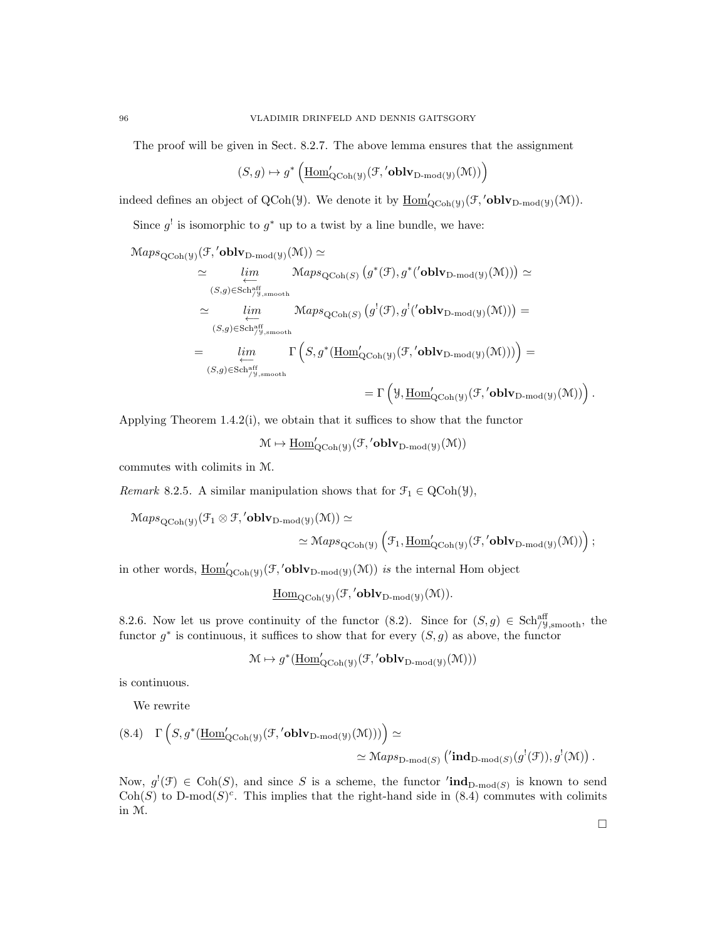The proof will be given in Sect. 8.2.7. The above lemma ensures that the assignment

$$
(S,g)\mapsto g^*\left(\underline{\mathrm{Hom}}'_{\mathrm{QCoh}(\mathcal{Y})}(\mathcal{F},'\mathbf{oblv}_{\mathrm{D-mod}(\mathcal{Y})}(\mathcal{M}))\right)
$$

indeed defines an object of QCoh( $\mathcal{Y}$ ). We denote it by  $\underline{\text{Hom}}'_{\text{QCoh}(\mathcal{Y})}(\mathcal{F},' \text{oblv}_{D\text{-mod}(\mathcal{Y})}(\mathcal{M}))$ .

Since  $g^{\dagger}$  is isomorphic to  $g^*$  up to a twist by a line bundle, we have:

 $\operatorname{Maps}_{\operatorname{QCoh}(\mathcal{Y})}(\mathcal{F},\prime\operatorname{\bf oblv}_{\operatorname{D-mod}(\mathcal{Y})}(\mathcal{M})) \simeq$ 

$$
\simeq \lim_{(S,g)\in \text{Sch}_{/y,\text{smooth}}^{\text{aff}}}\text{Maps}_{\text{QCoh}(S)}(g^*(\mathcal{F}),g^*(\text{oblv}_{\text{D-mod}(\mathcal{Y})}(\mathcal{M})))\simeq \simeq \lim_{(S,g)\in \text{Sch}_{/y,\text{smooth}}^{\text{aff}}}\text{Maps}_{\text{QCoh}(S)}(g^!(\mathcal{F}),g^!(\text{oblv}_{\text{D-mod}(\mathcal{Y})}(\mathcal{M})))= \simeq \lim_{(S,g)\in \text{Sch}_{/y,\text{smooth}}^{\text{aff}}}\Gamma\left(S,g^*(\underline{\text{Hom}}'_{\text{QCoh}(\mathcal{Y})}(\mathcal{F},'\text{oblv}_{\text{D-mod}(\mathcal{Y})}(\mathcal{M})))\right)= \simeq \text{Ext}_{/y,\text{smooth}}^{\text{aff}}\Gamma\left(S,g^*(\underline{\text{Hom}}'_{\text{QCoh}(\mathcal{Y})}(\mathcal{F},'\text{oblv}_{\text{D-mod}(\mathcal{Y})}(\mathcal{M})))\right).
$$

Applying Theorem 1.4.2(i), we obtain that it suffices to show that the functor

 $\mathcal{M} \mapsto \underline{\mathrm{Hom}}'_{\mathrm{QCoh}(\mathcal{Y})}(\mathcal{F},' \textbf{oblv}_{\mathrm{D-mod}(\mathcal{Y})}(\mathcal{M}))$ 

commutes with colimits in M.

Remark 8.2.5. A similar manipulation shows that for  $\mathcal{F}_1 \in \text{QCoh}(\mathcal{Y})$ ,

$$
\begin{aligned}\mathbb{M}aps_{\mathrm{QCoh}(\mathcal{Y})}(\mathcal{F}_1\otimes \mathcal{F},{}'\mathbf{oblv}_{D\text{-mod}(\mathcal{Y})}(\mathcal{M}))&\simeq\\ &\simeq \mathbb{M}aps_{\mathrm{QCoh}(\mathcal{Y})}\left(\mathcal{F}_1,\underline{\mathrm{Hom}}'_{\mathrm{QCoh}(\mathcal{Y})}(\mathcal{F},{}'\mathbf{oblv}_{D\text{-mod}(\mathcal{Y})}(\mathcal{M}))\right); \end{aligned}
$$

in other words,  $\underline{\text{Hom}}'_{\text{QCoh}(\mathcal{Y})}(\mathcal{F},' \text{oblv}_{D\text{-mod}(\mathcal{Y})}(\mathcal{M}))$  is the internal Hom object

$$
\underline{\mathrm{Hom}}_{\mathrm{QCoh}(\mathcal{Y})}(\mathcal{F},{}'\mathbf{oblv}_{D\text{-}\mathrm{mod}(\mathcal{Y})}(\mathcal{M})).
$$

8.2.6. Now let us prove continuity of the functor (8.2). Since for  $(S, g) \in Sch_{\ell}^{\text{aff}}$ , the functor  $g^*$  is continuous, it suffices to show that for every  $(S, g)$  as above, the functor

$$
\mathcal{M} \mapsto g^*(\underline{\mathrm{Hom}}'_{\mathrm{QCoh}(\mathcal{Y})}(\mathcal{F},{}'\mathbf{oblv}_{\mathrm{D-mod}(\mathcal{Y})}(\mathcal{M})))
$$

is continuous.

We rewrite

$$
(8.4) \quad \Gamma\left(S, g^*(\underline{\text{Hom}}'_{Q\text{Coh}(\mathcal{Y})}(\mathcal{F}, 'oblv_{D\text{-mod}(\mathcal{Y})}(\mathcal{M})))\right) \simeq
$$

$$
\simeq \text{Maps}_{D\text{-mod}(S)}\left(\text{ind}_{D\text{-mod}(S)}(g^!(\mathcal{F})), g^!(\mathcal{M})\right).
$$

Now,  $g'(\mathcal{F}) \in \text{Coh}(S)$ , and since S is a scheme, the functor  $'\text{ind}_{D\text{-mod}(S)}$  is known to send Coh(S) to D-mod(S)<sup>c</sup>. This implies that the right-hand side in (8.4) commutes with colimits in M.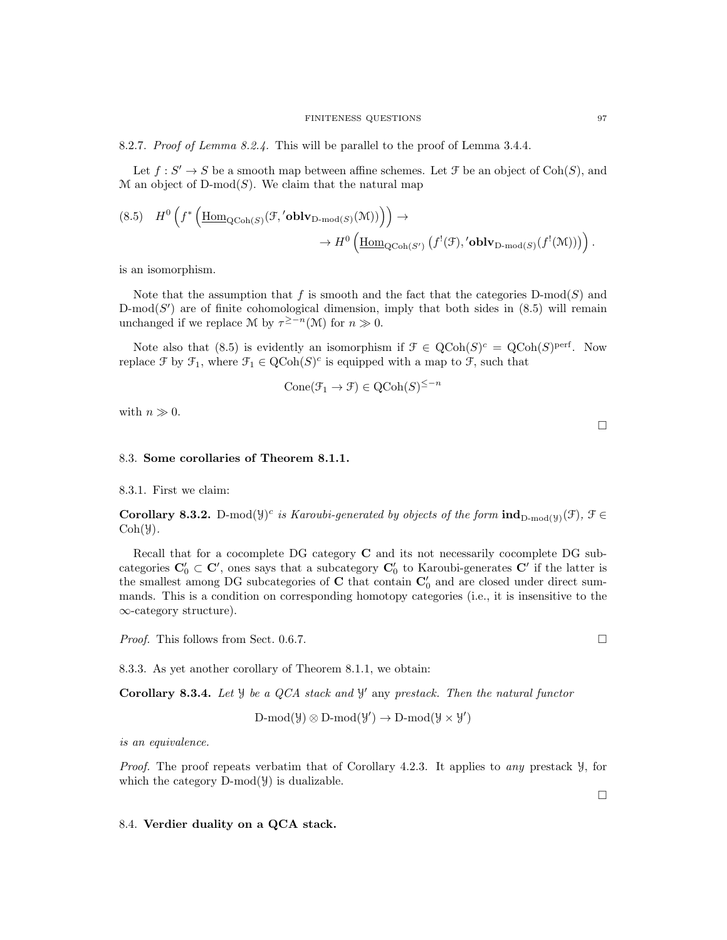8.2.7. Proof of Lemma 8.2.4. This will be parallel to the proof of Lemma 3.4.4.

Let  $f: S' \to S$  be a smooth map between affine schemes. Let  $\mathcal F$  be an object of  $\text{Coh}(S)$ , and  $M$  an object of D-mod(S). We claim that the natural map

$$
(8.5) \quad H^{0}\left(f^{*}\left(\underline{\operatorname{Hom}}_{\operatorname{QCoh}(S)}(\mathcal{F},\prime\operatorname{oblv}_{D\operatorname{-mod}(S)}(\mathcal{M}))\right)\right) \to \\
 \longrightarrow H^{0}\left(\underline{\operatorname{Hom}}_{\operatorname{QCoh}(S')}\left(f^{!}(\mathcal{F}),\prime\operatorname{oblv}_{D\operatorname{-mod}(S)}(f^{!}(\mathcal{M}))\right)\right).
$$

is an isomorphism.

Note that the assumption that f is smooth and the fact that the categories  $D\text{-mod}(S)$  and  $D\text{-mod}(S')$  are of finite cohomological dimension, imply that both sides in  $(8.5)$  will remain unchanged if we replace M by  $\tau^{\geq -n}(\mathcal{M})$  for  $n \gg 0$ .

Note also that (8.5) is evidently an isomorphism if  $\mathcal{F} \in \text{QCoh}(S)^c = \text{QCoh}(S)^{\text{perf}}$ . Now replace  $\mathcal F$  by  $\mathcal F_1$ , where  $\mathcal F_1 \in \mathrm{QCoh}(S)^c$  is equipped with a map to  $\mathcal F$ , such that

$$
Cone(\mathcal{F}_1 \to \mathcal{F}) \in QCoh(S)^{\leq -n}
$$

with  $n \gg 0$ .

### 8.3. Some corollaries of Theorem 8.1.1.

8.3.1. First we claim:

**Corollary 8.3.2.** D-mod $(\mathcal{Y})^c$  is Karoubi-generated by objects of the form  $\text{ind}_{D\text{-mod}(\mathcal{Y})}(\mathcal{F})$ ,  $\mathcal{F} \in$  $Coh(\mathcal{Y})$ .

Recall that for a cocomplete DG category C and its not necessarily cocomplete DG subcategories  $\mathbf{C}'_0 \subset \mathbf{C}'$ , ones says that a subcategory  $\mathbf{C}'_0$  to Karoubi-generates  $\mathbf{C}'$  if the latter is the smallest among DG subcategories of  $C$  that contain  $C'_0$  and are closed under direct summands. This is a condition on corresponding homotopy categories (i.e., it is insensitive to the ∞-category structure).

*Proof.* This follows from Sect. 0.6.7.

8.3.3. As yet another corollary of Theorem 8.1.1, we obtain:

Corollary 8.3.4. Let  $\mathcal{Y}$  be a QCA stack and  $\mathcal{Y}'$  any prestack. Then the natural functor

 $\text{D-mod}(\mathcal{Y}) \otimes \text{D-mod}(\mathcal{Y}') \to \text{D-mod}(\mathcal{Y} \times \mathcal{Y}')$ 

is an equivalence.

Proof. The proof repeats verbatim that of Corollary 4.2.3. It applies to any prestack  $\mathcal{Y}$ , for which the category  $D\text{-mod}(\mathcal{Y})$  is dualizable.

## 8.4. Verdier duality on a QCA stack.

 $\Box$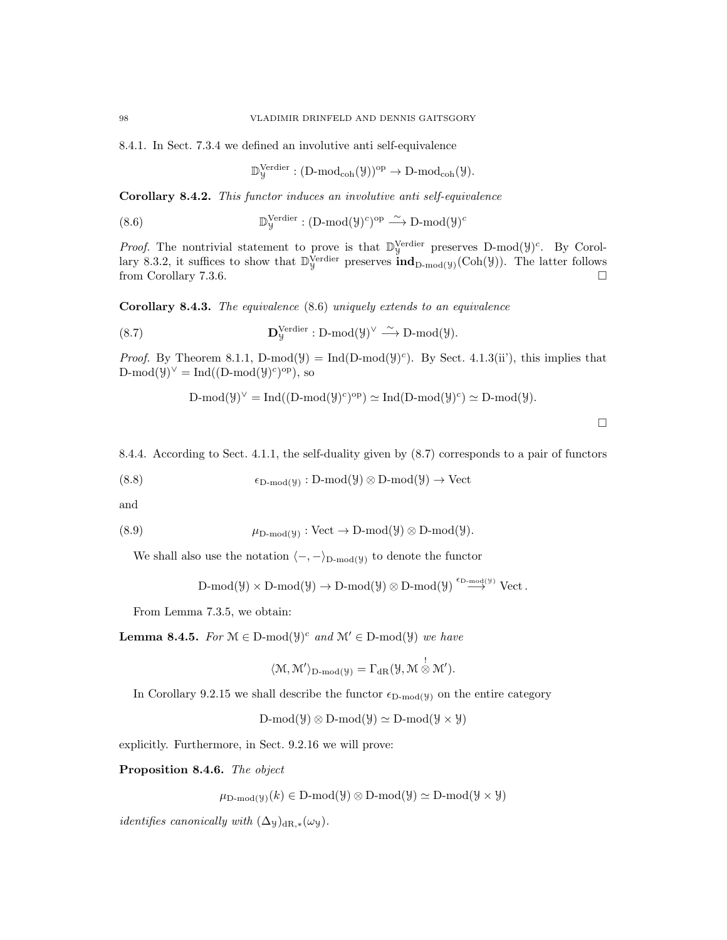8.4.1. In Sect. 7.3.4 we defined an involutive anti self-equivalence

$$
\mathbb{D}^{\mathrm{Verdier}}_{{\mathcal Y}}: (\mathrm{D\text{-}mod}_{\mathrm{coh}}({\mathcal Y}))^{\mathrm{op}} \to \mathrm{D\text{-}mod}_{\mathrm{coh}}({\mathcal Y}).
$$

Corollary 8.4.2. This functor induces an involutive anti self-equivalence

 $(8.6)$ Verdier :  $(D\text{-mod}(\mathcal{Y})^c)^\text{op} \stackrel{\sim}{\longrightarrow} D\text{-mod}(\mathcal{Y})^c$ 

*Proof.* The nontrivial statement to prove is that  $\mathbb{D}_{y}^{\text{Verdier}}$  preserves D-mod( $y$ )<sup>c</sup>. By Corollary 8.3.2, it suffices to show that  $\mathbb{D}_{y}^{\text{Verdier}}$  preserves  $\text{ind}_{D\text{-mod}(y)}(\text{Coh}(\mathcal{Y}))$ . The latter follows from Corollary 7.3.6.  $\Box$ 

Corollary 8.4.3. The equivalence (8.6) uniquely extends to an equivalence

(8.7) 
$$
\mathbf{D}_{\mathcal{Y}}^{\text{Verdier}} : \text{D-mod}(\mathcal{Y})^{\vee} \xrightarrow{\sim} \text{D-mod}(\mathcal{Y}).
$$

*Proof.* By Theorem 8.1.1, D-mod( $\mathcal{Y}$ ) = Ind(D-mod( $\mathcal{Y}$ )<sup>c</sup>). By Sect. 4.1.3(ii'), this implies that  $D\text{-mod}(\mathcal{Y})^{\vee} = \text{Ind}((D\text{-mod}(\mathcal{Y})^c)^{\text{op}})$ , so

$$
\operatorname{D-mod}(\mathcal{Y})^{\vee}=\operatorname{Ind}((\operatorname{D-mod}(\mathcal{Y})^c)^{op})\simeq \operatorname{Ind}(\operatorname{D-mod}(\mathcal{Y})^c)\simeq \operatorname{D-mod}(\mathcal{Y}).
$$

 $\Box$ 

8.4.4. According to Sect. 4.1.1, the self-duality given by (8.7) corresponds to a pair of functors

(8.8) 
$$
\epsilon_{D\text{-mod}(\mathcal{Y})}: D\text{-mod}(\mathcal{Y}) \otimes D\text{-mod}(\mathcal{Y}) \to \text{Vect}
$$

and

(8.9) 
$$
\mu_{D\text{-mod}(\mathcal{Y})}
$$
: Vect  $\rightarrow$  D-mod( $\mathcal{Y}$ )  $\otimes$  D-mod( $\mathcal{Y}$ ).

We shall also use the notation  $\langle -, -\rangle_{D\text{-mod}(y)}$  to denote the functor

$$
\text{$D$-mod}(\mathcal{Y}) \times \text{$D$-mod}(\mathcal{Y}) \to \text{$D$-mod}(\mathcal{Y}) \otimes \text{$D$-mod}(\mathcal{Y}) \stackrel{\epsilon_{D\text{-mod}}(\mathcal{Y})}{\longrightarrow} \text{$\text{Vect}$}\,.
$$

From Lemma 7.3.5, we obtain:

**Lemma 8.4.5.** For  $M \in D\text{-mod}(\mathcal{Y})^c$  and  $M' \in D\text{-mod}(\mathcal{Y})$  we have

$$
\langle \mathcal{M}, \mathcal{M}' \rangle_{\mathrm{D-mod}(\mathcal{Y})} = \Gamma_{\mathrm{dR}}(\mathcal{Y}, \mathcal{M} \overset{!}{\otimes} \mathcal{M}').
$$

In Corollary 9.2.15 we shall describe the functor  $\epsilon_{D\text{-mod}(y)}$  on the entire category

D-mod( $\mathcal{Y} \otimes D\text{-mod}(\mathcal{Y}) \simeq D\text{-mod}(\mathcal{Y} \times \mathcal{Y})$ 

explicitly. Furthermore, in Sect. 9.2.16 we will prove:

Proposition 8.4.6. The object

$$
\mu_{D\text{-mod}}(y)(k) \in D\text{-mod}(\mathcal{Y}) \otimes D\text{-mod}(\mathcal{Y}) \simeq D\text{-mod}(\mathcal{Y} \times \mathcal{Y})
$$

*identifies canonically with*  $(\Delta_y)_{dR,*}(\omega_y)$ .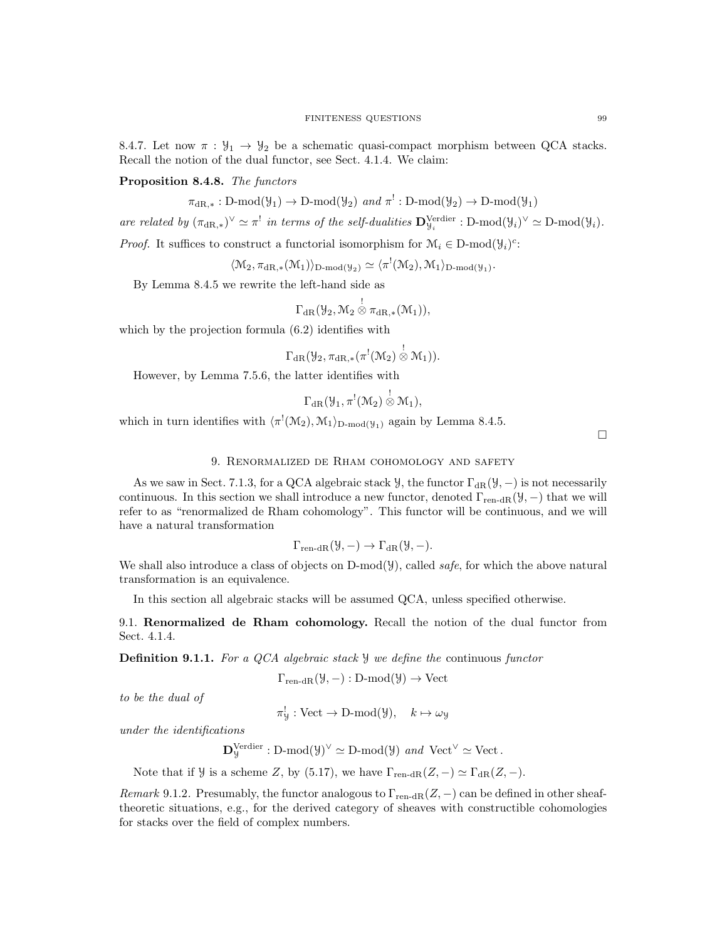8.4.7. Let now  $\pi : \mathcal{Y}_1 \to \mathcal{Y}_2$  be a schematic quasi-compact morphism between QCA stacks. Recall the notion of the dual functor, see Sect. 4.1.4. We claim:

Proposition 8.4.8. The functors

$$
\pi_{\mathrm{dR},*}: D\text{-}\mathrm{mod}(\mathcal{Y}_1) \to D\text{-}\mathrm{mod}(\mathcal{Y}_2) \text{ and } \pi^!: D\text{-}\mathrm{mod}(\mathcal{Y}_2) \to D\text{-}\mathrm{mod}(\mathcal{Y}_1)
$$

are related by  $(\pi_{\mathrm{dR},*})^{\vee} \simeq \pi^!$  in terms of the self-dualities  $\mathbf{D}_{\mathcal{Y}_i}^{\mathrm{Verdier}} : \mathrm{D-mod}(\mathcal{Y}_i)^{\vee} \simeq \mathrm{D-mod}(\mathcal{Y}_i)$ .

*Proof.* It suffices to construct a functorial isomorphism for  $\mathcal{M}_i \in \mathcal{D}\text{-mod}(\mathcal{Y}_i)^c$ :

$$
\langle \mathcal{M}_2, \pi_{\mathrm{dR},*}(\mathcal{M}_1) \rangle_{D\text{-mod}(\mathcal{Y}_2)} \simeq \langle \pi^!(\mathcal{M}_2), \mathcal{M}_1 \rangle_{D\text{-mod}(\mathcal{Y}_1)}.
$$

By Lemma 8.4.5 we rewrite the left-hand side as

$$
\Gamma_{\mathrm{dR}}(\mathcal{Y}_2, \mathcal{M}_2\overset{!}{\otimes}\pi_{\mathrm{dR},*}(\mathcal{M}_1)),
$$

which by the projection formula (6.2) identifies with

$$
\Gamma_{\mathrm{dR}}(\mathcal{Y}_2, \pi_{\mathrm{dR},*}(\pi^!(\mathcal{M}_2)\overset{!}{\otimes}\mathcal{M}_1)).
$$

However, by Lemma 7.5.6, the latter identifies with

$$
\Gamma_{\operatorname{dR} }({\mathcal Y}_1,\pi^!({\mathcal M}_2)\overset{!}{\otimes}{\mathcal M}_1),
$$

which in turn identifies with  $\langle \pi^!(\mathcal{M}_2), \mathcal{M}_1 \rangle_{\text{D-mod}(\mathcal{Y}_1)}$  again by Lemma 8.4.5.

 $\Box$ 

# 9. Renormalized de Rham cohomology and safety

As we saw in Sect. 7.1.3, for a QCA algebraic stack  $\mathcal{Y}$ , the functor  $\Gamma_{\text{dR}}(\mathcal{Y}, -)$  is not necessarily continuous. In this section we shall introduce a new functor, denoted  $\Gamma_{\text{ren-dR}}(\mathcal{Y},-)$  that we will refer to as "renormalized de Rham cohomology". This functor will be continuous, and we will have a natural transformation

$$
\Gamma_{\operatorname{ren-dR}}(\mathcal{Y}, -) \to \Gamma_{\operatorname{dR}}(\mathcal{Y}, -).
$$

We shall also introduce a class of objects on  $D\text{-mod}(\mathcal{Y})$ , called safe, for which the above natural transformation is an equivalence.

In this section all algebraic stacks will be assumed QCA, unless specified otherwise.

9.1. Renormalized de Rham cohomology. Recall the notion of the dual functor from Sect. 4.1.4.

**Definition 9.1.1.** For a QCA algebraic stack  $\mathcal{Y}$  we define the continuous functor

$$
\Gamma_{\text{ren-dR}}(\mathcal{Y}, -): \text{D-mod}(\mathcal{Y}) \to \text{Vect}
$$

to be the dual of

 $\pi_{\mathcal{Y}}^! : \text{Vect} \to \text{D-mod}(\mathcal{Y}), \quad k \mapsto \omega_{\mathcal{Y}}$ 

under the identifications

$$
\mathbf{D}_{\mathcal{Y}}^{\text{Verdier}} : \text{D-mod}(\mathcal{Y})^{\vee} \simeq \text{D-mod}(\mathcal{Y}) \ \text{and} \ \text{Vect}^{\vee} \simeq \text{Vect}.
$$

Note that if  $\mathcal Y$  is a scheme Z, by (5.17), we have  $\Gamma_{\text{ren-dR}}(Z, -) \simeq \Gamma_{\text{dR}}(Z, -)$ .

Remark 9.1.2. Presumably, the functor analogous to  $\Gamma_{\text{ren-dR}}(Z, -)$  can be defined in other sheaftheoretic situations, e.g., for the derived category of sheaves with constructible cohomologies for stacks over the field of complex numbers.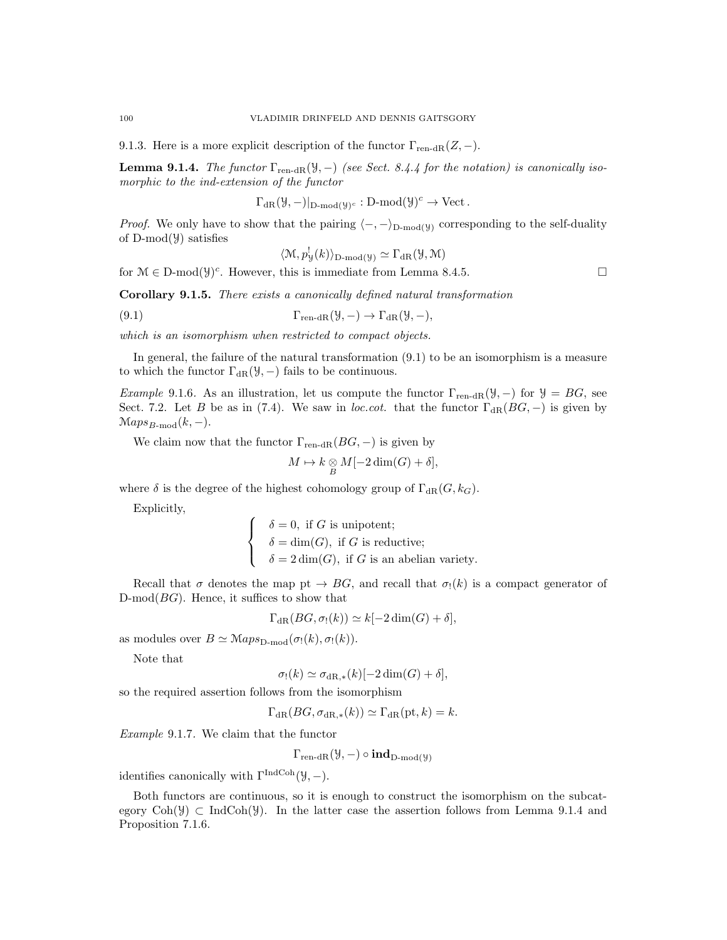9.1.3. Here is a more explicit description of the functor  $\Gamma_{\text{ren-dR}}(Z, -)$ .

**Lemma 9.1.4.** The functor  $\Gamma_{\text{ren-dR}}(\mathcal{Y},-)$  (see Sect. 8.4.4 for the notation) is canonically isomorphic to the ind-extension of the functor

 $\Gamma_{\text{dR}}(\mathcal{Y}, -)|_{\text{D-mod}(\mathcal{Y})^c} : \text{D-mod}(\mathcal{Y})^c \to \text{Vect}.$ 

*Proof.* We only have to show that the pairing  $\langle -, -\rangle_{D\text{-mod}(y)}$  corresponding to the self-duality of D-mod(Y) satisfies

$$
\langle \mathcal{M}, p_{\mathcal{Y}}^{\mathcal{I}}(k) \rangle_{\mathcal{D}\text{-mod}(\mathcal{Y})} \simeq \Gamma_{\text{dR}}(\mathcal{Y}, \mathcal{M})
$$

for  $\mathcal{M} \in \mathcal{D}\text{-mod}(\mathcal{Y})^c$ . However, this is immediate from Lemma 8.4.5.

Corollary 9.1.5. There exists a canonically defined natural transformation

(9.1)  $\Gamma_{\text{ren-dR}}(\mathcal{Y}, -) \to \Gamma_{\text{dR}}(\mathcal{Y}, -),$ 

which is an isomorphism when restricted to compact objects.

In general, the failure of the natural transformation (9.1) to be an isomorphism is a measure to which the functor  $\Gamma_{\text{dR}}(\mathcal{Y},-)$  fails to be continuous.

Example 9.1.6. As an illustration, let us compute the functor  $\Gamma_{\text{ren-dR}}(\mathcal{Y}, -)$  for  $\mathcal{Y} = BG$ , see Sect. 7.2. Let B be as in (7.4). We saw in loc.cot. that the functor  $\Gamma_{\rm dR}(BG, -)$  is given by  $\mathcal{M}aps_{B\text{-mod}}(k, -).$ 

We claim now that the functor  $\Gamma_{\text{ren-dR}}(BG, -)$  is given by

 $M \mapsto k \underset{B}{\otimes} M[-2\dim(G) + \delta],$ 

where  $\delta$  is the degree of the highest cohomology group of  $\Gamma_{\text{dR}}(G, k_G)$ .

Explicitly,

 $\sqrt{ }$  $\int$  $\mathcal{L}$  $\delta = 0$ , if G is unipotent;  $\delta = \dim(G)$ , if G is reductive;  $\delta = 2 \dim(G)$ , if G is an abelian variety.

Recall that  $\sigma$  denotes the map pt  $\rightarrow BG$ , and recall that  $\sigma_1(k)$  is a compact generator of  $D\text{-mod}(BG)$ . Hence, it suffices to show that

$$
\Gamma_{\mathrm{dR}}(BG, \sigma_!(k)) \simeq k[-2\dim(G) + \delta],
$$

as modules over  $B \simeq \mathcal{M}aps_{\text{D-mod}}(\sigma_!(k), \sigma_!(k)).$ 

Note that

 $\sigma_!(k) \simeq \sigma_{\mathrm{dR},*}(k)[-2 \dim(G) + \delta],$ 

so the required assertion follows from the isomorphism

$$
\Gamma_{\mathrm{dR}}(BG, \sigma_{\mathrm{dR},*}(k)) \simeq \Gamma_{\mathrm{dR}}(\mathrm{pt}, k) = k.
$$

Example 9.1.7. We claim that the functor

 $\Gamma_{\text{ren-dR}}(\mathcal{Y},-) \circ \text{ind}_{D\text{-mod}(\mathcal{Y})}$ 

identifies canonically with  $\Gamma^{\text{IndCoh}}(\mathcal{Y}, -)$ .

Both functors are continuous, so it is enough to construct the isomorphism on the subcategory  $Coh(\mathcal{Y}) \subset IndCoh(\mathcal{Y})$ . In the latter case the assertion follows from Lemma 9.1.4 and Proposition 7.1.6.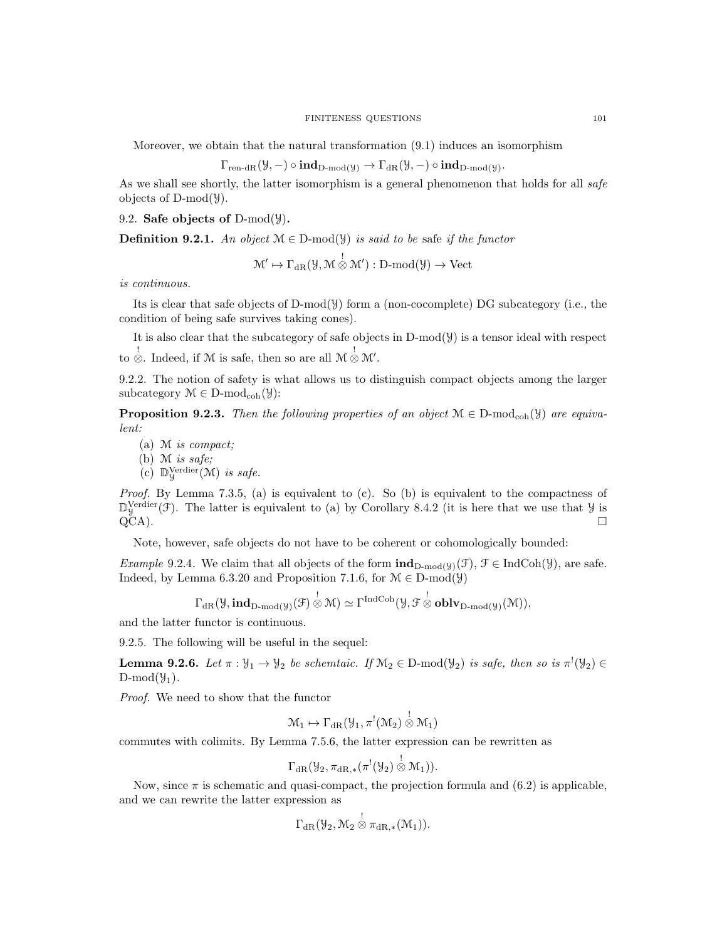Moreover, we obtain that the natural transformation (9.1) induces an isomorphism

$$
\Gamma_{\operatorname{ren-dR}}(\mathcal{Y}, -)\circ \operatorname{\text{\rm ind}}_{D\operatorname{\text{\rm -mod}}(\mathcal{Y})}\to \Gamma_{\operatorname{dR}}(\mathcal{Y}, -)\circ \operatorname{\text{\rm ind}}_{D\operatorname{\text{\rm -mod}}(\mathcal{Y})}.
$$

As we shall see shortly, the latter isomorphism is a general phenomenon that holds for all safe objects of  $D-mod(\mathcal{Y})$ .

9.2. Safe objects of D-mod( $\mathcal{Y}$ ).

**Definition 9.2.1.** An object  $\mathcal{M} \in \mathcal{D}$ -mod( $\mathcal{Y}$ ) is said to be safe if the functor

 $\mathcal{M}' \mapsto \Gamma_{\mathrm{dR}}(\mathcal{Y},\mathcal{M} \overset{!}{\otimes} \mathcal{M}') : \mathrm{D-mod}(\mathcal{Y}) \to \mathrm{Vect}$ 

is continuous.

Its is clear that safe objects of D-mod(Y) form a (non-cocomplete) DG subcategory (i.e., the condition of being safe survives taking cones).

It is also clear that the subcategory of safe objects in  $D-mod(y)$  is a tensor ideal with respect to  $\stackrel{!}{\otimes}$ . Indeed, if M is safe, then so are all  $\mathcal{M} \stackrel{!}{\otimes} \mathcal{M}'$ .

9.2.2. The notion of safety is what allows us to distinguish compact objects among the larger subcategory  $\mathcal{M} \in \mathbf{D}\text{-mod}_{\mathrm{coh}}(\mathcal{Y})$ :

**Proposition 9.2.3.** Then the following properties of an object  $\mathcal{M} \in \mathcal{D}\text{-mod}_{\text{coh}}(\mathcal{Y})$  are equivalent:

(a) M is compact;

(b) M is safe;

 $(c)$  D $\mathbb{V}^{\text{erdier}}_{\mathcal{Y}}(\mathcal{M})$  is safe.

*Proof.* By Lemma 7.3.5, (a) is equivalent to (c). So (b) is equivalent to the compactness of  $\mathbb{D}_{\mathcal{Y}}^{\text{Verdier}}(\mathcal{F})$ . The latter is equivalent to (a) by Corollary 8.4.2 (it is here that we use that  $\mathcal{Y}$  is  $QCA$ ).

Note, however, safe objects do not have to be coherent or cohomologically bounded:

Example 9.2.4. We claim that all objects of the form  $\text{ind}_{D\text{-mod}(y)}(\mathcal{F}), \mathcal{F} \in \text{IndCoh}(\mathcal{Y}),$  are safe. Indeed, by Lemma 6.3.20 and Proposition 7.1.6, for  $\mathcal{M} \in \mathcal{D}$ -mod( $\mathcal{Y}$ )

$$
\Gamma_{\operatorname{dR} }(\mathcal{Y},\textbf{ind}_{D\textbf{-}\mathrm{mod}(\mathcal{Y})}(\mathcal{F})\overset{!}{\otimes}\mathcal{M})\simeq\Gamma^{\operatorname{IndCoh}}(\mathcal{Y},\mathcal{F}\overset{!}{\otimes}\textbf{oblv}_{D\textbf{-}\mathrm{mod}(\mathcal{Y})}(\mathcal{M})),
$$

and the latter functor is continuous.

9.2.5. The following will be useful in the sequel:

**Lemma 9.2.6.** Let  $\pi : \mathcal{Y}_1 \to \mathcal{Y}_2$  be schemtaic. If  $\mathcal{M}_2 \in D\text{-mod}(\mathcal{Y}_2)$  is safe, then so is  $\pi^!(\mathcal{Y}_2) \in$  $D\text{-mod}(\mathcal{Y}_1)$ .

Proof. We need to show that the functor

$$
\mathcal{M}_1 \mapsto \Gamma_{\mathrm{dR}}(\mathcal{Y}_1, \pi^!(\mathcal{M}_2) \overset{!}{\otimes} \mathcal{M}_1)
$$

commutes with colimits. By Lemma 7.5.6, the latter expression can be rewritten as

$$
\Gamma_{\mathrm{dR}}(\mathcal{Y}_2, \pi_{\mathrm{dR},*}(\pi^!(\mathcal{Y}_2) \overset{!}{\otimes} \mathcal{M}_1)).
$$

Now, since  $\pi$  is schematic and quasi-compact, the projection formula and  $(6.2)$  is applicable, and we can rewrite the latter expression as

$$
\Gamma_{\mathrm{dR}}(\mathcal{Y}_2,\mathcal{M}_2\overset{!}{\otimes}\pi_{\mathrm{dR},*}(\mathcal{M}_1)).
$$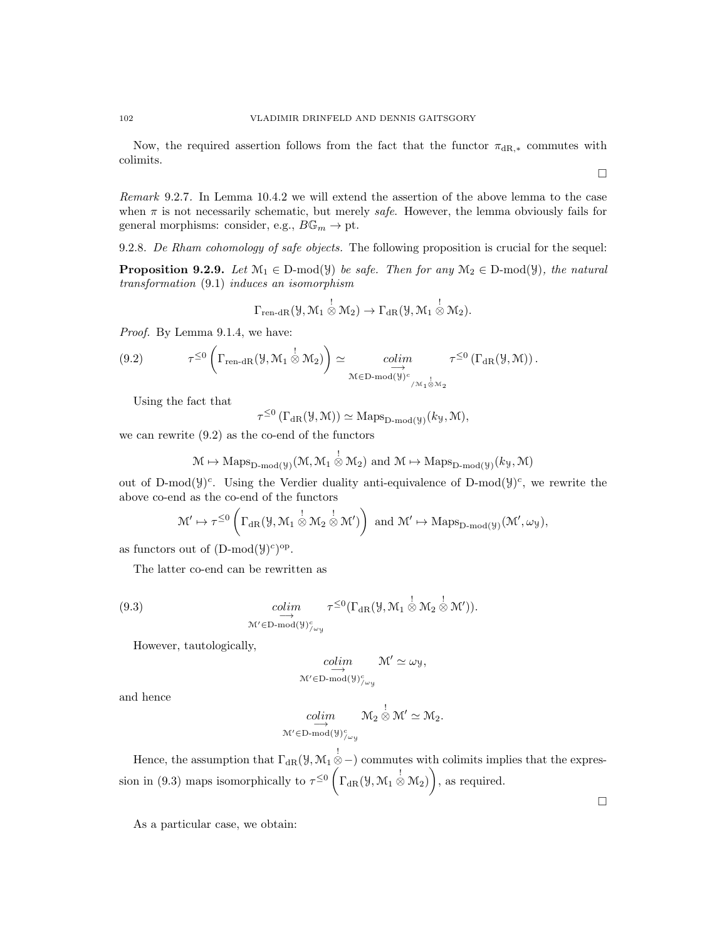Now, the required assertion follows from the fact that the functor  $\pi_{\text{dR},*}$  commutes with colimits.

Remark 9.2.7. In Lemma 10.4.2 we will extend the assertion of the above lemma to the case when  $\pi$  is not necessarily schematic, but merely *safe*. However, the lemma obviously fails for general morphisms: consider, e.g.,  $B\mathbb{G}_m \to \text{pt}$ .

9.2.8. De Rham cohomology of safe objects. The following proposition is crucial for the sequel:

**Proposition 9.2.9.** Let  $\mathcal{M}_1 \in \mathcal{D}$ -mod( $\mathcal{Y}$ ) be safe. Then for any  $\mathcal{M}_2 \in \mathcal{D}$ -mod( $\mathcal{Y}$ ), the natural transformation (9.1) induces an isomorphism

$$
\Gamma_{\text{ren-dR}}(\mathcal{Y},\mathcal{M}_1\overset{!}{\otimes}\mathcal{M}_2)\to \Gamma_{\text{dR}}(\mathcal{Y},\mathcal{M}_1\overset{!}{\otimes}\mathcal{M}_2).
$$

Proof. By Lemma 9.1.4, we have:

(9.2) 
$$
\tau^{\leq 0} \left( \Gamma_{\text{ren-dR}}(\mathcal{Y}, \mathcal{M}_1 \overset{!}{\otimes} \mathcal{M}_2) \right) \simeq \underset{\mathcal{M} \in \text{D-mod}(\mathcal{Y})^c}{colim} \tau^{\leq 0} \left( \Gamma_{\text{dR}}(\mathcal{Y}, \mathcal{M}) \right).
$$

Using the fact that

 $\tau^{\leq 0} \left( \Gamma_{\text{dR}}(\mathcal{Y}, \mathcal{M}) \right) \simeq \text{Maps}_{\text{D-mod}(\mathcal{Y})}(k_{\mathcal{Y}}, \mathcal{M}),$ 

we can rewrite (9.2) as the co-end of the functors

$$
\mathcal{M} \mapsto \mathrm{Maps}_{D\text{-}\mathrm{mod}(\mathcal{Y})}(\mathcal{M}, \mathcal{M}_1 \overset{!}{\otimes} \mathcal{M}_2) \text{ and } \mathcal{M} \mapsto \mathrm{Maps}_{D\text{-}\mathrm{mod}(\mathcal{Y})}(k_\mathcal{Y}, \mathcal{M})
$$

out of D-mod( $y$ )<sup>c</sup>. Using the Verdier duality anti-equivalence of D-mod( $y$ )<sup>c</sup>, we rewrite the above co-end as the co-end of the functors

$$
\mathcal{M}'\mapsto \tau^{\leq 0}\left(\Gamma_{\mathrm{dR}}(\mathcal{Y},\mathcal{M}_1\overset{!}{\otimes}\mathcal{M}_2\overset{!}{\otimes}\mathcal{M}')\right)\text{ and }\mathcal{M}'\mapsto\mathrm{Maps}_{D\text{-mod}(\mathcal{Y})}(\mathcal{M}',\omega_{\mathcal{Y}}),
$$

as functors out of  $(D\text{-mod}(\mathcal{Y})^c)^{\text{op}}$ .

The latter co-end can be rewritten as

(9.3) 
$$
\underset{\mathcal{M}' \in \mathrm{D\text{-}mod}(\mathcal{Y})_{/\omega_{\mathcal{Y}}^c}}{\text{colim}} \tau^{\leq 0}(\Gamma_{\mathrm{dR}}(\mathcal{Y}, \mathcal{M}_1 \overset{!}{\otimes} \mathcal{M}_2 \overset{!}{\otimes} \mathcal{M}')).
$$

However, tautologically,

$$
\underset{\mathcal{M}'\in D\text{-}\mathrm{mod}(\mathcal{Y})^c_{/\omega_{\mathcal{Y}}}}{\overset{colim}{\longrightarrow}} \mathcal{M}'\simeq \omega_{\mathcal{Y}},
$$

and hence

$$
\underset{\mathcal{M}'\in \mathcal{D}\text{-}\mathrm{mod}(\mathcal{Y})^c_{/\omega_{\mathcal{Y}}}}{\underset{\omega}{\longrightarrow}} \mathcal{M}_2 \overset{!}{\otimes} \mathcal{M}' \simeq \mathcal{M}_2.
$$

Hence, the assumption that  $\Gamma_{\text{dR}}(\mathcal{Y}, \mathcal{M}_1 \overset{!}{\otimes} -)$  commutes with colimits implies that the expression in (9.3) maps isomorphically to  $\tau^{\leq 0} \left( \Gamma_{\text{dR}}(\mathcal{Y}, \mathcal{M}_1 \overset{!}{\otimes} \mathcal{M}_2) \right)$ , as required.

As a particular case, we obtain: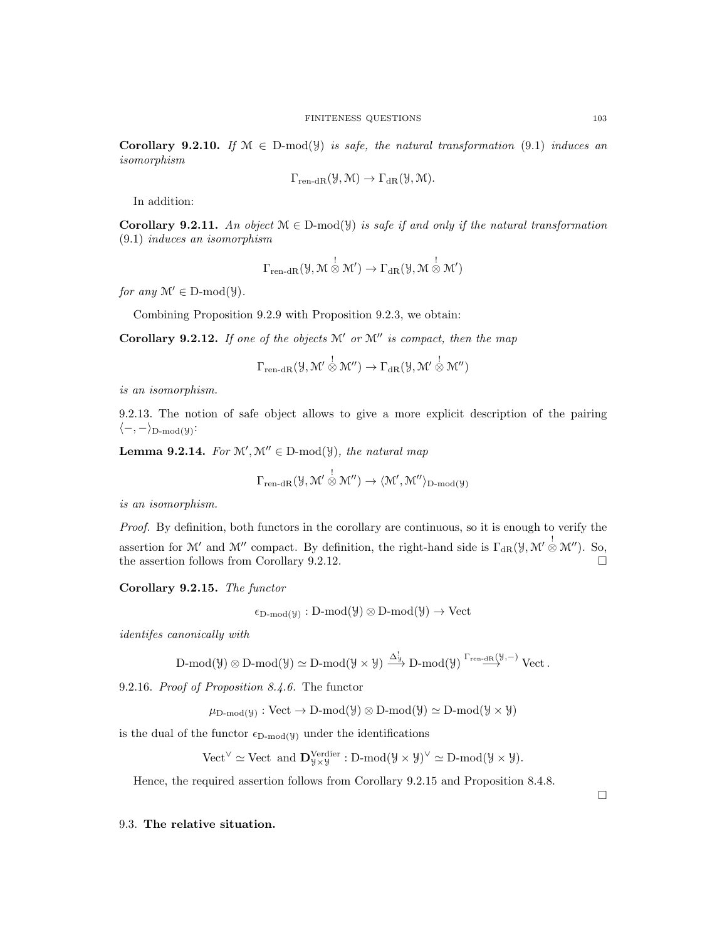Corollary 9.2.10. If  $\mathcal{M} \in D-mod(y)$  is safe, the natural transformation (9.1) induces an isomorphism

$$
\Gamma_{\text{ren-dR}}(\mathcal{Y}, \mathcal{M}) \to \Gamma_{\text{dR}}(\mathcal{Y}, \mathcal{M}).
$$

In addition:

Corollary 9.2.11. An object  $\mathcal{M} \in \mathcal{D}$ -mod(y) is safe if and only if the natural transformation (9.1) induces an isomorphism

$$
\Gamma_{\mathrm{ren\text{-}dR}}(\mathcal{Y},\mathcal{M}\overset{!}{\otimes}\mathcal{M}')\to \Gamma_{\mathrm{dR}}(\mathcal{Y},\mathcal{M}\overset{!}{\otimes}\mathcal{M}')
$$

for any  $\mathcal{M}' \in D\text{-mod}(\mathcal{Y})$ .

Combining Proposition 9.2.9 with Proposition 9.2.3, we obtain:

Corollary 9.2.12. If one of the objects  $\mathcal{M}'$  or  $\mathcal{M}''$  is compact, then the map

$$
\Gamma_{\mathrm{ren\text{-}dR}}(\mathcal{Y},\mathcal{M}'\overset{!}{\otimes}\mathcal{M}'')\to\Gamma_{\mathrm{dR}}(\mathcal{Y},\mathcal{M}'\overset{!}{\otimes}\mathcal{M}'')
$$

is an isomorphism.

9.2.13. The notion of safe object allows to give a more explicit description of the pairing  $\langle -, - \rangle_{\text{D-mod}(\mathcal{Y})}$ :

**Lemma 9.2.14.** For  $\mathcal{M}', \mathcal{M}'' \in D\text{-mod}(\mathcal{Y})$ , the natural map

$$
\Gamma_{\text{ren-dR}}(\mathcal{Y},\mathcal{M}'\overset{!}{\otimes}\mathcal{M}'')\rightarrow\langle\mathcal{M}',\mathcal{M}''\rangle_{\text{D-mod}(\mathcal{Y})}
$$

is an isomorphism.

Proof. By definition, both functors in the corollary are continuous, so it is enough to verify the assertion for M' and M'' compact. By definition, the right-hand side is  $\Gamma_{\text{dR}}(\mathcal{Y}, \mathcal{M}' \overset{!}{\otimes} \mathcal{M}'')$ . So, the assertion follows from Corollary 9.2.12.  $\Box$ 

Corollary 9.2.15. The functor

 $\epsilon_{\text{D-mod}(\mathcal{Y})}: \text{D-mod}(\mathcal{Y})\otimes \text{D-mod}(\mathcal{Y})\to \text{Vect}$ 

identifes canonically with

$$
\operatorname{D-mod}(\mathcal{Y}) \otimes \operatorname{D-mod}(\mathcal{Y}) \simeq \operatorname{D-mod}(\mathcal{Y} \times \mathcal{Y}) \xrightarrow{\Delta^!_{\mathcal{Y}}} \operatorname{D-mod}(\mathcal{Y}) \xrightarrow{\Gamma_{\operatorname{ren-dR}}(\mathcal{Y},-)} \operatorname{Vect}.
$$

9.2.16. Proof of Proposition 8.4.6. The functor

$$
\mu_{D\text{-mod}(\mathcal{Y})}: \text{Vect} \to D\text{-mod}(\mathcal{Y}) \otimes D\text{-mod}(\mathcal{Y}) \simeq D\text{-mod}(\mathcal{Y} \times \mathcal{Y})
$$

is the dual of the functor  $\epsilon_{D\text{-mod}(y)}$  under the identifications

 $\mathrm{Vect}^{\vee} \simeq \mathrm{Vect}$  and  $\mathbf{D}^{\mathrm{Verdier}}_{\mathcal{Y}\times\mathcal{Y}} : \mathrm{D-mod}(\mathcal{Y}\times\mathcal{Y})^{\vee} \simeq \mathrm{D-mod}(\mathcal{Y}\times\mathcal{Y}).$ 

Hence, the required assertion follows from Corollary 9.2.15 and Proposition 8.4.8.

 $\Box$ 

#### 9.3. The relative situation.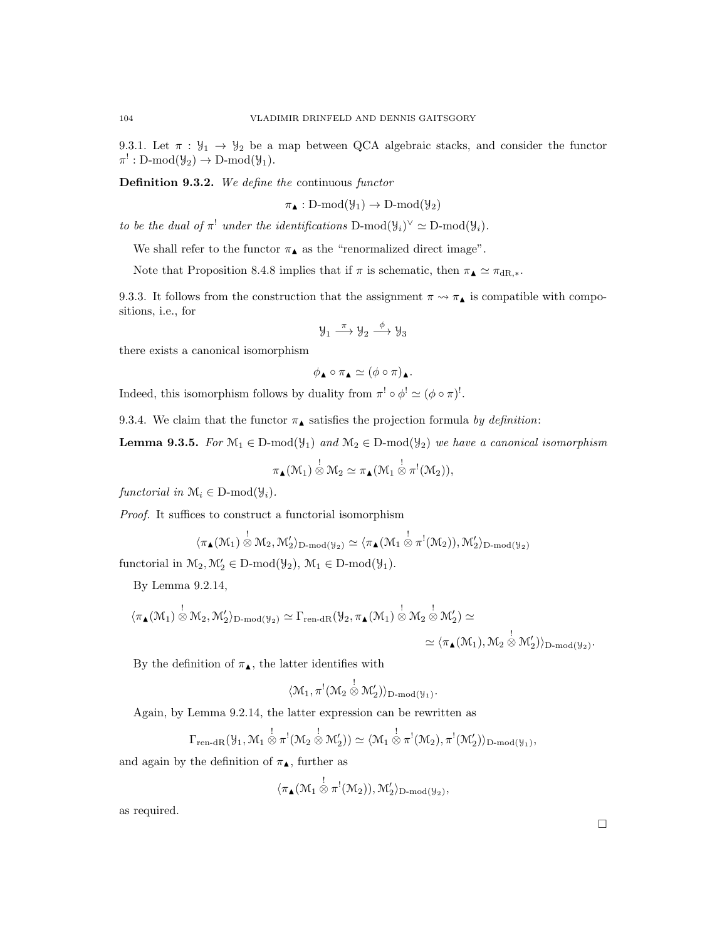9.3.1. Let  $\pi : \mathcal{Y}_1 \to \mathcal{Y}_2$  be a map between QCA algebraic stacks, and consider the functor  $\pi^!: \text{D-mod}(\mathcal{Y}_2) \to \text{D-mod}(\mathcal{Y}_1).$ 

Definition 9.3.2. We define the continuous functor

 $\pi_{\blacktriangle} : D\text{-mod}(\mathcal{Y}_1) \to D\text{-mod}(\mathcal{Y}_2)$ 

to be the dual of  $\pi^!$  under the identifications  $D\text{-mod}(\mathcal{Y}_i)^\vee \simeq D\text{-mod}(\mathcal{Y}_i)$ .

We shall refer to the functor  $\pi_{\blacktriangle}$  as the "renormalized direct image".

Note that Proposition 8.4.8 implies that if  $\pi$  is schematic, then  $\pi_{\blacktriangle} \simeq \pi_{\text{dR},*}$ .

9.3.3. It follows from the construction that the assignment  $\pi \leadsto \pi_{\blacktriangle}$  is compatible with compositions, i.e., for

$$
\mathcal{Y}_1 \stackrel{\pi}{\longrightarrow} \mathcal{Y}_2 \stackrel{\phi}{\longrightarrow} \mathcal{Y}_3
$$

there exists a canonical isomorphism

$$
\phi_{\blacktriangle} \circ \pi_{\blacktriangle} \simeq (\phi \circ \pi)_{\blacktriangle}.
$$

Indeed, this isomorphism follows by duality from  $\pi^! \circ \phi^! \simeq (\phi \circ \pi)^!$ .

9.3.4. We claim that the functor  $\pi_{\blacktriangle}$  satisfies the projection formula by definition:

**Lemma 9.3.5.** For  $\mathcal{M}_1 \in D\text{-mod}(\mathcal{Y}_1)$  and  $\mathcal{M}_2 \in D\text{-mod}(\mathcal{Y}_2)$  we have a canonical isomorphism

$$
\pi_{\blacktriangle}(\mathcal{M}_1) \overset{!}{\otimes} \mathcal{M}_2 \simeq \pi_{\blacktriangle}(\mathcal{M}_1 \overset{!}{\otimes} \pi^!(\mathcal{M}_2)),
$$

functorial in  $\mathcal{M}_i \in \mathcal{D}\text{-mod}(\mathcal{Y}_i)$ .

Proof. It suffices to construct a functorial isomorphism

$$
\langle \pi_{\blacktriangle}(M_1)\overset{!}{\otimes}M_2,\mathcal{M}_2'\rangle_{\mathrm{D-mod}(\mathcal{Y}_2)}\simeq \langle \pi_{\blacktriangle}(M_1\overset{!}{\otimes}\pi^!(M_2)),\mathcal{M}_2'\rangle_{\mathrm{D-mod}(\mathcal{Y}_2)}
$$

functorial in  $\mathcal{M}_2, \mathcal{M}'_2 \in D\text{-mod}(\mathcal{Y}_2), \mathcal{M}_1 \in D\text{-mod}(\mathcal{Y}_1).$ 

By Lemma 9.2.14,

$$
\langle \pi_{\blacktriangle}(M_1)\overset{!}{\otimes} \mathcal{M}_2,\mathcal{M}_2'\rangle_{D\text{-mod}(\mathcal{Y}_2)}\simeq \Gamma_{\text{ren-dR}}(\mathcal{Y}_2,\pi_{\blacktriangle}(M_1)\overset{!}{\otimes} \mathcal{M}_2\overset{!}{\otimes} \mathcal{M}_2')\simeq\\ \simeq \langle \pi_{\blacktriangle}(M_1),\mathcal{M}_2\overset{!}{\otimes} \mathcal{M}_2')\rangle_{D\text{-mod}(\mathcal{Y}_2)}.
$$

By the definition of  $\pi_{\blacktriangle}$ , the latter identifies with

$$
\langle \mathcal{M}_1, \pi^! (\mathcal{M}_2 \overset{!}{\otimes} \mathcal{M}'_2) \rangle_{D\text{-mod}(\mathcal{Y}_1)}.
$$

Again, by Lemma 9.2.14, the latter expression can be rewritten as

$$
\Gamma_{\mathrm{ren\text{-}dR}}(\mathcal{Y}_1,\mathcal{M}_1\overset{!}{\otimes}\pi^!(\mathcal{M}_2\overset{!}{\otimes}\mathcal{M}_2'))\simeq \langle \mathcal{M}_1\overset{!}{\otimes}\pi^!(\mathcal{M}_2),\pi^!(\mathcal{M}_2')\rangle_{\mathrm{D\text{-}mod}(\mathcal{Y}_1)},
$$

and again by the definition of  $\pi_\blacktriangle,$  further as

$$
\langle \pi_{\blacktriangle}(\mathcal{M}_1\overset{!}{\otimes}\pi^!(\mathcal{M}_2)),\mathcal{M}'_2\rangle_{D\text{-mod}(\mathcal{Y}_2)},
$$

as required.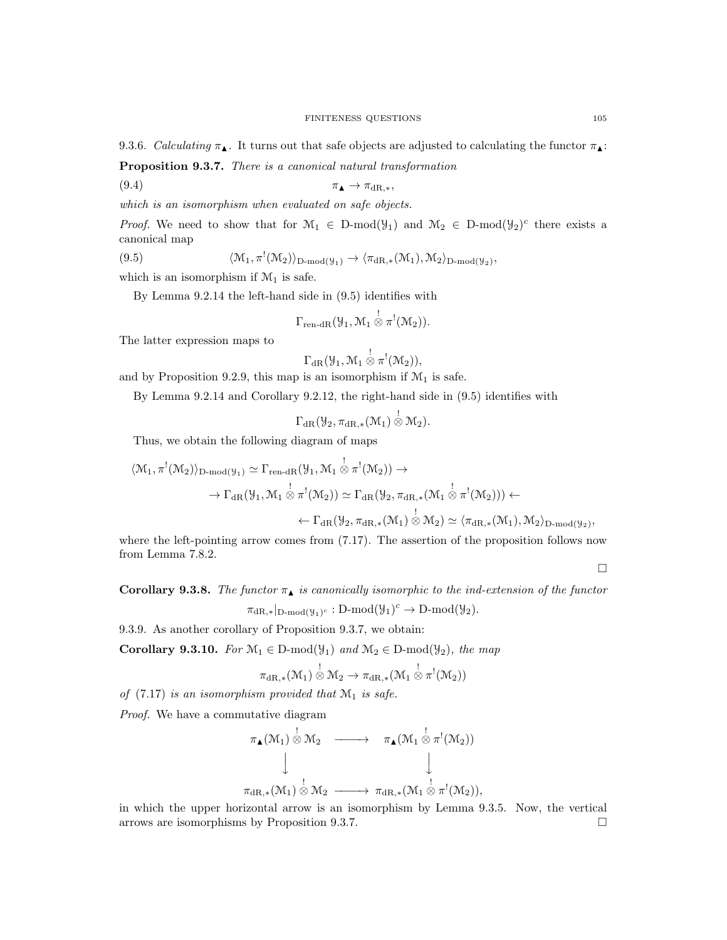9.3.6. Calculating  $\pi_{\blacktriangle}$ . It turns out that safe objects are adjusted to calculating the functor  $\pi_{\blacktriangle}$ :

Proposition 9.3.7. There is a canonical natural transformation

$$
\pi_{\blacktriangle} \to \pi_{\mathrm{dR},\ast},
$$

which is an isomorphism when evaluated on safe objects.

*Proof.* We need to show that for  $\mathcal{M}_1 \in D\text{-mod}(\mathcal{Y}_1)$  and  $\mathcal{M}_2 \in D\text{-mod}(\mathcal{Y}_2)^c$  there exists a canonical map

(9.5) 
$$
\langle \mathcal{M}_1, \pi^!(\mathcal{M}_2) \rangle_{D\text{-mod}(\mathcal{Y}_1)} \to \langle \pi_{dR,*}(\mathcal{M}_1), \mathcal{M}_2 \rangle_{D\text{-mod}(\mathcal{Y}_2)},
$$

which is an isomorphism if  $\mathcal{M}_1$  is safe.

By Lemma 9.2.14 the left-hand side in (9.5) identifies with

$$
\Gamma_{\text{ren-dR}}(\mathcal{Y}_1,\mathcal{M}_1\overset{!}{\otimes}\pi^!(\mathcal{M}_2)).
$$

The latter expression maps to

$$
\Gamma_{\operatorname{dR} }({\mathcal Y}_1,{\mathcal M}_1\overset{!}{\otimes}\pi^!({\mathcal M}_2)),
$$

and by Proposition 9.2.9, this map is an isomorphism if  $\mathcal{M}_1$  is safe.

By Lemma 9.2.14 and Corollary 9.2.12, the right-hand side in (9.5) identifies with

$$
\Gamma_{\mathrm{dR}}(\mathcal{Y}_2, \pi_{\mathrm{dR},*}(\mathcal{M}_1)\overset{!}{\otimes}\mathcal{M}_2).
$$

Thus, we obtain the following diagram of maps

$$
\langle \mathcal{M}_1, \pi^!(\mathcal{M}_2) \rangle_{\text{D-mod}(\mathcal{Y}_1)} \simeq \Gamma_{\text{ren-dR}}(\mathcal{Y}_1, \mathcal{M}_1 \overset{!}{\otimes} \pi^!(\mathcal{M}_2)) \to \rightarrow \Gamma_{\text{dR}}(\mathcal{Y}_1, \mathcal{M}_1 \overset{!}{\otimes} \pi^!(\mathcal{M}_2)) \simeq \Gamma_{\text{dR}}(\mathcal{Y}_2, \pi_{\text{dR},*}(\mathcal{M}_1 \overset{!}{\otimes} \pi^!(\mathcal{M}_2))) \leftarrow \leftarrow \Gamma_{\text{dR}}(\mathcal{Y}_2, \pi_{\text{dR},*}(\mathcal{M}_1) \overset{!}{\otimes} \mathcal{M}_2) \simeq \langle \pi_{\text{dR},*}(\mathcal{M}_1), \mathcal{M}_2 \rangle_{\text{D-mod}(\mathcal{Y}_2)},
$$

where the left-pointing arrow comes from  $(7.17)$ . The assertion of the proposition follows now from Lemma 7.8.2.

 $\Box$ 

Corollary 9.3.8. The functor  $\pi_{\blacktriangle}$  is canonically isomorphic to the ind-extension of the functor

 $\pi_{\mathrm{dR},*}|_{\mathrm{D-mod}(\mathcal{Y}_1)^c} : \mathrm{D-mod}(\mathcal{Y}_1)^c \to \mathrm{D-mod}(\mathcal{Y}_2).$ 

9.3.9. As another corollary of Proposition 9.3.7, we obtain:

Corollary 9.3.10. For  $\mathcal{M}_1 \in \mathcal{D}\text{-mod}(\mathcal{Y}_1)$  and  $\mathcal{M}_2 \in \mathcal{D}\text{-mod}(\mathcal{Y}_2)$ , the map

$$
\pi_{\mathrm{dR},*}(\mathcal{M}_1)\overset{!}{\otimes}\mathcal{M}_2\rightarrow \pi_{\mathrm{dR},*}(\mathcal{M}_1\overset{!}{\otimes}\pi^!(\mathcal{M}_2))
$$

of  $(7.17)$  is an isomorphism provided that  $\mathcal{M}_1$  is safe.

Proof. We have a commutative diagram

$$
\pi_{\blacktriangle}(\mathcal{M}_1) \overset{!}{\otimes} \mathcal{M}_2 \longrightarrow \pi_{\blacktriangle}(\mathcal{M}_1 \overset{!}{\otimes} \pi^!(\mathcal{M}_2))
$$
\n
$$
\downarrow \qquad \qquad \downarrow
$$
\n
$$
\pi_{\mathrm{dR},*}(\mathcal{M}_1) \overset{!}{\otimes} \mathcal{M}_2 \longrightarrow \pi_{\mathrm{dR},*}(\mathcal{M}_1 \overset{!}{\otimes} \pi^!(\mathcal{M}_2)),
$$

in which the upper horizontal arrow is an isomorphism by Lemma 9.3.5. Now, the vertical arrows are isomorphisms by Proposition 9.3.7.  $\Box$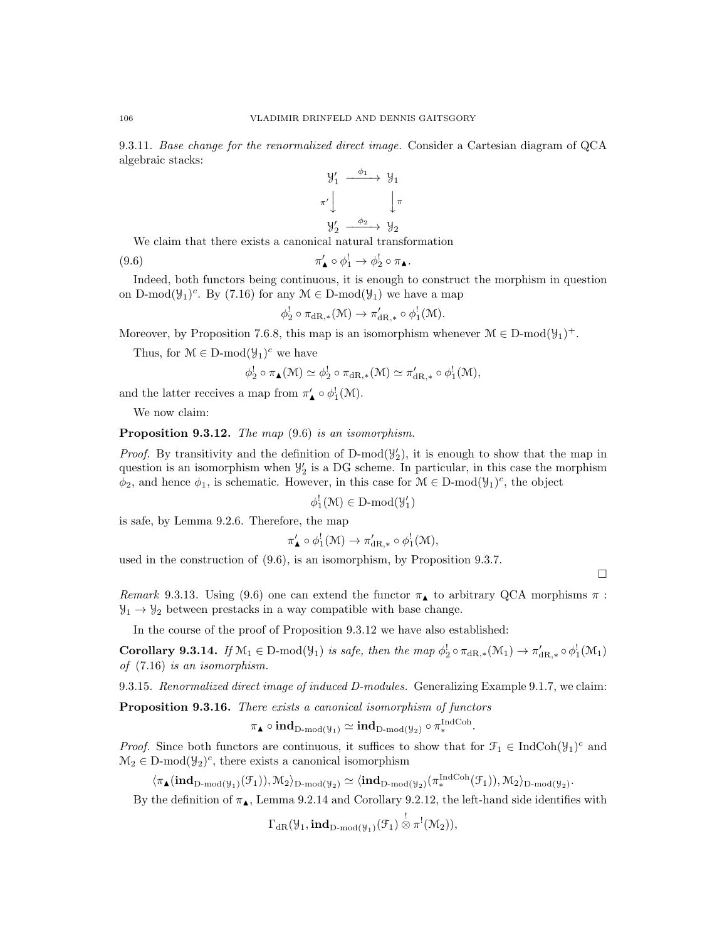9.3.11. Base change for the renormalized direct image. Consider a Cartesian diagram of QCA algebraic stacks:

$$
\begin{array}{ccc}\n\mathcal{Y}'_1 & \xrightarrow{\phi_1} & \mathcal{Y}_1 \\
\pi' & & \downarrow \pi \\
\mathcal{Y}'_2 & \xrightarrow{\phi_2} & \mathcal{Y}_2\n\end{array}
$$

We claim that there exists a canonical natural transformation

$$
\pi'_{\blacktriangle} \circ \phi_1^! \to \phi_2^! \circ \pi_{\blacktriangle}.
$$

Indeed, both functors being continuous, it is enough to construct the morphism in question on D-mod( $\mathcal{Y}_1$ )<sup>c</sup>. By (7.16) for any  $\mathcal{M} \in \mathcal{D}$ -mod( $\mathcal{Y}_1$ ) we have a map

$$
\phi_2^! \circ \pi_{\mathrm{dR},*}(\mathcal{M}) \to \pi'_{\mathrm{dR},*} \circ \phi_1^! (\mathcal{M}).
$$

Moreover, by Proposition 7.6.8, this map is an isomorphism whenever  $\mathcal{M} \in \mathcal{D}\text{-mod}(\mathcal{Y}_1)^+$ .

Thus, for  $\mathcal{M} \in \mathcal{D}\text{-mod}(\mathcal{Y}_1)^c$  we have

$$
\phi_2^! \circ \pi_{\blacktriangle}(M) \simeq \phi_2^! \circ \pi_{\mathrm{dR},*}(M) \simeq \pi'_{\mathrm{dR},*} \circ \phi_1^! (M),
$$

and the latter receives a map from  $\pi'_{\blacktriangle} \circ \phi_1^!(\mathcal{M})$ .

We now claim:

Proposition 9.3.12. The map  $(9.6)$  is an isomorphism.

*Proof.* By transitivity and the definition of D-mod( $\mathcal{Y}_2$ ), it is enough to show that the map in question is an isomorphism when  $\mathcal{Y}'_2$  is a DG scheme. In particular, in this case the morphism  $\phi_2$ , and hence  $\phi_1$ , is schematic. However, in this case for  $\mathcal{M} \in \mathcal{D}\text{-mod}(\mathcal{Y}_1)^c$ , the object

 $\phi_1^!(\mathcal{M}) \in D\text{-mod}(\mathcal{Y}_1')$ 

is safe, by Lemma 9.2.6. Therefore, the map

$$
\pi'_{\blacktriangle} \circ \phi_1^!(\mathcal{M}) \to \pi'_{\mathrm{dR},*} \circ \phi_1^!(\mathcal{M}),
$$

used in the construction of (9.6), is an isomorphism, by Proposition 9.3.7.

 $\Box$ 

Remark 9.3.13. Using (9.6) one can extend the functor  $\pi_{\blacktriangle}$  to arbitrary QCA morphisms  $\pi$ :  $\mathcal{Y}_1 \rightarrow \mathcal{Y}_2$  between prestacks in a way compatible with base change.

In the course of the proof of Proposition 9.3.12 we have also established:

**Corollary 9.3.14.** If  $\mathcal{M}_1 \in \text{D-mod}(\mathcal{Y}_1)$  is safe, then the map  $\phi_2^! \circ \pi_{\text{dR},*}(\mathcal{M}_1) \to \pi'_{\text{dR},*} \circ \phi_1^! (\mathcal{M}_1)$ of (7.16) is an isomorphism.

9.3.15. Renormalized direct image of induced D-modules. Generalizing Example 9.1.7, we claim:

Proposition 9.3.16. There exists a canonical isomorphism of functors

$$
\pi_{\blacktriangle} \circ \mathrm{\textbf{ind}}_{\mathrm{D}\text{-}\mathrm{mod}(\mathcal{Y}_1)} \simeq \mathrm{\textbf{ind}}_{\mathrm{D}\text{-}\mathrm{mod}(\mathcal{Y}_2)} \circ \pi_*^{\mathrm{IndCoh}}.
$$

*Proof.* Since both functors are continuous, it suffices to show that for  $\mathcal{F}_1 \in \text{IndCoh}(\mathcal{Y}_1)^c$  and  $\mathcal{M}_2 \in \mathcal{D}\text{-mod}(\mathcal{Y}_2)^c$ , there exists a canonical isomorphism

 $\langle \pi_{\blacktriangle}(\mathrm{\bf ind}_{\mathrm{D-mod}(\mathcal{Y}_1)}(\mathcal{F}_1)), \mathcal{M}_2 \rangle_{\mathrm{D-mod}(\mathcal{Y}_2)} \simeq \langle \mathrm{\bf ind}_{\mathrm{D-mod}(\mathcal{Y}_2)}(\pi_*^{\mathrm{IndCoh}}(\mathcal{F}_1)), \mathcal{M}_2 \rangle_{\mathrm{D-mod}(\mathcal{Y}_2)}.$ 

By the definition of  $\pi_{\blacktriangle}$ , Lemma 9.2.14 and Corollary 9.2.12, the left-hand side identifies with

$$
\Gamma_{\mathrm{dR}}(\mathcal{Y}_1,\mathbf{ind}_{D\text{-mod}(\mathcal{Y}_1)}(\mathcal{F}_1)\overset{!}{\otimes}\pi^!(\mathcal{M}_2)),
$$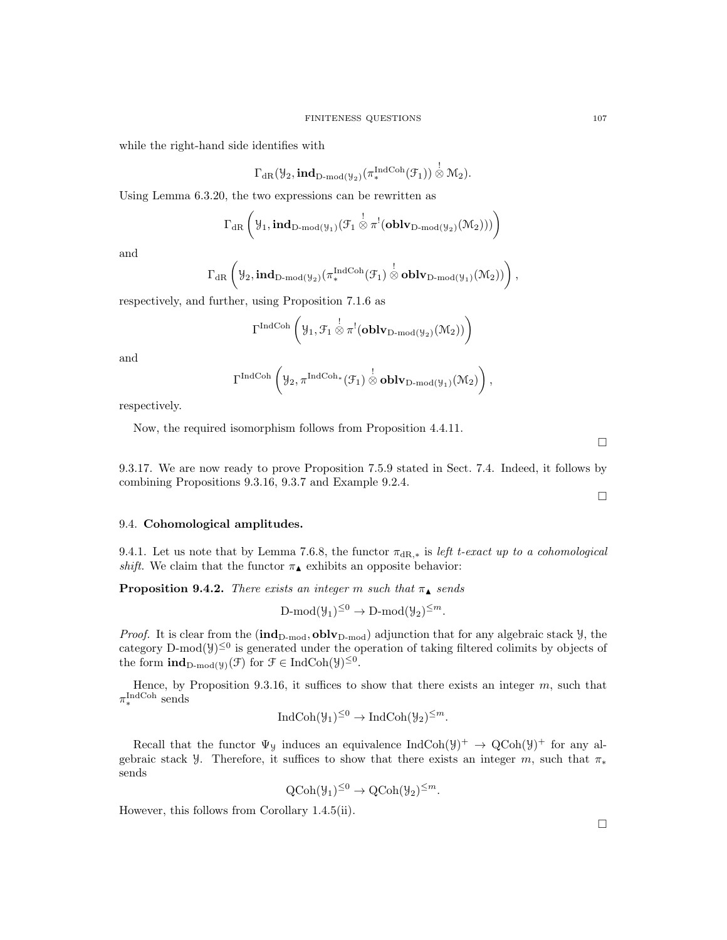while the right-hand side identifies with

$$
\Gamma_{\operatorname{dR} }(\mathcal{Y}_2,\textbf{ind}_{D\textbf{-}\mathrm{mod}(\mathcal{Y}_2)}(\pi_*^{\operatorname{IndCoh}}(\mathcal{F}_1))\overset{!}{\otimes}\mathcal{M}_2).
$$

Using Lemma 6.3.20, the two expressions can be rewritten as

$$
\Gamma_{\mathrm{dR}}\left(\mathcal{Y}_{1},\mathbf{ind}_{D\text{-mod}(\mathcal{Y}_{1})}(\mathcal{F}_{1}\overset{!}{\otimes}\pi^{!}(\mathbf{oblv}_{D\text{-mod}(\mathcal{Y}_{2})}(\mathcal{M}_{2})))\right)
$$

and

$$
\Gamma_{\mathrm{dR}}\left(\mathcal{Y}_{2},\mathbf{ind}_{D\text{-mod}(\mathcal{Y}_{2})}(\pi_{*}^{\mathrm{IndCoh}}(\mathcal{F}_{1})\overset{!}{\otimes}\mathbf{oblv}_{D\text{-mod}(\mathcal{Y}_{1})}(\mathcal{M}_{2}))\right),
$$

respectively, and further, using Proposition 7.1.6 as

$$
\Gamma^{\mathrm{IndCoh}}\left(\mathcal{Y}_1,\mathcal{F}_1\overset{!}{\otimes}\pi^!(\mathbf{oblv}_{D\text{-mod}(\mathcal{Y}_2)}(\mathcal{M}_2))\right)
$$

and

$$
\Gamma^{\operatorname{IndCoh}}\left(\mathcal{Y}_{2},\pi^{\operatorname{IndCoh}_*}(\mathcal{F}_{1})\overset{!}{\otimes}\mathbf{oblv}_{D\text{-}\mathrm{mod}(\mathcal{Y}_{1})}(\mathcal{M}_{2})\right),
$$

respectively.

Now, the required isomorphism follows from Proposition 4.4.11.

 $\Box$ 

 $\Box$ 

9.3.17. We are now ready to prove Proposition 7.5.9 stated in Sect. 7.4. Indeed, it follows by combining Propositions 9.3.16, 9.3.7 and Example 9.2.4.

#### 9.4. Cohomological amplitudes.

9.4.1. Let us note that by Lemma 7.6.8, the functor  $\pi_{\text{dR},*}$  is left t-exact up to a cohomological shift. We claim that the functor  $\pi_{\blacktriangle}$  exhibits an opposite behavior:

**Proposition 9.4.2.** There exists an integer m such that  $\pi_{\blacktriangle}$  sends

$$
\text{D-mod}(\mathcal{Y}_1)^{\leq 0} \to \text{D-mod}(\mathcal{Y}_2)^{\leq m}.
$$

*Proof.* It is clear from the  $(ind_{D\text{-mod}}, oblv_{D\text{-mod}})$  adjunction that for any algebraic stack  $\mathcal{Y}$ , the category D-mod $(y)^{\leq 0}$  is generated under the operation of taking filtered colimits by objects of the form  $\mathrm{ind}_{D\text{-mod}(\mathcal{Y})}(\mathcal{F})$  for  $\mathcal{F} \in \mathrm{IndCoh}(\mathcal{Y})^{\leq 0}$ .

Hence, by Proposition 9.3.16, it suffices to show that there exists an integer  $m$ , such that  $\pi_*^{\text{IndCoh}}$  sends

$$
IndCoh(\mathcal{Y}_1)^{\leq 0} \to IndCoh(\mathcal{Y}_2)^{\leq m}.
$$

Recall that the functor  $\Psi_y$  induces an equivalence  $IndCoh(\mathcal{Y})^+ \to QCoh(\mathcal{Y})^+$  for any algebraic stack y. Therefore, it suffices to show that there exists an integer m, such that  $\pi_*$ sends

$$
Q\text{Coh}(\mathcal{Y}_1)^{\leq 0} \to Q\text{Coh}(\mathcal{Y}_2)^{\leq m}.
$$

However, this follows from Corollary 1.4.5(ii).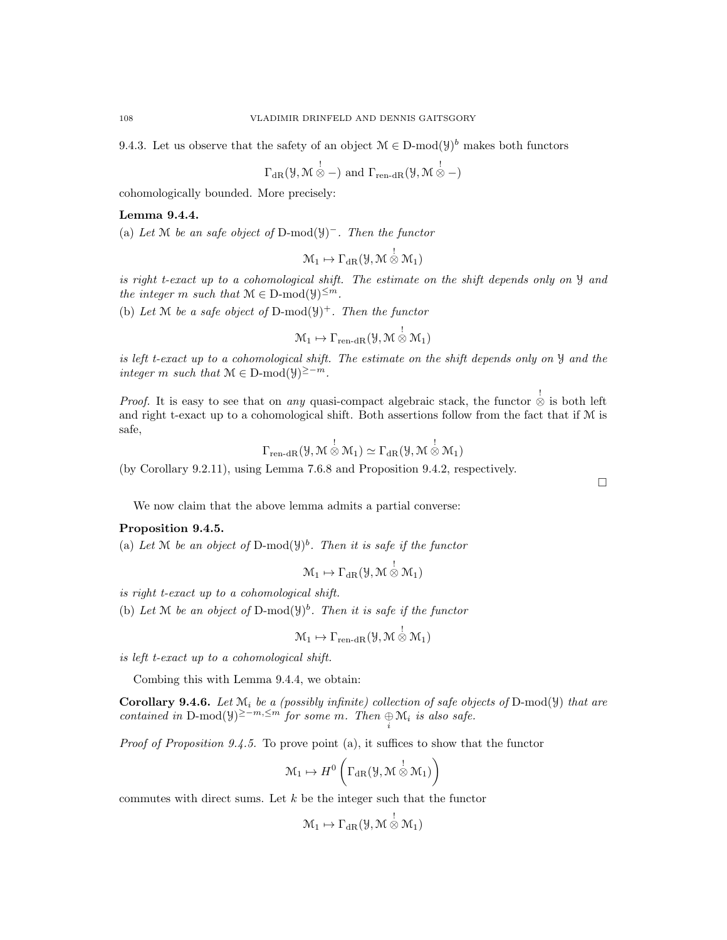9.4.3. Let us observe that the safety of an object  $\mathcal{M} \in \mathcal{D}\text{-mod}(\mathcal{Y})^b$  makes both functors

$$
\Gamma_{\text{dR}}(\mathcal{Y}, \mathcal{M} \overset{!}{\otimes} -) \text{ and } \Gamma_{\text{ren-dR}}(\mathcal{Y}, \mathcal{M} \overset{!}{\otimes} -)
$$

cohomologically bounded. More precisely:

# Lemma 9.4.4.

(a) Let M be an safe object of D-mod( $\mathcal{Y}$ )<sup>-</sup>. Then the functor

$$
\mathcal{M}_1 \mapsto \Gamma_{\mathrm{dR}}(\mathcal{Y},\mathcal{M}\overset{!}{\otimes}\mathcal{M}_1)
$$

is right t-exact up to a cohomological shift. The estimate on the shift depends only on Y and the integer m such that  $M \in D\text{-mod}(\mathcal{Y})^{\leq m}$ .

(b) Let M be a safe object of D-mod $(\mathcal{Y})^+$ . Then the functor

$$
\mathcal{M}_1 \mapsto \Gamma_{\text{ren-dR}}(\mathcal{Y}, \mathcal{M} \overset{!}{\otimes} \mathcal{M}_1)
$$

is left t-exact up to a cohomological shift. The estimate on the shift depends only on Y and the integer m such that  $\mathcal{M} \in \mathcal{D}\text{-mod}(\mathcal{Y})^{\geq -m}$ .

*Proof.* It is easy to see that on *any* quasi-compact algebraic stack, the functor  $\stackrel{!}{\otimes}$  is both left and right t-exact up to a cohomological shift. Both assertions follow from the fact that if M is safe,

$$
\Gamma_{\text{ren-dR}}(\mathcal{Y},\mathcal{M}\overset{!}{\otimes}\mathcal{M}_1)\simeq\Gamma_{\text{dR}}(\mathcal{Y},\mathcal{M}\overset{!}{\otimes}\mathcal{M}_1)
$$

(by Corollary 9.2.11), using Lemma 7.6.8 and Proposition 9.4.2, respectively.

We now claim that the above lemma admits a partial converse:

# Proposition 9.4.5.

(a) Let M be an object of D-mod $(y)^b$ . Then it is safe if the functor

$$
\mathcal{M}_1 \mapsto \Gamma_{\mathrm{dR}}(\mathcal{Y},\mathcal{M}\overset{!}{\otimes}\mathcal{M}_1)
$$

is right t-exact up to a cohomological shift.

(b) Let M be an object of D-mod $(y)^b$ . Then it is safe if the functor

$$
\mathcal{M}_1 \mapsto \Gamma_{\text{ren-dR}}(\mathcal{Y}, \mathcal{M} \overset{!}{\otimes} \mathcal{M}_1)
$$

is left t-exact up to a cohomological shift.

Combing this with Lemma 9.4.4, we obtain:

**Corollary 9.4.6.** Let  $\mathcal{M}_i$  be a (possibly infinite) collection of safe objects of D-mod( $\mathcal{Y}$ ) that are contained in D-mod( $\mathcal{Y}^{\geq -m, \leq m}$  for some m. Then  $\bigoplus_i \mathcal{M}_i$  is also safe.

Proof of Proposition 9.4.5. To prove point (a), it suffices to show that the functor

$$
\mathcal{M}_1 \mapsto H^0\left(\Gamma_{\mathrm{dR}}(\mathcal{Y},\mathcal{M}\overset{!}{\otimes}\mathcal{M}_1)\right)
$$

commutes with direct sums. Let  $k$  be the integer such that the functor

$$
\mathcal{M}_1 \mapsto \Gamma_{\mathrm{dR}}(\mathcal{Y},\mathcal{M}\overset{!}{\otimes}\mathcal{M}_1)
$$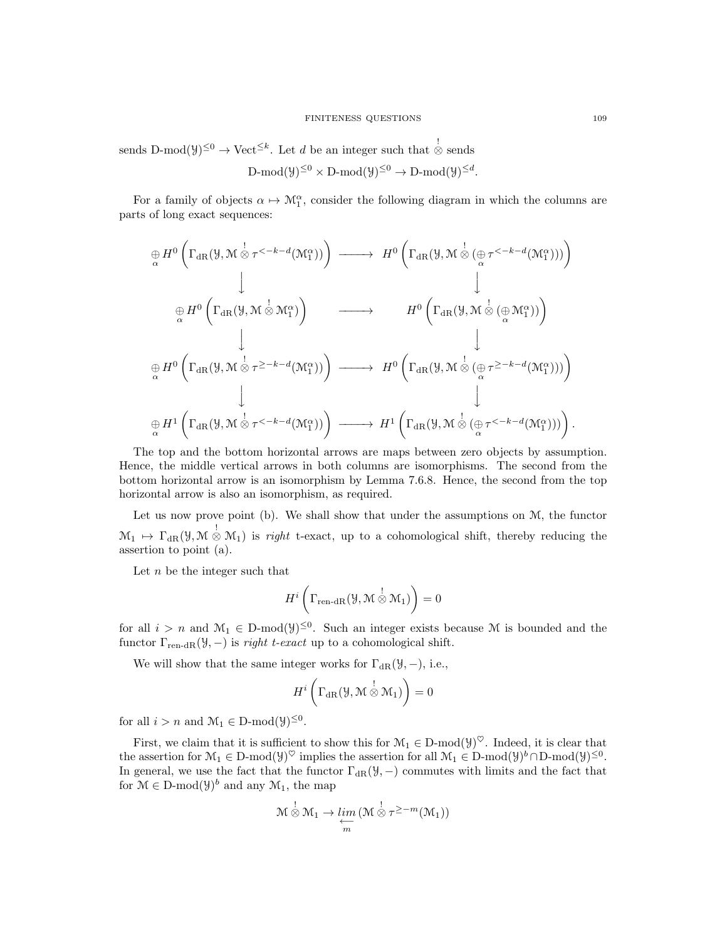sends D-mod( $y$ )<sup>≤0</sup>  $\rightarrow$  Vect<sup>≤k</sup>. Let d be an integer such that  $\stackrel{!}{\otimes}$  sends  $\mathrm{D\text{-}mod}(\mathcal{Y})^{\leq 0}\times \mathrm{D\text{-}mod}(\mathcal{Y})^{\leq 0}\to \mathrm{D\text{-}mod}(\mathcal{Y})^{\leq d}.$ 

For a family of objects  $\alpha \mapsto M_1^{\alpha}$ , consider the following diagram in which the columns are parts of long exact sequences:

$$
\bigoplus_{\alpha} H^{0} \left( \Gamma_{dR}(\mathcal{Y}, \mathcal{M} \overset{!}{\otimes} \tau^{<-k-d}(\mathcal{M}_{1}^{\alpha})) \right) \longrightarrow H^{0} \left( \Gamma_{dR}(\mathcal{Y}, \mathcal{M} \overset{!}{\otimes} (\underset{\alpha}{\oplus} \tau^{<-k-d}(\mathcal{M}_{1}^{\alpha}))) \right) \n\bigoplus_{\alpha} H^{0} \left( \Gamma_{dR}(\mathcal{Y}, \mathcal{M} \overset{!}{\otimes} \mathcal{M}_{1}^{\alpha}) \right) \longrightarrow H^{0} \left( \Gamma_{dR}(\mathcal{Y}, \mathcal{M} \overset{!}{\otimes} (\underset{\alpha}{\oplus} \mathcal{M}_{1}^{\alpha})) \right) \n\bigoplus_{\alpha} H^{0} \left( \Gamma_{dR}(\mathcal{Y}, \mathcal{M} \overset{!}{\otimes} \tau^{\geq -k-d}(\mathcal{M}_{1}^{\alpha})) \right) \longrightarrow H^{0} \left( \Gamma_{dR}(\mathcal{Y}, \mathcal{M} \overset{!}{\otimes} (\underset{\alpha}{\oplus} \tau^{\geq -k-d}(\mathcal{M}_{1}^{\alpha}))) \right) \n\bigoplus_{\alpha} H^{1} \left( \Gamma_{dR}(\mathcal{Y}, \mathcal{M} \overset{!}{\otimes} \tau^{<-k-d}(\mathcal{M}_{1}^{\alpha})) \right) \longrightarrow H^{1} \left( \Gamma_{dR}(\mathcal{Y}, \mathcal{M} \overset{!}{\otimes} (\underset{\alpha}{\oplus} \tau^{<-k-d}(\mathcal{M}_{1}^{\alpha}))) \right).
$$

The top and the bottom horizontal arrows are maps between zero objects by assumption. Hence, the middle vertical arrows in both columns are isomorphisms. The second from the bottom horizontal arrow is an isomorphism by Lemma 7.6.8. Hence, the second from the top horizontal arrow is also an isomorphism, as required.

Let us now prove point (b). We shall show that under the assumptions on M, the functor  $\mathcal{M}_1 \mapsto \Gamma_{\text{dR}}(\mathcal{Y}, \mathcal{M} \overset{!}{\otimes} \mathcal{M}_1)$  is right t-exact, up to a cohomological shift, thereby reducing the assertion to point (a).

Let  $n$  be the integer such that

$$
H^i\left(\Gamma_{\text{ren-dR}}(\mathcal{Y},\mathcal{M}\overset{!}{\otimes}\mathcal{M}_1)\right)=0
$$

for all  $i > n$  and  $\mathcal{M}_1 \in \mathbb{D}$ -mod $(\mathcal{Y})^{\leq 0}$ . Such an integer exists because M is bounded and the functor  $\Gamma_{\text{ren-dR}}(\mathcal{Y},-)$  is *right t-exact* up to a cohomological shift.

We will show that the same integer works for  $\Gamma_{\text{dR}}(\mathcal{Y}, -)$ , i.e.,

$$
H^i\left(\Gamma_{\mathrm{dR}}(\mathcal{Y},\mathcal{M}\overset{!}{\otimes}\mathcal{M}_1)\right)=0
$$

for all  $i > n$  and  $\mathcal{M}_1 \in \mathcal{D}\text{-mod}(\mathcal{Y})^{\leq 0}$ .

First, we claim that it is sufficient to show this for  $\mathcal{M}_1 \in \mathcal{D}\text{-mod}(\mathcal{Y})^{\heartsuit}$ . Indeed, it is clear that the assertion for  $\mathcal{M}_1 \in \mathcal{D}$ -mod $(\mathcal{Y})^{\heartsuit}$  implies the assertion for all  $\mathcal{M}_1 \in \mathcal{D}$ -mod $(\mathcal{Y})^b \cap \mathcal{D}$ -mod $(\mathcal{Y})^{\leq 0}$ . In general, we use the fact that the functor  $\Gamma_{\text{dR}}(\mathcal{Y},-)$  commutes with limits and the fact that for  $\mathcal{M} \in \mathcal{D}\text{-mod}(\mathcal{Y})^b$  and any  $\mathcal{M}_1$ , the map

$$
\mathcal{M} \overset{!}{\otimes} \mathcal{M}_1 \to \varprojlim_m \left( \mathcal{M} \overset{!}{\otimes} \tau^{\geq -m}(\mathcal{M}_1) \right)
$$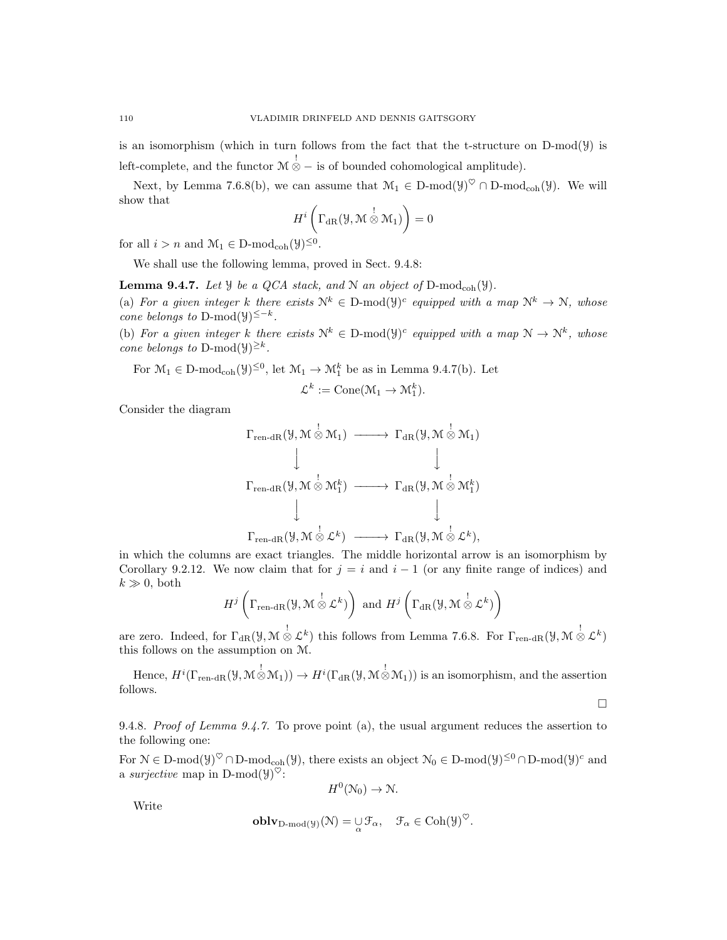is an isomorphism (which in turn follows from the fact that the t-structure on  $D-mod(y)$  is left-complete, and the functor  $\mathcal{M} \overset{!}{\otimes} -$  is of bounded cohomological amplitude).

Next, by Lemma 7.6.8(b), we can assume that  $\mathcal{M}_1 \in D\text{-mod}(\mathcal{Y})^{\heartsuit} \cap D\text{-mod}_{coh}(\mathcal{Y})$ . We will show that

$$
H^i\left(\Gamma_{\mathrm{dR}}(\mathcal{Y},\mathcal{M}\overset{!}{\otimes}\mathcal{M}_1)\right)=0
$$

for all  $i > n$  and  $\mathcal{M}_1 \in \mathcal{D}\text{-mod}_{\text{coh}}(\mathcal{Y})^{\leq 0}$ .

We shall use the following lemma, proved in Sect. 9.4.8:

**Lemma 9.4.7.** Let  $\mathcal{Y}$  be a QCA stack, and  $\mathcal{N}$  an object of D-mod<sub>coh</sub>( $\mathcal{Y}$ ).

(a) For a given integer k there exists  $N^k \in D\text{-mod}(\mathcal{Y})^c$  equipped with a map  $N^k \to N$ , whose cone belongs to D-mod( $\mathcal{Y} \leq -k$ .

(b) For a given integer k there exists  $N^k \in D\text{-mod}(\mathcal{Y})^c$  equipped with a map  $N \to N^k$ , whose cone belongs to D-mod( $\mathcal{Y}$ )<sup> $\geq k$ </sup>.

For  $\mathcal{M}_1 \in \mathcal{D}\text{-mod}_{coh}(\mathcal{Y})^{\leq 0}$ , let  $\mathcal{M}_1 \to \mathcal{M}_1^k$  be as in Lemma 9.4.7(b). Let

$$
\mathcal{L}^k := \text{Cone}(\mathcal{M}_1 \to \mathcal{M}_1^k).
$$

Consider the diagram

$$
\Gamma_{\text{ren-dR}}(\mathcal{Y}, \mathcal{M} \overset{!}{\otimes} \mathcal{M}_1) \longrightarrow \Gamma_{\text{dR}}(\mathcal{Y}, \mathcal{M} \overset{!}{\otimes} \mathcal{M}_1) \downarrow \qquad \qquad \downarrow
$$
\n
$$
\Gamma_{\text{ren-dR}}(\mathcal{Y}, \mathcal{M} \overset{!}{\otimes} \mathcal{M}_1^k) \longrightarrow \Gamma_{\text{dR}}(\mathcal{Y}, \mathcal{M} \overset{!}{\otimes} \mathcal{M}_1^k) \downarrow \qquad \qquad \downarrow
$$
\n
$$
\Gamma_{\text{ren-dR}}(\mathcal{Y}, \mathcal{M} \overset{!}{\otimes} \mathcal{L}^k) \longrightarrow \Gamma_{\text{dR}}(\mathcal{Y}, \mathcal{M} \overset{!}{\otimes} \mathcal{L}^k),
$$

in which the columns are exact triangles. The middle horizontal arrow is an isomorphism by Corollary 9.2.12. We now claim that for  $j = i$  and  $i - 1$  (or any finite range of indices) and  $k \gg 0$ , both

$$
H^j\left(\Gamma_{\text{ren-dR}}(\mathcal{Y},\mathcal{M}\overset{!}{\otimes}\mathcal{L}^k)\right)\text{ and }H^j\left(\Gamma_{\text{dR}}(\mathcal{Y},\mathcal{M}\overset{!}{\otimes}\mathcal{L}^k)\right)
$$

are zero. Indeed, for  $\Gamma_{\text{dR}}(\mathcal{Y}, \mathcal{M} \overset{!}{\otimes} \mathcal{L}^k)$  this follows from Lemma 7.6.8. For  $\Gamma_{\text{ren-dR}}(\mathcal{Y}, \mathcal{M} \overset{!}{\otimes} \mathcal{L}^k)$ this follows on the assumption on M.

Hence,  $H^{i}(\Gamma_{\text{ren-dR}}(\mathcal{Y},\mathcal{M}\overset{!}{\otimes}\mathcal{M}_1))\to H^{i}(\Gamma_{\text{dR}}(\mathcal{Y},\mathcal{M}\overset{!}{\otimes}\mathcal{M}_1))$  is an isomorphism, and the assertion follows.

 $\Box$ 

9.4.8. Proof of Lemma 9.4.7. To prove point (a), the usual argument reduces the assertion to the following one:

For  $\mathcal{N} \in \mathcal{D}\text{-mod}(\mathcal{Y})^{\heartsuit} \cap \mathcal{D}\text{-mod}_{\text{coh}}(\mathcal{Y})$ , there exists an object  $\mathcal{N}_0 \in \mathcal{D}\text{-mod}(\mathcal{Y})^{\leq 0} \cap \mathcal{D}\text{-mod}(\mathcal{Y})^c$  and a *surjective* map in D-mod $(\mathcal{Y})^{\heartsuit}$ :

$$
H^0(\mathcal{N}_0) \to \mathcal{N}.
$$

Write

$$
\mathbf{oblv}_{\mathbf{D}\text{-}\mathrm{mod}(\mathcal{Y})}(\mathcal{N}) = \mathop{\cup}\limits_{\alpha} \mathcal{F}_{\alpha}, \quad \mathcal{F}_{\alpha} \in \mathrm{Coh}(\mathcal{Y})^{\heartsuit}.
$$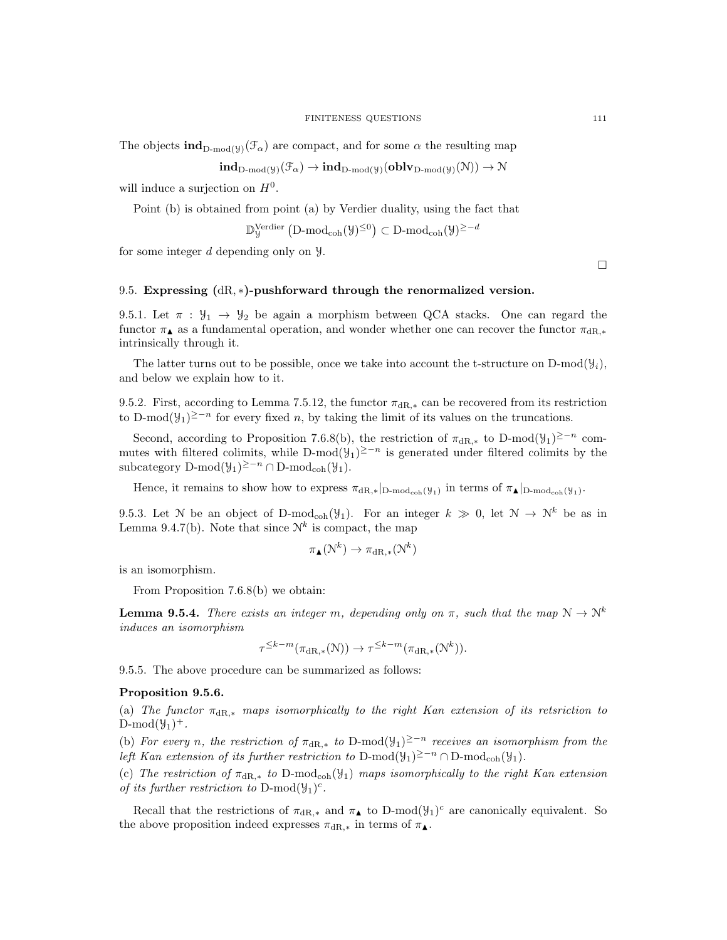The objects  $\text{ind}_{\text{D-mod}(y)}(\mathcal{F}_{\alpha})$  are compact, and for some  $\alpha$  the resulting map

$$
\mathbf{ind}_{D\text{-mod}(\mathcal{Y})}(\mathcal{F}_{\alpha}) \to \mathbf{ind}_{D\text{-mod}(\mathcal{Y})}(\mathbf{oblv}_{D\text{-mod}(\mathcal{Y})}(\mathcal{N})) \to \mathcal{N}
$$

will induce a surjection on  $H^0$ .

Point (b) is obtained from point (a) by Verdier duality, using the fact that

$$
\mathbb{D}^{\mathrm{Verdier}}_{{\mathcal Y}}\left({\mathbf{D}}\text{-}\mathrm{mod}_{\mathrm{coh}}({\mathcal Y})^{\le 0}\right) \subset {\mathbf{D}}\text{-}\mathrm{mod}_{\mathrm{coh}}({\mathcal Y})^{\ge -d}
$$

for some integer d depending only on Y.

### 9.5. Expressing  $(dR, *)$ -pushforward through the renormalized version.

9.5.1. Let  $\pi$  :  $\mathcal{Y}_1 \rightarrow \mathcal{Y}_2$  be again a morphism between QCA stacks. One can regard the functor  $\pi_{\mathbf{A}}$  as a fundamental operation, and wonder whether one can recover the functor  $\pi_{\text{dR},\ast}$ intrinsically through it.

The latter turns out to be possible, once we take into account the t-structure on D-mod( $\mathcal{Y}_i$ ), and below we explain how to it.

9.5.2. First, according to Lemma 7.5.12, the functor  $\pi_{\text{dR},*}$  can be recovered from its restriction to D-mod( $\mathcal{Y}_1$ )<sup>≥-n</sup> for every fixed n, by taking the limit of its values on the truncations.

Second, according to Proposition 7.6.8(b), the restriction of  $\pi_{dR,*}$  to D-mod( $\mathcal{Y}_1$ )<sup>≥-n</sup> commutes with filtered colimits, while D-mod $(\mathcal{Y}_1)^{\geq -n}$  is generated under filtered colimits by the subcategory D-mod( $\mathcal{Y}_1$ )<sup>≥-n</sup> ∩ D-mod<sub>coh</sub>( $\mathcal{Y}_1$ ).

Hence, it remains to show how to express  $\pi_{\text{dR},*}|_{D\text{-mod}_{\text{coh}}(\mathcal{Y}_1)}$  in terms of  $\pi_{\blacktriangle}|_{D\text{-mod}_{\text{coh}}(\mathcal{Y}_1)}$ .

9.5.3. Let N be an object of D-mod<sub>coh</sub> $(\mathcal{Y}_1)$ . For an integer  $k \gg 0$ , let  $\mathcal{N} \rightarrow \mathcal{N}^k$  be as in Lemma 9.4.7(b). Note that since  $\mathcal{N}^k$  is compact, the map

$$
\pi_{\blacktriangle}(\mathcal{N}^k) \to \pi_{\mathrm{dR},*}(\mathcal{N}^k)
$$

is an isomorphism.

From Proposition 7.6.8(b) we obtain:

**Lemma 9.5.4.** There exists an integer m, depending only on  $\pi$ , such that the map  $N \to N^k$ induces an isomorphism

$$
\tau^{\leq k-m}(\pi_{\mathrm{dR},*}(\mathcal{N})) \to \tau^{\leq k-m}(\pi_{\mathrm{dR},*}(\mathcal{N}^k)).
$$

9.5.5. The above procedure can be summarized as follows:

# Proposition 9.5.6.

(a) The functor  $\pi_{\text{dR},*}$  maps isomorphically to the right Kan extension of its retsriction to  $D\text{-mod}(\mathcal{Y}_1)^+$ .

(b) For every n, the restriction of  $\pi_{\text{dR},*}$  to D-mod $(\mathcal{Y}_1)^{\geq -n}$  receives an isomorphism from the left Kan extension of its further restriction to D-mod( $\mathcal{Y}_1$ )<sup>2-n</sup> ∩D-mod<sub>coh</sub>( $\mathcal{Y}_1$ ).

(c) The restriction of  $\pi_{\text{dR},*}$  to D-mod<sub>coh</sub>( $\mathcal{Y}_1$ ) maps isomorphically to the right Kan extension of its further restriction to  $D\text{-mod}(\mathcal{Y}_1)^c$ .

Recall that the restrictions of  $\pi_{\text{dR},*}$  and  $\pi_{\blacktriangle}$  to D-mod $(\mathcal{Y}_1)^c$  are canonically equivalent. So the above proposition indeed expresses  $\pi_{\text{dR},*}$  in terms of  $\pi_{\blacktriangle}$ .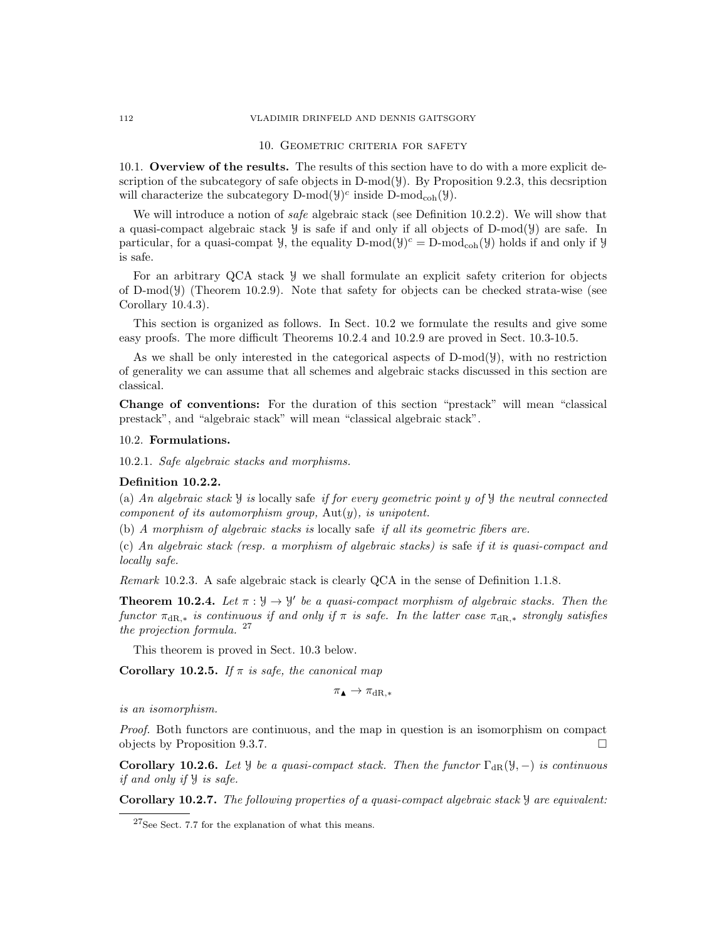#### 112 VLADIMIR DRINFELD AND DENNIS GAITSGORY

## 10. Geometric criteria for safety

10.1. Overview of the results. The results of this section have to do with a more explicit description of the subcategory of safe objects in  $D-mod(y)$ . By Proposition 9.2.3, this decsription will characterize the subcategory  $D\text{-mod}(\mathcal{Y})^c$  inside  $D\text{-mod}_{\text{coh}}(\mathcal{Y})$ .

We will introduce a notion of *safe* algebraic stack (see Definition 10.2.2). We will show that a quasi-compact algebraic stack  $\mathcal Y$  is safe if and only if all objects of D-mod( $\mathcal Y$ ) are safe. In particular, for a quasi-compat  $\mathcal{Y}$ , the equality  $D\text{-mod}(\mathcal{Y})^c = D\text{-mod}_{coh}(\mathcal{Y})$  holds if and only if  $\mathcal{Y}$ is safe.

For an arbitrary QCA stack Y we shall formulate an explicit safety criterion for objects of D-mod(Y) (Theorem 10.2.9). Note that safety for objects can be checked strata-wise (see Corollary 10.4.3).

This section is organized as follows. In Sect. 10.2 we formulate the results and give some easy proofs. The more difficult Theorems 10.2.4 and 10.2.9 are proved in Sect. 10.3-10.5.

As we shall be only interested in the categorical aspects of  $D-mod(y)$ , with no restriction of generality we can assume that all schemes and algebraic stacks discussed in this section are classical.

Change of conventions: For the duration of this section "prestack" will mean "classical prestack", and "algebraic stack" will mean "classical algebraic stack".

#### 10.2. Formulations.

10.2.1. Safe algebraic stacks and morphisms.

# Definition 10.2.2.

(a) An algebraic stack  $\mathcal Y$  is locally safe if for every geometric point y of  $\mathcal Y$  the neutral connected component of its automorphism group,  $Aut(y)$ , is unipotent.

(b) A morphism of algebraic stacks is locally safe if all its geometric fibers are.

(c) An algebraic stack (resp. a morphism of algebraic stacks) is safe if it is quasi-compact and locally safe.

Remark 10.2.3. A safe algebraic stack is clearly QCA in the sense of Definition 1.1.8.

**Theorem 10.2.4.** Let  $\pi : \mathcal{Y} \to \mathcal{Y}'$  be a quasi-compact morphism of algebraic stacks. Then the functor  $\pi_{\text{dR},*}$  is continuous if and only if  $\pi$  is safe. In the latter case  $\pi_{\text{dR},*}$  strongly satisfies the projection formula.  $27$ 

This theorem is proved in Sect. 10.3 below.

Corollary 10.2.5. If  $\pi$  is safe, the canonical map

$$
\pi_\blacktriangle \to \pi_{\mathrm{dR},*}
$$

is an isomorphism.

Proof. Both functors are continuous, and the map in question is an isomorphism on compact objects by Proposition 9.3.7.

Corollary 10.2.6. Let *Y* be a quasi-compact stack. Then the functor  $\Gamma_{\text{dR}}(\mathcal{Y},-)$  is continuous if and only if Y is safe.

Corollary 10.2.7. The following properties of a quasi-compact algebraic stack Y are equivalent:

<sup>27</sup>See Sect. 7.7 for the explanation of what this means.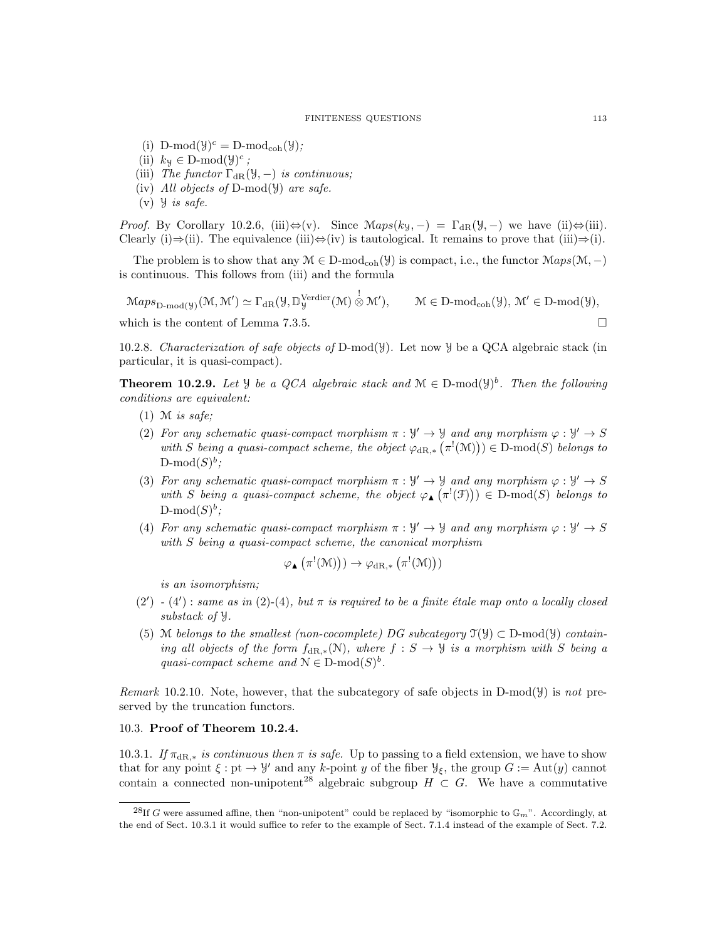(i)  $D\text{-mod}(\mathcal{Y})^c = D\text{-mod}_{coh}(\mathcal{Y})$ ;

- (ii)  $k_y \in D\text{-mod}(\mathcal{Y})^c$ ;
- (iii) The functor  $\Gamma_{\text{dR}}(\mathcal{Y},-)$  is continuous;
- (iv) All objects of D-mod $(y)$  are safe.
- $(v)$  *y is safe.*

*Proof.* By Corollary 10.2.6, (iii) $\Leftrightarrow$ (v). Since  $Maps(k_{\mathcal{Y}}, -) = \Gamma_{dR}(\mathcal{Y}, -)$  we have (ii) $\Leftrightarrow$ (iii). Clearly (i)⇒(ii). The equivalence (iii)⇔(iv) is tautological. It remains to prove that (iii)⇒(i).

The problem is to show that any  $M \in D\text{-mod}_{coh}(\mathcal{Y})$  is compact, i.e., the functor  $Maps(\mathcal{M}, -)$ is continuous. This follows from (iii) and the formula

 $\mathrm{Maps}_{\mathrm{D-mod}(\mathcal{Y})}(\mathcal{M},\mathcal{M}')\simeq \Gamma_{\mathrm{dR}}(\mathcal{Y},\mathbb{D}_{\mathcal{Y}}^{\mathrm{Verdier}}(\mathcal{M})\overset{!}{\otimes}\mathcal{M}'$  $\mathcal{M} \in D\text{-mod}_{coh}(\mathcal{Y}), \mathcal{M}' \in D\text{-mod}(\mathcal{Y}),$ 

which is the content of Lemma 7.3.5.

10.2.8. Characterization of safe objects of D-mod( $\mathcal{Y}$ ). Let now  $\mathcal{Y}$  be a QCA algebraic stack (in particular, it is quasi-compact).

**Theorem 10.2.9.** Let  $\mathcal{Y}$  be a QCA algebraic stack and  $\mathcal{M} \in D\text{-mod}(\mathcal{Y})^b$ . Then the following conditions are equivalent:

- $(1)$  M is safe:
- (2) For any schematic quasi-compact morphism  $\pi : \mathcal{Y}' \to \mathcal{Y}$  and any morphism  $\varphi : \mathcal{Y}' \to S$ with S being a quasi-compact scheme, the object  $\varphi_{dR,*}(\pi^!(\mathcal{M})) \in D\text{-mod}(S)$  belongs to  $\mathrm{D\text{-}mod}(S)^b$ ;
- (3) For any schematic quasi-compact morphism  $\pi : \mathcal{Y}' \to \mathcal{Y}$  and any morphism  $\varphi : \mathcal{Y}' \to S$ with S being a quasi-compact scheme, the object  $\varphi_{\blacktriangle}(\pi^!(\mathfrak{F})) \in D\text{-mod}(S)$  belongs to  $\mathrm{D\text{-}mod}(S)^b$ ;
- (4) For any schematic quasi-compact morphism  $\pi : \mathcal{Y}' \to \mathcal{Y}$  and any morphism  $\varphi : \mathcal{Y}' \to S$ with S being a quasi-compact scheme, the canonical morphism

$$
\varphi_{\blacktriangle}(\pi^!(\mathfrak{M})))\rightarrow \varphi_{\mathrm{dR},*}\left(\pi^!(\mathfrak{M})\right))
$$

is an isomorphism;

- $(2') (4')$ : same as in  $(2)-(4)$ , but  $\pi$  is required to be a finite étale map onto a locally closed substack of Y.
- (5) M belongs to the smallest (non-cocomplete) DG subcategory  $\mathcal{T}(\mathcal{Y}) \subset D\text{-mod}(\mathcal{Y})$  containing all objects of the form  $f_{\text{dR},*}(\mathcal{N})$ , where  $f : S \to \mathcal{Y}$  is a morphism with S being a quasi-compact scheme and  $\mathcal{N} \in \mathcal{D}$ -mod $(S)^b$ .

Remark 10.2.10. Note, however, that the subcategory of safe objects in D-mod( $\mathcal{Y}$ ) is not preserved by the truncation functors.

## 10.3. Proof of Theorem 10.2.4.

10.3.1. If  $\pi_{\text{dR},*}$  is continuous then  $\pi$  is safe. Up to passing to a field extension, we have to show that for any point  $\xi : pt \to \mathcal{Y}'$  and any k-point y of the fiber  $\mathcal{Y}_\xi$ , the group  $G := Aut(y)$  cannot contain a connected non-unipotent<sup>28</sup> algebraic subgroup  $H \subset G$ . We have a commutative

<sup>&</sup>lt;sup>28</sup>If G were assumed affine, then "non-unipotent" could be replaced by "isomorphic to  $\mathbb{G}_m$ ". Accordingly, at the end of Sect. 10.3.1 it would suffice to refer to the example of Sect. 7.1.4 instead of the example of Sect. 7.2.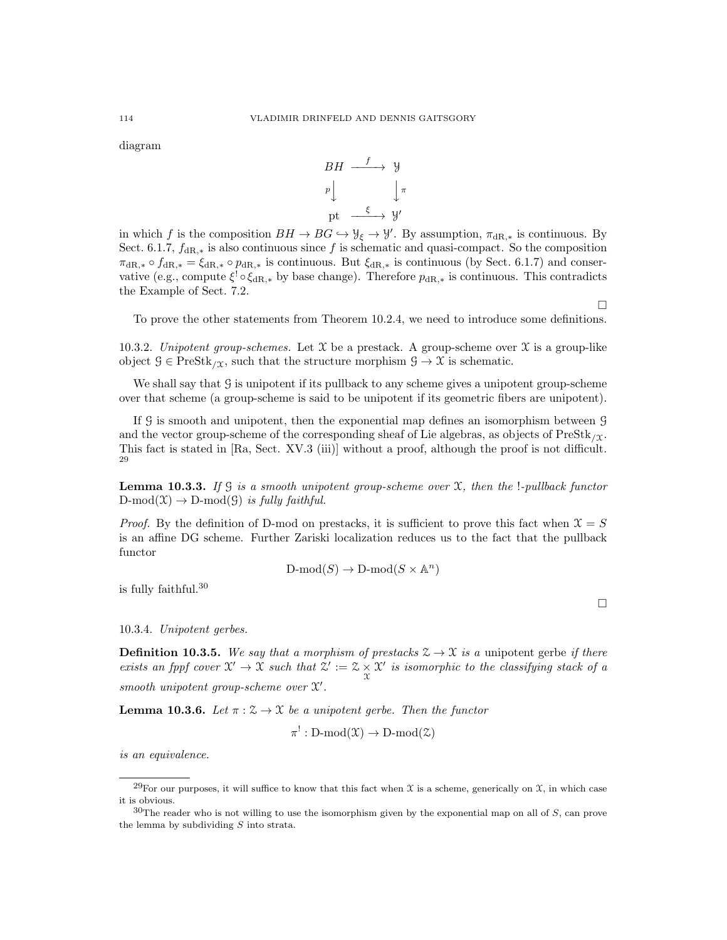diagram



in which f is the composition  $BH \to BG \hookrightarrow \mathcal{Y}_{\xi} \to \mathcal{Y}'$ . By assumption,  $\pi_{dR,*}$  is continuous. By Sect. 6.1.7,  $f_{\text{dR},*}$  is also continuous since f is schematic and quasi-compact. So the composition  $\pi_{\text{dR},*} \circ f_{\text{dR},*} = \xi_{\text{dR},*} \circ p_{\text{dR},*}$  is continuous. But  $\xi_{\text{dR},*}$  is continuous (by Sect. 6.1.7) and conservative (e.g., compute  $\xi^! \circ \xi_{\text{dR},*}$  by base change). Therefore  $p_{\text{dR},*}$  is continuous. This contradicts the Example of Sect. 7.2.

To prove the other statements from Theorem 10.2.4, we need to introduce some definitions.

10.3.2. Unipotent group-schemes. Let  $\mathfrak X$  be a prestack. A group-scheme over  $\mathfrak X$  is a group-like object  $\mathcal{G} \in \text{PreStk}_{\ell}$ , such that the structure morphism  $\mathcal{G} \to \mathcal{X}$  is schematic.

We shall say that G is unipotent if its pullback to any scheme gives a unipotent group-scheme over that scheme (a group-scheme is said to be unipotent if its geometric fibers are unipotent).

If G is smooth and unipotent, then the exponential map defines an isomorphism between G and the vector group-scheme of the corresponding sheaf of Lie algebras, as objects of  $\text{PreStk}_{\ell\gamma}$ . This fact is stated in [Ra, Sect. XV.3 (iii)] without a proof, although the proof is not difficult. 29

**Lemma 10.3.3.** If G is a smooth unipotent group-scheme over  $\mathfrak{X}$ , then the !-pullback functor  $D\text{-mod}(\mathfrak{X}) \to D\text{-mod}(\mathfrak{G})$  is fully faithful.

*Proof.* By the definition of D-mod on prestacks, it is sufficient to prove this fact when  $\mathcal{X} = S$ is an affine DG scheme. Further Zariski localization reduces us to the fact that the pullback functor

$$
\mathrm{D\text{-}mod}(S) \to \mathrm{D\text{-}mod}(S \times \mathbb{A}^n)
$$

is fully faithful.<sup>30</sup>

10.3.4. Unipotent gerbes.

**Definition 10.3.5.** We say that a morphism of prestacks  $\mathcal{Z} \to \mathcal{X}$  is a unipotent gerbe if there exists an fppf cover  $\mathcal{X}' \to \mathcal{X}$  such that  $\mathcal{Z}' := \mathcal{Z} \times \mathcal{X}'$  is isomorphic to the classifying stack of a smooth unipotent group-scheme over  $X'$ .

**Lemma 10.3.6.** Let  $\pi : \mathcal{Z} \to \mathcal{X}$  be a unipotent gerbe. Then the functor

$$
\pi^!: \mathrm{D\text{-}mod}(\mathfrak{X}) \to \mathrm{D\text{-}mod}(\mathfrak{X})
$$

is an equivalence.

 $\Box$ 

<sup>&</sup>lt;sup>29</sup>For our purposes, it will suffice to know that this fact when  $\mathfrak X$  is a scheme, generically on  $\mathfrak X$ , in which case it is obvious.

 $30$ The reader who is not willing to use the isomorphism given by the exponential map on all of S, can prove the lemma by subdividing  $S$  into strata.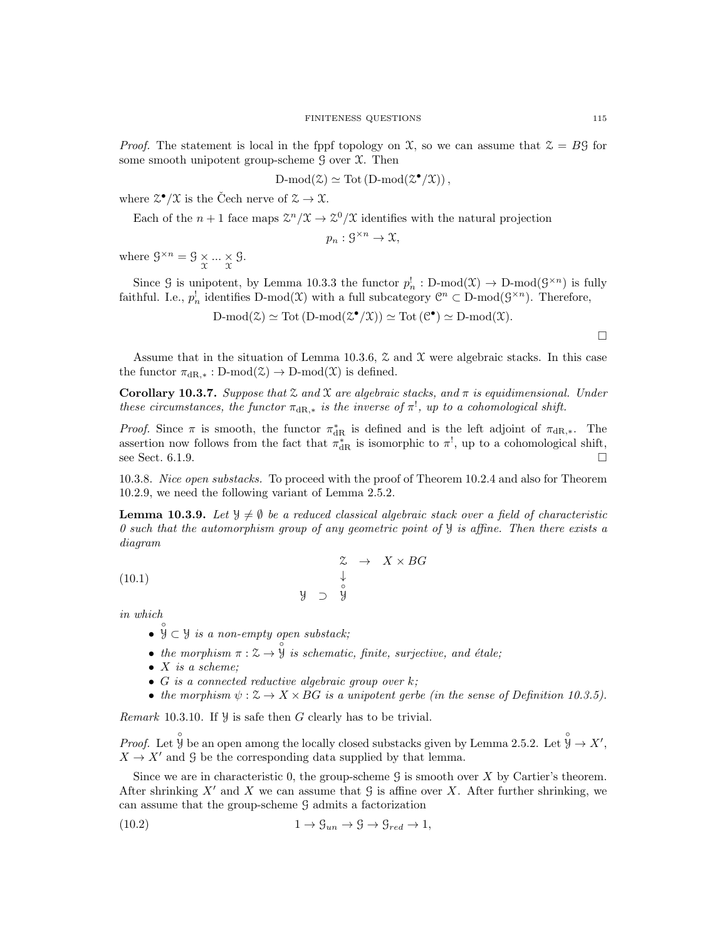*Proof.* The statement is local in the fppf topology on  $\mathfrak{X}$ , so we can assume that  $\mathfrak{X} = B\mathfrak{G}$  for some smooth unipotent group-scheme  $\mathcal G$  over  $\mathfrak X$ . Then

$$
D\text{-mod}(\mathcal{Z}) \simeq \text{Tot}(D\text{-mod}(\mathcal{Z}^{\bullet}/\mathcal{X})),
$$

where  $\mathfrak{Z}^{\bullet}/\mathfrak{X}$  is the Čech nerve of  $\mathfrak{Z} \to \mathfrak{X}$ .

Each of the  $n+1$  face maps  $\mathcal{Z}^n/\mathcal{X} \to \mathcal{Z}^0/\mathcal{X}$  identifies with the natural projection

$$
p_n: \mathcal{G}^{\times n} \to \mathfrak{X},
$$

where  $\mathcal{G}^{\times n} = \mathcal{G} \times \dots \times \mathcal{G}$ .

Since G is unipotent, by Lemma 10.3.3 the functor  $p_n^{\dagger} : D\text{-mod}(\mathfrak{X}) \to D\text{-mod}(\mathfrak{G}^{\times n})$  is fully faithful. I.e.,  $p_n^!$  identifies D-mod(X) with a full subcategory  $\mathbb{C}^n \subset D\text{-mod}(\mathcal{G}^{\times n})$ . Therefore,

$$
D\text{-mod}(\mathcal{Z}) \simeq \text{Tot}(D\text{-mod}(\mathcal{Z}^{\bullet}/\mathcal{X})) \simeq \text{Tot}(\mathcal{C}^{\bullet}) \simeq D\text{-mod}(\mathcal{X}).
$$

Assume that in the situation of Lemma 10.3.6,  $\mathcal Z$  and  $\mathcal X$  were algebraic stacks. In this case the functor  $\pi_{\text{dR},*}: \text{D-mod}(\mathcal{Z}) \to \text{D-mod}(\mathcal{X})$  is defined.

Corollary 10.3.7. Suppose that  $\mathfrak X$  and  $\mathfrak X$  are algebraic stacks, and  $\pi$  is equidimensional. Under these circumstances, the functor  $\pi_{dR,*}$  is the inverse of  $\pi^!$ , up to a cohomological shift.

*Proof.* Since  $\pi$  is smooth, the functor  $\pi_{\text{dR}}^*$  is defined and is the left adjoint of  $\pi_{\text{dR},*}$ . The assertion now follows from the fact that  $\pi_{\text{dR}}^*$  is isomorphic to  $\pi^!,$  up to a cohomological shift, see Sect. 6.1.9.

10.3.8. Nice open substacks. To proceed with the proof of Theorem 10.2.4 and also for Theorem 10.2.9, we need the following variant of Lemma 2.5.2.

**Lemma 10.3.9.** Let  $\mathcal{Y} \neq \emptyset$  be a reduced classical algebraic stack over a field of characteristic 0 such that the automorphism group of any geometric point of  $\mathcal{Y}$  is affine. Then there exists a diagram

(10.1) 
$$
\begin{array}{cccc}\n & \mathcal{Z} & \rightarrow & X \times BG \\
 & & \downarrow & & \\
 & \downarrow & & \downarrow \\
 & \downarrow & & \downarrow \\
 & \downarrow & & \downarrow \\
 & \downarrow & & \downarrow \\
 & \downarrow & & \downarrow \\
 & \downarrow & & \downarrow\n\end{array}
$$

in which

- $\hat{y} \subset \hat{y}$  is a non-empty open substack;
- the morphism  $\pi : \mathcal{Z} \to \mathcal{Y}$  is schematic, finite, surjective, and étale;
- $\bullet$  X is a scheme;
- $G$  is a connected reductive algebraic group over  $k$ ;
- the morphism  $\psi: \mathcal{Z} \to X \times BG$  is a unipotent gerbe (in the sense of Definition 10.3.5).

Remark 10.3.10. If  $\mathcal Y$  is safe then G clearly has to be trivial.

*Proof.* Let  $\hat{\mathcal{Y}}$  be an open among the locally closed substacks given by Lemma 2.5.2. Let  $\hat{\mathcal{Y}} \to X'$ ,  $X \to X'$  and G be the corresponding data supplied by that lemma.

Since we are in characteristic 0, the group-scheme  $\mathcal G$  is smooth over  $X$  by Cartier's theorem. After shrinking X' and X we can assume that G is affine over X. After further shrinking, we can assume that the group-scheme G admits a factorization

(10.2) 
$$
1 \to \mathcal{G}_{un} \to \mathcal{G} \to \mathcal{G}_{red} \to 1,
$$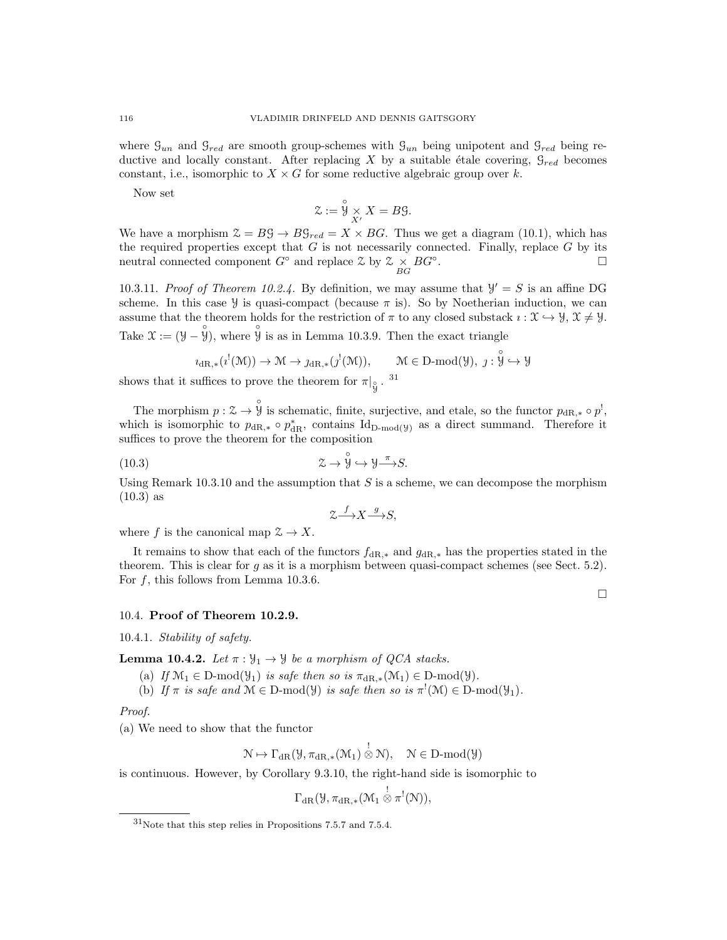where  $\mathcal{G}_{un}$  and  $\mathcal{G}_{red}$  are smooth group-schemes with  $\mathcal{G}_{un}$  being unipotent and  $\mathcal{G}_{red}$  being reductive and locally constant. After replacing X by a suitable étale covering,  $\mathcal{G}_{red}$  becomes constant, i.e., isomorphic to  $X \times G$  for some reductive algebraic group over k.

Now set

$$
\mathcal{Z} := \mathring{\mathcal{Y}} \underset{X'}{\times} X = B\mathcal{G}.
$$

We have a morphism  $\mathcal{Z} = B\mathcal{G} \rightarrow B\mathcal{G}_{red} = X \times BG$ . Thus we get a diagram (10.1), which has the required properties except that  $G$  is not necessarily connected. Finally, replace  $G$  by its neutral connected component  $G^{\circ}$  and replace  $\mathcal{Z}$  by  $\mathcal{Z} \underset{BG}{\times} BG^{\circ}$ .

10.3.11. Proof of Theorem 10.2.4. By definition, we may assume that  $\mathcal{Y}' = S$  is an affine DG scheme. In this case *y* is quasi-compact (because  $\pi$  is). So by Noetherian induction, we can assume that the theorem holds for the restriction of  $\pi$  to any closed substack  $\imath : \mathfrak{X} \to \mathfrak{Y}, \mathfrak{X} \neq \mathfrak{Y}.$ Take  $\mathfrak{X} := (\mathfrak{Y} - \hat{\mathfrak{Y}})$ , where  $\hat{\mathfrak{Y}}$  is as in Lemma 10.3.9. Then the exact triangle

$$
\imath_{\mathrm{dR},*}(\imath^!(\mathfrak{M})) \rightarrow \mathfrak{M} \rightarrow \jmath_{\mathrm{dR},*}(\jmath^!(\mathfrak{M})), \qquad \mathfrak{M} \in \mathrm{D}\text{-}\mathrm{mod}(\mathcal{Y}), \; \jmath: \overset{\circ}{\mathcal{Y}} \hookrightarrow \mathcal{Y}
$$

shows that it suffices to prove the theorem for  $\pi|_{\overset{\circ}{y}}$ . <sup>31</sup>

The morphism  $p: \mathcal{Z} \to \mathcal{Y}$  is schematic, finite, surjective, and etale, so the functor  $p_{\text{dR},*} \circ p^!,$ which is isomorphic to  $p_{\text{dR},*} \circ p_{\text{dR}}^*$ , contains  $\text{Id}_{D\text{-mod}(y)}$  as a direct summand. Therefore it suffices to prove the theorem for the composition

(10.3) 
$$
\qquad \qquad \mathfrak{L} \to \overset{\circ}{\mathfrak{Y}} \hookrightarrow \mathfrak{Y} \xrightarrow{\pi} S.
$$

Using Remark  $10.3.10$  and the assumption that S is a scheme, we can decompose the morphism (10.3) as

$$
\mathcal{Z} \xrightarrow{f} X \xrightarrow{g} S,
$$

where f is the canonical map  $\mathcal{Z} \to X$ .

It remains to show that each of the functors  $f_{\text{dR},*}$  and  $g_{\text{dR},*}$  has the properties stated in the theorem. This is clear for  $g$  as it is a morphism between quasi-compact schemes (see Sect. 5.2). For  $f$ , this follows from Lemma 10.3.6.

10.4. Proof of Theorem 10.2.9.

10.4.1. Stability of safety.

**Lemma 10.4.2.** Let  $\pi : \mathcal{Y}_1 \to \mathcal{Y}$  be a morphism of QCA stacks.

(a) If  $\mathcal{M}_1 \in \mathcal{D}$ -mod $(\mathcal{Y}_1)$  is safe then so is  $\pi_{\text{dR},*}(\mathcal{M}_1) \in \mathcal{D}$ -mod $(\mathcal{Y})$ .

(b) If  $\pi$  is safe and  $\mathcal{M} \in \mathcal{D}$ -mod $(\mathcal{Y})$  is safe then so is  $\pi^!(\mathcal{M}) \in \mathcal{D}$ -mod $(\mathcal{Y}_1)$ .

Proof.

(a) We need to show that the functor

$$
\mathcal{N}\mapsto \Gamma_{\mathrm{dR}}(\mathcal{Y},\pi_{\mathrm{dR},*}(\mathcal{M}_1)\overset{!}{\otimes}\mathcal{N}),\quad \mathcal{N}\in D\text{-mod}(\mathcal{Y})
$$

is continuous. However, by Corollary 9.3.10, the right-hand side is isomorphic to

 $\Gamma_{\mathrm{dR}}(\mathcal{Y},\pi_{\mathrm{dR},*}(\mathcal{M}_1\overset{!}{\otimes}\pi^!(\mathcal{N})),$ 

<sup>31</sup>Note that this step relies in Propositions 7.5.7 and 7.5.4.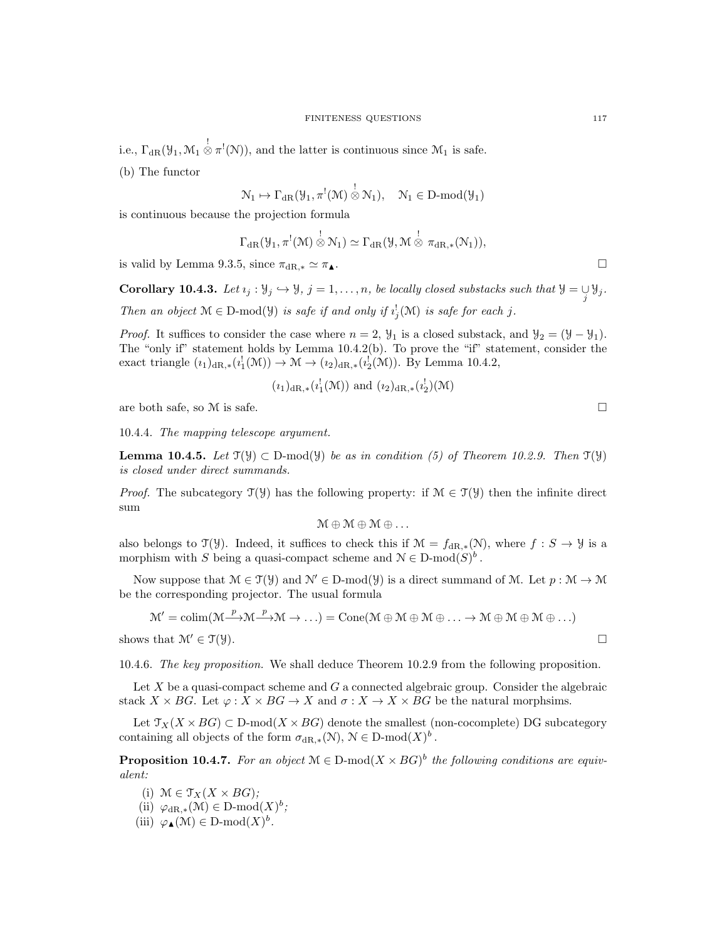i.e.,  $\Gamma_{\text{dR}}(\mathcal{Y}_1, \mathcal{M}_1 \overset{!}{\otimes} \pi^!(\mathcal{N}))$ , and the latter is continuous since  $\mathcal{M}_1$  is safe.

(b) The functor

$$
\mathcal{N}_1 \mapsto \Gamma_{\mathrm{dR}}(\mathcal{Y}_1, \pi^!(\mathcal{M}) \overset{!}{\otimes} \mathcal{N}_1), \quad \mathcal{N}_1 \in D\text{-mod}(\mathcal{Y}_1)
$$

is continuous because the projection formula

$$
\Gamma_{\mathrm{dR}}(\mathcal{Y}_1, \pi^!(\mathcal{M}) \overset{!}{\otimes} \mathcal{N}_1) \simeq \Gamma_{\mathrm{dR}}(\mathcal{Y}, \mathcal{M} \overset{!}{\otimes} \pi_{\mathrm{dR},*}(\mathcal{N}_1)),
$$

is valid by Lemma 9.3.5, since  $\pi_{\text{dR},*} \simeq \pi_{\blacktriangle}.$ 

**Corollary 10.4.3.** Let  $i_j : \mathcal{Y}_j \hookrightarrow \mathcal{Y}$ ,  $j = 1, \ldots, n$ , be locally closed substacks such that  $\mathcal{Y} = \bigcup_j \mathcal{Y}_j$ . Then an object  $M \in D\text{-mod}(\mathcal{Y})$  is safe if and only if  $i_j^!(M)$  is safe for each j.

*Proof.* It suffices to consider the case where  $n = 2$ ,  $\mathcal{Y}_1$  is a closed substack, and  $\mathcal{Y}_2 = (\mathcal{Y} - \mathcal{Y}_1)$ . The "only if" statement holds by Lemma 10.4.2(b). To prove the "if" statement, consider the exact triangle  $(i_1)_{dR,*}(i_1^!(\mathcal{M})) \to \mathcal{M} \to (i_2)_{dR,*}(i_2^!(\mathcal{M}))$ . By Lemma 10.4.2,

$$
(i_1)_{\text{dR},*}(i_1^!(\mathcal{M}))
$$
 and  $(i_2)_{\text{dR},*}(i_2^!)(\mathcal{M})$ 

are both safe, so  $M$  is safe.

10.4.4. The mapping telescope argument.

**Lemma 10.4.5.** Let  $\mathcal{T}(\mathcal{Y}) \subset D$ -mod $(\mathcal{Y})$  be as in condition (5) of Theorem 10.2.9. Then  $\mathcal{T}(\mathcal{Y})$ is closed under direct summands.

*Proof.* The subcategory  $\mathcal{T}(\mathcal{Y})$  has the following property: if  $\mathcal{M} \in \mathcal{T}(\mathcal{Y})$  then the infinite direct sum

 $M \oplus M \oplus M \oplus \ldots$ 

also belongs to  $\mathcal{T}(\mathcal{Y})$ . Indeed, it suffices to check this if  $\mathcal{M} = f_{\mathrm{dR},*}(\mathcal{N})$ , where  $f : S \to \mathcal{Y}$  is a morphism with S being a quasi-compact scheme and  $\mathcal{N} \in \mathcal{D}$ -mod $(S)^b$ .

Now suppose that  $\mathcal{M} \in \mathcal{T}(\mathcal{Y})$  and  $\mathcal{N}' \in \mathcal{D}$ -mod $(\mathcal{Y})$  is a direct summand of M. Let  $p : \mathcal{M} \to \mathcal{M}$ be the corresponding projector. The usual formula

$$
\mathcal{M}' = colim(\mathcal{M} \xrightarrow{p} \mathcal{M} \xrightarrow{p} \mathcal{M} \to \ldots) = Cone(\mathcal{M} \oplus \mathcal{M} \oplus \mathcal{M} \oplus \ldots \to \mathcal{M} \oplus \mathcal{M} \oplus \mathcal{M} \oplus \ldots)
$$

shows that  $\mathcal{M}' \in \mathcal{T}(\mathcal{Y})$ .

10.4.6. The key proposition. We shall deduce Theorem 10.2.9 from the following proposition.

Let  $X$  be a quasi-compact scheme and  $G$  a connected algebraic group. Consider the algebraic stack  $X \times BG$ . Let  $\varphi : X \times BG \to X$  and  $\sigma : X \to X \times BG$  be the natural morphsims.

Let  $\mathcal{T}_X(X \times BG) \subset D\text{-mod}(X \times BG)$  denote the smallest (non-cocomplete) DG subcategory containing all objects of the form  $\sigma_{\mathrm{dR},*}(\mathcal{N}), \, \mathcal{N} \in \mathrm{D-mod}(X)^b$ .

**Proposition 10.4.7.** For an object  $M \in D\text{-mod}(X \times BG)^b$  the following conditions are equivalent:

- (i)  $\mathcal{M} \in \mathcal{T}_X(X \times BG);$
- (ii)  $\varphi_{\mathrm{dR},*}(\mathcal{M}) \in \mathrm{D}\text{-}\mathrm{mod}(X)^b$ ;
- (iii)  $\varphi_{\blacktriangle}(\mathcal{M}) \in D\text{-mod}(X)^b$ .

$$
\mathcal{L}_{\mathcal{A}}
$$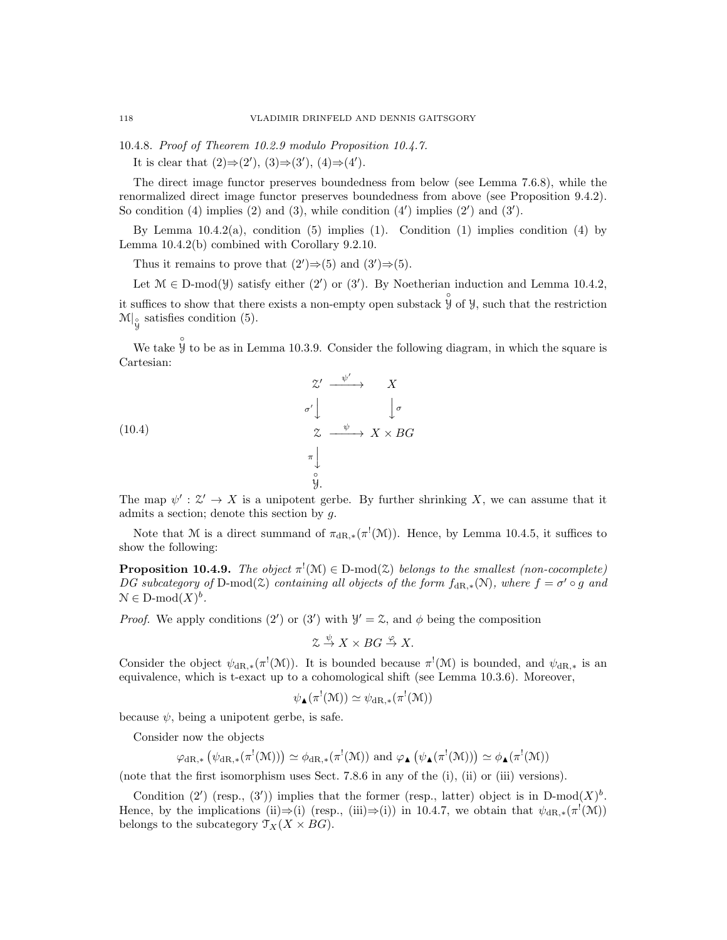10.4.8. Proof of Theorem 10.2.9 modulo Proposition 10.4.7.

It is clear that  $(2) \Rightarrow (2')$ ,  $(3) \Rightarrow (3')$ ,  $(4) \Rightarrow (4')$ .

The direct image functor preserves boundedness from below (see Lemma 7.6.8), while the renormalized direct image functor preserves boundedness from above (see Proposition 9.4.2). So condition  $(4)$  implies  $(2)$  and  $(3)$ , while condition  $(4')$  implies  $(2')$  and  $(3')$ .

By Lemma  $10.4.2(a)$ , condition (5) implies (1). Condition (1) implies condition (4) by Lemma 10.4.2(b) combined with Corollary 9.2.10.

Thus it remains to prove that  $(2')\Rightarrow(5)$  and  $(3')\Rightarrow(5)$ .

Let  $\mathcal{M} \in \mathcal{D}$ -mod( $\mathcal{Y}$ ) satisfy either (2') or (3'). By Noetherian induction and Lemma 10.4.2, it suffices to show that there exists a non-empty open substack  $\hat{\mathcal{Y}}$  of  $\mathcal{Y}$ , such that the restriction  $\mathcal{M}|_{\overset{\circ}{\mathcal{Y}}}$  satisfies condition (5).

We take  $\hat{\mathcal{Y}}$  to be as in Lemma 10.3.9. Consider the following diagram, in which the square is Cartesian:

(10.4)  
\n
$$
\begin{array}{ccc}\n & \mathcal{Z}' & \xrightarrow{\psi'} & X \\
\sigma' & & \downarrow \sigma & \\
\mathcal{Z} & \xrightarrow{\psi} & X \times BG \\
\pi & & \downarrow \\
\varphi & & \varphi \\
\varphi & & & \varphi\n\end{array}
$$

The map  $\psi': \mathcal{Z}' \to X$  is a unipotent gerbe. By further shrinking X, we can assume that it admits a section; denote this section by g.

Note that M is a direct summand of  $\pi_{\text{dR},*}(\pi^!(\mathcal{M}))$ . Hence, by Lemma 10.4.5, it suffices to show the following:

**Proposition 10.4.9.** The object  $\pi^!(\mathcal{M}) \in D$ -mod $(\mathcal{Z})$  belongs to the smallest (non-cocomplete) DG subcategory of D-mod( $\hat{z}$ ) containing all objects of the form  $f_{\text{dR},*}(\mathcal{N})$ , where  $f = \sigma' \circ g$  and  $\mathcal{N} \in \mathcal{D}\text{-mod}(X)^b$ .

*Proof.* We apply conditions (2') or (3') with  $\mathcal{Y}' = \mathcal{Z}$ , and  $\phi$  being the composition

$$
\mathcal{Z} \stackrel{\psi}{\to} X \times BG \stackrel{\varphi}{\to} X.
$$

Consider the object  $\psi_{dR,*}(\pi^!(\mathcal{M}))$ . It is bounded because  $\pi^!(\mathcal{M})$  is bounded, and  $\psi_{dR,*}$  is an equivalence, which is t-exact up to a cohomological shift (see Lemma 10.3.6). Moreover,

$$
\psi_{\blacktriangle}(\pi^!(\mathcal{M})) \simeq \psi_{\mathrm{dR},*}(\pi^!(\mathcal{M}))
$$

because  $\psi$ , being a unipotent gerbe, is safe.

Consider now the objects

$$
\varphi_{\mathrm{dR},*}\left(\psi_{\mathrm{dR},*}(\pi^!(\mathcal{M}))\right) \simeq \phi_{\mathrm{dR},*}(\pi^!(\mathcal{M})) \text{ and } \varphi_{\blacktriangle}(\psi_{\blacktriangle}(\pi^!(\mathcal{M}))) \simeq \phi_{\blacktriangle}(\pi^!(\mathcal{M}))
$$

(note that the first isomorphism uses Sect. 7.8.6 in any of the (i), (ii) or (iii) versions).

Condition (2') (resp., (3')) implies that the former (resp., latter) object is in  $D-mod(X)^b$ . Hence, by the implications (ii) $\Rightarrow$ (i) (resp., (iii) $\Rightarrow$ (i)) in 10.4.7, we obtain that  $\psi_{dR,*}(\pi^!(\mathcal{M}))$ belongs to the subcategory  $\mathcal{T}_X(X \times BG)$ .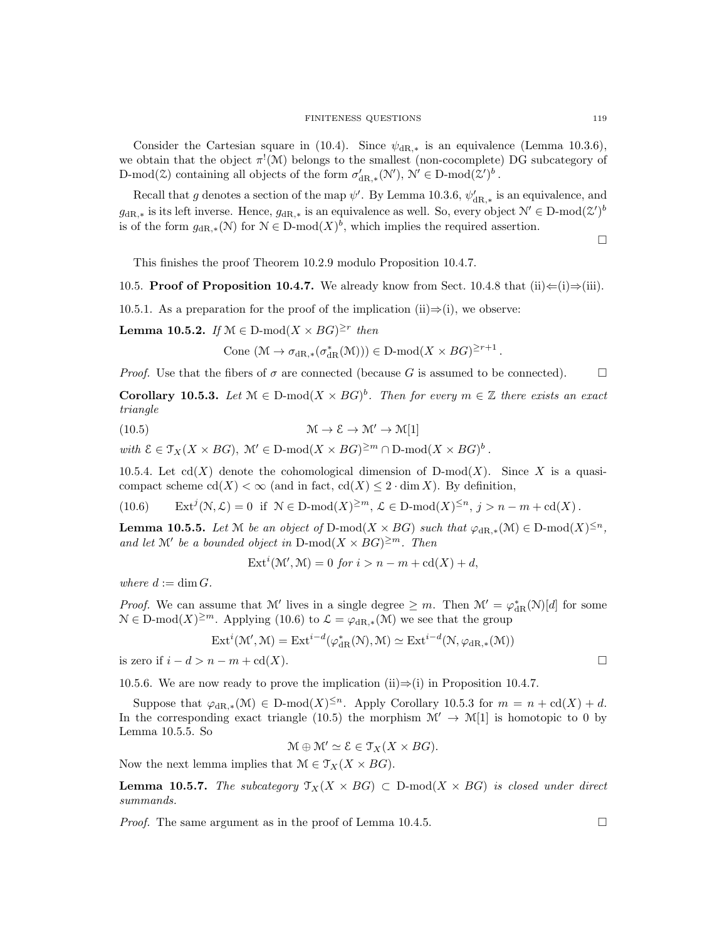Consider the Cartesian square in (10.4). Since  $\psi_{\text{dR},*}$  is an equivalence (Lemma 10.3.6), we obtain that the object  $\pi^{!}(\mathcal{M})$  belongs to the smallest (non-cocomplete) DG subcategory of D-mod( $\mathfrak{A}(\mathfrak{A})$  containing all objects of the form  $\sigma'_{\mathrm{dR},*}(\mathcal{N}'), \mathcal{N}' \in \mathrm{D-mod}(\mathcal{Z}')^b$ .

Recall that g denotes a section of the map  $\psi'$ . By Lemma 10.3.6,  $\psi'_{\text{dR},*}$  is an equivalence, and  $g_{\text{dR},*}$  is its left inverse. Hence,  $g_{\text{dR},*}$  is an equivalence as well. So, every object  $\mathcal{N}' \in \text{D-mod}(\mathcal{Z}')^b$ is of the form  $g_{\text{dR},*}(\mathcal{N})$  for  $\mathcal{N} \in \text{D-mod}(X)^b$ , which implies the required assertion.

 $\Box$ 

This finishes the proof Theorem 10.2.9 modulo Proposition 10.4.7.

10.5. Proof of Proposition 10.4.7. We already know from Sect. 10.4.8 that (ii)  $\Leftarrow$  (i)  $\Rightarrow$  (iii).

10.5.1. As a preparation for the proof of the implication (ii) $\Rightarrow$ (i), we observe:

**Lemma 10.5.2.** If  $\mathcal{M} \in \mathcal{D}$ -mod $(X \times BG)^{\geq r}$  then

Cone  $(\mathcal{M} \to \sigma_{dR,*}(\sigma_{dR}^*(\mathcal{M}))) \in D\text{-mod}(X \times BG)^{\geq r+1}$ .

*Proof.* Use that the fibers of  $\sigma$  are connected (because G is assumed to be connected).  $\Box$ 

**Corollary 10.5.3.** Let  $M \in D\text{-mod}(X \times BG)^b$ . Then for every  $m \in \mathbb{Z}$  there exists an exact triangle

(10.5) 
$$
\mathcal{M} \to \mathcal{E} \to \mathcal{M}' \to \mathcal{M}[1]
$$

with  $\mathcal{E} \in \mathfrak{T}_X(X \times BG)$ ,  $\mathcal{M}' \in \mathcal{D}\text{-mod}(X \times BG)^{\geq m} \cap \mathcal{D}\text{-mod}(X \times BG)^b$ .

10.5.4. Let  $cd(X)$  denote the cohomological dimension of D-mod(X). Since X is a quasicompact scheme  $\text{cd}(X) < \infty$  (and in fact,  $\text{cd}(X) \leq 2 \cdot \dim X$ ). By definition,

 $(10.6)$  $(N, \mathcal{L}) = 0$  if  $N \in \mathcal{D}$ -mod $(X)^{\geq m}$ ,  $\mathcal{L} \in \mathcal{D}$ -mod $(X)^{\leq n}$ ,  $j > n - m + \text{cd}(X)$ .

**Lemma 10.5.5.** Let M be an object of D-mod( $X \times BG$ ) such that  $\varphi_{\text{dR},*}(\mathcal{M}) \in D\text{-mod}(X)^{\leq n}$ , and let M' be a bounded object in D-mod $(X \times BG)^{\geq m}$ . Then

$$
Exti(\mathcal{M}', \mathcal{M}) = 0 \text{ for } i > n - m + \text{cd}(X) + d,
$$

where  $d := \dim G$ .

*Proof.* We can assume that M' lives in a single degree  $\geq m$ . Then  $\mathcal{M}' = \varphi_{\mathrm{dR}}^*(N)[d]$  for some  $N \in \mathbb{D}$ -mod $(X)^{\geq m}$ . Applying (10.6) to  $\mathcal{L} = \varphi_{dR,*}(M)$  we see that the group

$$
\mathrm{Ext}^i(\mathcal{M}',\mathcal{M}) = \mathrm{Ext}^{i-d}(\varphi_{\mathrm{dR}}^*(\mathcal{N}),\mathcal{M}) \simeq \mathrm{Ext}^{i-d}(\mathcal{N},\varphi_{\mathrm{dR},*}(\mathcal{M}))
$$

is zero if  $i - d > n - m + \text{cd}(X)$ .

10.5.6. We are now ready to prove the implication (ii)⇒(i) in Proposition 10.4.7.

Suppose that  $\varphi_{\mathrm{dR},*}(\mathcal{M}) \in \mathrm{D-mod}(X)^{\leq n}$ . Apply Corollary 10.5.3 for  $m = n + \mathrm{cd}(X) + d$ . In the corresponding exact triangle (10.5) the morphism  $\mathcal{M}' \to \mathcal{M}[1]$  is homotopic to 0 by Lemma 10.5.5. So

$$
\mathcal{M} \oplus \mathcal{M}' \simeq \mathcal{E} \in \mathcal{T}_X(X \times BG).
$$

Now the next lemma implies that  $\mathcal{M} \in \mathcal{T}_X(X \times BG)$ .

**Lemma 10.5.7.** The subcategory  $\mathcal{T}_X(X \times BG) \subset D\text{-mod}(X \times BG)$  is closed under direct summands.

*Proof.* The same argument as in the proof of Lemma 10.4.5.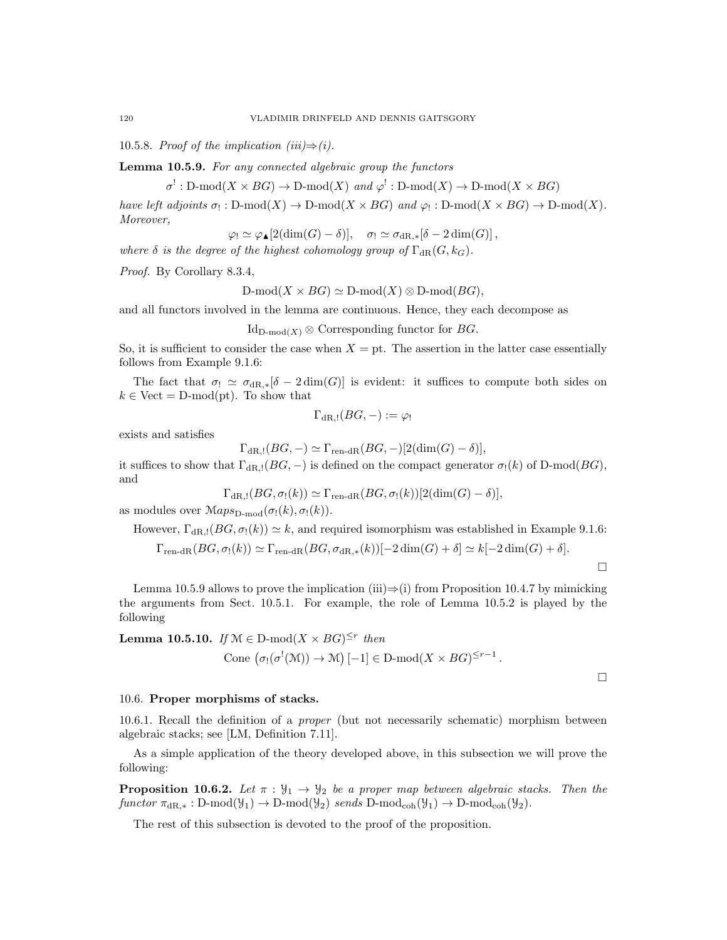10.5.8. Proof of the implication (iii) $\Rightarrow$  (i).

Lemma 10.5.9. For any connected algebraic group the functors

 $\sigma^!: \text{D-mod}(X \times BG) \to \text{D-mod}(X) \text{ and } \varphi^!: \text{D-mod}(X) \to \text{D-mod}(X \times BG)$ 

have left adjoints  $\sigma_! : D\text{-mod}(X) \to D\text{-mod}(X \times BG)$  and  $\varphi_! : D\text{-mod}(X \times BG) \to D\text{-mod}(X)$ . Moreover,

$$
\varphi_! \simeq \varphi_\blacktriangle[2(\dim(G)-\delta)], \quad \sigma_! \simeq \sigma_{{\mathrm{dR}},*}[\delta-2\dim(G)],
$$

where  $\delta$  is the degree of the highest cohomology group of  $\Gamma_{\text{dR}}(G, k_G)$ .

Proof. By Corollary 8.3.4,

D-mod $(X \times BG) \simeq D\text{-mod}(X) \otimes D\text{-mod}(BG)$ ,

and all functors involved in the lemma are continuous. Hence, they each decompose as

$$
Id_{D\text{-mod}(X)} \otimes \text{Corresponding functor for } BG.
$$

So, it is sufficient to consider the case when  $X = pt$ . The assertion in the latter case essentially follows from Example 9.1.6:

The fact that  $\sigma_! \simeq \sigma_{\text{dR},*}[\delta - 2 \dim(G)]$  is evident: it suffices to compute both sides on  $k \in$  Vect = D-mod(pt). To show that

$$
\Gamma_{\mathrm{dR},!}(BG,-):=\varphi_!
$$

exists and satisfies

$$
\Gamma_{\rm dR, !}(BG, -) \simeq \Gamma_{\rm ren-dR}(BG, -)[2(\dim(G) - \delta)],
$$

it suffices to show that  $\Gamma_{\text{dR},!}(BG, -)$  is defined on the compact generator  $\sigma_! (k)$  of D-mod( $BG$ ), and

$$
\Gamma_{\mathrm{dR},!}(BG,\sigma_!(k)) \simeq \Gamma_{\mathrm{ren-dR}}(BG,\sigma_!(k))[2(\dim(G)-\delta)],
$$

as modules over  $\mathcal{M}aps_{\mathcal{D}\text{-mod}}(\sigma_!(k),\sigma_!(k)).$ 

However, 
$$
\Gamma_{\text{dR},!}(BG, \sigma_!(k)) \simeq k
$$
, and required isomorphism was established in Example 9.1.6:  
\n $\Gamma_{\text{ren-dR}}(BG, \sigma_!(k)) \simeq \Gamma_{\text{ren-dR}}(BG, \sigma_{\text{dR},*}(k))[-2 \dim(G) + \delta] \simeq k[-2 \dim(G) + \delta].$ 

Lemma 10.5.9 allows to prove the implication (iii) $\Rightarrow$ (i) from Proposition 10.4.7 by mimicking the arguments from Sect. 10.5.1. For example, the role of Lemma 10.5.2 is played by the following

**Lemma 10.5.10.** If  $\mathcal{M} \in \mathcal{D}\text{-mod}(X \times BG)^{\leq r}$  then Cone  $(\sigma_!(\sigma^!(\mathcal{M})) \to \mathcal{M})[-1] \in \mathbb{D}\text{-mod}(X \times BG)^{\leq r-1}$ .

 $\Box$ 

## 10.6. Proper morphisms of stacks.

10.6.1. Recall the definition of a proper (but not necessarily schematic) morphism between algebraic stacks; see [LM, Definition 7.11].

As a simple application of the theory developed above, in this subsection we will prove the following:

**Proposition 10.6.2.** Let  $\pi : \mathcal{Y}_1 \to \mathcal{Y}_2$  be a proper map between algebraic stacks. Then the functor  $\pi_{dR,*}: D\text{-mod}(\mathcal{Y}_1) \to D\text{-mod}(\mathcal{Y}_2)$  sends  $D\text{-mod}_{coh}(\mathcal{Y}_1) \to D\text{-mod}_{coh}(\mathcal{Y}_2)$ .

The rest of this subsection is devoted to the proof of the proposition.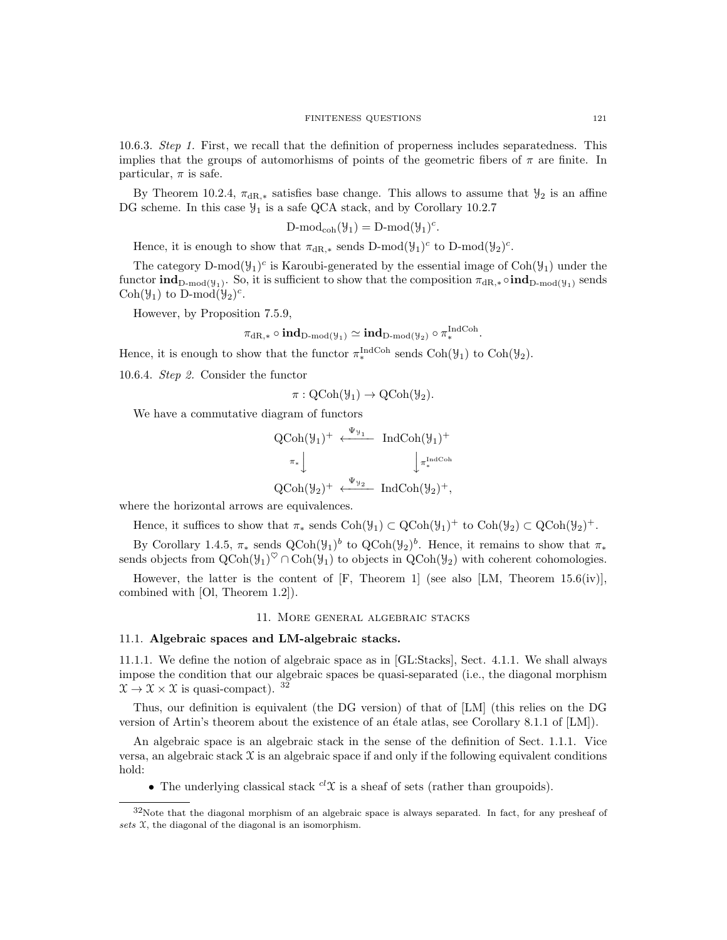10.6.3. Step 1. First, we recall that the definition of properness includes separatedness. This implies that the groups of automorhisms of points of the geometric fibers of  $\pi$  are finite. In particular,  $\pi$  is safe.

By Theorem 10.2.4,  $\pi_{\text{dR},*}$  satisfies base change. This allows to assume that  $\mathcal{Y}_2$  is an affine DG scheme. In this case  $\mathcal{Y}_1$  is a safe QCA stack, and by Corollary 10.2.7

$$
D\text{-mod}_{coh}(\mathcal{Y}_1) = D\text{-mod}(\mathcal{Y}_1)^c
$$

.

.

Hence, it is enough to show that  $\pi_{\mathrm{dR},*}$  sends D-mod $(\mathcal{Y}_1)^c$  to D-mod $(\mathcal{Y}_2)^c$ .

The category D-mod $(\mathcal{Y}_1)^c$  is Karoubi-generated by the essential image of  $Coh(\mathcal{Y}_1)$  under the functor  $\text{ind}_{D\text{-mod}(\mathcal{Y}_1)}$ . So, it is sufficient to show that the composition  $\pi_{dR,*} \circ \text{ind}_{D\text{-mod}(\mathcal{Y}_1)}$  sends Coh( $\mathcal{Y}_1$ ) to D-mod( $\mathcal{Y}_2$ )<sup>c</sup>.

However, by Proposition 7.5.9,

$$
\pi_{\mathrm{dR},*}\circ\mathbf{ind}_{D\text{-}\mathrm{mod}(\mathcal{Y}_{1})}\simeq\mathbf{ind}_{D\text{-}\mathrm{mod}(\mathcal{Y}_{2})}\circ\pi_{*}^{\mathrm{IndCoh}}
$$

Hence, it is enough to show that the functor  $\pi_*^{\text{IndCoh}}$  sends  $\text{Coh}(\mathcal{Y}_1)$  to  $\text{Coh}(\mathcal{Y}_2)$ .

10.6.4. Step 2. Consider the functor

$$
\pi: \mathrm{QCoh}(\mathcal{Y}_1) \to \mathrm{QCoh}(\mathcal{Y}_2).
$$

We have a commutative diagram of functors

$$
QCoh(\mathcal{Y}_1)^+ \xleftarrow{\Psi_{\mathcal{Y}_1}} IndCoh(\mathcal{Y}_1)^+ \pi_* \downarrow \qquad \qquad \downarrow \pi_*^{IndCoh} \nQCoh(\mathcal{Y}_2)^+ \xleftarrow{\Psi_{\mathcal{Y}_2}} IndCoh(\mathcal{Y}_2)^+,
$$

where the horizontal arrows are equivalences.

Hence, it suffices to show that 
$$
\pi_*
$$
 sends  $\text{Coh}(\mathcal{Y}_1) \subset \text{QCoh}(\mathcal{Y}_1)^+$  to  $\text{Coh}(\mathcal{Y}_2) \subset \text{QCoh}(\mathcal{Y}_2)^+$ .

By Corollary 1.4.5,  $\pi_*$  sends  $\text{QCoh}(\mathcal{Y}_1)^b$  to  $\text{QCoh}(\mathcal{Y}_2)^b$ . Hence, it remains to show that  $\pi_*$ sends objects from  $QCoh(\mathcal{Y}_1)^\heartsuit \cap Coh(\mathcal{Y}_1)$  to objects in  $QCoh(\mathcal{Y}_2)$  with coherent cohomologies.

However, the latter is the content of  $[F,$  Theorem 1] (see also [LM, Theorem 15.6(iv)], combined with [Ol, Theorem 1.2]).

### 11. More general algebraic stacks

## 11.1. Algebraic spaces and LM-algebraic stacks.

11.1.1. We define the notion of algebraic space as in [GL:Stacks], Sect. 4.1.1. We shall always impose the condition that our algebraic spaces be quasi-separated (i.e., the diagonal morphism  $\mathfrak{X} \to \mathfrak{X} \times \mathfrak{X}$  is quasi-compact). <sup>32</sup>

Thus, our definition is equivalent (the DG version) of that of [LM] (this relies on the DG version of Artin's theorem about the existence of an étale atlas, see Corollary 8.1.1 of [LM]).

An algebraic space is an algebraic stack in the sense of the definition of Sect. 1.1.1. Vice versa, an algebraic stack  $\mathcal X$  is an algebraic space if and only if the following equivalent conditions hold:

• The underlying classical stack  $^{cl}\mathfrak{X}$  is a sheaf of sets (rather than groupoids).

<sup>32</sup>Note that the diagonal morphism of an algebraic space is always separated. In fact, for any presheaf of sets  $\mathfrak X$ , the diagonal of the diagonal is an isomorphism.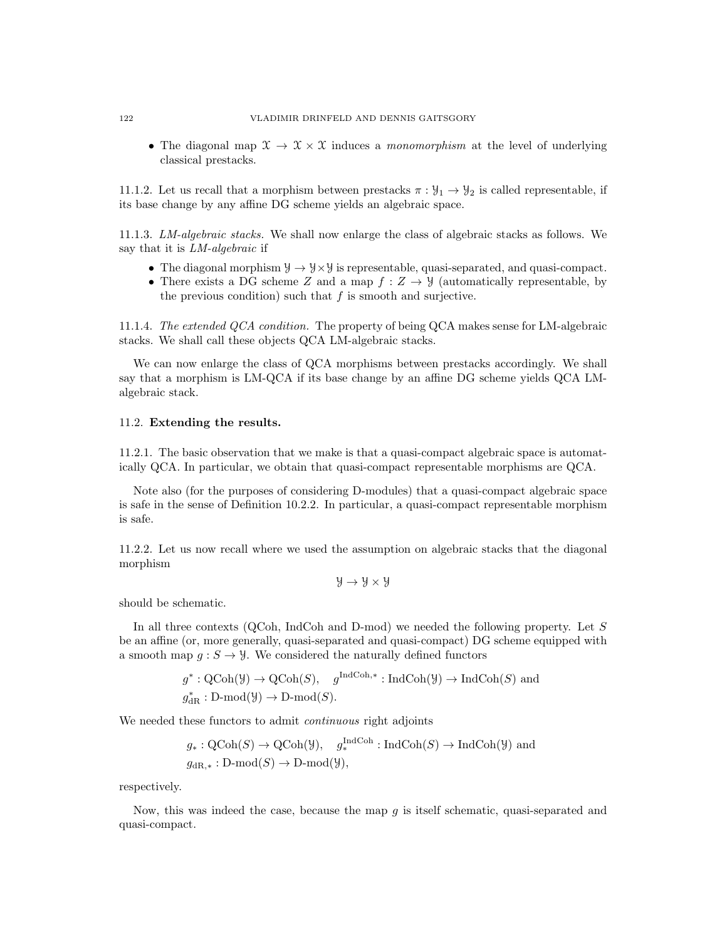• The diagonal map  $\mathfrak{X} \to \mathfrak{X} \times \mathfrak{X}$  induces a *monomorphism* at the level of underlying classical prestacks.

11.1.2. Let us recall that a morphism between prestacks  $\pi : \mathcal{Y}_1 \to \mathcal{Y}_2$  is called representable, if its base change by any affine DG scheme yields an algebraic space.

11.1.3. LM-algebraic stacks. We shall now enlarge the class of algebraic stacks as follows. We say that it is LM-algebraic if

- The diagonal morphism  $\mathcal{Y} \to \mathcal{Y} \times \mathcal{Y}$  is representable, quasi-separated, and quasi-compact.
- There exists a DG scheme Z and a map  $f: Z \to Y$  (automatically representable, by the previous condition) such that  $f$  is smooth and surjective.

11.1.4. The extended QCA condition. The property of being QCA makes sense for LM-algebraic stacks. We shall call these objects QCA LM-algebraic stacks.

We can now enlarge the class of QCA morphisms between prestacks accordingly. We shall say that a morphism is LM-QCA if its base change by an affine DG scheme yields QCA LMalgebraic stack.

# 11.2. Extending the results.

11.2.1. The basic observation that we make is that a quasi-compact algebraic space is automatically QCA. In particular, we obtain that quasi-compact representable morphisms are QCA.

Note also (for the purposes of considering D-modules) that a quasi-compact algebraic space is safe in the sense of Definition 10.2.2. In particular, a quasi-compact representable morphism is safe.

11.2.2. Let us now recall where we used the assumption on algebraic stacks that the diagonal morphism

 $y \rightarrow y \times y$ 

should be schematic.

In all three contexts (QCoh, IndCoh and D-mod) we needed the following property. Let S be an affine (or, more generally, quasi-separated and quasi-compact) DG scheme equipped with a smooth map  $q: S \to Y$ . We considered the naturally defined functors

> $g^*: \mathrm{QCoh}(\mathcal{Y}) \to \mathrm{QCoh}(S)$ ,  $g^{\mathrm{IndCoh},*}: \mathrm{IndCoh}(\mathcal{Y}) \to \mathrm{IndCoh}(S)$  and  $g_{\text{dR}}^* : \text{D-mod}(\mathcal{Y}) \to \text{D-mod}(S).$

We needed these functors to admit *continuous* right adjoints

$$
g_*: \text{QCoh}(S) \to \text{QCoh}(\mathcal{Y}), \quad g_*^{\text{IndCoh}}: \text{IndCoh}(S) \to \text{IndCoh}(\mathcal{Y}) \text{ and}
$$
  
 $g_{\text{dR},*}: \text{D-mod}(S) \to \text{D-mod}(\mathcal{Y}),$ 

respectively.

Now, this was indeed the case, because the map  $q$  is itself schematic, quasi-separated and quasi-compact.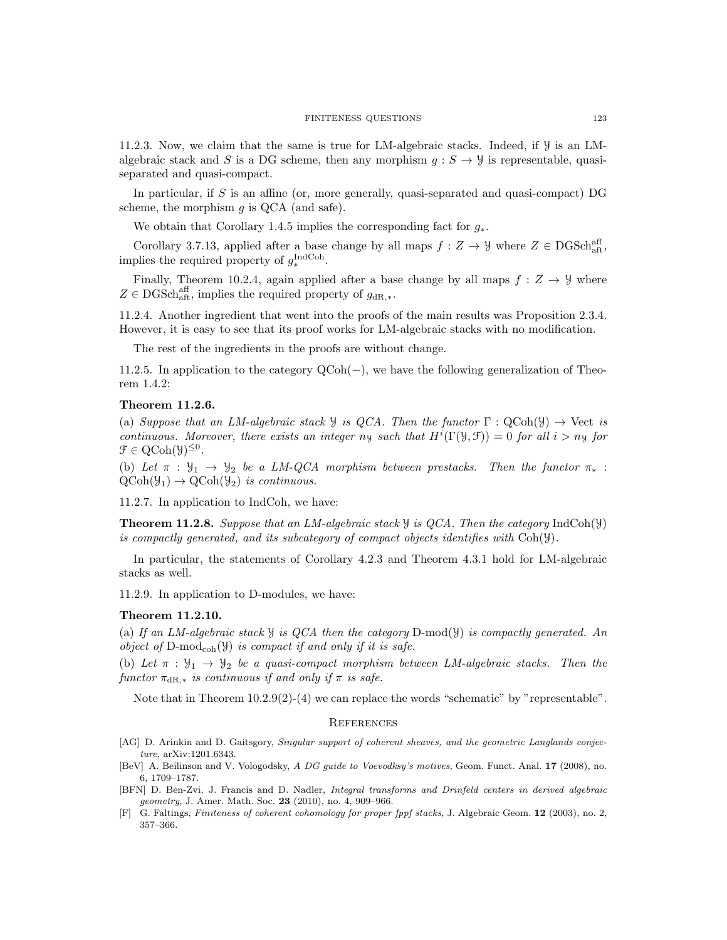11.2.3. Now, we claim that the same is true for LM-algebraic stacks. Indeed, if  $\mathcal{Y}$  is an LMalgebraic stack and S is a DG scheme, then any morphism  $q : S \to Y$  is representable, quasiseparated and quasi-compact.

In particular, if  $S$  is an affine (or, more generally, quasi-separated and quasi-compact) DG scheme, the morphism  $g$  is QCA (and safe).

We obtain that Corollary 1.4.5 implies the corresponding fact for  $g_*$ .

Corollary 3.7.13, applied after a base change by all maps  $f: Z \to Y$  where  $Z \in \text{DGSch}_{\text{aff}}^{\text{aff}}$ , implies the required property of  $g_*^{\text{IndCoh}}$ .

Finally, Theorem 10.2.4, again applied after a base change by all maps  $f: Z \to Y$  where  $Z \in \text{DGSch}^{\text{aff}}_{\text{aff}}$ , implies the required property of  $g_{\text{dR},*}$ .

11.2.4. Another ingredient that went into the proofs of the main results was Proposition 2.3.4. However, it is easy to see that its proof works for LM-algebraic stacks with no modification.

The rest of the ingredients in the proofs are without change.

11.2.5. In application to the category QCoh(−), we have the following generalization of Theorem 1.4.2:

### Theorem 11.2.6.

(a) Suppose that an LM-algebraic stack  $\mathcal Y$  is QCA. Then the functor  $\Gamma : \text{QCoh}(\mathcal Y) \to \text{Vect}$  is continuous. Moreover, there exists an integer  $ny$  such that  $H^{i}(\Gamma(\mathcal{Y}, \mathcal{F})) = 0$  for all  $i > ny$  for  $\mathcal{F} \in \mathrm{QCoh}(\mathcal{Y})^{\leq 0}.$ 

(b) Let  $\pi$  :  $\mathcal{Y}_1 \to \mathcal{Y}_2$  be a LM-QCA morphism between prestacks. Then the functor  $\pi_*$  :  $QCoh(\mathcal{Y}_1) \rightarrow QCoh(\mathcal{Y}_2)$  is continuous.

11.2.7. In application to IndCoh, we have:

**Theorem 11.2.8.** Suppose that an LM-algebraic stack  $\mathcal{Y}$  is QCA. Then the category IndCoh( $\mathcal{Y}$ ) is compactly generated, and its subcategory of compact objects identifies with  $Coh(\mathcal{Y})$ .

In particular, the statements of Corollary 4.2.3 and Theorem 4.3.1 hold for LM-algebraic stacks as well.

11.2.9. In application to D-modules, we have:

#### Theorem 11.2.10.

(a) If an LM-algebraic stack  $\mathcal Y$  is QCA then the category D-mod( $\mathcal Y$ ) is compactly generated. An object of  $D\text{-mod}_{coh}(\mathcal{Y})$  is compact if and only if it is safe.

(b) Let  $\pi : \mathcal{Y}_1 \to \mathcal{Y}_2$  be a quasi-compact morphism between LM-algebraic stacks. Then the functor  $\pi_{\text{dR},*}$  is continuous if and only if  $\pi$  is safe.

Note that in Theorem  $10.2.9(2)-(4)$  we can replace the words "schematic" by "representable".

#### **REFERENCES**

- [AG] D. Arinkin and D. Gaitsgory, Singular support of coherent sheaves, and the geometric Langlands conjecture, arXiv:1201.6343.
- [BeV] A. Beilinson and V. Vologodsky, A DG guide to Voevodksy's motives, Geom. Funct. Anal. 17 (2008), no. 6, 1709–1787.
- [BFN] D. Ben-Zvi, J. Francis and D. Nadler, *Integral transforms and Drinfeld centers in derived algebraic* geometry, J. Amer. Math. Soc. 23 (2010), no. 4, 909-966.
- G. Faltings, Finiteness of coherent cohomology for proper fppf stacks, J. Algebraic Geom. 12 (2003), no. 2, 357–366.